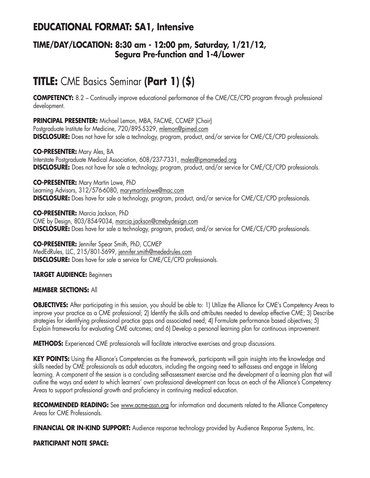## **EDUCATIONAL FORMAT: SA1, Intensive**

### **TIME/DAY/LOCATION: 8:30 am - 12:00 pm, Saturday, 1/21/12, Segura Pre-function and 1-4/Lower**

# **TITLE:** CME Basics Seminar **(Part 1) (\$)**

**COMPETENCY:** 8.2 – Continually improve educational performance of the CME/CE/CPD program through professional development.

**PRINCIPAL PRESENTER:** Michael Lemon, MBA, FACME, CCMEP (Chair) Postgraduate Institute for Medicine, 720/895-5329, mlemon@pimed.com **DISCLOSURE:** Does not have for sale a technology, program, product, and/or service for CME/CE/CPD professionals.

**CO-PRESENTER:** Mary Ales, BA Interstate Postgraduate Medical Association, 608/237-7331, males@ipmameded.org **DISCLOSURE:** Does not have for sale a technology, program, product, and/or service for CME/CE/CPD professionals.

**CO-PRESENTER:** Mary Martin Lowe, PhD Learning Advisors, 312/576-6080, marymartinlowe@mac.com **DISCLOSURE:** Does have for sale a technology, program, product, and/or service for CME/CE/CPD professionals.

**CO-PRESENTER:** Marcia Jackson, PhD CME by Design, 803/854-9034, marcia.jackson@cmebydesign.com **DISCLOSURE:** Does have for sale a technology, program, product, and/or service for CME/CE/CPD professionals.

**CO-PRESENTER:** Jennifer Spear Smith, PhD, CCMEP MedEdRules, LLC, 215/801-5699, jennifer.smith@mededrules.com **DISCLOSURE:** Does have for sale a service for CME/CE/CPD professionals.

### **TARGET AUDIENCE:** Beginners

### **MEMBER SECTIONS:** All

**OBJECTIVES:** After participating in this session, you should be able to: 1) Utilize the Alliance for CME's Competency Areas to improve your practice as a CME professional; 2) Identify the skills and attributes needed to develop effective CME; 3) Describe strategies for identifying professional practice gaps and associated need; 4) Formulate performance based objectives; 5) Explain frameworks for evaluating CME outcomes; and 6) Develop a personal learning plan for continuous improvement.

**METHODS:** Experienced CME professionals will facilitate interactive exercises and group discussions.

**KEY POINTS:** Using the Alliance's Competencies as the framework, participants will gain insights into the knowledge and skills needed by CME professionals as adult educators, including the ongoing need to self-assess and engage in lifelong learning. A component of the session is a concluding self-assessment exercise and the development of a learning plan that will outline the ways and extent to which learners' own professional development can focus on each of the Alliance's Competency Areas to support professional growth and proficiency in continuing medical education.

RECOMMENDED READING: See www.acme-assn.org for information and documents related to the Alliance Competency Areas for CME Professionals.

FINANCIAL OR IN-KIND SUPPORT: Audience response technology provided by Audience Response Systems, Inc.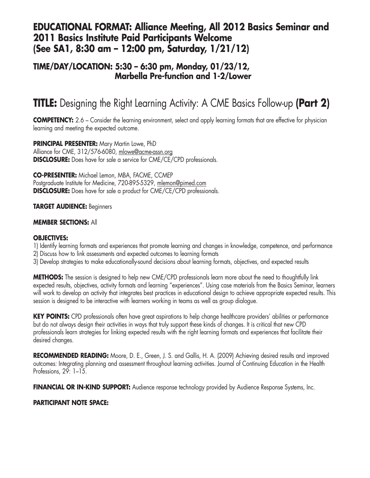### **EDUCATIONAL FORMAT: Alliance Meeting, All 2012 Basics Seminar and 2011 Basics Institute Paid Participants Welcome (See SA1, 8:30 am – 12:00 pm, Saturday, 1/21/12)**

### **TIME/DAY/LOCATION: 5:30 – 6:30 pm, Monday, 01/23/12, Marbella Pre-function and 1-2/Lower**

# **TITLE:** Designing the Right Learning Activity: A CME Basics Follow-up **(Part 2)**

**COMPETENCY:** 2.6 – Consider the learning environment, select and apply learning formats that are effective for physician learning and meeting the expected outcome.

**PRINCIPAL PRESENTER:** Mary Martin Lowe, PhD Alliance for CME, 312/576-6080, mlowe@acme-assn.org **DISCLOSURE:** Does have for sale a service for CME/CE/CPD professionals.

**CO-PRESENTER:** Michael Lemon, MBA, FACME, CCMEP Postgraduate Institute for Medicine, 720-895-5329, mlemon@pimed.com **DISCLOSURE:** Does have for sale a product for CME/CE/CPD professionals.

### **TARGET AUDIENCE:** Beginners

#### **MEMBER SECTIONS:** All

#### **OBJECTIVES:**

- 1) Identify learning formats and experiences that promote learning and changes in knowledge, competence, and performance
- 2) Discuss how to link assessments and expected outcomes to learning formats
- 3) Develop strategies to make educationally-sound decisions about learning formats, objectives, and expected results

**METHODS:** The session is designed to help new CME/CPD professionals learn more about the need to thoughtfully link expected results, objectives, activity formats and learning "experiences". Using case materials from the Basics Seminar, learners will work to develop an activity that integrates best practices in educational design to achieve appropriate expected results. This session is designed to be interactive with learners working in teams as well as group dialogue.

**KEY POINTS:** CPD professionals often have great aspirations to help change healthcare providers' abilities or performance but do not always design their activities in ways that truly support these kinds of changes. It is critical that new CPD professionals learn strategies for linking expected results with the right learning formats and experiences that facilitate their desired changes.

**RECOMMENDED READING:** Moore, D. E., Green, J. S. and Gallis, H. A. (2009) Achieving desired results and improved outcomes: Integrating planning and assessment throughout learning activities. Journal of Continuing Education in the Health Professions, 29: 1-15.

**FINANCIAL OR IN-KIND SUPPORT:** Audience response technology provided by Audience Response Systems, Inc.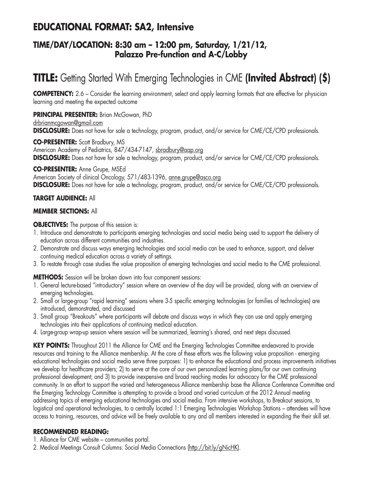## **EDUCATIONAL FORMAT: SA2, Intensive**

### **TIME/DAY/LOCATION: 8:30 am – 12:00 pm, Saturday, 1/21/12, Palazzo Pre-function and A-C/Lobby**

# **TITLE:** Getting Started With Emerging Technologies in CME **(Invited Abstract) (\$)**

**COMPETENCY:** 2.6 – Consider the learning environment, select and apply learning formats that are effective for physician learning and meeting the expected outcome

**PRINCIPAL PRESENTER:** Brian McGowan, PhD drbrianmcgowan@gmail.com **DISCLOSURE:** Does not have for sale a technology, program, product, and/or service for CME/CE/CPD professionals.

**CO-PRESENTER:** Scott Bradbury, MS American Academy of Pediatrics, 847/434-7147, sbradbury@aap.org **DISCLOSURE:** Does not have for sale a technology, program, product, and/or service for CME/CE/CPD professionals.

**CO-PRESENTER:** Anne Grupe, MSEd American Society of clinical Oncology, 571/483-1396, anne.grupe@asco.org **DISCLOSURE:** Does not have for sale a technology, program, product, and/or service for CME/CE/CPD professionals.

### **TARGET AUDIENCE:** All

### **MEMBER SECTIONS:** All

### **OBJECTIVES:** The purpose of this session is:

- 1. Introduce and demonstrate to participants emerging technologies and social media being used to support the delivery of education across different communities and industries.
- 2. Demonstrate and discuss ways emerging technologies and social media can be used to enhance, support, and deliver continuing medical education across a variety of settings.
- 3. To restate through case studies the value proposition of emerging technologies and social media to the CME professional.

**METHODS:** Session will be broken down into four component sessions:

- 1. General lecture-based "introductory" session where an overview of the day will be provided, along with an overview of emerging technologies.
- 2. Small or large-group "rapid learning" sessions where 3-5 specific emerging technologies (or families of technologies) are introduced, demonstrated, and discussed
- 3. Small group "Breakouts" where participants will debate and discuss ways in which they can use and apply emerging technologies into their applications of continuing medical education.
- 4. Large-group wrap-up session where session will be summarized, learning's shared, and next steps discussed.

**KEY POINTS:** Throughout 2011 the Alliance for CME and the Emerging Technologies Committee endeavored to provide resources and training to the Alliance membership. At the core of these efforts was the following value proposition - emerging educational technologies and social media serve three purposes: 1) to enhance the educational and process improvements initiatives we develop for healthcare providers; 2) to serve at the core of our own personalized learning plans/for our own continuing professional development; and 3) to provide inexpensive and broad reaching modes for advocacy for the CME professional community. In an effort to support the varied and heterogeneous Alliance membership base the Alliance Conference Committee and the Emerging Technology Committee is attempting to provide a broad and varied curriculum at the 2012 Annual meeting addressing topics of emerging educational technologies and social media. From intensive workshops, to Breakout sessions, to logistical and operational technologies, to a centrally located 1:1 Emerging Technologies Workshop Stations – attendees will have access to training, resources, and advice will be freely available to any and all members interested in expanding the their skill set.

### **RECOMMENDED READING:**

- 1. Alliance for CME website communities portal.
- 2. Medical Meetings Consult Columns: Social Media Connections (http://bit.ly/gNicHK).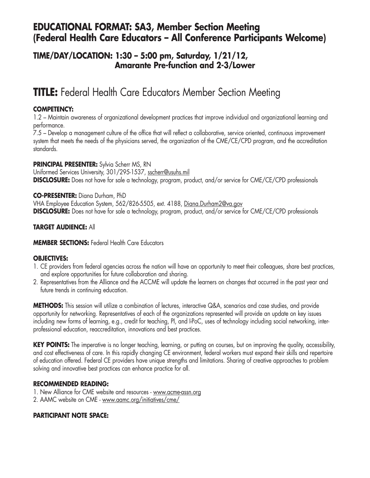### **EDUCATIONAL FORMAT: SA3, Member Section Meeting (Federal Health Care Educators – All Conference Participants Welcome)**

### **TIME/DAY/LOCATION: 1:30 – 5:00 pm, Saturday, 1/21/12, Amarante Pre-function and 2-3/Lower**

## **TITLE:** Federal Health Care Educators Member Section Meeting

### **COMPETENCY:**

1.2 – Maintain awareness of organizational development practices that improve individual and organizational learning and performance.

7.5 – Develop a management culture of the office that will reflect a collaborative, service oriented, continuous improvement system that meets the needs of the physicians served, the organization of the CME/CE/CPD program, and the accreditation standards.

### **PRINCIPAL PRESENTER:** Sylvia Scherr MS, RN

Uniformed Services University, 301/295-1537, sscherr@usuhs.mil **DISCLOSURE:** Does not have for sale a technology, program, product, and/or service for CME/CE/CPD professionals

### **CO-PRESENTER:** Diana Durham, PhD

VHA Employee Education System, 562/826-5505, ext. 4188, Diana.Durham2@va.gov **DISCLOSURE:** Does not have for sale a technology, program, product, and/or service for CME/CE/CPD professionals

### **TARGET AUDIENCE:** All

### **MEMBER SECTIONS:** Federal Health Care Educators

### **OBJECTIVES:**

- 1. CE providers from federal agencies across the nation will have an opportunity to meet their colleagues, share best practices, and explore opportunities for future collaboration and sharing.
- 2. Representatives from the Alliance and the ACCME will update the learners on changes that occurred in the past year and future trends in continuing education.

**METHODS:** This session will utilize a combination of lectures, interactive Q&A, scenarios and case studies, and provide opportunity for networking. Representatives of each of the organizations represented will provide an update on key issues including new forms of learning, e.g., credit for teaching, PI, and I-PoC, uses of technology including social networking, interprofessional education, reaccreditation, innovations and best practices.

**KEY POINTS:** The imperative is no longer teaching, learning, or putting on courses, but on improving the quality, accessibility, and cost effectiveness of care. In this rapidly changing CE environment, federal workers must expand their skills and repertoire of education offered. Federal CE providers have unique strengths and limitations. Sharing of creative approaches to problem solving and innovative best practices can enhance practice for all.

### **RECOMMENDED READING:**

- 1. New Alliance for CME website and resources www.acme-assn.org
- 2. AAMC website on CME www.aamc.org/initiatives/cme/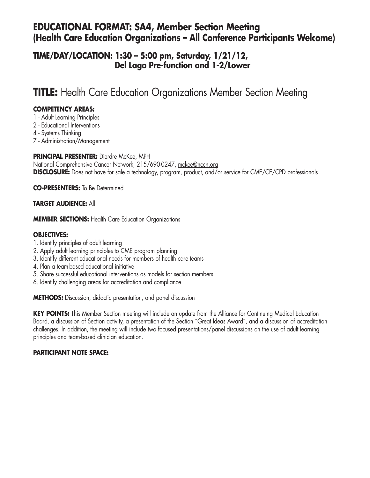### **EDUCATIONAL FORMAT: SA4, Member Section Meeting (Health Care Education Organizations – All Conference Participants Welcome)**

### **TIME/DAY/LOCATION: 1:30 – 5:00 pm, Saturday, 1/21/12, Del Lago Pre-function and 1-2/Lower**

## **TITLE:** Health Care Education Organizations Member Section Meeting

### **COMPETENCY AREAS:**

- 1 Adult Learning Principles
- 2 Educational Interventions
- 4 Systems Thinking
- 7 Administration/Management

### **PRINCIPAL PRESENTER:** Dierdre McKee, MPH

National Comprehensive Cancer Network, 215/690-0247, mckee@nccn.org **DISCLOSURE:** Does not have for sale a technology, program, product, and/or service for CME/CE/CPD professionals

**CO-PRESENTERS:** To Be Determined

### **TARGET AUDIENCE:** All

**MEMBER SECTIONS:** Health Care Education Organizations

### **OBJECTIVES:**

- 1. Identify principles of adult learning
- 2. Apply adult learning principles to CME program planning
- 3. Identify different educational needs for members of health care teams
- 4. Plan a team-based educational initiative
- 5. Share successful educational interventions as models for section members
- 6. Identify challenging areas for accreditation and compliance

**METHODS:** Discussion, didactic presentation, and panel discussion

**KEY POINTS:** This Member Section meeting will include an update from the Alliance for Continuing Medical Education Board, a discussion of Section activity, a presentation of the Section "Great Ideas Award", and a discussion of accreditation challenges. In addition, the meeting will include two focused presentations/panel discussions on the use of adult learning principles and team-based clinician education.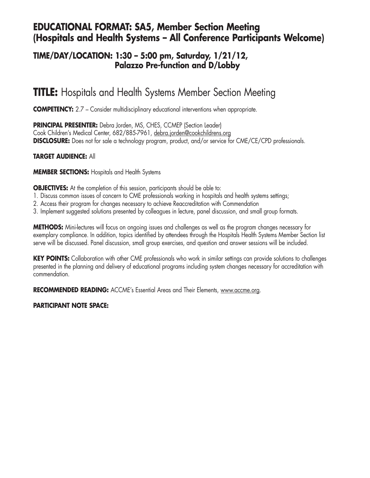### **EDUCATIONAL FORMAT: SA5, Member Section Meeting (Hospitals and Health Systems – All Conference Participants Welcome)**

### **TIME/DAY/LOCATION: 1:30 – 5:00 pm, Saturday, 1/21/12, Palazzo Pre-function and D/Lobby**

## **TITLE:** Hospitals and Health Systems Member Section Meeting

**COMPETENCY:** 2.7 - Consider multidisciplinary educational interventions when appropriate.

**PRINCIPAL PRESENTER:** Debra Jorden, MS, CHES, CCMEP (Section Leader) Cook Children's Medical Center, 682/885-7961, debra.jorden@cookchildrens.org **DISCLOSURE:** Does not for sale a technology program, product, and/or service for CME/CE/CPD professionals.

### **TARGET AUDIENCE:** All

**MEMBER SECTIONS:** Hospitals and Health Systems

**OBJECTIVES:** At the completion of this session, participants should be able to:

- 1. Discuss common issues of concern to CME professionals working in hospitals and health systems settings;
- 2. Access their program for changes necessary to achieve Reaccreditation with Commendation
- 3. Implement suggested solutions presented by colleagues in lecture, panel discussion, and small group formats.

**METHODS:** Mini-lectures will focus on ongoing issues and challenges as well as the program changes necessary for exemplary compliance. In addition, topics identified by attendees through the Hospitals Health Systems Member Section list serve will be discussed. Panel discussion, small group exercises, and question and answer sessions will be included.

**KEY POINTS:** Collaboration with other CME professionals who work in similar settings can provide solutions to challenges presented in the planning and delivery of educational programs including system changes necessary for accreditation with commendation.

**RECOMMENDED READING:** ACCME's Essential Areas and Their Elements, www.accme.org.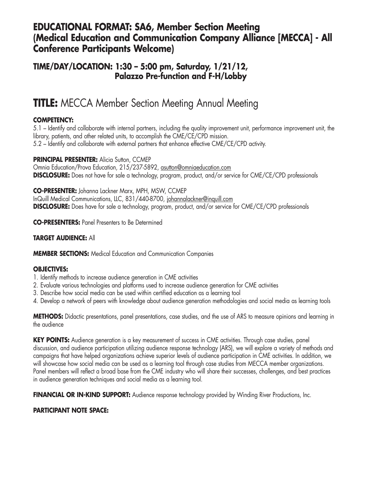### **EDUCATIONAL FORMAT: SA6, Member Section Meeting (Medical Education and Communication Company Alliance [MECCA] - All Conference Participants Welcome)**

### **TIME/DAY/LOCATION: 1:30 – 5:00 pm, Saturday, 1/21/12, Palazzo Pre-function and F-H/Lobby**

## **TITLE:** MECCA Member Section Meeting Annual Meeting

### **COMPETENCY:**

5.1 – Identify and collaborate with internal partners, including the quality improvement unit, performance improvement unit, the library, patients, and other related units, to accomplish the CME/CE/CPD mission. 5.2 – Identify and collaborate with external partners that enhance effective CME/CE/CPD activity.

**PRINCIPAL PRESENTER: Alicia Sutton, CCMEP** Omnia Education/Prova Education, 215/237-5892, asutton@omniaeducation.com **DISCLOSURE:** Does not have for sale a technology, program, product, and/or service for CME/CE/CPD professionals

**CO-PRESENTER:** Johanna Lackner Marx, MPH, MSW, CCMEP InQuill Medical Communications, LLC, 831/440-8700, johannalackner@inquill.com **DISCLOSURE:** Does have for sale a technology, program, product, and/or service for CME/CE/CPD professionals

**CO-PRESENTERS:** Panel Presenters to Be Determined

### **TARGET AUDIENCE:** All

**MEMBER SECTIONS:** Medical Education and Communication Companies

### **OBJECTIVES:**

- 1. Identify methods to increase audience generation in CME activities
- 2. Evaluate various technologies and platforms used to increase audience generation for CME activities
- 3. Describe how social media can be used within certified education as a learning tool
- 4. Develop a network of peers with knowledge about audience generation methodologies and social media as learning tools

**METHODS:** Didactic presentations, panel presentations, case studies, and the use of ARS to measure opinions and learning in the audience

**KEY POINTS:** Audience generation is a key measurement of success in CME activities. Through case studies, panel discussion, and audience participation utilizing audience response technology (ARS), we will explore a variety of methods and campaigns that have helped organizations achieve superior levels of audience participation in CME activities. In addition, we will showcase how social media can be used as a learning tool through case studies from MECCA member organizations. Panel members will reflect a broad base from the CME industry who will share their successes, challenges, and best practices in audience generation techniques and social media as a learning tool.

**FINANCIAL OR IN-KIND SUPPORT:** Audience response technology provided by Winding River Productions, Inc.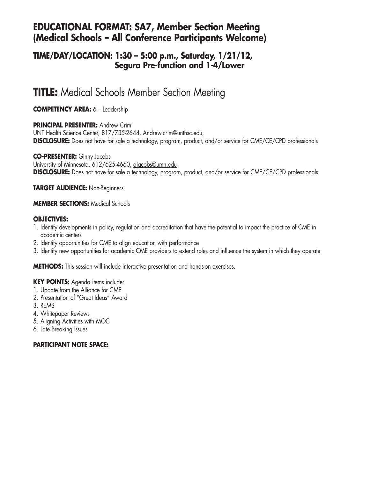### **EDUCATIONAL FORMAT: SA7, Member Section Meeting (Medical Schools – All Conference Participants Welcome)**

### **TIME/DAY/LOCATION: 1:30 – 5:00 p.m., Saturday, 1/21/12, Segura Pre-function and 1-4/Lower**

## **TITLE:** Medical Schools Member Section Meeting

**COMPETENCY AREA:** 6 – Leadership

### **PRINCIPAL PRESENTER:** Andrew Crim

UNT Health Science Center, 817/735-2644, Andrew.crim@unthsc.edu, **DISCLOSURE:** Does not have for sale a technology, program, product, and/or service for CME/CE/CPD professionals

### **CO-PRESENTER:** Ginny Jacobs

University of Minnesota, 612/625-4660, gjacobs@umn.edu **DISCLOSURE:** Does not have for sale a technology, program, product, and/or service for CME/CE/CPD professionals

**TARGET AUDIENCE:** Non-Beginners

### **MEMBER SECTIONS:** Medical Schools

#### **OBJECTIVES:**

- 1. Identify developments in policy, regulation and accreditation that have the potential to impact the practice of CME in academic centers
- 2. Identify opportunities for CME to align education with performance
- 3. Identify new opportunities for academic CME providers to extend roles and influence the system in which they operate

**METHODS:** This session will include interactive presentation and hands-on exercises.

### **KEY POINTS:** Agenda items include:

- 1. Update from the Alliance for CME
- 2. Presentation of "Great Ideas" Award
- 3. REMS
- 4. Whitepaper Reviews
- 5. Aligning Activities with MOC
- 6. Late Breaking Issues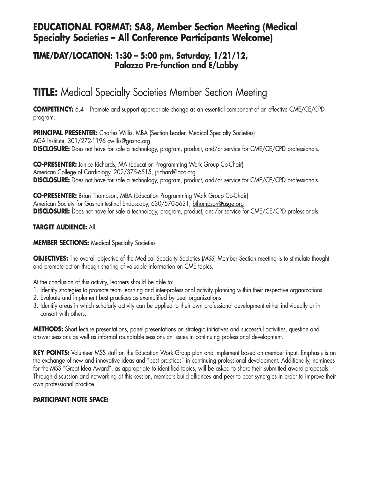### **EDUCATIONAL FORMAT: SA8, Member Section Meeting (Medical Specialty Societies – All Conference Participants Welcome)**

### **TIME/DAY/LOCATION: 1:30 – 5:00 pm, Saturday, 1/21/12, Palazzo Pre-function and E/Lobby**

## **TITLE:** Medical Specialty Societies Member Section Meeting

**COMPETENCY:** 6.4 – Promote and support appropriate change as an essential component of an effective CME/CE/CPD program.

**PRINCIPAL PRESENTER:** Charles Willis, MBA (Section Leader, Medical Specialty Societies) AGA Institute, 301/272-1196 cwillis@gastro.org **DISCLOSURE:** Does not have for sale a technology, program, product, and/or service for CME/CE/CPD professionals.

**CO-PRESENTER:** Janice Richards, MA (Education Programming Work Group Co-Chair) American College of Cardiology, 202/375-6515, jrichard@acc.org **DISCLOSURE:** Does not have for sale a technology, program, product, and/or service for CME/CE/CPD professionals

**CO-PRESENTER:** Brian Thompson, MBA (Education Programming Work Group Co-Chair) American Society for Gastrointestinal Endoscopy, 630/570-5621, bthompson@asge.org **DISCLOSURE:** Does not have for sale a technology, program, product, and/or service for CME/CE/CPD professionals

### **TARGET AUDIENCE:** All

#### **MEMBER SECTIONS:** Medical Specialty Societies

**OBJECTIVES:** The overall objective of the Medical Specialty Societies (MSS) Member Section meeting is to stimulate thought and promote action through sharing of valuable information on CME topics.

At the conclusion of this activity, learners should be able to:

- 1. Identify strategies to promote team learning and inter-professional activity planning within their respective organizations.
- 2. Evaluate and implement best practices as exemplified by peer organizations
- 3. Identify areas in which scholarly activity can be applied to their own professional development either individually or in consort with others.

**METHODS:** Short lecture presentations, panel presentations on strategic initiatives and successful activities, question and answer sessions as well as informal roundtable sessions on issues in continuing professional development.

**KEY POINTS:** Volunteer MSS staff on the Education Work Group plan and implement based on member input. Emphasis is on the exchange of new and innovative ideas and "best practices" in continuing professional development. Additionally, nominees for the MSS "Great Idea Award", as appropriate to identified topics, will be asked to share their submitted award proposals. Through discussion and networking at this session, members build alliances and peer to peer synergies in order to improve their own professional practice.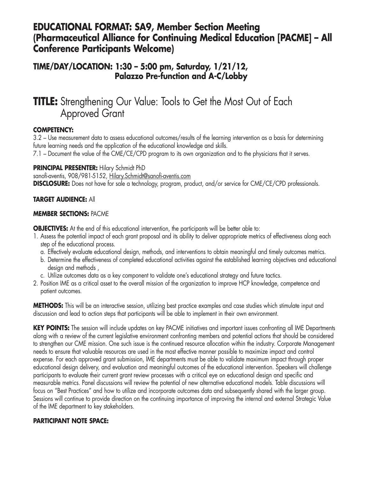### **EDUCATIONAL FORMAT: SA9, Member Section Meeting (Pharmaceutical Alliance for Continuing Medical Education [PACME] – All Conference Participants Welcome)**

### **TIME/DAY/LOCATION: 1:30 – 5:00 pm, Saturday, 1/21/12, Palazzo Pre-function and A-C/Lobby**

## **TITLE:** Strengthening Our Value: Tools to Get the Most Out of Each Approved Grant

### **COMPETENCY:**

3.2 – Use measurement data to assess educational outcomes/results of the learning intervention as a basis for determining future learning needs and the application of the educational knowledge and skills.

7.1 – Document the value of the CME/CE/CPD program to its own organization and to the physicians that it serves.

### **PRINCIPAL PRESENTER:** Hilary Schmidt PhD

sanofi-aventis, 908/981-5152, Hilary.Schmidt@sanofi-aventis.com **DISCLOSURE:** Does not have for sale a technology, program, product, and/or service for CME/CE/CPD professionals.

### **TARGET AUDIENCE:** All

### **MEMBER SECTIONS:** PACME

**OBJECTIVES:** At the end of this educational intervention, the participants will be better able to:

- 1. Assess the potential impact of each grant proposal and its ability to deliver appropriate metrics of effectiveness along each step of the educational process.
	- a. Effectively evaluate educational design, methods, and interventions to obtain meaningful and timely outcomes metrics.
	- b. Determine the effectiveness of completed educational activities against the established learning objectives and educational design and methods ,
	- c. Utilize outcomes data as a key component to validate one's educational strategy and future tactics.
- 2. Position IME as a critical asset to the overall mission of the organization to improve HCP knowledge, competence and patient outcomes.

**METHODS:** This will be an interactive session, utilizing best practice examples and case studies which stimulate input and discussion and lead to action steps that participants will be able to implement in their own environment.

**KEY POINTS:** The session will include updates on key PACME initiatives and important issues confronting all IME Departments along with a review of the current legislative environment confronting members and potential actions that should be considered to strengthen our CME mission. One such issue is the continued resource allocation within the industry. Corporate Management needs to ensure that valuable resources are used in the most effective manner possible to maximize impact and control expense. For each approved grant submission, IME departments must be able to validate maximum impact through proper educational design delivery, and evaluation and meaningful outcomes of the educational intervention. Speakers will challenge participants to evaluate their current grant review processes with a critical eye on educational design and specific and measurable metrics. Panel discussions will review the potential of new alternative educational models. Table discussions will focus on "Best Practices" and how to utilize and incorporate outcomes data and subsequently shared with the larger group. Sessions will continue to provide direction on the continuing importance of improving the internal and external Strategic Value of the IME department to key stakeholders.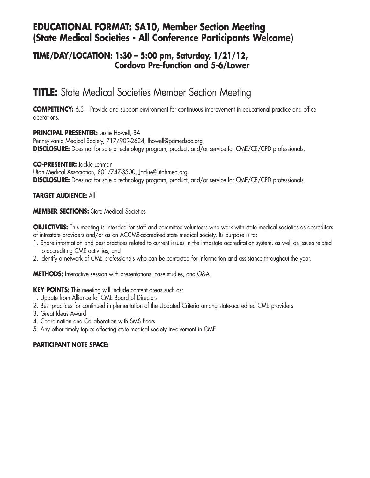### **EDUCATIONAL FORMAT: SA10, Member Section Meeting (State Medical Societies - All Conference Participants Welcome)**

### **TIME/DAY/LOCATION: 1:30 – 5:00 pm, Saturday, 1/21/12, Cordova Pre-function and 5-6/Lower**

## **TITLE:** State Medical Societies Member Section Meeting

**COMPETENCY:** 6.3 – Provide and support environment for continuous improvement in educational practice and office operations.

**PRINCIPAL PRESENTER:** Leslie Howell, BA

Pennsylvania Medical Society, 717/909-2624, lhowell@pamedsoc.org **DISCLOSURE:** Does not for sale a technology program, product, and/or service for CME/CE/CPD professionals.

**CO-PRESENTER:** Jackie Lehman Utah Medical Association, 801/747-3500, Jackie@utahmed.org **DISCLOSURE:** Does not for sale a technology program, product, and/or service for CME/CE/CPD professionals.

### **TARGET AUDIENCE:** All

**MEMBER SECTIONS:** State Medical Societies

**OBJECTIVES:** This meeting is intended for staff and committee volunteers who work with state medical societies as accreditors of intrastate providers and/or as an ACCME-accredited state medical society. Its purpose is to:

- 1. Share information and best practices related to current issues in the intrastate accreditation system, as well as issues related to accrediting CME activities; and
- 2. Identify a network of CME professionals who can be contacted for information and assistance throughout the year.

**METHODS:** Interactive session with presentations, case studies, and Q&A

**KEY POINTS:** This meeting will include content areas such as:

- 1. Update from Alliance for CME Board of Directors
- 2. Best practices for continued implementation of the Updated Criteria among state-accredited CME providers
- 3. Great Ideas Award
- 4. Coordination and Collaboration with SMS Peers
- 5. Any other timely topics affecting state medical society involvement in CME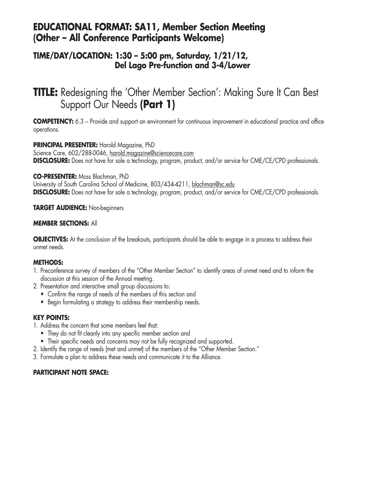### **EDUCATIONAL FORMAT: SA11, Member Section Meeting (Other – All Conference Participants Welcome)**

### **TIME/DAY/LOCATION: 1:30 – 5:00 pm, Saturday, 1/21/12, Del Lago Pre-function and 3-4/Lower**

## **TITLE:** Redesigning the 'Other Member Section': Making Sure It Can Best Support Our Needs **(Part 1)**

**COMPETENCY:** 6.3 – Provide and support an environment for continuous improvement in educational practice and office operations.

#### **PRINCIPAL PRESENTER:** Harold Magazine, PhD

Science Care, 602/288-0046, harold.magazine@sciencecare.com **DISCLOSURE:** Does not have for sale a technology, program, product, and/or service for CME/CE/CPD professionals.

### **CO-PRESENTER:** Moss Blachman, PhD

University of South Carolina School of Medicine, 803/434-4211, blachman@sc.edu **DISCLOSURE:** Does not have for sale a technology, program, product, and/or service for CME/CE/CPD professionals.

### **TARGET AUDIENCE:** Non-beginners

### **MEMBER SECTIONS:** All

**OBJECTIVES:** At the conclusion of the breakouts, participants should be able to engage in a process to address their unmet needs.

### **METHODS:**

- 1. Preconference survey of members of the "Other Member Section" to identify areas of unmet need and to inform the discussion at this session of the Annual meeting.
- 2. Presentation and interactive small group discussions to:
	- Confirm the range of needs of the members of this section and
	- Begin formulating a strategy to address their membership needs.

### **KEY POINTS:**

- 1. Address the concern that some members feel that:
	- They do not fit cleanly into any specific member section and
	- Their specific needs and concerns may not be fully recognized and supported.
- 2. Identify the range of needs (met and unmet) of the members of the "Other Member Section."
- 3. Formulate a plan to address these needs and communicate it to the Alliance.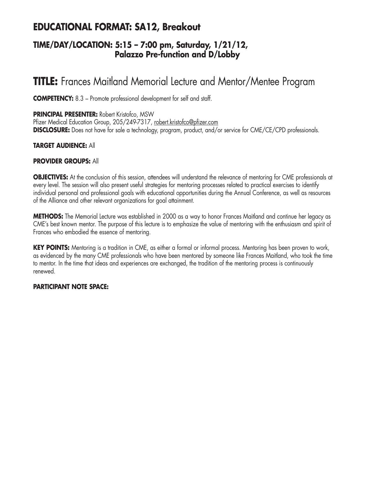## **EDUCATIONAL FORMAT: SA12, Breakout**

### **TIME/DAY/LOCATION: 5:15 – 7:00 pm, Saturday, 1/21/12, Palazzo Pre-function and D/Lobby**

## **TITLE:** Frances Maitland Memorial Lecture and Mentor/Mentee Program

**COMPETENCY:** 8.3 – Promote professional development for self and staff.

### **PRINCIPAL PRESENTER:** Robert Kristofco, MSW

Pfizer Medical Education Group, 205/249-7317, robert.kristofco@pfizer.com **DISCLOSURE:** Does not have for sale a technology, program, product, and/or service for CME/CE/CPD professionals.

### **TARGET AUDIENCE:** All

### **PROVIDER GROUPS:** All

**OBJECTIVES:** At the conclusion of this session, attendees will understand the relevance of mentoring for CME professionals at every level. The session will also present useful strategies for mentoring processes related to practical exercises to identify individual personal and professional goals with educational opportunities during the Annual Conference, as well as resources of the Alliance and other relevant organizations for goal attainment.

**METHODS:** The Memorial Lecture was established in 2000 as a way to honor Frances Maitland and continue her legacy as CME's best known mentor. The purpose of this lecture is to emphasize the value of mentoring with the enthusiasm and spirit of Frances who embodied the essence of mentoring.

**KEY POINTS:** Mentoring is a tradition in CME, as either a formal or informal process. Mentoring has been proven to work, as evidenced by the many CME professionals who have been mentored by someone like Frances Maitland, who took the time to mentor. In the time that ideas and experiences are exchanged, the tradition of the mentoring process is continuously renewed.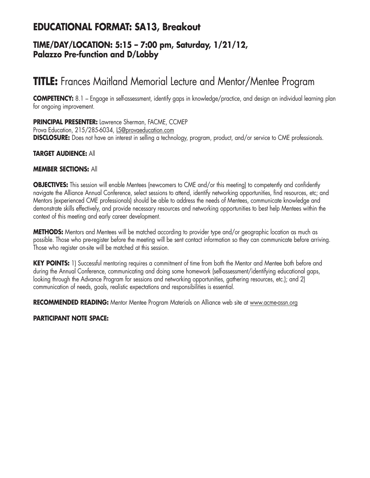## **EDUCATIONAL FORMAT: SA13, Breakout**

### **TIME/DAY/LOCATION: 5:15 – 7:00 pm, Saturday, 1/21/12, Palazzo Pre-function and D/Lobby**

## **TITLE:** Frances Maitland Memorial Lecture and Mentor/Mentee Program

**COMPETENCY:** 8.1 – Engage in self-assessment, identify gaps in knowledge/practice, and design an individual learning plan for ongoing improvement.

**PRINCIPAL PRESENTER:** Lawrence Sherman, FACME, CCMEP Prova Education, 215/285-6034, LS@provaeducation.com **DISCLOSURE:** Does not have an interest in selling a technology, program, product, and/or service to CME professionals.

### **TARGET AUDIENCE:** All

#### **MEMBER SECTIONS:** All

**OBJECTIVES:** This session will enable Mentees (newcomers to CME and/or this meeting) to competently and confidently navigate the Alliance Annual Conference, select sessions to attend, identify networking opportunities, find resources, etc; and Mentors (experienced CME professionals) should be able to address the needs of Mentees, communicate knowledge and demonstrate skills effectively, and provide necessary resources and networking opportunities to best help Mentees within the context of this meeting and early career development.

**METHODS:** Mentors and Mentees will be matched according to provider type and/or geographic location as much as possible. Those who pre-register before the meeting will be sent contact information so they can communicate before arriving. Those who register on-site will be matched at this session.

**KEY POINTS:** 1) Successful mentoring requires a commitment of time from both the Mentor and Mentee both before and during the Annual Conference, communicating and doing some homework (self-assessment/identifying educational gaps, looking through the Advance Program for sessions and networking opportunities, gathering resources, etc.); and 2) communication of needs, goals, realistic expectations and responsibilities is essential.

**RECOMMENDED READING:** Mentor Mentee Program Materials on Alliance web site at www.acme-assn.org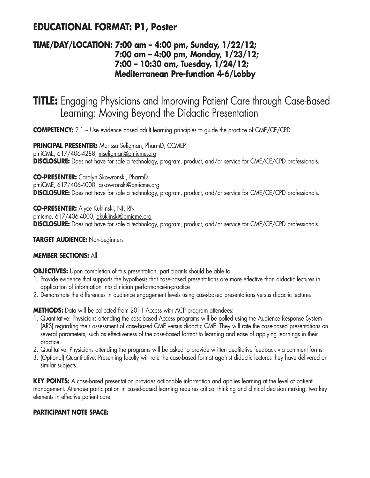## **EDUCATIONAL FORMAT: P1, Poster**

### **TIME/DAY/LOCATION: 7:00 am – 4:00 pm, Sunday, 1/22/12; 7:00 am – 4:00 pm, Monday, 1/23/12; 7:00 – 10:30 am, Tuesday, 1/24/12; Mediterranean Pre-function 4-6/Lobby**

**TITLE:** Engaging Physicians and Improving Patient Care through Case-Based Learning: Moving Beyond the Didactic Presentation

**COMPETENCY:** 2.1 – Use evidence based adult learning principles to quide the practice of CME/CE/CPD.

**PRINCIPAL PRESENTER:** Marissa Seligman, PharmD, CCMEP pmiCME, 617/406-4288, mseligman@pmicme.org **DISCLOSURE:** Does not have for sale a technology, program, product, and/or service for CME/CE/CPD professionals.

**CO-PRESENTER:** Carolyn Skowronski, PharmD pmiCME, 617/406-4000, cskowronski@pmicme.org **DISCLOSURE:** Does not have for sale a technology, program, product, and/or service for CME/CE/CPD professionals.

**CO-PRESENTER:** Alyce Kuklinski, NP, RN pmicme, 617/406-4000, akuklinski@pmicme.org **DISCLOSURE:** Does not have for sale a technology, program, product, and/or service for CME/CE/CPD professionals.

**TARGET AUDIENCE:** Non-beginners

### **MEMBER SECTIONS:** All

**OBJECTIVES:** Upon completion of this presentation, participants should be able to:

- 1. Provide evidence that supports the hypothesis that case-based presentations are more effective than didactic lectures in application of information into clinician performance-in-practice
- 2. Demonstrate the differences in audience engagement levels using case-based presentations versus didactic lectures

**METHODS:** Data will be collected from 2011 Access with ACP program attendees:

- 1. Quantitative: Physicians attending the case-based Access programs will be polled using the Audience Response System (ARS) regarding their assessment of case-based CME versus didactic CME. They will rate the case-based presentations on several parameters, such as effectiveness of the case-based format to learning and ease of applying learnings in their practice.
- 2. Qualitative: Physicians attending the programs will be asked to provide written qualitative feedback via comment forms.
- 3. (Optional) Quantitative: Presenting faculty will rate the case-based format against didactic lectures they have delivered on similar subjects.

**KEY POINTS:** A case-based presentation provides actionable information and applies learning at the level of patient management. Attendee participation in cased-based learning requires critical thinking and clinical decision making, two key elements in effective patient care.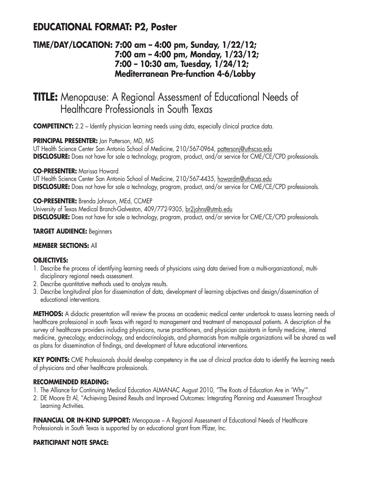## **EDUCATIONAL FORMAT: P2, Poster**

### **TIME/DAY/LOCATION: 7:00 am – 4:00 pm, Sunday, 1/22/12; 7:00 am – 4:00 pm, Monday, 1/23/12; 7:00 – 10:30 am, Tuesday, 1/24/12; Mediterranean Pre-function 4-6/Lobby**

## **TITLE:** Menopause: A Regional Assessment of Educational Needs of Healthcare Professionals in South Texas

**COMPETENCY:** 2.2 – Identify physician learning needs using data, especially clinical practice data.

### **PRINCIPAL PRESENTER: Jan Patterson, MD, MS**

UT Health Science Center San Antonio School of Medicine, 210/567-0964, pattersonj@uthscsa.edu **DISCLOSURE:** Does not have for sale a technology, program, product, and/or service for CME/CE/CPD professionals.

### **CO-PRESENTER:** Marissa Howard

UT Health Science Center San Antonio School of Medicine, 210/567-4435, howardm@uthscsa.edu **DISCLOSURE:** Does not have for sale a technology, program, product, and/or service for CME/CE/CPD professionals.

### **CO-PRESENTER:** Brenda Johnson, MEd, CCMEP

University of Texas Medical Branch-Galveston, 409/772-9305, br2johns@utmb.edu **DISCLOSURE:** Does not have for sale a technology, program, product, and/or service for CME/CE/CPD professionals.

### **TARGET AUDIENCE:** Beginners

### **MEMBER SECTIONS:** All

### **OBJECTIVES:**

- 1. Describe the process of identifying learning needs of physicians using data derived from a multi-organizational, multidisciplinary regional needs assessment.
- 2. Describe quantitative methods used to analyze results.
- 3. Describe longitudinal plan for dissemination of data, development of learning objectives and design/dissemination of educational interventions.

**METHODS:** A didactic presentation will review the process an academic medical center undertook to assess learning needs of healthcare professional in south Texas with regard to management and treatment of menopausal patients. A description of the survey of healthcare providers including physicians, nurse practitioners, and physician assistants in family medicine, internal medicine, gynecology, endocrinology, and endocrinologists, and pharmacists from multiple organizations will be shared as well as plans for dissemination of findings, and development of future educational interventions.

**KEY POINTS:** CME Professionals should develop competency in the use of clinical practice data to identify the learning needs of physicians and other healthcare professionals.

### **RECOMMENDED READING:**

- 1. The Alliance for Continuing Medical Education ALMANAC August 2010, "The Roots of Education Are in 'Why'".
- 2. DE Moore Et Al, "Achieving Desired Results and Improved Outcomes: Integrating Planning and Assessment Throughout Learning Activities.

**FINANCIAL OR IN-KIND SUPPORT:** Menopause – A Regional Assessment of Educational Needs of Healthcare Professionals in South Texas is supported by an educational grant from Pfizer, Inc.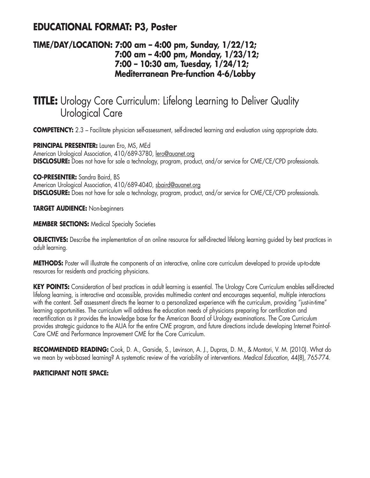## **EDUCATIONAL FORMAT: P3, Poster**

### **TIME/DAY/LOCATION: 7:00 am – 4:00 pm, Sunday, 1/22/12; 7:00 am – 4:00 pm, Monday, 1/23/12; 7:00 – 10:30 am, Tuesday, 1/24/12; Mediterranean Pre-function 4-6/Lobby**

## **TITLE:** Urology Core Curriculum: Lifelong Learning to Deliver Quality Urological Care

**COMPETENCY:** 2.3 – Facilitate physician self-assessment, self-directed learning and evaluation using appropriate data.

**PRINCIPAL PRESENTER:** Lauren Ero, MS, MEd American Urological Association, 410/689-3780, lero@auanet.org **DISCLOSURE:** Does not have for sale a technology, program, product, and/or service for CME/CE/CPD professionals.

**CO-PRESENTER:** Sandra Baird, BS

American Urological Association, 410/689-4040, sbaird@auanet.org **DISCLOSURE:** Does not have for sale a technology, program, product, and/or service for CME/CE/CPD professionals.

**TARGET AUDIENCE:** Non-beginners

**MEMBER SECTIONS: Medical Specialty Societies** 

**OBJECTIVES:** Describe the implementation of an online resource for self-directed lifelong learning guided by best practices in adult learning.

**METHODS:** Poster will illustrate the components of an interactive, online core curriculum developed to provide up-to-date resources for residents and practicing physicians.

**KEY POINTS:** Consideration of best practices in adult learning is essential. The Urology Core Curriculum enables self-directed lifelong learning, is interactive and accessible, provides multimedia content and encourages sequential, multiple interactions with the content. Self assessment directs the learner to a personalized experience with the curriculum, providing "just-in-time" learning opportunities. The curriculum will address the education needs of physicians preparing for certification and recertification as it provides the knowledge base for the American Board of Urology examinations. The Core Curriculum provides strategic guidance to the AUA for the entire CME program, and future directions include developing Internet Point-of-Care CME and Performance Improvement CME for the Core Curriculum.

**RECOMMENDED READING:** Cook, D. A., Garside, S., Levinson, A. J., Dupras, D. M., & Montori, V. M. (2010). What do we mean by web-based learning? A systematic review of the variability of interventions. *Medical Education*, 44(8), 765-774.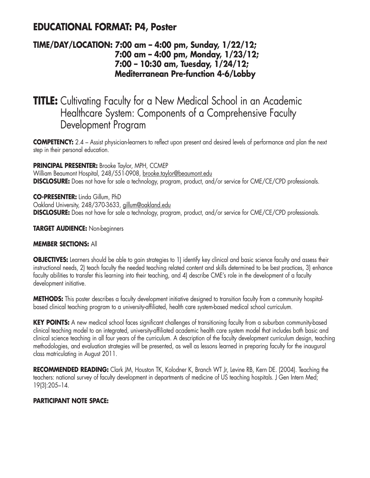### **EDUCATIONAL FORMAT: P4, Poster**

### **TIME/DAY/LOCATION: 7:00 am – 4:00 pm, Sunday, 1/22/12; 7:00 am – 4:00 pm, Monday, 1/23/12; 7:00 – 10:30 am, Tuesday, 1/24/12; Mediterranean Pre-function 4-6/Lobby**

## **TITLE:** Cultivating Faculty for a New Medical School in an Academic Healthcare System: Components of a Comprehensive Faculty Development Program

**COMPETENCY:** 2.4 – Assist physician-learners to reflect upon present and desired levels of performance and plan the next step in their personal education.

**PRINCIPAL PRESENTER:** Brooke Taylor, MPH, CCMEP William Beaumont Hospital, 248/551-0908, brooke.taylor@beaumont.edu **DISCLOSURE:** Does not have for sale a technology, program, product, and/or service for CME/CE/CPD professionals.

**CO-PRESENTER:** Linda Gillum, PhD Oakland University, 248/370-3633, gillum@oakland.edu **DISCLOSURE:** Does not have for sale a technology, program, product, and/or service for CME/CE/CPD professionals.

**TARGET AUDIENCE:** Non-beginners

### **MEMBER SECTIONS:** All

**OBJECTIVES:** Learners should be able to gain strategies to 1) identify key clinical and basic science faculty and assess their instructional needs, 2) teach faculty the needed teaching related content and skills determined to be best practices, 3) enhance faculty abilities to transfer this learning into their teaching, and 4) describe CME's role in the development of a faculty development initiative.

**METHODS:** This poster describes a faculty development initiative designed to transition faculty from a community hospitalbased clinical teaching program to a university-affiliated, health care system-based medical school curriculum.

**KEY POINTS:** A new medical school faces significant challenges of transitioning faculty from a suburban community-based clinical teaching model to an integrated, university-affiliated academic health care system model that includes both basic and clinical science teaching in all four years of the curriculum. A description of the faculty development curriculum design, teaching methodologies, and evaluation strategies will be presented, as well as lessons learned in preparing faculty for the inaugural class matriculating in August 2011.

**RECOMMENDED READING:** Clark JM, Houston TK, Kolodner K, Branch WT Jr, Levine RB, Kern DE. (2004). Teaching the teachers: national survey of faculty development in departments of medicine of US teaching hospitals. J Gen Intern Med; 19(3):205–14.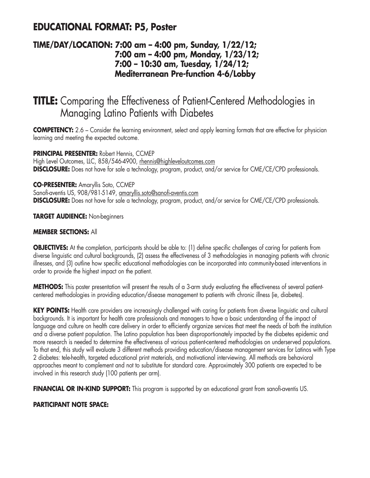## **EDUCATIONAL FORMAT: P5, Poster**

### **TIME/DAY/LOCATION: 7:00 am – 4:00 pm, Sunday, 1/22/12; 7:00 am – 4:00 pm, Monday, 1/23/12; 7:00 – 10:30 am, Tuesday, 1/24/12; Mediterranean Pre-function 4-6/Lobby**

## **TITLE:** Comparing the Effectiveness of Patient-Centered Methodologies in Managing Latino Patients with Diabetes

**COMPETENCY:** 2.6 – Consider the learning environment, select and apply learning formats that are effective for physician learning and meeting the expected outcome.

### **PRINCIPAL PRESENTER:** Robert Hennis, CCMEP

High Level Outcomes, LLC, 858/546-4900, rhennis@highleveloutcomes.com **DISCLOSURE:** Does not have for sale a technology, program, product, and/or service for CME/CE/CPD professionals.

### **CO-PRESENTER:** Amaryllis Soto, CCMEP

Sanofi-aventis US, 908/981-5149, amaryllis.soto@sanofi-aventis.com **DISCLOSURE:** Does not have for sale a technology, program, product, and/or service for CME/CE/CPD professionals.

### **TARGET AUDIENCE:** Non-beginners

### **MEMBER SECTIONS:** All

**OBJECTIVES:** At the completion, participants should be able to: (1) define specific challenges of caring for patients from diverse linguistic and cultural backgrounds, (2) assess the effectiveness of 3 methodologies in managing patients with chronic illnesses, and (3) outline how specific educational methodologies can be incorporated into community-based interventions in order to provide the highest impact on the patient.

**METHODS:** This poster presentation will present the results of a 3-arm study evaluating the effectiveness of several patientcentered methodologies in providing education/disease management to patients with chronic illness (ie, diabetes).

**KEY POINTS:** Health care providers are increasingly challenged with caring for patients from diverse linguistic and cultural backgrounds. It is important for health care professionals and managers to have a basic understanding of the impact of language and culture on health care delivery in order to efficiently organize services that meet the needs of both the institution and a diverse patient population. The Latino population has been disproportionately impacted by the diabetes epidemic and more research is needed to determine the effectiveness of various patient-centered methodologies on underserved populations. To that end, this study will evaluate 3 different methods providing education/disease management services for Latinos with Type 2 diabetes: tele-health, targeted educational print materials, and motivational interviewing. All methods are behavioral approaches meant to complement and not to substitute for standard care. Approximately 300 patients are expected to be involved in this research study (100 patients per arm).

**FINANCIAL OR IN-KIND SUPPORT:** This program is supported by an educational grant from sanofi-aventis US.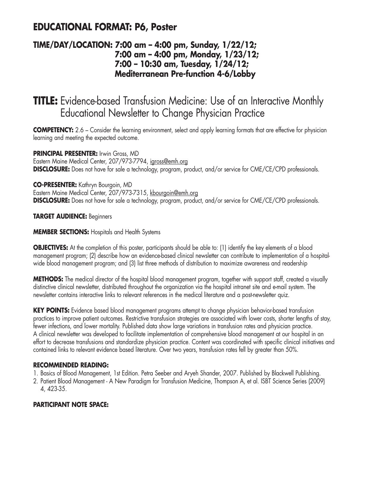## **EDUCATIONAL FORMAT: P6, Poster**

### **TIME/DAY/LOCATION: 7:00 am – 4:00 pm, Sunday, 1/22/12; 7:00 am – 4:00 pm, Monday, 1/23/12; 7:00 – 10:30 am, Tuesday, 1/24/12; Mediterranean Pre-function 4-6/Lobby**

## **TITLE:** Evidence-based Transfusion Medicine: Use of an Interactive Monthly Educational Newsletter to Change Physician Practice

**COMPETENCY:** 2.6 – Consider the learning environment, select and apply learning formats that are effective for physician learning and meeting the expected outcome.

**PRINCIPAL PRESENTER:** Irwin Gross, MD Eastern Maine Medical Center, 207/973-7794, igross@emh.org **DISCLOSURE:** Does not have for sale a technology, program, product, and/or service for CME/CE/CPD professionals.

**CO-PRESENTER:** Kathryn Bourgoin, MD

Eastern Maine Medical Center, 207/973-7315, kbourgoin@emh.org **DISCLOSURE:** Does not have for sale a technology, program, product, and/or service for CME/CE/CPD professionals.

### **TARGET AUDIENCE:** Beginners

### **MEMBER SECTIONS:** Hospitals and Health Systems

**OBJECTIVES:** At the completion of this poster, participants should be able to: (1) identify the key elements of a blood management program; (2) describe how an evidence-based clinical newsletter can contribute to implementation of a hospitalwide blood management program; and (3) list three methods of distribution to maximize awareness and readership

**METHODS:** The medical director of the hospital blood management program, together with support staff, created a visually distinctive clinical newsletter, distributed throughout the organization via the hospital intranet site and e-mail system. The newsletter contains interactive links to relevant references in the medical literature and a post-newsletter quiz.

**KEY POINTS:** Evidence based blood management programs attempt to change physician behavior-based transfusion practices to improve patient outcomes. Restrictive transfusion strategies are associated with lower costs, shorter lengths of stay, fewer infections, and lower mortality. Published data show large variations in transfusion rates and physician practice. A clinical newsletter was developed to facilitate implementation of comprehensive blood management at our hospital in an effort to decrease transfusions and standardize physician practice. Content was coordinated with specific clinical initiatives and contained links to relevant evidence based literature. Over two years, transfusion rates fell by greater than 50%.

### **RECOMMENDED READING:**

- 1. Basics of Blood Management, 1st Edition. Petra Seeber and Aryeh Shander, 2007. Published by Blackwell Publishing.
- 2. Patient Blood Management A New Paradigm for Transfusion Medicine, Thompson A, et al. ISBT Science Series (2009) 4, 423-35.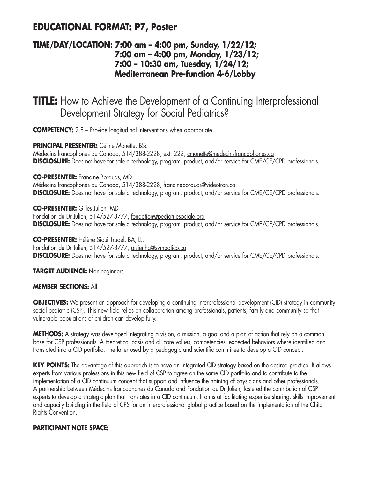## **EDUCATIONAL FORMAT: P7, Poster**

### **TIME/DAY/LOCATION: 7:00 am – 4:00 pm, Sunday, 1/22/12; 7:00 am – 4:00 pm, Monday, 1/23/12; 7:00 – 10:30 am, Tuesday, 1/24/12; Mediterranean Pre-function 4-6/Lobby**

**TITLE:** How to Achieve the Development of a Continuing Interprofessional Development Strategy for Social Pediatrics?

**COMPETENCY:** 2.8 – Provide longitudinal interventions when appropriate.

**PRINCIPAL PRESENTER:** Céline Monette, BSc Médecins francophones du Canada, 514/388-2228, ext. 222, cmonette@medecinsfrancophones.ca **DISCLOSURE:** Does not have for sale a technology, program, product, and/or service for CME/CE/CPD professionals.

**CO-PRESENTER:** Francine Borduas, MD Médecins francophones du Canada, 514/388-2228, francineborduas@videotron.ca **DISCLOSURE:** Does not have for sale a technology, program, product, and/or service for CME/CE/CPD professionals.

**CO-PRESENTER:** Gilles Julien, MD Fondation du Dr Julien, 514/527-3777, fondation@pediatriesociale.org **DISCLOSURE:** Does not have for sale a technology, program, product, and/or service for CME/CE/CPD professionals.

**CO-PRESENTER:** Hélène Sioui Trudel, BA, LLL Fondation du Dr Julien, 514/527-3777, atsienha@sympatico.ca **DISCLOSURE:** Does not have for sale a technology, program, product, and/or service for CME/CE/CPD professionals.

**TARGET AUDIENCE:** Non-beginners

#### **MEMBER SECTIONS:** All

**OBJECTIVES:** We present an approach for developing a continuing interprofessional development (CID) strategy in community social pediatric (CSP). This new field relies on collaboration among professionals, patients, family and community so that vulnerable populations of children can develop fully.

**METHODS:** A strategy was developed integrating a vision, a mission, a goal and a plan of action that rely on a common base for CSP professionals. A theoretical basis and all core values, competencies, expected behaviors where identified and translated into a CID portfolio. The latter used by a pedagogic and scientific committee to develop a CID concept.

KEY POINTS: The advantage of this approach is to have an integrated CID strategy based on the desired practice. It allows experts from various professions in this new field of CSP to agree on the same CID portfolio and to contribute to the implementation of a CID continuum concept that support and influence the training of physicians and other professionals. A partnership between Médecins francophones du Canada and Fondation du Dr Julien, fostered the contribution of CSP experts to develop a strategic plan that translates in a CID continuum. It aims at facilitating expertise sharing, skills improvement and capacity building in the field of CPS for an interprofessional global practice based on the implementation of the Child Rights Convention.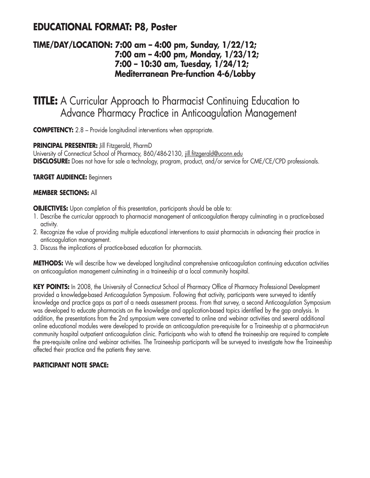## **EDUCATIONAL FORMAT: P8, Poster**

### **TIME/DAY/LOCATION: 7:00 am – 4:00 pm, Sunday, 1/22/12; 7:00 am – 4:00 pm, Monday, 1/23/12; 7:00 – 10:30 am, Tuesday, 1/24/12; Mediterranean Pre-function 4-6/Lobby**

## **TITLE:** A Curricular Approach to Pharmacist Continuing Education to Advance Pharmacy Practice in Anticoagulation Management

**COMPETENCY:** 2.8 – Provide longitudinal interventions when appropriate.

### **PRINCIPAL PRESENTER:** Jill Fitzgerald, PharmD

University of Connecticut School of Pharmacy, 860/486-2130, jill.fitzgerald@uconn.edu **DISCLOSURE:** Does not have for sale a technology, program, product, and/or service for CME/CE/CPD professionals.

### **TARGET AUDIENCE:** Beginners

#### **MEMBER SECTIONS:** All

**OBJECTIVES:** Upon completion of this presentation, participants should be able to:

- 1. Describe the curricular approach to pharmacist management of anticoagulation therapy culminating in a practice-based activity.
- 2. Recognize the value of providing multiple educational interventions to assist pharmacists in advancing their practice in anticoagulation management.
- 3. Discuss the implications of practice-based education for pharmacists.

**METHODS:** We will describe how we developed longitudinal comprehensive anticoagulation continuing education activities on anticoagulation management culminating in a traineeship at a local community hospital.

**KEY POINTS:** In 2008, the University of Connecticut School of Pharmacy Office of Pharmacy Professional Development provided a knowledge-based Anticoagulation Symposium. Following that activity, participants were surveyed to identify knowledge and practice gaps as part of a needs assessment process. From that survey, a second Anticoagulation Symposium was developed to educate pharmacists on the knowledge and application-based topics identified by the gap analysis. In addition, the presentations from the 2nd symposium were converted to online and webinar activities and several additional online educational modules were developed to provide an anticoagulation pre-requisite for a Traineeship at a pharmacist-run community hospital outpatient anticoagulation clinic. Participants who wish to attend the traineeship are required to complete the pre-requisite online and webinar activities. The Traineeship participants will be surveyed to investigate how the Traineeship affected their practice and the patients they serve.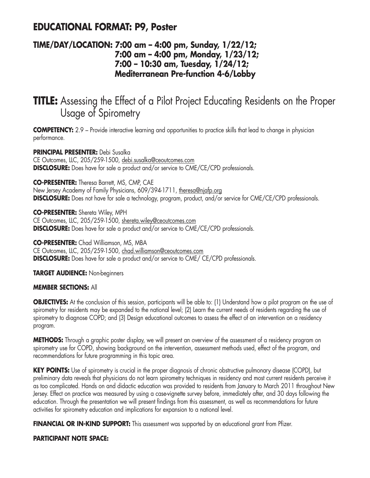### **EDUCATIONAL FORMAT: P9, Poster**

### **TIME/DAY/LOCATION: 7:00 am – 4:00 pm, Sunday, 1/22/12; 7:00 am – 4:00 pm, Monday, 1/23/12; 7:00 – 10:30 am, Tuesday, 1/24/12; Mediterranean Pre-function 4-6/Lobby**

## **TITLE:** Assessing the Effect of a Pilot Project Educating Residents on the Proper Usage of Spirometry

**COMPETENCY:** 2.9 – Provide interactive learning and opportunities to practice skills that lead to change in physician performance.

**PRINCIPAL PRESENTER:** Debi Susalka CE Outcomes, LLC, 205/259-1500, debi.susalka@ceoutcomes.com **DISCLOSURE:** Does have for sale a product and/or service to CME/CE/CPD professionals.

**CO-PRESENTER:** Theresa Barrett, MS, CMP, CAE

New Jersey Academy of Family Physicians, 609/394-1711, theresa@njafp.org **DISCLOSURE:** Does not have for sale a technology, program, product, and/or service for CME/CE/CPD professionals.

**CO-PRESENTER:** Shereta Wiley, MPH CE Outcomes, LLC, 205/259-1500, shereta.wiley@ceoutcomes.com **DISCLOSURE:** Does have for sale a product and/or service to CME/CE/CPD professionals.

**CO-PRESENTER:** Chad Williamson, MS, MBA CE Outcomes, LLC, 205/259-1500, chad.williamson@ceoutcomes.com **DISCLOSURE:** Does have for sale a product and/or service to CME/ CE/CPD professionals.

**TARGET AUDIENCE:** Non-beginners

#### **MEMBER SECTIONS:** All

**OBJECTIVES:** At the conclusion of this session, participants will be able to: (1) Understand how a pilot program on the use of spirometry for residents may be expanded to the national level; (2) Learn the current needs of residents regarding the use of spirometry to diagnose COPD; and (3) Design educational outcomes to assess the effect of an intervention on a residency program.

**METHODS:** Through a graphic poster display, we will present an overview of the assessment of a residency program on spirometry use for COPD, showing background on the intervention, assessment methods used, effect of the program, and recommendations for future programming in this topic area.

**KEY POINTS:** Use of spirometry is crucial in the proper diagnosis of chronic obstructive pulmonary disease (COPD), but preliminary data reveals that physicians do not learn spirometry techniques in residency and most current residents perceive it as too complicated. Hands on and didactic education was provided to residents from January to March 2011 throughout New Jersey. Effect on practice was measured by using a case-vignette survey before, immediately after, and 30 days following the education. Through the presentation we will present findings from this assessment, as well as recommendations for future activities for spirometry education and implications for expansion to a national level.

FINANCIAL OR IN-KIND SUPPORT: This assessment was supported by an educational grant from Pfizer.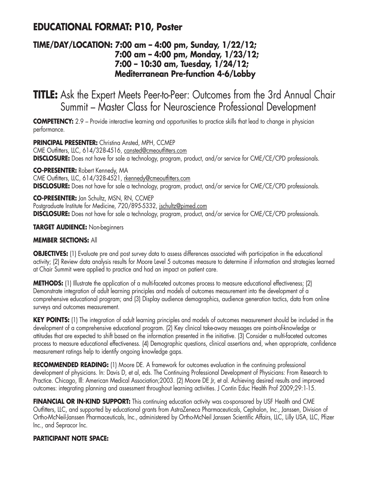## **EDUCATIONAL FORMAT: P10, Poster**

### **TIME/DAY/LOCATION: 7:00 am – 4:00 pm, Sunday, 1/22/12; 7:00 am – 4:00 pm, Monday, 1/23/12; 7:00 – 10:30 am, Tuesday, 1/24/12; Mediterranean Pre-function 4-6/Lobby**

**TITLE:** Ask the Expert Meets Peer-to-Peer: Outcomes from the 3rd Annual Chair Summit – Master Class for Neuroscience Professional Development

**COMPETENCY:** 2.9 – Provide interactive learning and opportunities to practice skills that lead to change in physician performance.

**PRINCIPAL PRESENTER:** Christina Ansted, MPH, CCMEP CME Outfitters, LLC, 614/328-4516, cansted@cmeoutfitters.com **DISCLOSURE:** Does not have for sale a technology, program, product, and/or service for CME/CE/CPD professionals.

**CO-PRESENTER:** Robert Kennedy, MA CME Outfitters, LLC, 614/328-4521, rkennedy@cmeoutfitters.com **DISCLOSURE:** Does not have for sale a technology, program, product, and/or service for CME/CE/CPD professionals.

**CO-PRESENTER:** Jan Schultz, MSN, RN, CCMEP Postgraduate Institute for Medicine, 720/895-5332, jschultz@pimed.com **DISCLOSURE:** Does not have for sale a technology, program, product, and/or service for CME/CE/CPD professionals.

**TARGET AUDIENCE:** Non-beginners

### **MEMBER SECTIONS:** All

**OBJECTIVES:** (1) Evaluate pre and post survey data to assess differences associated with participation in the educational activity; (2) Review data analysis results for Moore Level 5 outcomes measure to determine if information and strategies learned at Chair Summit were applied to practice and had an impact on patient care.

**METHODS:** (1) Illustrate the application of a multi-faceted outcomes process to measure educational effectiveness; (2) Demonstrate integration of adult learning principles and models of outcomes measurement into the development of a comprehensive educational program; and (3) Display audience demographics, audience generation tactics, data from online surveys and outcomes measurement.

**KEY POINTS:** (1) The integration of adult learning principles and models of outcomes measurement should be included in the development of a comprehensive educational program. (2) Key clinical take-away messages are points-of-knowledge or attitudes that are expected to shift based on the information presented in the initiative. (3) Consider a multi-faceted outcomes process to measure educational effectiveness. (4) Demographic questions, clinical assertions and, when appropriate, confidence measurement ratings help to identify ongoing knowledge gaps.

**RECOMMENDED READING:** (1) Moore DE. A framework for outcomes evaluation in the continuing professional development of physicians. In: Davis D, et al, eds. The Continuing Professional Development of Physicians: From Research to Practice. Chicago, Ill: American Medical Association;2003. (2) Moore DE Jr, et al. Achieving desired results and improved outcomes: integrating planning and assessment throughout learning activities. J Contin Educ Health Prof 2009;29:1-15.

**FINANCIAL OR IN-KIND SUPPORT:** This continuing education activity was co-sponsored by USF Health and CME Outfitters, LLC, and supported by educational grants from AstraZeneca Pharmaceuticals, Cephalon, Inc., Janssen, Division of Ortho-McNeil-Janssen Pharmaceuticals, Inc., administered by Ortho-McNeil Janssen Scientific Affairs, LLC, Lilly USA, LLC, Pfizer Inc., and Sepracor Inc.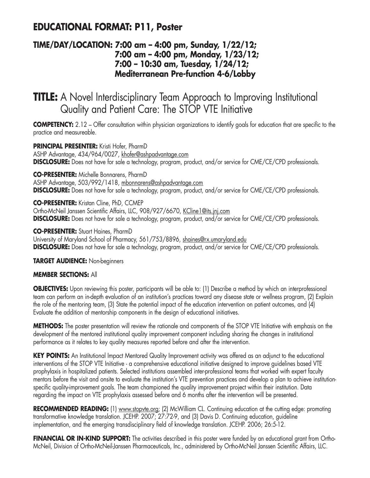## **EDUCATIONAL FORMAT: P11, Poster**

### **TIME/DAY/LOCATION: 7:00 am – 4:00 pm, Sunday, 1/22/12; 7:00 am – 4:00 pm, Monday, 1/23/12; 7:00 – 10:30 am, Tuesday, 1/24/12; Mediterranean Pre-function 4-6/Lobby**

## **TITLE:** A Novel Interdisciplinary Team Approach to Improving Institutional Quality and Patient Care: The STOP VTE Initiative

**COMPETENCY:** 2.12 – Offer consultation within physician organizations to identify goals for education that are specific to the practice and measureable.

**PRINCIPAL PRESENTER:** Kristi Hofer, PharmD ASHP Advantage, 434/964/0027, khofer@ashpadvantage.com **DISCLOSURE:** Does not have for sale a technology, program, product, and/or service for CME/CE/CPD professionals.

**CO-PRESENTER:** Michelle Bonnarens, PharmD ASHP Advantage, 503/992/1418, mbonnarens@ashpadvantage.com **DISCLOSURE:** Does not have for sale a technology, program, product, and/or service for CME/CE/CPD professionals.

**CO-PRESENTER:** Kristan Cline, PhD, CCMEP Ortho-McNeil Janssen Scientific Affairs, LLC, 908/927/6670, KCline1@its.jnj.com **DISCLOSURE:** Does not have for sale a technology, program, product, and/or service for CME/CE/CPD professionals.

**CO-PRESENTER:** Stuart Haines, PharmD University of Maryland School of Pharmacy, 561/753/8896, shaines@rx.umaryland.edu **DISCLOSURE:** Does not have for sale a technology, program, product, and/or service for CME/CE/CPD professionals.

**TARGET AUDIENCE:** Non-beginners

#### **MEMBER SECTIONS:** All

**OBJECTIVES:** Upon reviewing this poster, participants will be able to: (1) Describe a method by which an interprofessional team can perform an in-depth evaluation of an institution's practices toward any disease state or wellness program, (2) Explain the role of the mentoring team, (3) State the potential impact of the education intervention on patient outcomes, and (4) Evaluate the addition of mentorship components in the design of educational initiatives.

**METHODS:** The poster presentation will review the rationale and components of the STOP VTE Initiative with emphasis on the development of the mentored institutional quality improvement component including sharing the changes in institutional performance as it relates to key quality measures reported before and after the intervention.

**KEY POINTS:** An Institutional Impact Mentored Quality Improvement activity was offered as an adjunct to the educational interventions of the STOP VTE Initiative - a comprehensive educational initiative designed to improve guidelines based VTE prophylaxis in hospitalized patients. Selected institutions assembled inter-professional teams that worked with expert faculty mentors before the visit and onsite to evaluate the institution's VTE prevention practices and develop a plan to achieve institutionspecific quality-improvement goals. The team championed the quality improvement project within their institution. Data regarding the impact on VTE prophylaxis assessed before and 6 months after the intervention will be presented.

**RECOMMENDED READING:** (1) www.stopvte.org; (2) McWilliam CL. Continuing education at the cutting edge: promoting transformative knowledge translation. JCEHP. 2007; 27:72-9, and (3) Davis D. Continuing education, guideline implementation, and the emerging transdisciplinary field of knowledge translation. JCEHP. 2006; 26:5-12.

**FINANCIAL OR IN-KIND SUPPORT:** The activities described in this poster were funded by an educational grant from Ortho-McNeil, Division of Ortho-McNeil-Janssen Pharmaceuticals, Inc., administered by Ortho-McNeil Janssen Scientific Affairs, LLC.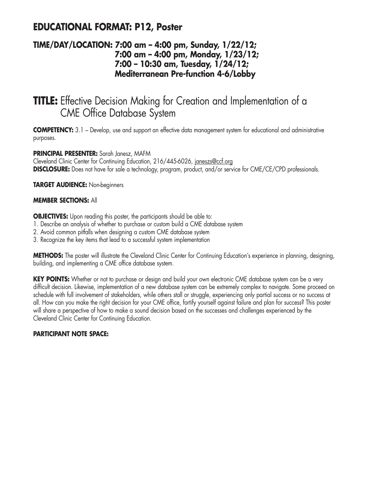## **EDUCATIONAL FORMAT: P12, Poster**

### **TIME/DAY/LOCATION: 7:00 am – 4:00 pm, Sunday, 1/22/12; 7:00 am – 4:00 pm, Monday, 1/23/12; 7:00 – 10:30 am, Tuesday, 1/24/12; Mediterranean Pre-function 4-6/Lobby**

## **TITLE:** Effective Decision Making for Creation and Implementation of a CME Office Database System

**COMPETENCY:** 3.1 – Develop, use and support an effective data management system for educational and administrative purposes.

### **PRINCIPAL PRESENTER:** Sarah Janesz, MAFM

Cleveland Clinic Center for Continuing Education, 216/445-6026, janeszs@ccf.org **DISCLOSURE:** Does not have for sale a technology, program, product, and/or service for CME/CE/CPD professionals.

**TARGET AUDIENCE:** Non-beginners

#### **MEMBER SECTIONS:** All

**OBJECTIVES:** Upon reading this poster, the participants should be able to:

- 1. Describe an analysis of whether to purchase or custom build a CME database system
- 2. Avoid common pitfalls when designing a custom CME database system
- 3. Recognize the key items that lead to a successful system implementation

**METHODS:** The poster will illustrate the Cleveland Clinic Center for Continuing Education's experience in planning, designing, building, and implementing a CME office database system.

**KEY POINTS:** Whether or not to purchase or design and build your own electronic CME database system can be a very difficult decision. Likewise, implementation of a new database system can be extremely complex to navigate. Some proceed on schedule with full involvement of stakeholders, while others stall or struggle, experiencing only partial success or no success at all. How can you make the right decision for your CME office, fortify yourself against failure and plan for success? This poster will share a perspective of how to make a sound decision based on the successes and challenges experienced by the Cleveland Clinic Center for Continuing Education.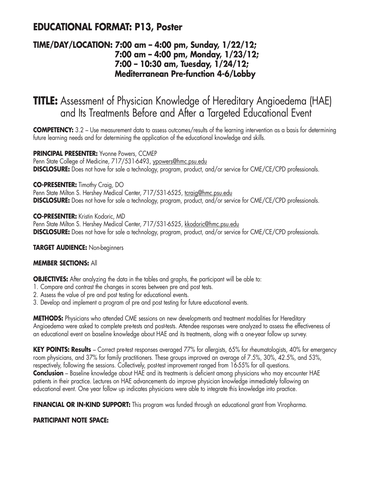## **EDUCATIONAL FORMAT: P13, Poster**

### **TIME/DAY/LOCATION: 7:00 am – 4:00 pm, Sunday, 1/22/12; 7:00 am – 4:00 pm, Monday, 1/23/12; 7:00 – 10:30 am, Tuesday, 1/24/12; Mediterranean Pre-function 4-6/Lobby**

**TITLE:** Assessment of Physician Knowledge of Hereditary Angioedema (HAE) and Its Treatments Before and After a Targeted Educational Event

**COMPETENCY:** 3.2 – Use measurement data to assess outcomes/results of the learning intervention as a basis for determining future learning needs and for determining the application of the educational knowledge and skills.

### **PRINCIPAL PRESENTER:** Yvonne Powers, CCMEP

Penn State College of Medicine, 717/531-6493, ypowers@hmc.psu.edu **DISCLOSURE:** Does not have for sale a technology, program, product, and/or service for CME/CE/CPD professionals.

### **CO-PRESENTER:** Timothy Craig, DO

Penn State Milton S. Hershey Medical Center, 717/531-6525, tcraig@hmc.psu.edu **DISCLOSURE:** Does not have for sale a technology, program, product, and/or service for CME/CE/CPD professionals.

**CO-PRESENTER:** Kristin Kodoric, MD

Penn State Milton S. Hershey Medical Center, 717/531-6525, kkodoric@hmc.psu.edu **DISCLOSURE:** Does not have for sale a technology, program, product, and/or service for CME/CE/CPD professionals.

**TARGET AUDIENCE:** Non-beginners

#### **MEMBER SECTIONS:** All

**OBJECTIVES:** After analyzing the data in the tables and graphs, the participant will be able to:

- 1. Compare and contrast the changes in scores between pre and post tests.
- 2. Assess the value of pre and post testing for educational events.
- 3. Develop and implement a program of pre and post testing for future educational events.

**METHODS:** Physicians who attended CME sessions on new developments and treatment modalities for Hereditary Angioedema were asked to complete pre-tests and post-tests. Attendee responses were analyzed to assess the effectiveness of an educational event on baseline knowledge about HAE and its treatments, along with a one-year follow up survey.

**KEY POINTS: Results** – Correct pre-test responses averaged 77% for allergists, 65% for rheumatologists, 40% for emergency room physicians, and 37% for family practitioners. These groups improved an average of 7.5%, 30%, 42.5%, and 53%, respectively, following the sessions. Collectively, post-test improvement ranged from 16-55% for all questions. **Conclusion** – Baseline knowledge about HAE and its treatments is deficient among physicians who may encounter HAE patients in their practice. Lectures on HAE advancements do improve physician knowledge immediately following an educational event. One year follow up indicates physicians were able to integrate this knowledge into practice.

**FINANCIAL OR IN-KIND SUPPORT:** This program was funded through an educational grant from Viropharma.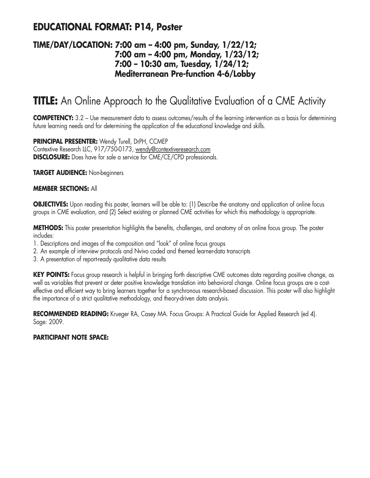### **EDUCATIONAL FORMAT: P14, Poster**

### **TIME/DAY/LOCATION: 7:00 am – 4:00 pm, Sunday, 1/22/12; 7:00 am – 4:00 pm, Monday, 1/23/12; 7:00 – 10:30 am, Tuesday, 1/24/12; Mediterranean Pre-function 4-6/Lobby**

## **TITLE:** An Online Approach to the Qualitative Evaluation of a CME Activity

**COMPETENCY:** 3.2 – Use measurement data to assess outcomes/results of the learning intervention as a basis for determining future learning needs and for determining the application of the educational knowledge and skills.

**PRINCIPAL PRESENTER:** Wendy Turell, DrPH, CCMEP Contextive Research LLC, 917/750-0173, wendy@contextiveresearch.com **DISCLOSURE:** Does have for sale a service for CME/CE/CPD professionals.

**TARGET AUDIENCE:** Non-beginners

#### **MEMBER SECTIONS:** All

**OBJECTIVES:** Upon reading this poster, learners will be able to: (1) Describe the anatomy and application of online focus groups in CME evaluation, and (2) Select existing or planned CME activities for which this methodology is appropriate.

**METHODS:** This poster presentation highlights the benefits, challenges, and anatomy of an online focus group. The poster includes:

- 1. Descriptions and images of the composition and "look" of online focus groups
- 2. An example of interview protocols and Nvivo coded and themed learner-data transcripts
- 3. A presentation of report-ready qualitative data results

KEY POINTS: Focus group research is helpful in bringing forth descriptive CME outcomes data regarding positive change, as well as variables that prevent or deter positive knowledge translation into behavioral change. Online focus groups are a costeffective and efficient way to bring learners together for a synchronous research-based discussion. This poster will also highlight the importance of a strict qualitative methodology, and theory-driven data analysis.

RECOMMENDED READING: Krueger RA, Casey MA. Focus Groups: A Practical Guide for Applied Research (ed 4). Sage: 2009.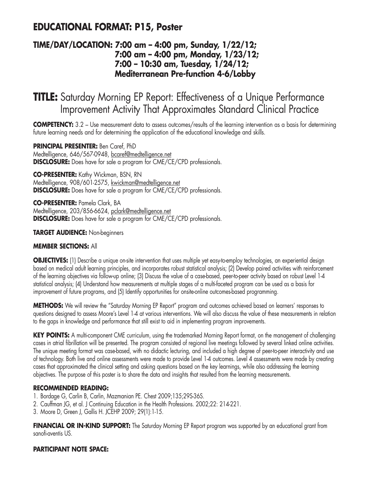## **EDUCATIONAL FORMAT: P15, Poster**

### **TIME/DAY/LOCATION: 7:00 am – 4:00 pm, Sunday, 1/22/12; 7:00 am – 4:00 pm, Monday, 1/23/12; 7:00 – 10:30 am, Tuesday, 1/24/12; Mediterranean Pre-function 4-6/Lobby**

## **TITLE:** Saturday Morning EP Report: Effectiveness of a Unique Performance Improvement Activity That Approximates Standard Clinical Practice

**COMPETENCY:** 3.2 – Use measurement data to assess outcomes/results of the learning intervention as a basis for determining future learning needs and for determining the application of the educational knowledge and skills.

**PRINCIPAL PRESENTER:** Ben Caref, PhD Medtelligence, 646/567-0948, bcaref@medtelligence.net **DISCLOSURE:** Does have for sale a program for CME/CE/CPD professionals.

**CO-PRESENTER:** Kathy Wickman, BSN, RN Medtelligence, 908/601-2575, kwickman@medtelligence.net **DISCLOSURE:** Does have for sale a program for CME/CE/CPD professionals.

**CO-PRESENTER:** Pamela Clark, BA Medtelligence, 203/856-6624, pclark@medtelligence.net **DISCLOSURE:** Does have for sale a program for CME/CE/CPD professionals.

### **TARGET AUDIENCE:** Non-beginners

#### **MEMBER SECTIONS:** All

**OBJECTIVES:** (1) Describe a unique on-site intervention that uses multiple yet easy-to-employ technologies, an experiential design based on medical adult learning principles, and incorporates robust statistical analysis; (2) Develop paired activities with reinforcement of the learning objectives via follow-up online; (3) Discuss the value of a case-based, peer-to-peer activity based on robust Level 1-4 statistical analysis; (4) Understand how measurements at multiple stages of a multi-faceted program can be used as a basis for improvement of future programs, and (5) Identify opportunities for onsite-online outcomes-based programming.

**METHODS:** We will review the "Saturday Morning EP Report" program and outcomes achieved based on learners' responses to questions designed to assess Moore's Level 1-4 at various interventions. We will also discuss the value of these measurements in relation to the gaps in knowledge and performance that still exist to aid in implementing program improvements.

**KEY POINTS:** A multi-component CME curriculum, using the trademarked Morning Report format, on the management of challenging cases in atrial fibrillation will be presented. The program consisted of regional live meetings followed by several linked online activities. The unique meeting format was case-based, with no didactic lecturing, and included a high degree of peer-to-peer interactivity and use of technology. Both live and online assessments were made to provide Level 1-4 outcomes. Level 4 assessments were made by creating cases that approximated the clinical setting and asking questions based on the key learnings, while also addressing the learning objectives. The purpose of this poster is to share the data and insights that resulted from the learning measurements.

#### **RECOMMENDED READING:**

- 1. Bordage G, Carlin B, Carlin, Mazmanian PE. Chest 2009;135;29S-36S.
- 2. Cauffman JG, et al. J Continuing Education in the Health Professions. 2002;22: 214-221.
- 3. Moore D, Green J, Gallis H. JCEHP 2009; 29(1):1-15.

**FINANCIAL OR IN-KIND SUPPORT:** The Saturday Morning EP Report program was supported by an educational grant from sanofi-aventis US.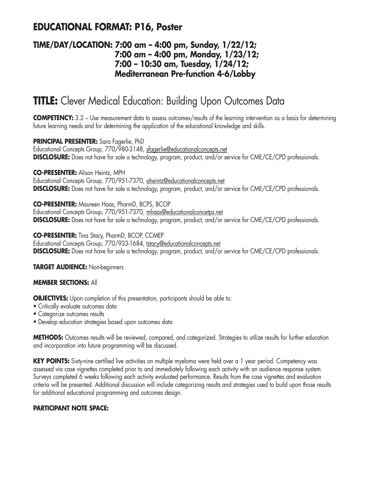## **EDUCATIONAL FORMAT: P16, Poster**

### **TIME/DAY/LOCATION: 7:00 am – 4:00 pm, Sunday, 1/22/12; 7:00 am – 4:00 pm, Monday, 1/23/12; 7:00 – 10:30 am, Tuesday, 1/24/12; Mediterranean Pre-function 4-6/Lobby**

## **TITLE:** Clever Medical Education: Building Upon Outcomes Data

**COMPETENCY:** 3.2 – Use measurement data to assess outcomes/results of the learning intervention as a basis for determining future learning needs and for determining the application of the educational knowledge and skills.

**PRINCIPAL PRESENTER:** Sara Fagerlie, PhD Educational Concepts Group, 770/980-3148, sfagerlie@educationalconcepts.net **DISCLOSURE:** Does not have for sale a technology, program, product, and/or service for CME/CE/CPD professionals.

**CO-PRESENTER:** Alison Heintz, MPH

Educational Concepts Group, 770/951-7370, aheintz@educationalconcepts.net **DISCLOSURE:** Does not have for sale a technology, program, product, and/or service for CME/CE/CPD professionals.

**CO-PRESENTER:** Maureen Haas, PharmD, BCPS, BCOP

Educational Concepts Group, 770/951-7370, mhaas@educationalconcetps.net **DISCLOSURE:** Does not have for sale a technology, program, product, and/or service for CME/CE/CPD professionals.

**CO-PRESENTER:** Tina Stacy, PharmD, BCOP, CCMEP

Educational Concepts Group, 770/933-1684, tstacy@educationalconcepts.net **DISCLOSURE:** Does not have for sale a technology, program, product, and/or service for CME/CE/CPD professionals.

**TARGET AUDIENCE:** Non-beginners

#### **MEMBER SECTIONS:** All

**OBJECTIVES:** Upon completion of this presentation, participants should be able to:

- Critically evaluate outcomes data
- Categorize outcomes results
- Develop education strategies based upon outcomes data

**METHODS:** Outcomes results will be reviewed, compared, and categorized. Strategies to utilize results for further education and incorporation into future programming will be discussed.

**KEY POINTS:** Sixty-nine certified live activities on multiple myeloma were held over a 1 year period. Competency was assessed via case vignettes completed prior to and immediately following each activity with an audience response system. Surveys completed 6 weeks following each activity evaluated performance. Results from the case vignettes and evaluation criteria will be presented. Additional discussion will include categorizing results and strategies used to build upon those results for additional educational programming and outcomes design.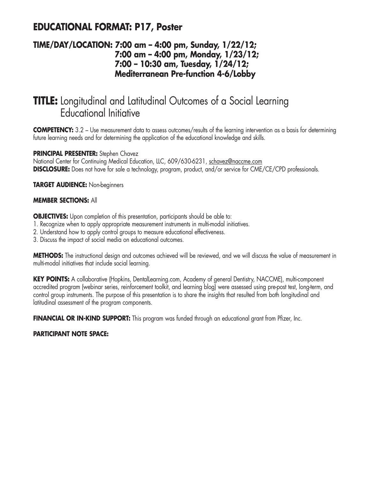## **EDUCATIONAL FORMAT: P17, Poster**

### **TIME/DAY/LOCATION: 7:00 am – 4:00 pm, Sunday, 1/22/12; 7:00 am – 4:00 pm, Monday, 1/23/12; 7:00 – 10:30 am, Tuesday, 1/24/12; Mediterranean Pre-function 4-6/Lobby**

## **TITLE:** Longitudinal and Latitudinal Outcomes of a Social Learning Educational Initiative

**COMPETENCY:** 3.2 – Use measurement data to assess outcomes/results of the learning intervention as a basis for determining future learning needs and for determining the application of the educational knowledge and skills.

### **PRINCIPAL PRESENTER:** Stephen Chavez

National Center for Continuing Medical Education, LLC, 609/630-6231, schavez@naccme.com **DISCLOSURE:** Does not have for sale a technology, program, product, and/or service for CME/CE/CPD professionals.

**TARGET AUDIENCE:** Non-beginners

### **MEMBER SECTIONS:** All

**OBJECTIVES:** Upon completion of this presentation, participants should be able to:

- 1. Recognize when to apply appropriate measurement instruments in multi-modal initiatives.
- 2. Understand how to apply control groups to measure educational effectiveness.
- 3. Discuss the impact of social media on educational outcomes.

**METHODS:** The instructional design and outcomes achieved will be reviewed, and we will discuss the value of measurement in multi-modal initiatives that include social learning.

**KEY POINTS:** A collaborative (Hopkins, DentalLearning.com, Academy of general Dentistry, NACCME), multi-component accredited program (webinar series, reinforcement toolkit, and learning blog) were assessed using pre-post test, long-term, and control group instruments. The purpose of this presentation is to share the insights that resulted from both longitudinal and latitudinal assessment of the program components.

**FINANCIAL OR IN-KIND SUPPORT:** This program was funded through an educational grant from Pfizer, Inc.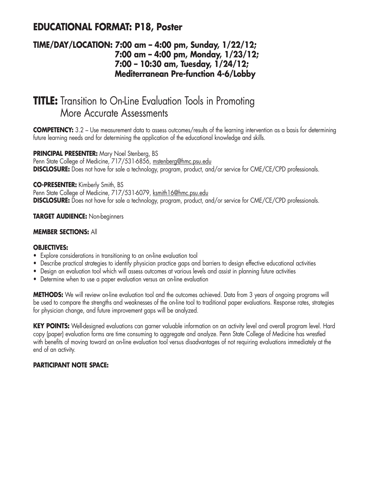## **EDUCATIONAL FORMAT: P18, Poster**

### **TIME/DAY/LOCATION: 7:00 am – 4:00 pm, Sunday, 1/22/12; 7:00 am – 4:00 pm, Monday, 1/23/12; 7:00 – 10:30 am, Tuesday, 1/24/12; Mediterranean Pre-function 4-6/Lobby**

## **TITLE:** Transition to On-Line Evaluation Tools in Promoting More Accurate Assessments

**COMPETENCY:** 3.2 – Use measurement data to assess outcomes/results of the learning intervention as a basis for determining future learning needs and for determining the application of the educational knowledge and skills.

### **PRINCIPAL PRESENTER:** Mary Noel Stenberg, BS

Penn State College of Medicine, 717/531-6856, mstenberg@hmc.psu.edu **DISCLOSURE:** Does not have for sale a technology, program, product, and/or service for CME/CE/CPD professionals.

### **CO-PRESENTER:** Kimberly Smith, BS

Penn State College of Medicine, 717/531-6079, ksmith16@hmc.psu.edu **DISCLOSURE:** Does not have for sale a technology, program, product, and/or service for CME/CE/CPD professionals.

### **TARGET AUDIENCE:** Non-beginners

### **MEMBER SECTIONS:** All

#### **OBJECTIVES:**

- Explore considerations in transitioning to an on-line evaluation tool
- Describe practical strategies to identify physician practice gaps and barriers to design effective educational activities
- Design an evaluation tool which will assess outcomes at various levels and assist in planning future activities
- Determine when to use a paper evaluation versus an on-line evaluation

**METHODS:** We will review on-line evaluation tool and the outcomes achieved. Data from 3 years of ongoing programs will be used to compare the strengths and weaknesses of the on-line tool to traditional paper evaluations. Response rates, strategies for physician change, and future improvement gaps will be analyzed.

**KEY POINTS:** Well-designed evaluations can garner valuable information on an activity level and overall program level. Hard copy (paper) evaluation forms are time consuming to aggregate and analyze. Penn State College of Medicine has wrestled with benefits of moving toward an on-line evaluation tool versus disadvantages of not requiring evaluations immediately at the end of an activity.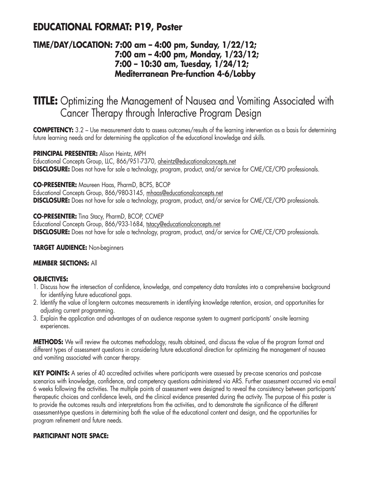## **EDUCATIONAL FORMAT: P19, Poster**

### **TIME/DAY/LOCATION: 7:00 am – 4:00 pm, Sunday, 1/22/12; 7:00 am – 4:00 pm, Monday, 1/23/12; 7:00 – 10:30 am, Tuesday, 1/24/12; Mediterranean Pre-function 4-6/Lobby**

## **TITLE:** Optimizing the Management of Nausea and Vomiting Associated with Cancer Therapy through Interactive Program Design

**COMPETENCY:** 3.2 – Use measurement data to assess outcomes/results of the learning intervention as a basis for determining future learning needs and for determining the application of the educational knowledge and skills.

### **PRINCIPAL PRESENTER:** Alison Heintz, MPH

Educational Concepts Group, LLC, 866/951-7370, aheintz@educationalconcepts.net **DISCLOSURE:** Does not have for sale a technology, program, product, and/or service for CME/CE/CPD professionals.

### **CO-PRESENTER:** Maureen Haas, PharmD, BCPS, BCOP

Educational Concepts Group, 866/980-3145, mhaas@educationalconcepts.net **DISCLOSURE:** Does not have for sale a technology, program, product, and/or service for CME/CE/CPD professionals.

### **CO-PRESENTER:** Tina Stacy, PharmD, BCOP, CCMEP

Educational Concepts Group, 866/933-1684, tstacy@educationalconcepts.net **DISCLOSURE:** Does not have for sale a technology, program, product, and/or service for CME/CE/CPD professionals.

#### **TARGET AUDIENCE:** Non-beginners

### **MEMBER SECTIONS:** All

### **OBJECTIVES:**

- 1. Discuss how the intersection of confidence, knowledge, and competency data translates into a comprehensive background for identifying future educational gaps.
- 2. Identify the value of long-term outcomes measurements in identifying knowledge retention, erosion, and opportunities for adjusting current programming.
- 3. Explain the application and advantages of an audience response system to augment participants' on-site learning experiences.

**METHODS:** We will review the outcomes methodology, results obtained, and discuss the value of the program format and different types of assessment questions in considering future educational direction for optimizing the management of nausea and vomiting associated with cancer therapy.

**KEY POINTS:** A series of 40 accredited activities where participants were assessed by pre-case scenarios and post-case scenarios with knowledge, confidence, and competency questions administered via ARS. Further assessment occurred via e-mail 6 weeks following the activities. The multiple points of assessment were designed to reveal the consistency between participants' therapeutic choices and confidence levels, and the clinical evidence presented during the activity. The purpose of this poster is to provide the outcomes results and interpretations from the activities, and to demonstrate the significance of the different assessment-type questions in determining both the value of the educational content and design, and the opportunities for program refinement and future needs.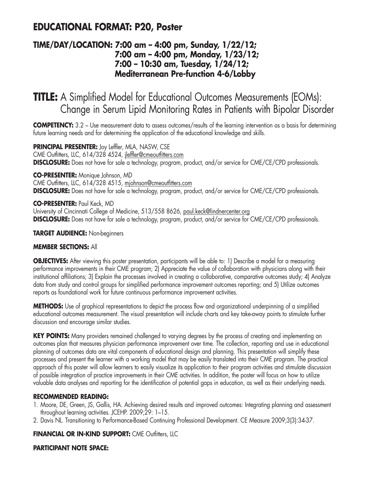## **EDUCATIONAL FORMAT: P20, Poster**

### **TIME/DAY/LOCATION: 7:00 am – 4:00 pm, Sunday, 1/22/12; 7:00 am – 4:00 pm, Monday, 1/23/12; 7:00 – 10:30 am, Tuesday, 1/24/12; Mediterranean Pre-function 4-6/Lobby**

**TITLE:** A Simplified Model for Educational Outcomes Measurements (EOMs): Change in Serum Lipid Monitoring Rates in Patients with Bipolar Disorder

**COMPETENCY:** 3.2 – Use measurement data to assess outcomes/results of the learning intervention as a basis for determining future learning needs and for determining the application of the educational knowledge and skills.

**PRINCIPAL PRESENTER:** Joy Leffler, MLA, NASW, CSE CME Outfitters, LLC, 614/328 4524, jleffler@cmeoutfitters.com **DISCLOSURE:** Does not have for sale a technology, program, product, and/or service for CME/CE/CPD professionals.

**CO-PRESENTER:** Monique Johnson, MD CME Outfitters, LLC, 614/328 4515, mjohnson@cmeoutfitters.com **DISCLOSURE:** Does not have for sale a technology, program, product, and/or service for CME/CE/CPD professionals.

**CO-PRESENTER:** Paul Keck, MD University of Cincinnati College of Medicine, 513/558 8626, paul.keck@lindnercenter.org **DISCLOSURE:** Does not have for sale a technology, program, product, and/or service for CME/CE/CPD professionals.

### **TARGET AUDIENCE:** Non-beginners

#### **MEMBER SECTIONS:** All

**OBJECTIVES:** After viewing this poster presentation, participants will be able to: 1) Describe a model for a measuring performance improvements in their CME program; 2) Appreciate the value of collaboration with physicians along with their institutional affiliations; 3) Explain the processes involved in creating a collaborative, comparative outcomes study; 4) Analyze data from study and control groups for simplified performance improvement outcomes reporting; and 5) Utilize outcomes reports as foundational work for future continuous performance improvement activities.

**METHODS:** Use of graphical representations to depict the process flow and organizational underpinning of a simplified educational outcomes measurement. The visual presentation will include charts and key take-away points to stimulate further discussion and encourage similar studies.

**KEY POINTS:** Many providers remained challenged to varying degrees by the process of creating and implementing an outcomes plan that measures physician performance improvement over time. The collection, reporting and use in educational planning of outcomes data are vital components of educational design and planning. This presentation will simplify these processes and present the learner with a working model that may be easily translated into their CME program. The practical approach of this poster will allow learners to easily visualize its application to their program activities and stimulate discussion of possible integration of practice improvements in their CME activities. In addition, the poster will focus on how to utilize valuable data analyses and reporting for the identification of potential gaps in education, as well as their underlying needs.

#### **RECOMMENDED READING:**

- 1. Moore, DE, Green, JS, Gallis, HA. Achieving desired results and improved outcomes: Integrating planning and assessment throughout learning activities. JCEHP. 2009;29: 1–15.
- 2. Davis NL. Transitioning to Performance-Based Continuing Professional Development. CE Measure 2009;3(3):34-37.

### **FINANCIAL OR IN-KIND SUPPORT: CME Outfitters, LLC**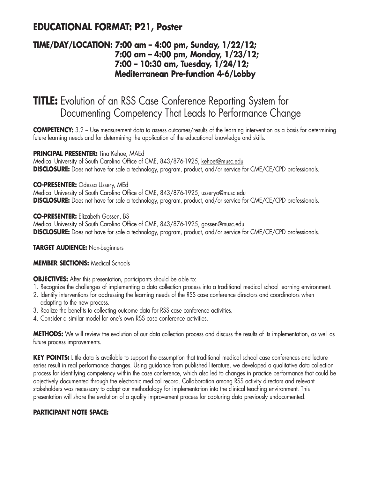## **EDUCATIONAL FORMAT: P21, Poster**

### **TIME/DAY/LOCATION: 7:00 am – 4:00 pm, Sunday, 1/22/12; 7:00 am – 4:00 pm, Monday, 1/23/12; 7:00 – 10:30 am, Tuesday, 1/24/12; Mediterranean Pre-function 4-6/Lobby**

## **TITLE:** Evolution of an RSS Case Conference Reporting System for Documenting Competency That Leads to Performance Change

**COMPETENCY:** 3.2 – Use measurement data to assess outcomes/results of the learning intervention as a basis for determining future learning needs and for determining the application of the educational knowledge and skills.

### **PRINCIPAL PRESENTER:** Tina Kehoe, MAEd

Medical University of South Carolina Office of CME, 843/876-1925, kehoet@musc.edu **DISCLOSURE:** Does not have for sale a technology, program, product, and/or service for CME/CE/CPD professionals.

### **CO-PRESENTER:** Odessa Ussery, MEd

Medical University of South Carolina Office of CME, 843/876-1925, usseryo@musc.edu **DISCLOSURE:** Does not have for sale a technology, program, product, and/or service for CME/CE/CPD professionals.

**CO-PRESENTER:** Elizabeth Gossen, BS

Medical University of South Carolina Office of CME, 843/876-1925, gossen@musc.edu **DISCLOSURE:** Does not have for sale a technology, program, product, and/or service for CME/CE/CPD professionals.

**TARGET AUDIENCE:** Non-beginners

### **MEMBER SECTIONS:** Medical Schools

**OBJECTIVES:** After this presentation, participants should be able to:

- 1. Recognize the challenges of implementing a data collection process into a traditional medical school learning environment.
- 2. Identify interventions for addressing the learning needs of the RSS case conference directors and coordinators when adapting to the new process.
- 3. Realize the benefits to collecting outcome data for RSS case conference activities.
- 4. Consider a similar model for one's own RSS case conference activities.

**METHODS:** We will review the evolution of our data collection process and discuss the results of its implementation, as well as future process improvements.

**KEY POINTS:** Little data is available to support the assumption that traditional medical school case conferences and lecture series result in real performance changes. Using guidance from published literature, we developed a qualitative data collection process for identifying competency within the case conference, which also led to changes in practice performance that could be objectively documented through the electronic medical record. Collaboration among RSS activity directors and relevant stakeholders was necessary to adapt our methodology for implementation into the clinical teaching environment. This presentation will share the evolution of a quality improvement process for capturing data previously undocumented.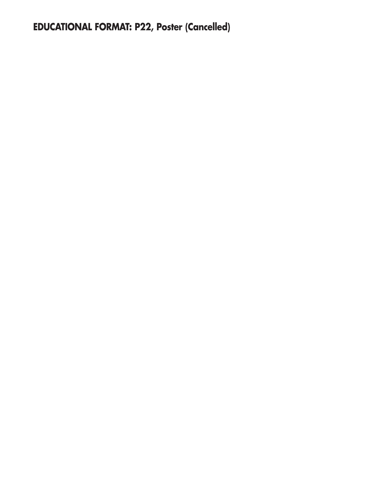# **EDUCATIONAL FORMAT: P22, Poster (Cancelled)**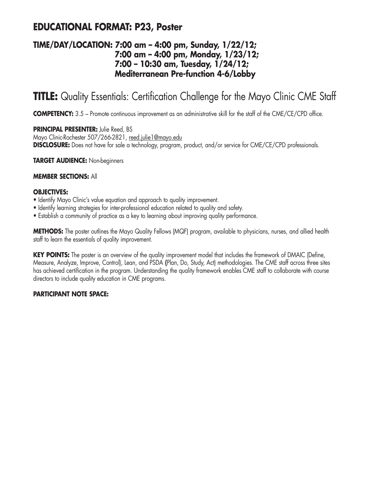## **EDUCATIONAL FORMAT: P23, Poster**

### **TIME/DAY/LOCATION: 7:00 am – 4:00 pm, Sunday, 1/22/12; 7:00 am – 4:00 pm, Monday, 1/23/12; 7:00 – 10:30 am, Tuesday, 1/24/12; Mediterranean Pre-function 4-6/Lobby**

# **TITLE:** Quality Essentials: Certification Challenge for the Mayo Clinic CME Staff

**COMPETENCY:** 3.5 – Promote continuous improvement as an administrative skill for the staff of the CME/CE/CPD office.

**PRINCIPAL PRESENTER:** Julie Reed, BS Mayo Clinic-Rochester 507/266-2821, reed.julie1@mayo.edu **DISCLOSURE:** Does not have for sale a technology, program, product, and/or service for CME/CE/CPD professionals.

**TARGET AUDIENCE:** Non-beginners

#### **MEMBER SECTIONS:** All

#### **OBJECTIVES:**

- Identify Mayo Clinic's value equation and approach to quality improvement.
- Identify learning strategies for inter-professional education related to quality and safety.
- Establish a community of practice as a key to learning about improving quality performance.

**METHODS:** The poster outlines the Mayo Quality Fellows (MQF) program, available to physicians, nurses, and allied health staff to learn the essentials of quality improvement.

**KEY POINTS:** The poster is an overview of the quality improvement model that includes the framework of DMAIC (Define, Measure, Analyze, Improve, Control), Lean, and PSDA **(**Plan, Do, Study, Act) methodologies. The CME staff across three sites has achieved certification in the program. Understanding the quality framework enables CME staff to collaborate with course directors to include quality education in CME programs.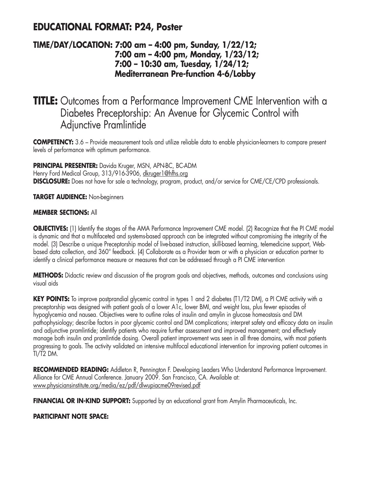## **EDUCATIONAL FORMAT: P24, Poster**

### **TIME/DAY/LOCATION: 7:00 am – 4:00 pm, Sunday, 1/22/12; 7:00 am – 4:00 pm, Monday, 1/23/12; 7:00 – 10:30 am, Tuesday, 1/24/12; Mediterranean Pre-function 4-6/Lobby**

## **TITLE:** Outcomes from a Performance Improvement CME Intervention with a Diabetes Preceptorship: An Avenue for Glycemic Control with Adjunctive Pramlintide

**COMPETENCY:** 3.6 – Provide measurement tools and utilize reliable data to enable physician-learners to compare present levels of performance with optimum performance.

**PRINCIPAL PRESENTER:** Davida Kruger, MSN, APN-BC, BC-ADM Henry Ford Medical Group, 313/916-3906, dkruger1@hfhs.org **DISCLOSURE:** Does not have for sale a technology, program, product, and/or service for CME/CE/CPD professionals.

**TARGET AUDIENCE:** Non-beginners

#### **MEMBER SECTIONS:** All

**OBJECTIVES:** (1) Identify the stages of the AMA Performance Improvement CME model. (2) Recognize that the PI CME model is dynamic and that a multifaceted and systems-based approach can be integrated without compromising the integrity of the model. (3) Describe a unique Preceptorship model of live-based instruction, skill-based learning, telemedicine support, Webbased data collection, and 360° feedback. (4) Collaborate as a Provider team or with a physician or education partner to identify a clinical performance measure or measures that can be addressed through a PI CME intervention

**METHODS:** Didactic review and discussion of the program goals and objectives, methods, outcomes and conclusions using visual aids

**KEY POINTS:** To improve postprandial glycemic control in types 1 and 2 diabetes (T1/T2 DM), a PI CME activity with a preceptorship was designed with patient goals of a lower A1c, lower BMI, and weight loss, plus fewer episodes of hypoglycemia and nausea. Objectives were to outline roles of insulin and amylin in glucose homeostasis and DM pathophysiology; describe factors in poor glycemic control and DM complications; interpret safety and efficacy data on insulin and adjunctive pramlintide; identify patients who require further assessment and improved management; and effectively manage both insulin and pramlintide dosing. Overall patient improvement was seen in all three domains, with most patients progressing to goals. The activity validated an intensive multifocal educational intervention for improving patient outcomes in TI/T2 DM.

**RECOMMENDED READING:** Addleton R, Pennington F. Developing Leaders Who Understand Performance Improvement. Alliance for CME Annual Conference. January 2009. San Francisco, CA. Available at: www.physiciansinstitute.org/media/ez/pdf/dlwupiacme09revised.pdf

**FINANCIAL OR IN-KIND SUPPORT:** Supported by an educational grant from Amylin Pharmaceuticals, Inc.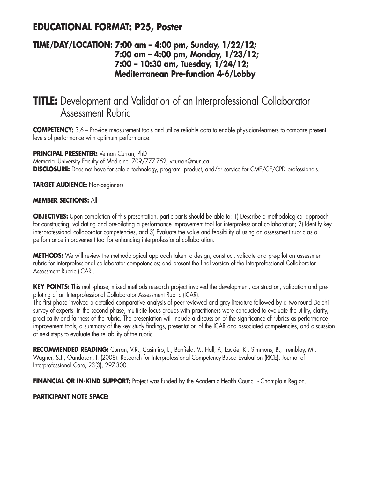## **EDUCATIONAL FORMAT: P25, Poster**

### **TIME/DAY/LOCATION: 7:00 am – 4:00 pm, Sunday, 1/22/12; 7:00 am – 4:00 pm, Monday, 1/23/12; 7:00 – 10:30 am, Tuesday, 1/24/12; Mediterranean Pre-function 4-6/Lobby**

# **TITLE:** Development and Validation of an Interprofessional Collaborator Assessment Rubric

**COMPETENCY:** 3.6 – Provide measurement tools and utilize reliable data to enable physician-learners to compare present levels of performance with optimum performance.

#### **PRINCIPAL PRESENTER:** Vernon Curran, PhD

Memorial University Faculty of Medicine, 709/777-752, vcurran@mun.ca **DISCLOSURE:** Does not have for sale a technology, program, product, and/or service for CME/CE/CPD professionals.

**TARGET AUDIENCE:** Non-beginners

#### **MEMBER SECTIONS:** All

**OBJECTIVES:** Upon completion of this presentation, participants should be able to: 1) Describe a methodological approach for constructing, validating and pre-piloting a performance improvement tool for interprofessional collaboration; 2) Identify key interprofessional collaborator competencies, and 3) Evaluate the value and feasibility of using an assessment rubric as a performance improvement tool for enhancing interprofessional collaboration.

**METHODS:** We will review the methodological approach taken to design, construct, validate and pre-pilot an assessment rubric for interprofessional collaborator competencies; and present the final version of the Interprofessional Collaborator Assessment Rubric (ICAR).

**KEY POINTS:** This multi-phase, mixed methods research project involved the development, construction, validation and prepiloting of an Interprofessional Collaborator Assessment Rubric (ICAR).

The first phase involved a detailed comparative analysis of peer-reviewed and grey literature followed by a two-round Delphi survey of experts. In the second phase, multi-site focus groups with practitioners were conducted to evaluate the utility, clarity, practicality and fairness of the rubric. The presentation will include a discussion of the significance of rubrics as performance improvement tools, a summary of the key study findings, presentation of the ICAR and associated competencies, and discussion of next steps to evaluate the reliability of the rubric.

**RECOMMENDED READING:** Curran, V.R., Casimiro, L., Banfield, V., Hall, P., Lackie, K., Simmons, B., Tremblay, M., Wagner, S.J., Oandasan, I. (2008). Research for Interprofessional Competency-Based Evaluation (RICE). Journal of Interprofessional Care, 23(3), 297-300.

**FINANCIAL OR IN-KIND SUPPORT:** Project was funded by the Academic Health Council - Champlain Region.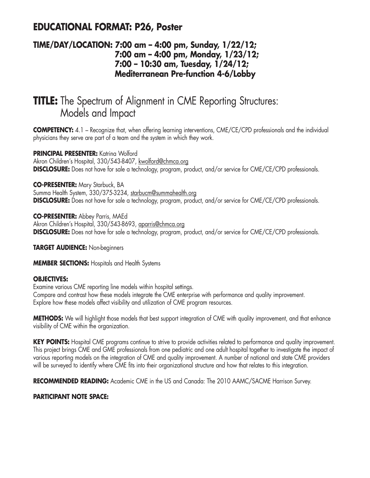## **EDUCATIONAL FORMAT: P26, Poster**

### **TIME/DAY/LOCATION: 7:00 am – 4:00 pm, Sunday, 1/22/12; 7:00 am – 4:00 pm, Monday, 1/23/12; 7:00 – 10:30 am, Tuesday, 1/24/12; Mediterranean Pre-function 4-6/Lobby**

# **TITLE:** The Spectrum of Alignment in CME Reporting Structures: Models and Impact

**COMPETENCY:** 4.1 – Recognize that, when offering learning interventions, CME/CE/CPD professionals and the individual physicians they serve are part of a team and the system in which they work.

#### **PRINCIPAL PRESENTER:** Katrina Wolford

Akron Children's Hospital, 330/543-8407, kwolford@chmca.org **DISCLOSURE:** Does not have for sale a technology, program, product, and/or service for CME/CE/CPD professionals.

#### **CO-PRESENTER:** Mary Starbuck, BA

Summa Health System, 330/375-3234, starbucm@summahealth.org **DISCLOSURE:** Does not have for sale a technology, program, product, and/or service for CME/CE/CPD professionals.

**CO-PRESENTER:** Abbey Parris, MAEd Akron Children's Hospital, 330/543-8693, aparris@chmca.org **DISCLOSURE:** Does not have for sale a technology, program, product, and/or service for CME/CE/CPD professionals.

**TARGET AUDIENCE:** Non-beginners

**MEMBER SECTIONS:** Hospitals and Health Systems

#### **OBJECTIVES:**

Examine various CME reporting line models within hospital settings. Compare and contrast how these models integrate the CME enterprise with performance and quality improvement. Explore how these models affect visibility and utilization of CME program resources.

**METHODS:** We will highlight those models that best support integration of CME with quality improvement, and that enhance visibility of CME within the organization.

**KEY POINTS:** Hospital CME programs continue to strive to provide activities related to performance and quality improvement. This project brings CME and GME professionals from one pediatric and one adult hospital together to investigate the impact of various reporting models on the integration of CME and quality improvement. A number of national and state CME providers will be surveyed to identify where CME fits into their organizational structure and how that relates to this integration.

**RECOMMENDED READING:** Academic CME in the US and Canada: The 2010 AAMC/SACME Harrison Survey.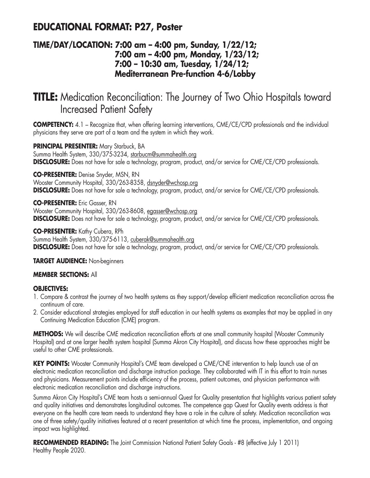## **EDUCATIONAL FORMAT: P27, Poster**

### **TIME/DAY/LOCATION: 7:00 am – 4:00 pm, Sunday, 1/22/12; 7:00 am – 4:00 pm, Monday, 1/23/12; 7:00 – 10:30 am, Tuesday, 1/24/12; Mediterranean Pre-function 4-6/Lobby**

# **TITLE:** Medication Reconciliation: The Journey of Two Ohio Hospitals toward Increased Patient Safety

**COMPETENCY:** 4.1 – Recognize that, when offering learning interventions, CME/CE/CPD professionals and the individual physicians they serve are part of a team and the system in which they work.

**PRINCIPAL PRESENTER:** Mary Starbuck, BA Summa Health System, 330/375-3234, starbucm@summahealth.org

**DISCLOSURE:** Does not have for sale a technology, program, product, and/or service for CME/CE/CPD professionals.

**CO-PRESENTER:** Denise Snyder, MSN, RN Wooster Community Hospital, 330/263-8358, dsnyder@wchosp.org **DISCLOSURE:** Does not have for sale a technology, program, product, and/or service for CME/CE/CPD professionals.

**CO-PRESENTER:** Eric Gasser, RN Wooster Community Hospital, 330/263-8608, egasser@wchosp.org **DISCLOSURE:** Does not have for sale a technology, program, product, and/or service for CME/CE/CPD professionals.

**CO-PRESENTER:** Kathy Cubera, RPh Summa Health System, 330/375-6113, cuberak@summahealth.org **DISCLOSURE:** Does not have for sale a technology, program, product, and/or service for CME/CE/CPD professionals.

**TARGET AUDIENCE:** Non-beginners

#### **MEMBER SECTIONS:** All

#### **OBJECTIVES:**

- 1. Compare & contrast the journey of two health systems as they support/develop efficient medication reconciliation across the continuum of care.
- 2. Consider educational strategies employed for staff education in our health systems as examples that may be applied in any Continuing Medication Education (CME) program.

**METHODS:** We will describe CME medication reconciliation efforts at one small community hospital (Wooster Community Hospital) and at one larger health system hospital (Summa Akron City Hospital), and discuss how these approaches might be useful to other CME professionals.

KEY POINTS: Wooster Community Hospital's CME team developed a CME/CNE intervention to help launch use of an electronic medication reconciliation and discharge instruction package. They collaborated with IT in this effort to train nurses and physicians. Measurement points include efficiency of the process, patient outcomes, and physician performance with electronic medication reconciliation and discharge instructions.

Summa Akron City Hospital's CME team hosts a semi-annual Quest for Quality presentation that highlights various patient safety and quality initiatives and demonstrates longitudinal outcomes. The competence gap Quest for Quality events address is that everyone on the health care team needs to understand they have a role in the culture of safety. Medication reconciliation was one of three safety/quality initiatives featured at a recent presentation at which time the process, implementation, and ongoing impact was highlighted.

**RECOMMENDED READING:** The Joint Commission National Patient Safety Goals - #8 (effective July 1 2011) Healthy People 2020.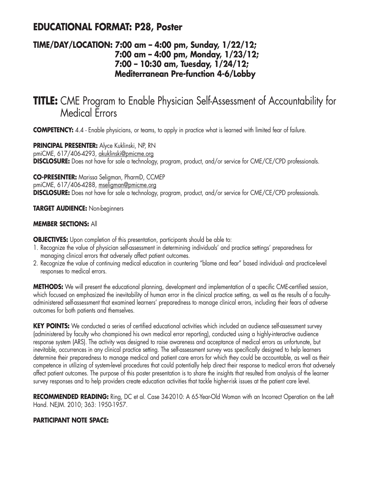## **EDUCATIONAL FORMAT: P28, Poster**

### **TIME/DAY/LOCATION: 7:00 am – 4:00 pm, Sunday, 1/22/12; 7:00 am – 4:00 pm, Monday, 1/23/12; 7:00 – 10:30 am, Tuesday, 1/24/12; Mediterranean Pre-function 4-6/Lobby**

## **TITLE:** CME Program to Enable Physician Self-Assessment of Accountability for Medical Errors

**COMPETENCY:** 4.4 - Enable physicians, or teams, to apply in practice what is learned with limited fear of failure.

**PRINCIPAL PRESENTER:** Alyce Kuklinski, NP, RN pmiCME, 617/406-4293, akuklinski@pmicme.org **DISCLOSURE:** Does not have for sale a technology, program, product, and/or service for CME/CE/CPD professionals.

**CO-PRESENTER:** Marissa Seligman, PharmD, CCMEP pmiCME, 617/406-4288, mseligman@pmicme.org **DISCLOSURE:** Does not have for sale a technology, program, product, and/or service for CME/CE/CPD professionals.

**TARGET AUDIENCE:** Non-beginners

#### **MEMBER SECTIONS:** All

**OBJECTIVES:** Upon completion of this presentation, participants should be able to:

- 1. Recognize the value of physician self-assessment in determining individuals' and practice settings' preparedness for managing clinical errors that adversely affect patient outcomes.
- 2. Recognize the value of continuing medical education in countering "blame and fear" based individual- and practice-level responses to medical errors.

**METHODS:** We will present the educational planning, development and implementation of a specific CME-certified session, which focused on emphasized the inevitability of human error in the clinical practice setting, as well as the results of a facultyadministered self-assessment that examined learners' preparedness to manage clinical errors, including their fears of adverse outcomes for both patients and themselves.

**KEY POINTS:** We conducted a series of certified educational activities which included an audience self-assessment survey (administered by faculty who championed his own medical error reporting), conducted using a highly-interactive audience response system (ARS). The activity was designed to raise awareness and acceptance of medical errors as unfortunate, but inevitable, occurrences in any clinical practice setting. The self-assessment survey was specifically designed to help learners determine their preparedness to manage medical and patient care errors for which they could be accountable, as well as their competence in utilizing of system-level procedures that could potentially help direct their response to medical errors that adversely affect patient outcomes. The purpose of this poster presentation is to share the insights that resulted from analysis of the learner survey responses and to help providers create education activities that tackle higher-risk issues at the patient care level.

**RECOMMENDED READING:** Ring, DC et al. Case 34-2010: A 65-Year-Old Woman with an Incorrect Operation on the Left Hand. NEJM. 2010; 363: 1950-1957.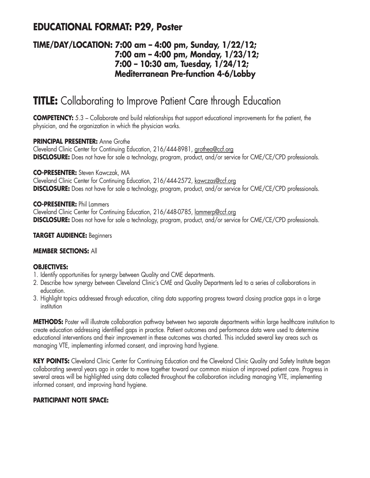## **EDUCATIONAL FORMAT: P29, Poster**

### **TIME/DAY/LOCATION: 7:00 am – 4:00 pm, Sunday, 1/22/12; 7:00 am – 4:00 pm, Monday, 1/23/12; 7:00 – 10:30 am, Tuesday, 1/24/12; Mediterranean Pre-function 4-6/Lobby**

# **TITLE:** Collaborating to Improve Patient Care through Education

**COMPETENCY:** 5.3 – Collaborate and build relationships that support educational improvements for the patient, the physician, and the organization in which the physician works.

#### **PRINCIPAL PRESENTER:** Anne Grothe

Cleveland Clinic Center for Continuing Education, 216/444-8981, grothea@ccf.org **DISCLOSURE:** Does not have for sale a technology, program, product, and/or service for CME/CE/CPD professionals.

#### **CO-PRESENTER:** Steven Kawczak, MA

Cleveland Clinic Center for Continuing Education, 216/444-2572, kawczas@ccf.org **DISCLOSURE:** Does not have for sale a technology, program, product, and/or service for CME/CE/CPD professionals.

#### **CO-PRESENTER:** Phil Lammers

Cleveland Clinic Center for Continuing Education, 216/448-0785, lammerp@ccf.org **DISCLOSURE:** Does not have for sale a technology, program, product, and/or service for CME/CE/CPD professionals.

#### **TARGET AUDIENCE:** Beginners

#### **MEMBER SECTIONS:** All

#### **OBJECTIVES:**

- 1. Identify opportunities for synergy between Quality and CME departments.
- 2. Describe how synergy between Cleveland Clinic's CME and Quality Departments led to a series of collaborations in education.
- 3. Highlight topics addressed through education, citing data supporting progress toward closing practice gaps in a large institution

**METHODS:** Poster will illustrate collaboration pathway between two separate departments within large healthcare institution to create education addressing identified gaps in practice. Patient outcomes and performance data were used to determine educational interventions and their improvement in these outcomes was charted. This included several key areas such as managing VTE, implementing informed consent, and improving hand hygiene.

**KEY POINTS:** Cleveland Clinic Center for Continuing Education and the Cleveland Clinic Quality and Safety Institute began collaborating several years ago in order to move together toward our common mission of improved patient care. Progress in several areas will be highlighted using data collected throughout the collaboration including managing VTE, implementing informed consent, and improving hand hygiene.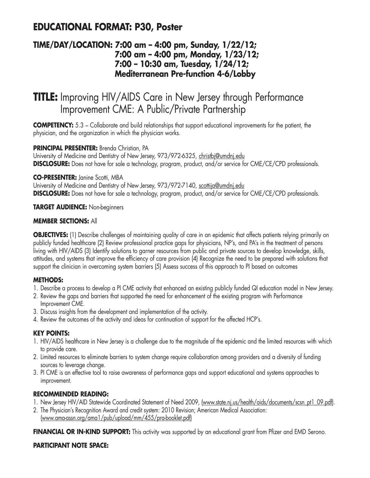## **EDUCATIONAL FORMAT: P30, Poster**

### **TIME/DAY/LOCATION: 7:00 am – 4:00 pm, Sunday, 1/22/12; 7:00 am – 4:00 pm, Monday, 1/23/12; 7:00 – 10:30 am, Tuesday, 1/24/12; Mediterranean Pre-function 4-6/Lobby**

# **TITLE:** Improving HIV/AIDS Care in New Jersey through Performance Improvement CME: A Public/Private Partnership

**COMPETENCY:** 5.3 – Collaborate and build relationships that support educational improvements for the patient, the physician, and the organization in which the physician works.

#### **PRINCIPAL PRESENTER:** Brenda Christian, PA

University of Medicine and Dentistry of New Jersey, 973/972-6325, christbj@umdnj.edu **DISCLOSURE:** Does not have for sale a technology, program, product, and/or service for CME/CE/CPD professionals.

#### **CO-PRESENTER:** Janine Scotti, MBA

University of Medicine and Dentistry of New Jersey, 973/972-7140, scottija@umdnj.edu **DISCLOSURE:** Does not have for sale a technology, program, product, and/or service for CME/CE/CPD professionals.

#### **TARGET AUDIENCE:** Non-beginners

#### **MEMBER SECTIONS:** All

**OBJECTIVES:** (1) Describe challenges of maintaining quality of care in an epidemic that affects patients relying primarily on publicly funded healthcare (2) Review professional practice gaps for physicians, NP's, and PA's in the treatment of persons living with HIV/AIDS (3) Identify solutions to garner resources from public and private sources to develop knowledge, skills, attitudes, and systems that improve the efficiency of care provision (4) Recognize the need to be prepared with solutions that support the clinician in overcoming system barriers (5) Assess success of this approach to PI based on outcomes

#### **METHODS:**

- 1. Describe a process to develop a PI CME activity that enhanced an existing publicly funded QI education model in New Jersey.
- 2. Review the gaps and barriers that supported the need for enhancement of the existing program with Performance Improvement CME.
- 3. Discuss insights from the development and implementation of the activity.
- 4. Review the outcomes of the activity and ideas for continuation of support for the affected HCP's.

#### **KEY POINTS:**

- 1. HIV/AIDS healthcare in New Jersey is a challenge due to the magnitude of the epidemic and the limited resources with which to provide care.
- 2. Limited resources to eliminate barriers to system change require collaboration among providers and a diversity of funding sources to leverage change.
- 3. PI CME is an effective tool to raise awareness of performance gaps and support educational and systems approaches to improvement.

#### **RECOMMENDED READING:**

- 1. New Jersey HIV/AID Statewide Coordinated Statement of Need 2009, (www.state.nj.us/health/aids/documents/scsn\_pt1\_09.pdf).
- 2. The Physician's Recognition Award and credit system: 2010 Revision; American Medical Association: (www.ama-assn.org/ama1/pub/upload/mm/455/pra-booklet.pdf)

**FINANCIAL OR IN-KIND SUPPORT:** This activity was supported by an educational grant from Pfizer and EMD Serono.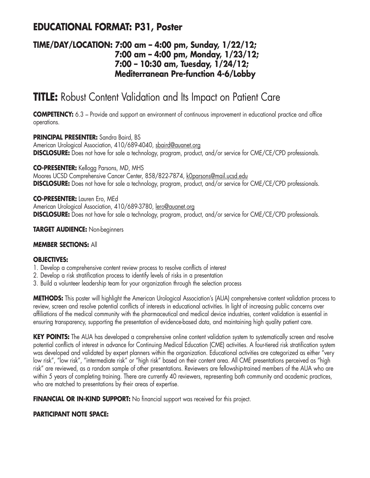## **EDUCATIONAL FORMAT: P31, Poster**

### **TIME/DAY/LOCATION: 7:00 am – 4:00 pm, Sunday, 1/22/12; 7:00 am – 4:00 pm, Monday, 1/23/12; 7:00 – 10:30 am, Tuesday, 1/24/12; Mediterranean Pre-function 4-6/Lobby**

# **TITLE:** Robust Content Validation and Its Impact on Patient Care

**COMPETENCY:** 6.3 – Provide and support an environment of continuous improvement in educational practice and office operations.

**PRINCIPAL PRESENTER:** Sandra Baird, BS American Urological Association, 410/689-4040, sbaird@auanet.org **DISCLOSURE:** Does not have for sale a technology, program, product, and/or service for CME/CE/CPD professionals.

**CO-PRESENTER:** Kellogg Parsons, MD, MHS Moores UCSD Comprehensive Cancer Center, 858/822-7874, kOparsons@mail.ucsd.edu **DISCLOSURE:** Does not have for sale a technology, program, product, and/or service for CME/CE/CPD professionals.

**CO-PRESENTER:** Lauren Ero, MEd American Urological Association, 410/689-3780, lero@auanet.org **DISCLOSURE:** Does not have for sale a technology, program, product, and/or service for CME/CE/CPD professionals.

**TARGET AUDIENCE:** Non-beginners

#### **MEMBER SECTIONS:** All

#### **OBJECTIVES:**

- 1. Develop a comprehensive content review process to resolve conflicts of interest
- 2. Develop a risk stratification process to identify levels of risks in a presentation
- 3. Build a volunteer leadership team for your organization through the selection process

**METHODS:** This poster will highlight the American Urological Association's (AUA) comprehensive content validation process to review, screen and resolve potential conflicts of interests in educational activities. In light of increasing public concerns over affiliations of the medical community with the pharmaceutical and medical device industries, content validation is essential in ensuring transparency, supporting the presentation of evidence-based data, and maintaining high quality patient care.

**KEY POINTS:** The AUA has developed a comprehensive online content validation system to systematically screen and resolve potential conflicts of interest in advance for Continuing Medical Education (CME) activities. A four-tiered risk stratification system was developed and validated by expert planners within the organization. Educational activities are categorized as either "very low risk", "low risk", "intermediate risk" or "high risk" based on their content area. All CME presentations perceived as "high risk" are reviewed, as a random sample of other presentations. Reviewers are fellowship-trained members of the AUA who are within 5 years of completing training. There are currently 40 reviewers, representing both community and academic practices, who are matched to presentations by their areas of expertise.

**FINANCIAL OR IN-KIND SUPPORT:** No financial support was received for this project.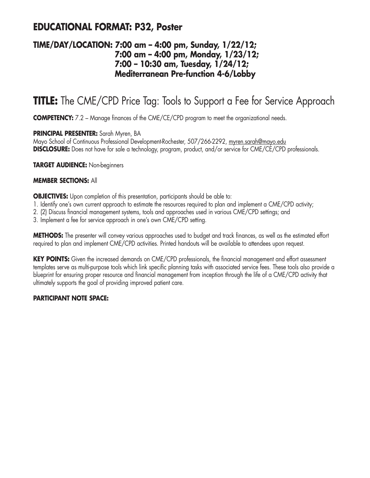## **EDUCATIONAL FORMAT: P32, Poster**

### **TIME/DAY/LOCATION: 7:00 am – 4:00 pm, Sunday, 1/22/12; 7:00 am – 4:00 pm, Monday, 1/23/12; 7:00 – 10:30 am, Tuesday, 1/24/12; Mediterranean Pre-function 4-6/Lobby**

# **TITLE:** The CME/CPD Price Tag: Tools to Support a Fee for Service Approach

**COMPETENCY:** 7.2 – Manage finances of the CME/CE/CPD program to meet the organizational needs.

#### **PRINCIPAL PRESENTER:** Sarah Myren, BA

Mayo School of Continuous Professional Development-Rochester, 507/266-2292, myren.sarah@mayo.edu **DISCLOSURE:** Does not have for sale a technology, program, product, and/or service for CME/CE/CPD professionals.

**TARGET AUDIENCE:** Non-beginners

#### **MEMBER SECTIONS:** All

**OBJECTIVES:** Upon completion of this presentation, participants should be able to:

- 1. Identify one's own current approach to estimate the resources required to plan and implement a CME/CPD activity;
- 2. (2) Discuss financial management systems, tools and approaches used in various CME/CPD settings; and
- 3. Implement a fee for service approach in one's own CME/CPD setting.

**METHODS:** The presenter will convey various approaches used to budget and track finances, as well as the estimated effort required to plan and implement CME/CPD activities. Printed handouts will be available to attendees upon request.

**KEY POINTS:** Given the increased demands on CME/CPD professionals, the financial management and effort assessment templates serve as multi-purpose tools which link specific planning tasks with associated service fees. These tools also provide a blueprint for ensuring proper resource and financial management from inception through the life of a CME/CPD activity that ultimately supports the goal of providing improved patient care.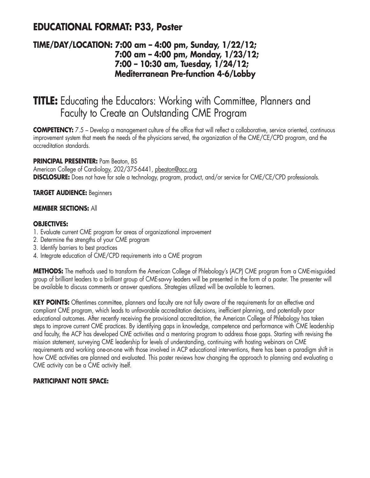## **EDUCATIONAL FORMAT: P33, Poster**

### **TIME/DAY/LOCATION: 7:00 am – 4:00 pm, Sunday, 1/22/12; 7:00 am – 4:00 pm, Monday, 1/23/12; 7:00 – 10:30 am, Tuesday, 1/24/12; Mediterranean Pre-function 4-6/Lobby**

# **TITLE:** Educating the Educators: Working with Committee, Planners and Faculty to Create an Outstanding CME Program

**COMPETENCY:** 7.5 – Develop a management culture of the office that will reflect a collaborative, service oriented, continuous improvement system that meets the needs of the physicians served, the organization of the CME/CE/CPD program, and the accreditation standards.

#### **PRINCIPAL PRESENTER:** Pam Beaton, BS

American College of Cardiology, 202/375-6441, pbeaton@acc.org **DISCLOSURE:** Does not have for sale a technology, program, product, and/or service for CME/CE/CPD professionals.

#### **TARGET AUDIENCE:** Beginners

#### **MEMBER SECTIONS:** All

#### **OBJECTIVES:**

- 1. Evaluate current CME program for areas of organizational improvement
- 2. Determine the strengths of your CME program
- 3. Identify barriers to best practices
- 4. Integrate education of CME/CPD requirements into a CME program

**METHODS:** The methods used to transform the American College of Phlebology's (ACP) CME program from a CME-misguided group of brilliant leaders to a brilliant group of CME-savvy leaders will be presented in the form of a poster. The presenter will be available to discuss comments or answer questions. Strategies utilized will be available to learners.

KEY POINTS: Oftentimes committee, planners and faculty are not fully aware of the requirements for an effective and compliant CME program, which leads to unfavorable accreditation decisions, inefficient planning, and potentially poor educational outcomes. After recently receiving the provisional accreditation, the American College of Phlebology has taken steps to improve current CME practices. By identifying gaps in knowledge, competence and performance with CME leadership and faculty, the ACP has developed CME activities and a mentoring program to address those gaps. Starting with revising the mission statement, surveying CME leadership for levels of understanding, continuing with hosting webinars on CME requirements and working one-on-one with those involved in ACP educational interventions, there has been a paradigm shift in how CME activities are planned and evaluated. This poster reviews how changing the approach to planning and evaluating a CME activity can be a CME activity itself.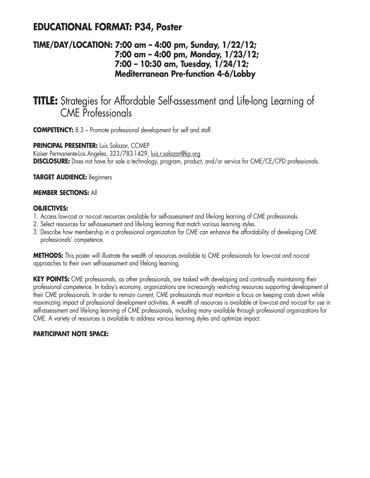## **EDUCATIONAL FORMAT: P34, Poster**

### **TIME/DAY/LOCATION: 7:00 am – 4:00 pm, Sunday, 1/22/12; 7:00 am – 4:00 pm, Monday, 1/23/12; 7:00 – 10:30 am, Tuesday, 1/24/12; Mediterranean Pre-function 4-6/Lobby**

## **TITLE:** Strategies for Affordable Self-assessment and Life-long Learning of CME Professionals

**COMPETENCY:** 8.3 – Promote professional development for self and staff.

**PRINCIPAL PRESENTER:** Luis Salazar, CCMEP Kaiser Permanente-Los Angeles, 323/783-1429, luis.r.salazar@kp.org **DISCLOSURE:** Does not have for sale a technology, program, product, and/or service for CME/CE/CPD professionals.

#### **TARGET AUDIENCE:** Beginners

#### **MEMBER SECTIONS:** All

#### **OBJECTIVES:**

- 1. Access low-cost or no-cost resources available for self-assessment and life-long learning of CME professionals.
- 2. Select resources for self-assessment and life-long learning that match various learning styles.
- 3. Describe how membership in a professional organization for CME can enhance the affordability of developing CME professionals' competence.

**METHODS:** This poster will illustrate the wealth of resources available to CME professionals for low-cost and no-cost approaches to their own self-assessment and lifelong learning.

**KEY POINTS:** CME professionals, as other professionals, are tasked with developing and continually maintaining their professional competence. In today's economy, organizations are increasingly restricting resources supporting development of their CME professionals. In order to remain current, CME professionals must maintain a focus on keeping costs down while maximizing impact of professional development activities. A wealth of resources is available at low-cost and no-cost for use in self-assessment and life-long learning of CME professionals, including many available through professional organizations for CME. A variety of resources is available to address various learning styles and optimize impact.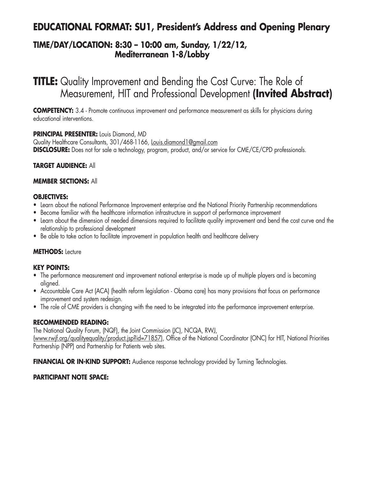## **EDUCATIONAL FORMAT: SU1, President's Address and Opening Plenary**

### **TIME/DAY/LOCATION: 8:30 – 10:00 am, Sunday, 1/22/12, Mediterranean 1-8/Lobby**

**TITLE:** Quality Improvement and Bending the Cost Curve: The Role of Measurement, HIT and Professional Development **(Invited Abstract)**

**COMPETENCY:** 3.4 - Promote continuous improvement and performance measurement as skills for physicians during educational interventions.

#### **PRINCIPAL PRESENTER:** Louis Diamond, MD

Quality Healthcare Consultants, 301/468-1166, Louis.diamond1@gmail.com **DISCLOSURE:** Does not for sale a technology, program, product, and/or service for CME/CE/CPD professionals.

#### **TARGET AUDIENCE:** All

#### **MEMBER SECTIONS:** All

#### **OBJECTIVES:**

- Learn about the national Performance Improvement enterprise and the National Priority Partnership recommendations
- Become familiar with the healthcare information infrastructure in support of performance improvement
- Learn about the dimension of needed dimensions required to facilitate quality improvement and bend the cost curve and the relationship to professional development
- Be able to take action to facilitate improvement in population health and healthcare delivery

#### **METHODS:** Lecture

#### **KEY POINTS:**

- The performance measurement and improvement national enterprise is made up of multiple players and is becoming aligned.
- Accountable Care Act (ACA) (health reform legislation Obama care) has many provisions that focus on performance improvement and system redesign.
- The role of CME providers is changing with the need to be integrated into the performance improvement enterprise.

#### **RECOMMENDED READING:**

The National Quality Forum, (NQF), the Joint Commission (JC), NCQA, RWJ,

(www.rwjf.org/qualityequality/product.jsp?id=71857), Office of the National Coordinator (ONC) for HIT, National Priorities Partnership (NPP) and Partnership for Patients web sites.

**FINANCIAL OR IN-KIND SUPPORT:** Audience response technology provided by Turning Technologies.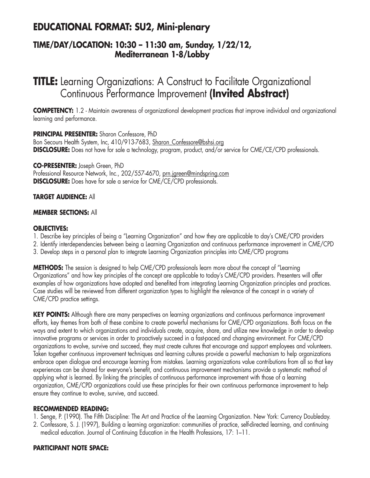## **EDUCATIONAL FORMAT: SU2, Mini-plenary**

### **TIME/DAY/LOCATION: 10:30 – 11:30 am, Sunday, 1/22/12, Mediterranean 1-8/Lobby**

# **TITLE:** Learning Organizations: A Construct to Facilitate Organizational Continuous Performance Improvement **(Invited Abstract)**

**COMPETENCY:** 1.2 - Maintain awareness of organizational development practices that improve individual and organizational learning and performance.

**PRINCIPAL PRESENTER:** Sharon Confessore, PhD Bon Secours Health System, Inc, 410/913-7683, Sharon Confessore@bshsi.org **DISCLOSURE:** Does not have for sale a technology, program, product, and/or service for CME/CE/CPD professionals.

**CO-PRESENTER:** Joseph Green, PhD Professional Resource Network, Inc., 202/557-4670, prn.jgreen@mindspring.com **DISCLOSURE:** Does have for sale a service for CME/CE/CPD professionals.

### **TARGET AUDIENCE:** All

### **MEMBER SECTIONS:** All

### **OBJECTIVES:**

- 1. Describe key principles of being a "Learning Organization" and how they are applicable to day's CME/CPD providers
- 2. Identify interdependencies between being a Learning Organization and continuous performance improvement in CME/CPD
- 3. Develop steps in a personal plan to integrate Learning Organization principles into CME/CPD programs

**METHODS:** The session is designed to help CME/CPD professionals learn more about the concept of "Learning Organizations" and how key principles of the concept are applicable to today's CME/CPD providers. Presenters will offer examples of how organizations have adopted and benefited from integrating Learning Organization principles and practices. Case studies will be reviewed from different organization types to highlight the relevance of the concept in a variety of CME/CPD practice settings.

**KEY POINTS:** Although there are many perspectives on learning organizations and continuous performance improvement efforts, key themes from both of these combine to create powerful mechanisms for CME/CPD organizations. Both focus on the ways and extent to which organizations and individuals create, acquire, share, and utilize new knowledge in order to develop innovative programs or services in order to proactively succeed in a fast-paced and changing environment. For CME/CPD organizations to evolve, survive and succeed, they must create cultures that encourage and support employees and volunteers. Taken together continuous improvement techniques and learning cultures provide a powerful mechanism to help organizations embrace open dialogue and encourage learning from mistakes. Learning organizations value contributions from all so that key experiences can be shared for everyone's benefit, and continuous improvement mechanisms provide a systematic method of applying what is learned. By linking the principles of continuous performance improvement with those of a learning organization, CME/CPD organizations could use these principles for their own continuous performance improvement to help ensure they continue to evolve, survive, and succeed.

### **RECOMMENDED READING:**

- 1. Senge, P. (1990). The Fifth Discipline: The Art and Practice of the Learning Organization. New York: Currency Doubleday.
- 2. Confessore, S. J. (1997), Building a learning organization: communities of practice, self-directed learning, and continuing medical education. Journal of Continuing Education in the Health Professions, 17: 1–11.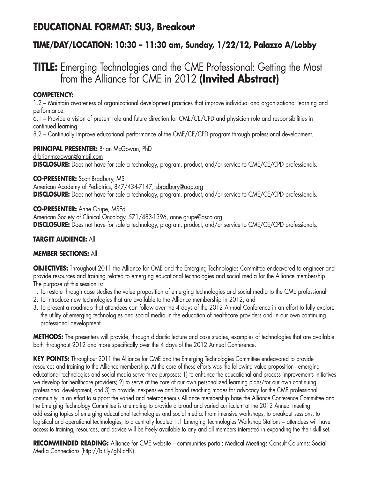## **EDUCATIONAL FORMAT: SU3, Breakout**

### **TIME/DAY/LOCATION: 10:30 – 11:30 am, Sunday, 1/22/12, Palazzo A/Lobby**

# **TITLE:** Emerging Technologies and the CME Professional: Getting the Most from the Alliance for CME in 2012 **(Invited Abstract)**

#### **COMPETENCY:**

1.2 – Maintain awareness of organizational development practices that improve individual and organizational learning and performance.

6.1 – Provide a vision of present role and future direction for CME/CE/CPD and physician role and responsibilities in continued learning.

8.2 – Continually improve educational performance of the CME/CE/CPD program through professional development.

**PRINCIPAL PRESENTER:** Brian McGowan, PhD drbrianmcgowan@gmail.com

**DISCLOSURE:** Does not have for sale a technology, program, product, and/or service to CME/CE/CPD professionals.

**CO-PRESENTER:** Scott Bradbury, MS American Academy of Pediatrics, 847/434-7147, sbradbury@aap.org **DISCLOSURE:** Does not have for sale a technology, program, product, and/or service to CME/CE/CPD professionals.

**CO-PRESENTER:** Anne Grupe, MSEd American Society of Clinical Oncology, 571/483-1396, anne.grupe@asco.org **DISCLOSURE:** Does not have for sale a technology, program, product, and/or service to CME/CE/CPD professionals.

#### **TARGET AUDIENCE:** All

#### **MEMBER SECTIONS:** All

**OBJECTIVES:** Throughout 2011 the Alliance for CME and the Emerging Technologies Committee endeavored to engineer and provide resources and training related to emerging educational technologies and social media for the Alliance membership. The purpose of this session is:

- 1. To restate through case studies the value proposition of emerging technologies and social media to the CME professional
- 2. To introduce new technologies that are available to the Alliance membership in 2012, and
- 3. To present a roadmap that attendees can follow over the 4 days of the 2012 Annual Conference in an effort to fully explore the utility of emerging technologies and social media in the education of healthcare providers and in our own continuing professional development.

**METHODS:** The presenters will provide, through didactic lecture and case studies, examples of technologies that are available both throughout 2012 and more specifically over the 4 days of the 2012 Annual Conference.

**KEY POINTS:** Throughout 2011 the Alliance for CME and the Emerging Technologies Committee endeavored to provide resources and training to the Alliance membership. At the core of these efforts was the following value proposition - emerging educational technologies and social media serve three purposes: 1) to enhance the educational and process improvements initiatives we develop for healthcare providers; 2) to serve at the core of our own personalized learning plans/for our own continuing professional development; and 3) to provide inexpensive and broad reaching modes for advocacy for the CME professional community. In an effort to support the varied and heterogeneous Alliance membership base the Alliance Conference Committee and the Emerging Technology Committee is attempting to provide a broad and varied curriculum at the 2012 Annual meeting addressing topics of emerging educational technologies and social media. From intensive workshops, to breakout sessions, to logistical and operational technologies, to a centrally located 1:1 Emerging Technologies Workshop Stations – attendees will have access to training, resources, and advice will be freely available to any and all members interested in expanding the their skill set.

**RECOMMENDED READING:** Alliance for CME website – communities portal; Medical Meetings Consult Columns: Social Media Connections (http://bit.ly/gNicHK).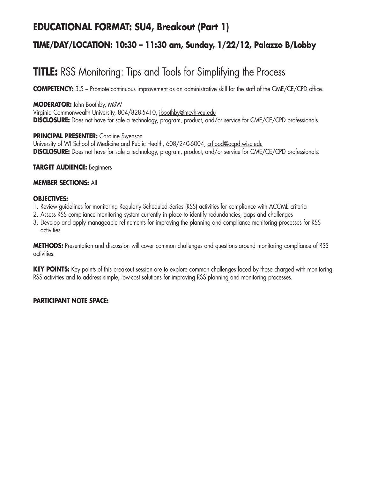## **EDUCATIONAL FORMAT: SU4, Breakout (Part 1)**

### **TIME/DAY/LOCATION: 10:30 – 11:30 am, Sunday, 1/22/12, Palazzo B/Lobby**

# **TITLE:** RSS Monitoring: Tips and Tools for Simplifying the Process

**COMPETENCY:** 3.5 – Promote continuous improvement as an administrative skill for the staff of the CME/CE/CPD office.

#### **MODERATOR:** John Boothby, MSW

Virginia Commonwealth University, 804/828-5410, jboothby@mcvh-vcu.edu **DISCLOSURE:** Does not have for sale a technology, program, product, and/or service for CME/CE/CPD professionals.

#### **PRINCIPAL PRESENTER:** Caroline Swenson

University of WI School of Medicine and Public Health, 608/240-6004, crflood@ocpd.wisc.edu **DISCLOSURE:** Does not have for sale a technology, program, product, and/or service for CME/CE/CPD professionals.

#### **TARGET AUDIENCE:** Beginners

#### **MEMBER SECTIONS:** All

#### **OBJECTIVES:**

- 1. Review guidelines for monitoring Regularly Scheduled Series (RSS) activities for compliance with ACCME criteria
- 2. Assess RSS compliance monitoring system currently in place to identify redundancies, gaps and challenges
- 3. Develop and apply manageable refinements for improving the planning and compliance monitoring processes for RSS activities

**METHODS:** Presentation and discussion will cover common challenges and questions around monitoring compliance of RSS activities.

**KEY POINTS:** Key points of this breakout session are to explore common challenges faced by those charged with monitoring RSS activities and to address simple, low-cost solutions for improving RSS planning and monitoring processes.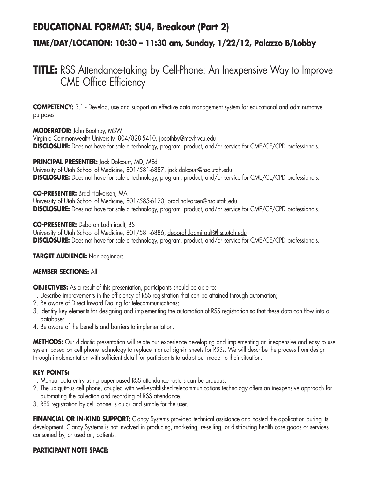## **EDUCATIONAL FORMAT: SU4, Breakout (Part 2)**

### **TIME/DAY/LOCATION: 10:30 – 11:30 am, Sunday, 1/22/12, Palazzo B/Lobby**

# **TITLE:** RSS Attendance-taking by Cell-Phone: An Inexpensive Way to Improve CME Office Efficiency

**COMPETENCY:** 3.1 - Develop, use and support an effective data management system for educational and administrative purposes.

**MODERATOR:** John Boothby, MSW Virginia Commonwealth University, 804/828-5410, jboothby@mcvh-vcu.edu **DISCLOSURE:** Does not have for sale a technology, program, product, and/or service for CME/CE/CPD professionals.

#### **PRINCIPAL PRESENTER:** Jack Dolcourt, MD, MEd

University of Utah School of Medicine, 801/581-6887, jack.dolcourt@hsc.utah.edu **DISCLOSURE:** Does not have for sale a technology, program, product, and/or service for CME/CE/CPD professionals.

#### **CO-PRESENTER:** Brad Halvorsen, MA

University of Utah School of Medicine, 801/585-6120, brad.halvorsen@hsc.utah.edu **DISCLOSURE:** Does not have for sale a technology, program, product, and/or service for CME/CE/CPD professionals.

#### **CO-PRESENTER:** Deborah Ladmirault, BS

University of Utah School of Medicine, 801/581-6886, deborah.ladmirault@hsc.utah.edu **DISCLOSURE:** Does not have for sale a technology, program, product, and/or service for CME/CE/CPD professionals.

#### **TARGET AUDIENCE:** Non-beginners

#### **MEMBER SECTIONS:** All

**OBJECTIVES:** As a result of this presentation, participants should be able to:

- 1. Describe improvements in the efficiency of RSS registration that can be attained through automation;
- 2. Be aware of Direct Inward Dialing for telecommunications;
- 3. Identify key elements for designing and implementing the automation of RSS registration so that these data can flow into a database;
- 4. Be aware of the benefits and barriers to implementation.

**METHODS:** Our didactic presentation will relate our experience developing and implementing an inexpensive and easy to use system based on cell phone technology to replace manual sign-in sheets for RSSs. We will describe the process from design through implementation with sufficient detail for participants to adapt our model to their situation.

#### **KEY POINTS:**

- 1. Manual data entry using paper-based RSS attendance rosters can be arduous.
- 2. The ubiquitous cell phone, coupled with well-established telecommunications technology offers an inexpensive approach for automating the collection and recording of RSS attendance.
- 3. RSS registration by cell phone is quick and simple for the user.

**FINANCIAL OR IN-KIND SUPPORT:** Clancy Systems provided technical assistance and hosted the application during its development. Clancy Systems is not involved in producing, marketing, re-selling, or distributing health care goods or services consumed by, or used on, patients.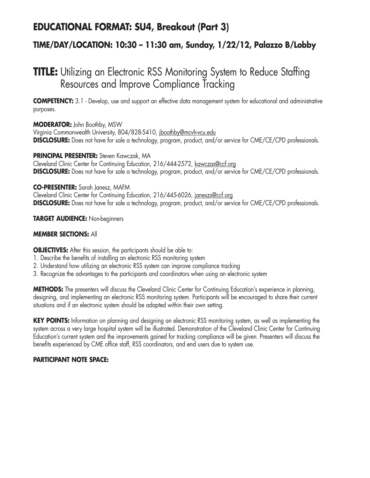## **EDUCATIONAL FORMAT: SU4, Breakout (Part 3)**

### **TIME/DAY/LOCATION: 10:30 – 11:30 am, Sunday, 1/22/12, Palazzo B/Lobby**

# **TITLE:** Utilizing an Electronic RSS Monitoring System to Reduce Staffing Resources and Improve Compliance Tracking

**COMPETENCY:** 3.1 - Develop, use and support an effective data management system for educational and administrative purposes.

#### **MODERATOR:** John Boothby, MSW

Virginia Commonwealth University, 804/828-5410, jboothby@mcvh-vcu.edu **DISCLOSURE:** Does not have for sale a technology, program, product, and/or service for CME/CE/CPD professionals.

#### **PRINCIPAL PRESENTER:** Steven Kawczak, MA

Cleveland Clinic Center for Continuing Education, 216/444-2572, kawczas@ccf.org **DISCLOSURE:** Does not have for sale a technology, program, product, and/or service for CME/CE/CPD professionals.

#### **CO-PRESENTER:** Sarah Janesz, MAFM

Cleveland Clinic Center for Continuing Education, 216/445-6026, janeszs@ccf.org **DISCLOSURE:** Does not have for sale a technology, program, product, and/or service for CME/CE/CPD professionals.

#### **TARGET AUDIENCE:** Non-beginners

#### **MEMBER SECTIONS:** All

**OBJECTIVES:** After this session, the participants should be able to:

- 1. Describe the benefits of installing an electronic RSS monitoring system
- 2. Understand how utilizing an electronic RSS system can improve compliance tracking
- 3. Recognize the advantages to the participants and coordinators when using an electronic system

**METHODS:** The presenters will discuss the Cleveland Clinic Center for Continuing Education's experience in planning, designing, and implementing an electronic RSS monitoring system. Participants will be encouraged to share their current situations and if an electronic system should be adapted within their own setting.

**KEY POINTS:** Information on planning and designing an electronic RSS monitoring system, as well as implementing the system across a very large hospital system will be illustrated. Demonstration of the Cleveland Clinic Center for Continuing Education's current system and the improvements gained for tracking compliance will be given. Presenters will discuss the benefits experienced by CME office staff, RSS coordinators, and end users due to system use.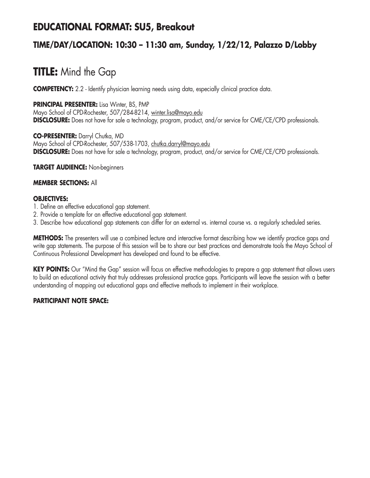## **EDUCATIONAL FORMAT: SU5, Breakout**

### **TIME/DAY/LOCATION: 10:30 – 11:30 am, Sunday, 1/22/12, Palazzo D/Lobby**

# **TITLE:** Mind the Gap

**COMPETENCY:** 2.2 - Identify physician learning needs using data, especially clinical practice data.

#### **PRINCIPAL PRESENTER:** Lisa Winter, BS, PMP

Mayo School of CPD-Rochester, 507/284-8214, winter.lisa@mayo.edu **DISCLOSURE:** Does not have for sale a technology, program, product, and/or service for CME/CE/CPD professionals.

**CO-PRESENTER:** Darryl Chutka, MD Mayo School of CPD-Rochester, 507/538-1703, chutka.darryl@mayo.edu **DISCLOSURE:** Does not have for sale a technology, program, product, and/or service for CME/CE/CPD professionals.

#### **TARGET AUDIENCE:** Non-beginners

#### **MEMBER SECTIONS:** All

#### **OBJECTIVES:**

- 1. Define an effective educational gap statement.
- 2. Provide a template for an effective educational gap statement.
- 3. Describe how educational gap statements can differ for an external vs. internal course vs. a regularly scheduled series.

**METHODS:** The presenters will use a combined lecture and interactive format describing how we identify practice gaps and write gap statements. The purpose of this session will be to share our best practices and demonstrate tools the Mayo School of Continuous Professional Development has developed and found to be effective.

**KEY POINTS:** Our "Mind the Gap" session will focus on effective methodologies to prepare a gap statement that allows users to build an educational activity that truly addresses professional practice gaps. Participants will leave the session with a better understanding of mapping out educational gaps and effective methods to implement in their workplace.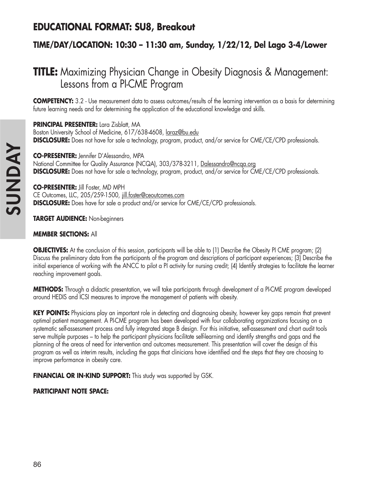# **EDUCATIONAL FORMAT: SU8, Breakout**

## **TIME/DAY/LOCATION: 10:30 – 11:30 am, Sunday, 1/22/12, Del Lago 3-4/Lower**

# **TITLE:** Maximizing Physician Change in Obesity Diagnosis & Management: Lessons from a PI-CME Program

**COMPETENCY:** 3.2 - Use measurement data to assess outcomes/results of the learning intervention as a basis for determining future learning needs and for determining the application of the educational knowledge and skills.

**PRINCIPAL PRESENTER:** Lara Zisblatt, MA Boston University School of Medicine, 617/638-4608, laraz@bu.edu **DISCLOSURE:** Does not have for sale a technology, program, product, and/or service for CME/CE/CPD professionals.

**CO-PRESENTER:** Jennifer D'Alessandro, MPA National Committee for Quality Assurance (NCQA), 303/378-3211, Dalessandro@ncqa.org **DISCLOSURE:** Does not have for sale a technology, program, product, and/or service for CME/CE/CPD professionals.

**CO-PRESENTER:** Jill Foster, MD MPH CE Outcomes, LLC, 205/259-1500, jill.foster@ceoutcomes.com **DISCLOSURE:** Does have for sale a product and/or service for CME/CE/CPD professionals.

**TARGET AUDIENCE:** Non-beginners

#### **MEMBER SECTIONS:** All

**OBJECTIVES:** At the conclusion of this session, participants will be able to (1) Describe the Obesity PI CME program; (2) Discuss the preliminary data from the participants of the program and descriptions of participant experiences; (3) Describe the initial experience of working with the ANCC to pilot a PI activity for nursing credit; (4) Identify strategies to facilitate the learner reaching improvement goals.

**METHODS:** Through a didactic presentation, we will take participants through development of a PI-CME program developed around HEDIS and ICSI measures to improve the management of patients with obesity.

**KEY POINTS:** Physicians play an important role in detecting and diagnosing obesity, however key gaps remain that prevent optimal patient management. A PI-CME program has been developed with four collaborating organizations focusing on a systematic self-assessment process and fully integrated stage B design. For this initiative, self-assessment and chart audit tools serve multiple purposes – to help the participant physicians facilitate self-learning and identify strengths and gaps and the planning of the areas of need for intervention and outcomes measurement. This presentation will cover the design of this program as well as interim results, including the gaps that clinicians have identified and the steps that they are choosing to improve performance in obesity care.

**FINANCIAL OR IN-KIND SUPPORT:** This study was supported by GSK.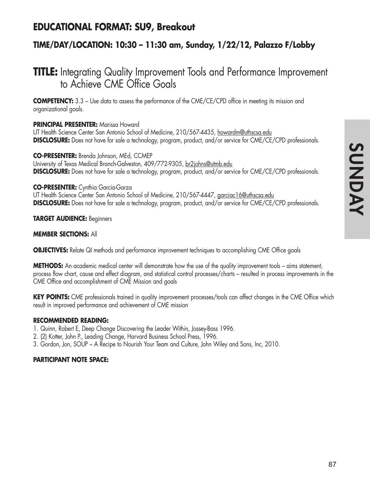## **EDUCATIONAL FORMAT: SU9, Breakout**

### **TIME/DAY/LOCATION: 10:30 – 11:30 am, Sunday, 1/22/12, Palazzo F/Lobby**

# **TITLE:** Integrating Quality Improvement Tools and Performance Improvement to Achieve CME Office Goals

**COMPETENCY:** 3.3 – Use data to assess the performance of the CME/CE/CPD office in meeting its mission and organizational goals.

#### **PRINCIPAL PRESENTER:** Marissa Howard

UT Health Science Center San Antonio School of Medicine, 210/567-4435, howardm@uthscsa.edu **DISCLOSURE:** Does not have for sale a technology, program, product, and/or service for CME/CE/CPD professionals.

**CO-PRESENTER:** Brenda Johnson, MEd, CCMEP University of Texas Medical Branch-Galveston, 409/772-9305, br2johns@utmb.edu **DISCLOSURE:** Does not have for sale a technology, program, product, and/or service for CME/CE/CPD professionals.

#### **CO-PRESENTER:** Cynthia Garcia-Garza

UT Health Science Center San Antonio School of Medicine, 210/567-4447, garciac16@uthscsa.edu **DISCLOSURE:** Does not have for sale a technology, program, product, and/or service for CME/CE/CPD professionals.

**TARGET AUDIENCE:** Beginners

#### **MEMBER SECTIONS:** All

**OBJECTIVES:** Relate QI methods and performance improvement techniques to accomplishing CME Office goals

**METHODS:** An academic medical center will demonstrate how the use of the quality improvement tools – aims statement, process flow chart, cause and effect diagram, and statistical control processes/charts – resulted in process improvements in the CME Office and accomplishment of CME Mission and goals

**KEY POINTS:** CME professionals trained in quality improvement processes/tools can affect changes in the CME Office which result in improved performance and achievement of CME mission

#### **RECOMMENDED READING:**

- 1. Quinn, Robert E, Deep Change Discovering the Leader Within, Jossey-Bass 1996.
- 2. (2) Kotter, John P., Leading Change, Harvard Business School Press, 1996.
- 3. Gordon, Jon, SOUP A Recipe to Nourish Your Team and Culture, John Wiley and Sons, Inc, 2010.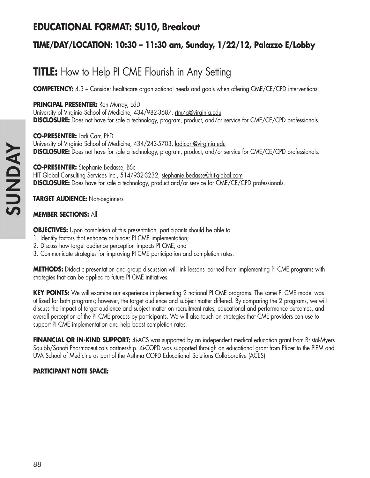## **EDUCATIONAL FORMAT: SU10, Breakout**

## **TIME/DAY/LOCATION: 10:30 – 11:30 am, Sunday, 1/22/12, Palazzo E/Lobby**

# **TITLE:** How to Help PI CME Flourish in Any Setting

**COMPETENCY:** 4.3 – Consider healthcare organizational needs and goals when offering CME/CE/CPD interventions.

**PRINCIPAL PRESENTER:** Ron Murray, EdD

University of Virginia School of Medicine, 434/982-3687, rtm7a@virginia.edu **DISCLOSURE:** Does not have for sale a technology, program, product, and/or service for CME/CE/CPD professionals.

**CO-PRESENTER:** Ladi Carr, PhD University of Virginia School of Medicine, 434/243-5703, ladicarr@virginia.edu **DISCLOSURE:** Does not have for sale a technology, program, product, and/or service for CME/CE/CPD professionals.

**CO-PRESENTER:** Stephanie Bedasse, BSc HIT Global Consulting Services Inc., 514/932-3232, stephanie.bedasse@hit-global.com **DISCLOSURE:** Does have for sale a technology, product and/or service for CME/CE/CPD professionals.

**TARGET AUDIENCE:** Non-beginners

### **MEMBER SECTIONS:** All

**OBJECTIVES:** Upon completion of this presentation, participants should be able to:

- 1. Identify factors that enhance or hinder PI CME implementation;
- 2. Discuss how target audience perception impacts PI CME; and
- 3. Communicate strategies for improving PI CME participation and completion rates.

**METHODS:** Didactic presentation and group discussion will link lessons learned from implementing PI CME programs with strategies that can be applied to future PI CME initiatives.

**KEY POINTS:** We will examine our experience implementing 2 national PI CME programs. The same PI CME model was utilized for both programs; however, the target audience and subject matter differed. By comparing the 2 programs, we will discuss the impact of target audience and subject matter on recruitment rates, educational and performance outcomes, and overall perception of the PI CME process by participants. We will also touch on strategies that CME providers can use to support PI CME implementation and help boost completion rates.

**FINANCIAL OR IN-KIND SUPPORT:** 4i-ACS was supported by an independent medical education grant from Bristol-Myers Squibb/Sanofi Pharmaceuticals partnership. 4i-COPD was supported through an educational grant from Pfizer to the PIEM and UVA School of Medicine as part of the Asthma COPD Educational Solutions Collaborative (ACES).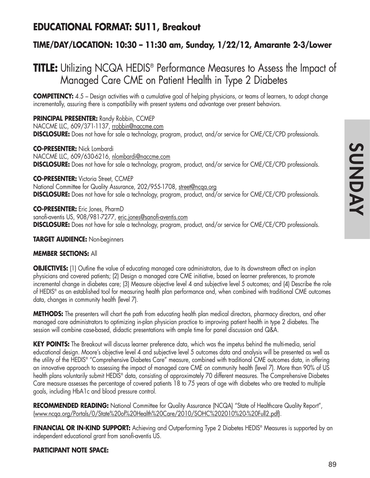## **EDUCATIONAL FORMAT: SU11, Breakout**

### **TIME/DAY/LOCATION: 10:30 – 11:30 am, Sunday, 1/22/12, Amarante 2-3/Lower**

# **TITLE:** Utilizing NCQA HEDIS<sup>®</sup> Performance Measures to Assess the Impact of Managed Care CME on Patient Health in Type 2 Diabetes

**COMPETENCY:** 4.5 – Design activities with a cumulative goal of helping physicians, or teams of learners, to adopt change incrementally, assuring there is compatibility with present systems and advantage over present behaviors.

**PRINCIPAL PRESENTER:** Randy Robbin, CCMEP NACCME LLC, 609/371-1137, rrobbin@naccme.com **DISCLOSURE:** Does not have for sale a technology, program, product, and/or service for CME/CE/CPD professionals.

**CO-PRESENTER:** Nick Lombardi NACCME LLC, 609/630-6216, nlombardi@naccme.com **DISCLOSURE:** Does not have for sale a technology, program, product, and/or service for CME/CE/CPD professionals.

**CO-PRESENTER:** Victoria Street, CCMEP National Committee for Quality Assurance, 202/955-1708, street@ncqa.org **DISCLOSURE:** Does not have for sale a technology, program, product, and/or service for CME/CE/CPD professionals.

**CO-PRESENTER:** Eric Jones, PharmD sanofi-aventis US, 908/981-7277, eric.jones@sanofi-aventis.com **DISCLOSURE:** Does not have for sale a technology, program, product, and/or service for CME/CE/CPD professionals.

**TARGET AUDIENCE:** Non-beginners

#### **MEMBER SECTIONS:** All

**OBJECTIVES:** (1) Outline the value of educating managed care administrators, due to its downstream affect on in-plan physicians and covered patients; (2) Design a managed care CME initiative, based on learner preferences, to promote incremental change in diabetes care; (3) Measure objective level 4 and subjective level 5 outcomes; and (4) Describe the role of HEDIS® as an established tool for measuring health plan performance and, when combined with traditional CME outcomes data, changes in community health (level 7).

**METHODS:** The presenters will chart the path from educating health plan medical directors, pharmacy directors, and other managed care administrators to optimizing in-plan physician practice to improving patient health in type 2 diabetes. The session will combine case-based, didactic presentations with ample time for panel discussion and Q&A.

**KEY POINTS:** The Breakout will discuss learner preference data, which was the impetus behind the multi-media, serial educational design. Moore's objective level 4 and subjective level 5 outcomes data and analysis will be presented as well as the utility of the HEDIS® "Comprehensive Diabetes Care" measure, combined with traditional CME outcomes data, in offering an innovative approach to assessing the impact of managed care CME on community health (level 7). More than 90% of US health plans voluntarily submit HEDIS® data, consisting of approximately 70 different measures. The Comprehensive Diabetes Care measure assesses the percentage of covered patients 18 to 75 years of age with diabetes who are treated to multiple goals, including HbA1c and blood pressure control.

RECOMMENDED READING: National Committee for Quality Assurance (NCQA) "State of Healthcare Quality Report", (www.ncqa.org/Portals/0/State%20of%20Health%20Care/2010/SOHC%202010%20-%20Full2.pdf).

FINANCIAL OR IN-KIND SUPPORT: Achieving and Outperforming Type 2 Diabetes HEDIS<sup>®</sup> Measures is supported by an independent educational grant from sanofi-aventis US.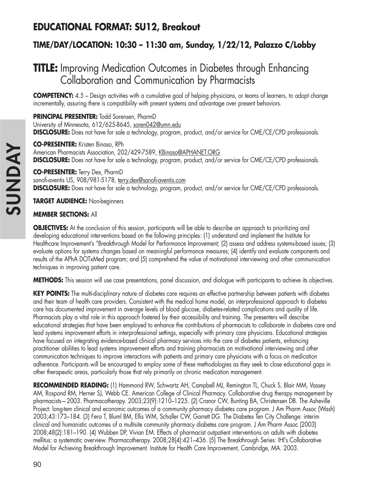# **EDUCATIONAL FORMAT: SU12, Breakout**

## **TIME/DAY/LOCATION: 10:30 – 11:30 am, Sunday, 1/22/12, Palazzo C/Lobby**

# **TITLE:** Improving Medication Outcomes in Diabetes through Enhancing Collaboration and Communication by Pharmacists

**COMPETENCY:** 4.5 – Design activities with a cumulative goal of helping physicians, or teams of learners, to adopt change incrementally, assuring there is compatibility with present systems and advantage over present behaviors.

**PRINCIPAL PRESENTER:** Todd Sorensen, PharmD University of Minnesota, 612/625-8645, soren042@umn.edu **DISCLOSURE:** Does not have for sale a technology, program, product, and/or service for CME/CE/CPD professionals.

**CO-PRESENTER:** Kristen Binaso, RPh American Pharmacists Association, 202/429-7589, KBinaso@APHANET.ORG **DISCLOSURE:** Does not have for sale a technology, program, product, and/or service for CME/CE/CPD professionals.

**CO-PRESENTER:** Terry Dex, PharmD sanofi-aventis US, 908/981-5178, terry.dex@sanofi-aventis.com **DISCLOSURE:** Does not have for sale a technology, program, product, and/or service for CME/CE/CPD professionals.

**TARGET AUDIENCE:** Non-beginners

### **MEMBER SECTIONS:** All

**OBJECTIVES:** At the conclusion of this session, participants will be able to describe an approach to prioritizing and developing educational interventions based on the following principles: (1) understand and implement the Institute for Healthcare Improvement's "Breakthrough Model for Performance Improvement; (2) assess and address systems-based issues; (3) evaluate options for systems changes based on meaningful performance measures; (4) identify and evaluate components and results of the APhA DOTxMed program; and (5) comprehend the value of motivational interviewing and other communication techniques in improving patient care.

**METHODS:** This session will use case presentations, panel discussion, and dialogue with participants to achieve its objectives.

**KEY POINTS:** The multi-disciplinary nature of diabetes care requires an effective partnership between patients with diabetes and their team of health care providers. Consistent with the medical home model, an interprofessional approach to diabetes care has documented improvement in average levels of blood glucose, diabetes-related complications and quality of life. Pharmacists play a vital role in this approach fostered by their accessibility and training. The presenters will describe educational strategies that have been employed to enhance the contributions of pharmacists to collaborate in diabetes care and lead systems improvement efforts in interprofessional settings, especially with primary care physicians. Educational strategies have focused on integrating evidence-based clinical pharmacy services into the care of diabetes patients, enhancing practitioner abilities to lead systems improvement efforts and training pharmacists on motivational interviewing and other communication techniques to improve interactions with patients and primary care physicians with a focus on medication adherence. Participants will be encouraged to employ some of these methodologies as they seek to close educational gaps in other therapeutic areas, particularly those that rely primarily on chronic medication management.

**RECOMMENDED READING:** (1) Hammond RW, Schwartz AH, Campbell MJ, Remington TL, Chuck S, Blair MM, Vassey AM, Rospond RM, Herner SJ, Webb CE. American College of Clinical Pharmacy. Collaborative drug therapy management by pharmacists—2003. Pharmacotherapy. 2003;23(9):1210–1225. (2) Cranor CW, Bunting BA, Christensen DB. The Asheville Project: long-tem clinical and economic outcomes of a community pharmacy diabetes care program. J Am Pharm Assoc (Wash) 2003;43:173–184. (3) Fera T, Bluml BM, Ellis WM, Schaller CW, Garrett DG. The Diabetes Ten City Challenge: interim clinical and humanistic outcomes of a multisite community pharmacy diabetes care program. J Am Pharm Assoc (2003) 2008;48(2):181–190. (4) Wubben DP, Vivian EM. Effects of pharmacist outpatient interventions on adults with diabetes mellitus: a systematic overview. Pharmacotherapy. 2008;28(4):421–436. (5) The Breakthrough Series: IHI's Collaborative Model for Achieving Breakthrough Improvement. Institute for Health Care Improvement, Cambridge, MA. 2003.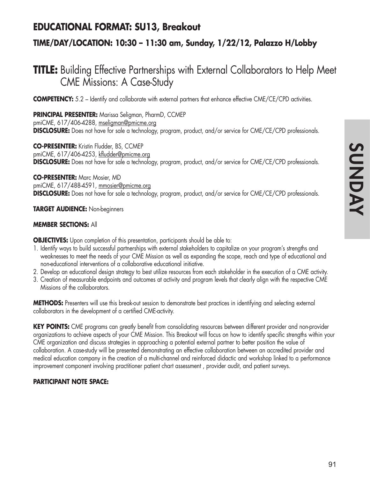## **EDUCATIONAL FORMAT: SU13, Breakout**

## **TIME/DAY/LOCATION: 10:30 – 11:30 am, Sunday, 1/22/12, Palazzo H/Lobby**

# **TITLE:** Building Effective Partnerships with External Collaborators to Help Meet CME Missions: A Case-Study

**COMPETENCY:** 5.2 – Identify and collaborate with external partners that enhance effective CME/CE/CPD activities.

**PRINCIPAL PRESENTER:** Marissa Seligman, PharmD, CCMEP pmiCME, 617/406-4288, mseligman@pmicme.org **DISCLOSURE:** Does not have for sale a technology, program, product, and/or service for CME/CE/CPD professionals.

**CO-PRESENTER:** Kristin Fludder, BS, CCMEP pmiCME, 617/406-4253, kfludder@pmicme.org **DISCLOSURE:** Does not have for sale a technology, program, product, and/or service for CME/CE/CPD professionals.

**CO-PRESENTER:** Marc Mosier, MD pmiCME, 617/488-4591, mmosier@pmicme.org **DISCLOSURE:** Does not have for sale a technology, program, product, and/or service for CME/CE/CPD professionals.

**TARGET AUDIENCE:** Non-beginners

#### **MEMBER SECTIONS:** All

**OBJECTIVES:** Upon completion of this presentation, participants should be able to:

- 1. Identify ways to build successful partnerships with external stakeholders to capitalize on your program's strengths and weaknesses to meet the needs of your CME Mission as well as expanding the scope, reach and type of educational and non-educational interventions of a collaborative educational initiative.
- 2. Develop an educational design strategy to best utilize resources from each stakeholder in the execution of a CME activity.
- 3. Creation of measurable endpoints and outcomes at activity and program levels that clearly align with the respective CME Missions of the collaborators.

**METHODS:** Presenters will use this break-out session to demonstrate best practices in identifying and selecting external collaborators in the development of a certified CME-activity.

**KEY POINTS:** CME programs can greatly benefit from consolidating resources between different provider and non-provider organizations to achieve aspects of your CME Mission. This Breakout will focus on how to identify specific strengths within your CME organization and discuss strategies in approaching a potential external partner to better position the value of collaboration. A case-study will be presented demonstrating an effective collaboration between an accredited provider and medical education company in the creation of a multi-channel and reinforced didactic and workshop linked to a performance improvement component involving practitioner patient chart assessment , provider audit, and patient surveys.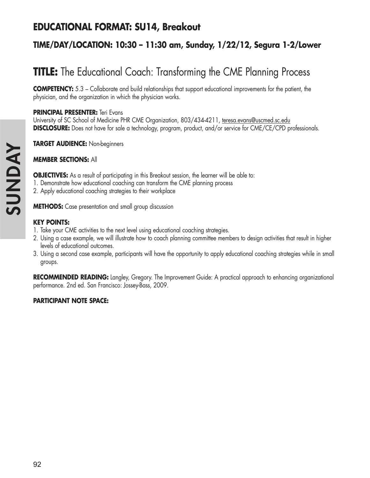## **EDUCATIONAL FORMAT: SU14, Breakout**

## **TIME/DAY/LOCATION: 10:30 – 11:30 am, Sunday, 1/22/12, Segura 1-2/Lower**

# **TITLE:** The Educational Coach: Transforming the CME Planning Process

**COMPETENCY:** 5.3 – Collaborate and build relationships that support educational improvements for the patient, the physician, and the organization in which the physician works.

#### **PRINCIPAL PRESENTER:** Teri Evans

University of SC School of Medicine PHR CME Organization, 803/434-4211, teresa.evans@uscmed.sc.edu **DISCLOSURE:** Does not have for sale a technology, program, product, and/or service for CME/CE/CPD professionals.

**TARGET AUDIENCE:** Non-beginners

#### **MEMBER SECTIONS:** All

**OBJECTIVES:** As a result of participating in this Breakout session, the learner will be able to:

- 1. Demonstrate how educational coaching can transform the CME planning process
- 2. Apply educational coaching strategies to their workplace

**METHODS:** Case presentation and small group discussion

#### **KEY POINTS:**

- 1. Take your CME activities to the next level using educational coaching strategies.
- 2. Using a case example, we will illustrate how to coach planning committee members to design activities that result in higher levels of educational outcomes.
- 3. Using a second case example, participants will have the opportunity to apply educational coaching strategies while in small groups.

**RECOMMENDED READING:** Langley, Gregory. The Improvement Guide: A practical approach to enhancing organizational performance. 2nd ed. San Francisco: Jossey-Bass, 2009.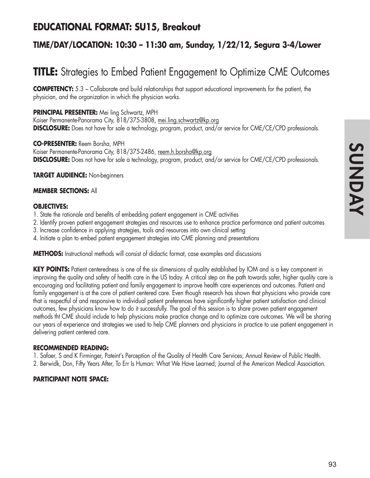## **EDUCATIONAL FORMAT: SU15, Breakout**

### **TIME/DAY/LOCATION: 10:30 – 11:30 am, Sunday, 1/22/12, Segura 3-4/Lower**

# **TITLE:** Strategies to Embed Patient Engagement to Optimize CME Outcomes

**COMPETENCY:** 5.3 – Collaborate and build relationships that support educational improvements for the patient, the physician, and the organization in which the physician works.

**PRINCIPAL PRESENTER:** Mei ling Schwartz, MPH Kaiser Permanente-Panorama City, 818/375-3808, mei.ling.schwartz@kp.org **DISCLOSURE:** Does not have for sale a technology, program, product, and/or service for CME/CE/CPD professionals.

**CO-PRESENTER:** Reem Borsha, MPH Kaiser Permanente-Panorama City, 818/375-2486, reem.h.borsha@kp.org **DISCLOSURE:** Does not have for sale a technology, program, product, and/or service for CME/CE/CPD professionals.

**TARGET AUDIENCE:** Non-beginners

#### **MEMBER SECTIONS:** All

#### **OBJECTIVES:**

- 1. State the rationale and benefits of embedding patient engagement in CME activities
- 2. Identify proven patient engagement strategies and resources use to enhance practice performance and patient outcomes
- 3. Increase confidence in applying strategies, tools and resources into own clinical setting
- 4. Initiate a plan to embed patient engagement strategies into CME planning and presentations

**METHODS:** Instructional methods will consist of didactic format, case examples and discussions

**KEY POINTS:** Patient centeredness is one of the six dimensions of quality established by IOM and is a key component in improving the quality and safety of health care in the US today. A critical step on the path towards safer, higher quality care is encouraging and facilitating patient and family engagement to improve health care experiences and outcomes. Patient and family engagement is at the core of patient centered care. Even though research has shown that physicians who provide care that is respectful of and responsive to individual patient preferences have significantly higher patient satisfaction and clinical outcomes, few physicians know how to do it successfully. The goal of this session is to share proven patient engagement methods tht CME should include to help physicians make practice change and to optimize care outcomes. We will be sharing our years of experience and strategies we used to help CME planners and physicians in practice to use patient engagement in delivering patient centered care.

#### **RECOMMENDED READING:**

1. Safaer, S and K Firminger, Pateint's Perception of the Quality of Health Care Services; Annual Review of Public Health.

2. Berwidk, Don, Fifty Years After, To Err Is Human: What We Have Learned; Journal of the American Medical Association.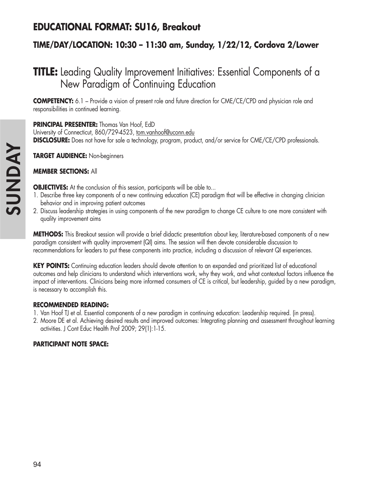# **EDUCATIONAL FORMAT: SU16, Breakout**

## **TIME/DAY/LOCATION: 10:30 – 11:30 am, Sunday, 1/22/12, Cordova 2/Lower**

# **TITLE:** Leading Quality Improvement Initiatives: Essential Components of a New Paradigm of Continuing Education

**COMPETENCY:** 6.1 – Provide a vision of present role and future direction for CME/CE/CPD and physician role and responsibilities in continued learning.

### **PRINCIPAL PRESENTER:** Thomas Van Hoof, EdD

University of Connecticut, 860/729-4523, tom.vanhoof@uconn.edu **DISCLOSURE:** Does not have for sale a technology, program, product, and/or service for CME/CE/CPD professionals.

**TARGET AUDIENCE:** Non-beginners

### **MEMBER SECTIONS:** All

**OBJECTIVES:** At the conclusion of this session, participants will be able to...

- 1. Describe three key components of a new continuing education (CE) paradigm that will be effective in changing clinician behavior and in improving patient outcomes
- 2. Discuss leadership strategies in using components of the new paradigm to change CE culture to one more consistent with quality improvement aims

**METHODS:** This Breakout session will provide a brief didactic presentation about key, literature-based components of a new paradigm consistent with quality improvement (QI) aims. The session will then devote considerable discussion to recommendations for leaders to put these components into practice, including a discussion of relevant QI experiences.

KEY POINTS: Continuing education leaders should devote attention to an expanded and prioritized list of educational outcomes and help clinicians to understand which interventions work, why they work, and what contextual factors influence the impact of interventions. Clinicians being more informed consumers of CE is critical, but leadership, guided by a new paradigm, is necessary to accomplish this.

#### **RECOMMENDED READING:**

- 1. Van Hoof TJ et al. Essential components of a new paradigm in continuing education: Leadership required. (in press).
- 2. Moore DE et al. Achieving desired results and improved outcomes: Integrating planning and assessment throughout learning activities. J Cont Educ Health Prof 2009; 29(1):1-15.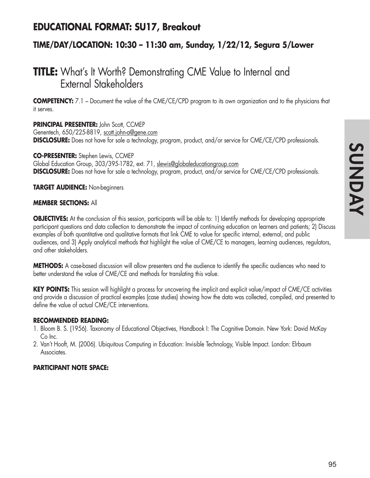## **EDUCATIONAL FORMAT: SU17, Breakout**

### **TIME/DAY/LOCATION: 10:30 – 11:30 am, Sunday, 1/22/12, Segura 5/Lower**

# **TITLE:** What's It Worth? Demonstrating CME Value to Internal and External Stakeholders

**COMPETENCY:** 7.1 – Document the value of the CME/CE/CPD program to its own organization and to the physicians that it serves.

#### **PRINCIPAL PRESENTER:** John Scott, CCMEP

Genentech, 650/225-8819, scott.john-a@gene.com **DISCLOSURE:** Does not have for sale a technology, program, product, and/or service for CME/CE/CPD professionals.

**CO-PRESENTER:** Stephen Lewis, CCMEP Global Education Group, 303/395-1782, ext. 71, slewis@globaleducationgroup.com **DISCLOSURE:** Does not have for sale a technology, program, product, and/or service for CME/CE/CPD professionals.

#### **TARGET AUDIENCE:** Non-beginners

#### **MEMBER SECTIONS:** All

**OBJECTIVES:** At the conclusion of this session, participants will be able to: 1) Identify methods for developing appropriate participant questions and data collection to demonstrate the impact of continuing education on learners and patients; 2) Discuss examples of both quantitative and qualitative formats that link CME to value for specific internal, external, and public audiences, and 3) Apply analytical methods that highlight the value of CME/CE to managers, learning audiences, regulators, and other stakeholders.

**METHODS:** A case-based discussion will allow presenters and the audience to identify the specific audiences who need to better understand the value of CME/CE and methods for translating this value.

**KEY POINTS:** This session will highlight a process for uncovering the implicit and explicit value/impact of CME/CE activities and provide a discussion of practical examples (case studies) showing how the data was collected, compiled, and presented to define the value of actual CME/CE interventions.

#### **RECOMMENDED READING:**

- 1. Bloom B. S. (1956). Taxonomy of Educational Objectives, Handbook I: The Cognitive Domain. New York: David McKay Co Inc.
- 2. Van't Hooft, M. (2006). Ubiquitous Computing in Education: Invisible Technology, Visible Impact. London: Elrbaum Associates.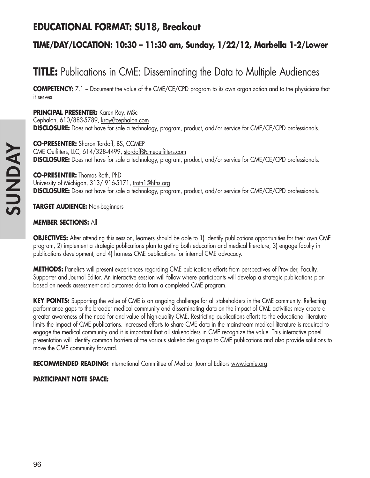# **EDUCATIONAL FORMAT: SU18, Breakout**

## **TIME/DAY/LOCATION: 10:30 – 11:30 am, Sunday, 1/22/12, Marbella 1-2/Lower**

# **TITLE:** Publications in CME: Disseminating the Data to Multiple Audiences

**COMPETENCY:** 7.1 – Document the value of the CME/CE/CPD program to its own organization and to the physicians that it serves.

**PRINCIPAL PRESENTER:** Karen Roy, MSc Cephalon, 610/883-5789, kroy@cephalon.com **DISCLOSURE:** Does not have for sale a technology, program, product, and/or service for CME/CE/CPD professionals.

**CO-PRESENTER:** Sharon Tordoff, BS, CCMEP CME Outfitters, LLC, 614/328-4499, stordoff@cmeoutfitters.com **DISCLOSURE:** Does not have for sale a technology, program, product, and/or service for CME/CE/CPD professionals.

**CO-PRESENTER:** Thomas Roth, PhD University of Michigan, 313/ 916-5171, troth1@hfhs.org **DISCLOSURE:** Does not have for sale a technology, program, product, and/or service for CME/CE/CPD professionals.

**TARGET AUDIENCE:** Non-beginners

#### **MEMBER SECTIONS:** All

**OBJECTIVES:** After attending this session, learners should be able to 1) identify publications opportunities for their own CME program, 2) implement a strategic publications plan targeting both education and medical literature, 3) engage faculty in publications development, and 4) harness CME publications for internal CME advocacy.

**METHODS:** Panelists will present experiences regarding CME publications efforts from perspectives of Provider, Faculty, Supporter and Journal Editor. An interactive session will follow where participants will develop a strategic publications plan based on needs assessment and outcomes data from a completed CME program.

**KEY POINTS:** Supporting the value of CME is an ongoing challenge for all stakeholders in the CME community. Reflecting performance gaps to the broader medical community and disseminating data on the impact of CME activities may create a greater awareness of the need for and value of high-quality CME. Restricting publications efforts to the educational literature limits the impact of CME publications. Increased efforts to share CME data in the mainstream medical literature is required to engage the medical community and it is important that all stakeholders in CME recognize the value. This interactive panel presentation will identify common barriers of the various stakeholder groups to CME publications and also provide solutions to move the CME community forward.

**RECOMMENDED READING:** International Committee of Medical Journal Editors www.icmje.org.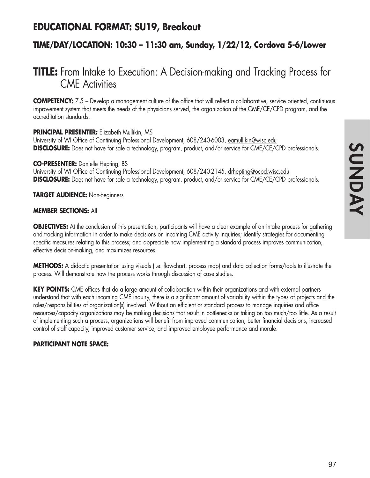## **EDUCATIONAL FORMAT: SU19, Breakout**

### **TIME/DAY/LOCATION: 10:30 – 11:30 am, Sunday, 1/22/12, Cordova 5-6/Lower**

# **TITLE:** From Intake to Execution: A Decision-making and Tracking Process for CME Activities

**COMPETENCY:** 7.5 – Develop a management culture of the office that will reflect a collaborative, service oriented, continuous improvement system that meets the needs of the physicians served, the organization of the CME/CE/CPD program, and the accreditation standards.

#### **PRINCIPAL PRESENTER:** Elizabeth Mullikin, MS

University of WI Office of Continuing Professional Development, 608/240-6003, eamullikin@wisc.edu **DISCLOSURE:** Does not have for sale a technology, program, product, and/or service for CME/CE/CPD professionals.

#### **CO-PRESENTER:** Danielle Hepting, BS

University of WI Office of Continuing Professional Development, 608/240-2145, drhepting@ocpd.wisc.edu **DISCLOSURE:** Does not have for sale a technology, program, product, and/or service for CME/CE/CPD professionals.

**TARGET AUDIENCE:** Non-beginners

#### **MEMBER SECTIONS:** All

**OBJECTIVES:** At the conclusion of this presentation, participants will have a clear example of an intake process for gathering and tracking information in order to make decisions on incoming CME activity inquiries; identify strategies for documenting specific measures relating to this process; and appreciate how implementing a standard process improves communication, effective decision-making, and maximizes resources.

**METHODS:** A didactic presentation using visuals (i.e. flowchart, process map) and data collection forms/tools to illustrate the process. Will demonstrate how the process works through discussion of case studies.

**KEY POINTS:** CME offices that do a large amount of collaboration within their organizations and with external partners understand that with each incoming CME inquiry, there is a significant amount of variability within the types of projects and the roles/responsibilities of organization(s) involved. Without an efficient or standard process to manage inquiries and office resources/capacity organizations may be making decisions that result in bottlenecks or taking on too much/too little. As a result of implementing such a process, organizations will benefit from improved communication, better financial decisions, increased control of staff capacity, improved customer service, and improved employee performance and morale.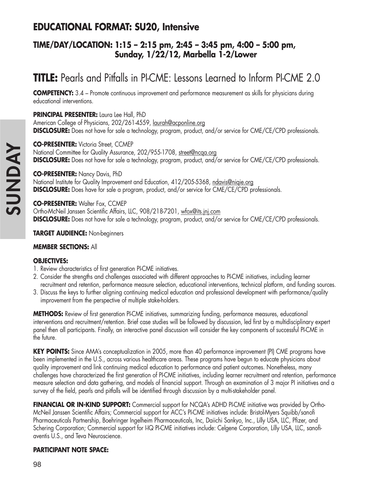## **EDUCATIONAL FORMAT: SU20, Intensive**

### **TIME/DAY/LOCATION: 1:15 – 2:15 pm, 2:45 – 3:45 pm, 4:00 – 5:00 pm, Sunday, 1/22/12, Marbella 1-2/Lower**

# **TITLE:** Pearls and Pitfalls in PI-CME: Lessons Learned to Inform PI-CME 2.0

**COMPETENCY:** 3.4 – Promote continuous improvement and performance measurement as skills for physicians during educational interventions.

#### **PRINCIPAL PRESENTER:** Laura Lee Hall, PhD

American College of Physicians, 202/261-4559, laurah@acponline.org **DISCLOSURE:** Does not have for sale a technology, program, product, and/or service for CME/CE/CPD professionals.

**CO-PRESENTER:** Victoria Street, CCMEP

National Committee for Quality Assurance, 202/955-1708, street@ncqa.org **DISCLOSURE:** Does not have for sale a technology, program, product, and/or service for CME/CE/CPD professionals.

#### **CO-PRESENTER:** Nancy Davis, PhD

National Institute for Quality Improvement and Education, 412/205-5368, ndavis@niqie.org **DISCLOSURE:** Does have for sale a program, product, and/or service for CME/CE/CPD professionals.

#### **CO-PRESENTER:** Walter Fox, CCMEP

Ortho-McNeil Janssen Scientific Affairs, LLC, 908/218-7201, wfox@its.jnj.com **DISCLOSURE:** Does not have for sale a technology, program, product, and/or service for CME/CE/CPD professionals.

#### **TARGET AUDIENCE:** Non-beginners

#### **MEMBER SECTIONS:** All

#### **OBJECTIVES:**

- 1. Review characteristics of first generation PI-CME initiatives.
- 2. Consider the strengths and challenges associated with different approaches to PI-CME initiatives, including learner recruitment and retention, performance measure selection, educational interventions, technical platform, and funding sources.
- 3. Discuss the keys to further aligning continuing medical education and professional development with performance/quality improvement from the perspective of multiple stake-holders.

**METHODS:** Review of first generation PI-CME initiatives, summarizing funding, performance measures, educational interventions and recruitment/retention. Brief case studies will be followed by discussion, led first by a multidisciplinary expert panel then all participants. Finally, an interactive panel discussion will consider the key components of successful PI-CME in the future.

**KEY POINTS:** Since AMA's conceptualization in 2005, more than 40 performance improvement (PI) CME programs have been implemented in the U.S., across various healthcare areas. These programs have begun to educate physicians about quality improvement and link continuing medical education to performance and patient outcomes. Nonetheless, many challenges have characterized the first generation of PI-CME initiatives, including learner recruitment and retention, performance measure selection and data gathering, and models of financial support. Through an examination of 3 major PI initiatives and a survey of the field, pearls and pitfalls will be identified through discussion by a multi-stakeholder panel.

**FINANCIAL OR IN-KIND SUPPORT:** Commercial support for NCQA's ADHD PI-CME initiative was provided by Ortho-McNeil Janssen Scientific Affairs; Commercial support for ACC's PI-CME initiatives include: Bristol-Myers Squibb/sanofi Pharmaceuticals Partnership, Boehringer Ingelheim Pharmaceuticals, Inc, Daiichi Sankyo, Inc., Lilly USA, LLC, Pfizer, and Schering Corporation; Commercial support for I-IQ PI-CME initiatives include: Celgene Corporation, Lilly USA, LLC, sanofiaventis U.S., and Teva Neuroscience.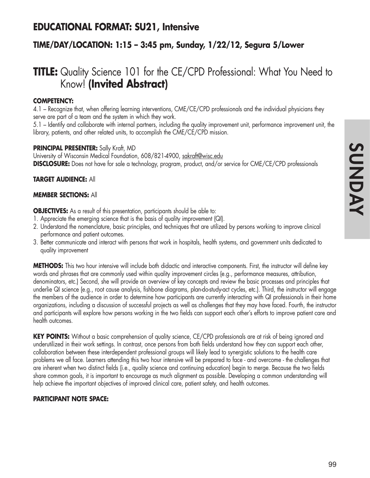## **EDUCATIONAL FORMAT: SU21, Intensive**

### **TIME/DAY/LOCATION: 1:15 – 3:45 pm, Sunday, 1/22/12, Segura 5/Lower**

# **TITLE:** Quality Science 101 for the CE/CPD Professional: What You Need to Know! **(Invited Abstract)**

#### **COMPETENCY:**

4.1 – Recognize that, when offering learning interventions, CME/CE/CPD professionals and the individual physicians they serve are part of a team and the system in which they work.

5.1 – Identify and collaborate with internal partners, including the quality improvement unit, performance improvement unit, the library, patients, and other related units, to accomplish the CME/CE/CPD mission.

#### **PRINCIPAL PRESENTER:** Sally Kraft, MD

University of Wisconsin Medical Foundation, 608/821-4900, sakraft@wisc.edu **DISCLOSURE:** Does not have for sale a technology, program, product, and/or service for CME/CE/CPD professionals

#### **TARGET AUDIENCE:** All

#### **MEMBER SECTIONS:** All

**OBJECTIVES:** As a result of this presentation, participants should be able to:

- 1. Appreciate the emerging science that is the basis of quality improvement (QI).
- 2. Understand the nomenclature, basic principles, and techniques that are utilized by persons working to improve clinical performance and patient outcomes.
- 3. Better communicate and interact with persons that work in hospitals, health systems, and government units dedicated to quality improvement

**METHODS:** This two hour intensive will include both didactic and interactive components. First, the instructor will define key words and phrases that are commonly used within quality improvement circles (e.g., performance measures, attribution, denominators, etc.) Second, she will provide an overview of key concepts and review the basic processes and principles that underlie QI science (e.g., root cause analysis, fishbone diagrams, plan-do-study-act cycles, etc.). Third, the instructor will engage the members of the audience in order to determine how participants are currently interacting with QI professionals in their home organizations, including a discussion of successful projects as well as challenges that they may have faced. Fourth, the instructor and participants will explore how persons working in the two fields can support each other's efforts to improve patient care and health outcomes.

**KEY POINTS:** Without a basic comprehension of quality science, CE/CPD professionals are at risk of being ignored and underutilized in their work settings. In contrast, once persons from both fields understand how they can support each other, collaboration between these interdependent professional groups will likely lead to synergistic solutions to the health care problems we all face. Learners attending this two hour intensive will be prepared to face - and overcome - the challenges that are inherent when two distinct fields (i.e., quality science and continuing education) begin to merge. Because the two fields share common goals, it is important to encourage as much alignment as possible. Developing a common understanding will help achieve the important objectives of improved clinical care, patient safety, and health outcomes.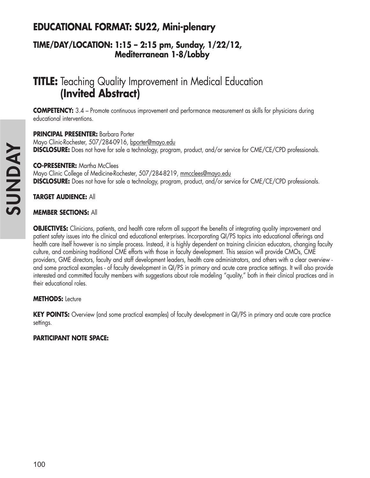# **EDUCATIONAL FORMAT: SU22, Mini-plenary**

### **TIME/DAY/LOCATION: 1:15 – 2:15 pm, Sunday, 1/22/12, Mediterranean 1-8/Lobby**

# **TITLE:** Teaching Quality Improvement in Medical Education **(Invited Abstract)**

**COMPETENCY:** 3.4 – Promote continuous improvement and performance measurement as skills for physicians during educational interventions.

**PRINCIPAL PRESENTER:** Barbara Porter Mayo Clinic-Rochester, 507/284-0916, bporter@mayo.edu **DISCLOSURE:** Does not have for sale a technology, program, product, and/or service for CME/CE/CPD professionals.

**CO-PRESENTER:** Martha McClees

Mayo Clinic College of Medicine-Rochester, 507/284-8219, mmcclees@mayo.edu **DISCLOSURE:** Does not have for sale a technology, program, product, and/or service for CME/CE/CPD professionals.

### **TARGET AUDIENCE:** All

#### **MEMBER SECTIONS:** All

**OBJECTIVES:** Clinicians, patients, and health care reform all support the benefits of integrating quality improvement and patient safety issues into the clinical and educational enterprises. Incorporating QI/PS topics into educational offerings and health care itself however is no simple process. Instead, it is highly dependent on training clinician educators, changing faculty culture, and combining traditional CME efforts with those in faculty development. This session will provide CMOs, CME providers, GME directors, faculty and staff development leaders, health care administrators, and others with a clear overview and some practical examples - of faculty development in QI/PS in primary and acute care practice settings. It will also provide interested and committed faculty members with suggestions about role modeling "quality," both in their clinical practices and in their educational roles.

#### **METHODS:** Lecture

**KEY POINTS:** Overview (and some practical examples) of faculty development in QI/PS in primary and acute care practice settings.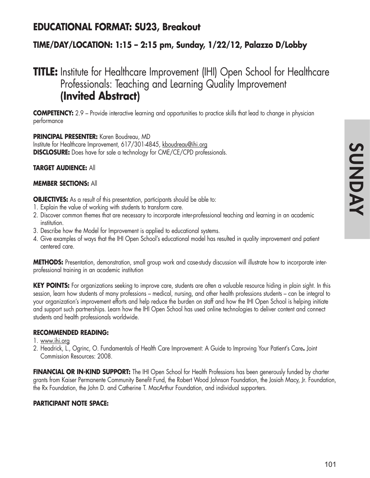## **EDUCATIONAL FORMAT: SU23, Breakout**

## **TIME/DAY/LOCATION: 1:15 – 2:15 pm, Sunday, 1/22/12, Palazzo D/Lobby**

# **TITLE:** Institute for Healthcare Improvement (IHI) Open School for Healthcare Professionals: Teaching and Learning Quality Improvement **(Invited Abstract)**

**COMPETENCY:** 2.9 – Provide interactive learning and opportunities to practice skills that lead to change in physician performance

#### **PRINCIPAL PRESENTER:** Karen Boudreau, MD

Institute for Healthcare Improvement, 617/301-4845, kboudreau@ihi.org **DISCLOSURE:** Does have for sale a technology for CME/CE/CPD professionals.

#### **TARGET AUDIENCE:** All

#### **MEMBER SECTIONS:** All

**OBJECTIVES:** As a result of this presentation, participants should be able to:

- 1. Explain the value of working with students to transform care.
- 2. Discover common themes that are necessary to incorporate inter-professional teaching and learning in an academic institution.
- 3. Describe how the Model for Improvement is applied to educational systems.
- 4. Give examples of ways that the IHI Open School's educational model has resulted in quality improvement and patient centered care.

**METHODS:** Presentation, demonstration, small group work and case-study discussion will illustrate how to incorporate interprofessional training in an academic institution

**KEY POINTS:** For organizations seeking to improve care, students are often a valuable resource hiding in plain sight. In this session, learn how students of many professions – medical, nursing, and other health professions students – can be integral to your organization's improvement efforts and help reduce the burden on staff and how the IHI Open School is helping initiate and support such partnerships. Learn how the IHI Open School has used online technologies to deliver content and connect students and health professionals worldwide.

#### **RECOMMENDED READING:**

#### 1. www.ihi.org

2. Headrick, L., Ogrinc, O. Fundamentals of Health Care Improvement: A Guide to Improving Your Patient's Care**.** Joint Commission Resources: 2008.

**FINANCIAL OR IN-KIND SUPPORT:** The IHI Open School for Health Professions has been generously funded by charter grants from Kaiser Permanente Community Benefit Fund, the Robert Wood Johnson Foundation, the Josiah Macy, Jr. Foundation, the Rx Foundation, the John D. and Catherine T. MacArthur Foundation, and individual supporters.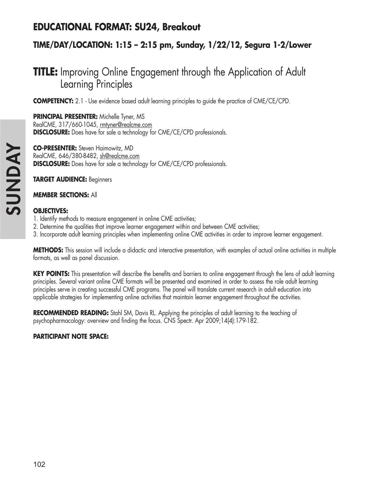## **EDUCATIONAL FORMAT: SU24, Breakout**

## **TIME/DAY/LOCATION: 1:15 – 2:15 pm, Sunday, 1/22/12, Segura 1-2/Lower**

# **TITLE:** Improving Online Engagement through the Application of Adult Learning Principles

**COMPETENCY:** 2.1 - Use evidence based adult learning principles to guide the practice of CME/CE/CPD.

**PRINCIPAL PRESENTER:** Michelle Tyner, MS RealCME, 317/660-1045, rmtyner@realcme.com **DISCLOSURE:** Does have for sale a technology for CME/CE/CPD professionals.

**CO-PRESENTER:** Steven Haimowitz, MD RealCME, 646/380-8482, sh@realcme.com **DISCLOSURE:** Does have for sale a technology for CME/CE/CPD professionals.

**TARGET AUDIENCE:** Beginners

#### **MEMBER SECTIONS:** All

#### **OBJECTIVES:**

- 1. Identify methods to measure engagement in online CME activities;
- 2. Determine the qualities that improve learner engagement within and between CME activities;
- 3. Incorporate adult learning principles when implementing online CME activities in order to improve learner engagement.

**METHODS:** This session will include a didactic and interactive presentation, with examples of actual online activities in multiple formats, as well as panel discussion.

**KEY POINTS:** This presentation will describe the benefits and barriers to online engagement through the lens of adult learning principles. Several variant online CME formats will be presented and examined in order to assess the role adult learning principles serve in creating successful CME programs. The panel will translate current research in adult education into applicable strategies for implementing online activities that maintain learner engagement throughout the activities.

**RECOMMENDED READING:** Stahl SM, Davis RL. Applying the principles of adult learning to the teaching of psychopharmacology: overview and finding the focus. CNS Spectr. Apr 2009;14(4):179-182.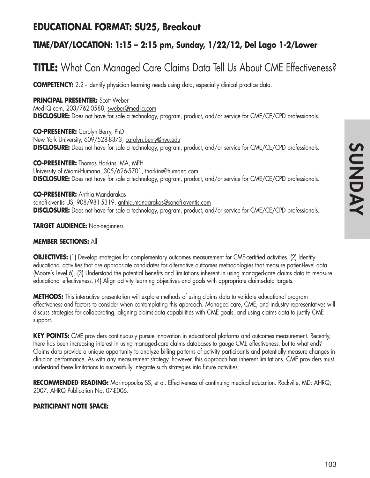## **EDUCATIONAL FORMAT: SU25, Breakout**

## **TIME/DAY/LOCATION: 1:15 – 2:15 pm, Sunday, 1/22/12, Del Lago 1-2/Lower**

# **TITLE:** What Can Managed Care Claims Data Tell Us About CME Effectiveness?

**COMPETENCY:** 2.2 - Identify physician learning needs using data, especially clinical practice data.

#### **PRINCIPAL PRESENTER:** Scott Weber

Med-IQ.com, 203/762-0588, sweber@med-iq.com **DISCLOSURE:** Does not have for sale a technology, program, product, and/or service for CME/CE/CPD professionals.

**CO-PRESENTER:** Carolyn Berry, PhD New York University, 609/528-8373, carolyn.berry@nyu.edu **DISCLOSURE:** Does not have for sale a technology, program, product, and/or service for CME/CE/CPD professionals.

**CO-PRESENTER:** Thomas Harkins, MA, MPH University of Miami-Humana, 305/626-5701, tharkins@humana.com **DISCLOSURE:** Does not have for sale a technology, program, product, and/or service for CME/CE/CPD professionals.

**CO-PRESENTER:** Anthia Mandarakas sanofi-aventis US, 908/981-5319, anthia.mandarakas@sanofi-aventis.com **DISCLOSURE:** Does not have for sale a technology, program, product, and/or service for CME/CE/CPD professionals.

#### **TARGET AUDIENCE:** Non-beginners

#### **MEMBER SECTIONS:** All

**OBJECTIVES:** (1) Develop strategies for complementary outcomes measurement for CME-certified activities. (2) Identify educational activities that are appropriate candidates for alternative outcomes methodologies that measure patient-level data (Moore's Level 6). (3) Understand the potential benefits and limitations inherent in using managed-care claims data to measure educational effectiveness. (4) Align activity learning objectives and goals with appropriate claims-data targets.

**METHODS:** This interactive presentation will explore methods of using claims data to validate educational program effectiveness and factors to consider when contemplating this approach. Managed care, CME, and industry representatives will discuss strategies for collaborating, aligning claims-data capabilities with CME goals, and using claims data to justify CME support.

**KEY POINTS:** CME providers continuously pursue innovation in educational platforms and outcomes measurement. Recently, there has been increasing interest in using managed-care claims databases to gauge CME effectiveness, but to what end? Claims data provide a unique opportunity to analyze billing patterns of activity participants and potentially measure changes in clinician performance. As with any measurement strategy, however, this approach has inherent limitations. CME providers must understand these limitations to successfully integrate such strategies into future activities.

**RECOMMENDED READING:** Marinopoulos SS, et al. Effectiveness of continuing medical education. Rockville, MD: AHRQ; 2007. AHRQ Publication No. 07-E006.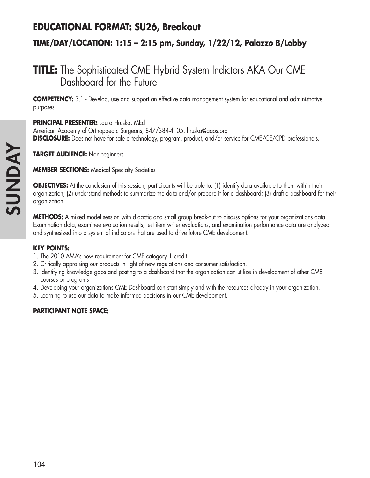## **EDUCATIONAL FORMAT: SU26, Breakout**

## **TIME/DAY/LOCATION: 1:15 – 2:15 pm, Sunday, 1/22/12, Palazzo B/Lobby**

# **TITLE:** The Sophisticated CME Hybrid System Indictors AKA Our CME Dashboard for the Future

**COMPETENCY:** 3.1 - Develop, use and support an effective data management system for educational and administrative purposes.

#### **PRINCIPAL PRESENTER:** Laura Hruska, MEd

American Academy of Orthopaedic Surgeons, 847/384-4105, hruska@aaos.org **DISCLOSURE:** Does not have for sale a technology, program, product, and/or service for CME/CE/CPD professionals.

**TARGET AUDIENCE:** Non-beginners

**MEMBER SECTIONS:** Medical Specialty Societies

**OBJECTIVES:** At the conclusion of this session, participants will be able to: (1) identify data available to them within their organization; (2) understand methods to summarize the data and/or prepare it for a dashboard; (3) draft a dashboard for their organization.

**METHODS:** A mixed model session with didactic and small group break-out to discuss options for your organizations data. Examination data, examinee evaluation results, test item writer evaluations, and examination performance data are analyzed and synthesized into a system of indicators that are used to drive future CME development.

#### **KEY POINTS:**

- 1. The 2010 AMA's new requirement for CME category 1 credit.
- 2. Critically appraising our products in light of new regulations and consumer satisfaction.
- 3. Identifying knowledge gaps and posting to a dashboard that the organization can utilize in development of other CME courses or programs
- 4. Developing your organizations CME Dashboard can start simply and with the resources already in your organization.
- 5. Learning to use our data to make informed decisions in our CME development.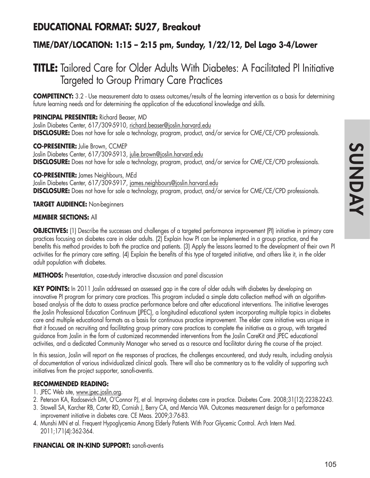## **EDUCATIONAL FORMAT: SU27, Breakout**

## **TIME/DAY/LOCATION: 1:15 – 2:15 pm, Sunday, 1/22/12, Del Lago 3-4/Lower**

# **TITLE:** Tailored Care for Older Adults With Diabetes: A Facilitated PI Initiative Targeted to Group Primary Care Practices

**COMPETENCY:** 3.2 - Use measurement data to assess outcomes/results of the learning intervention as a basis for determining future learning needs and for determining the application of the educational knowledge and skills.

#### **PRINCIPAL PRESENTER:** Richard Beaser, MD

Joslin Diabetes Center, 617/309-5910, richard.beaser@joslin.harvard.edu **DISCLOSURE:** Does not have for sale a technology, program, product, and/or service for CME/CE/CPD professionals.

**CO-PRESENTER:** Julie Brown, CCMEP Joslin Diabetes Center, 617/309-5913, julie.brown@joslin.harvard.edu **DISCLOSURE:** Does not have for sale a technology, program, product, and/or service for CME/CE/CPD professionals.

**CO-PRESENTER:** James Neighbours, MEd Joslin Diabetes Center, 617/309-5917, james.neighbours@joslin.harvard.edu **DISCLOSURE:** Does not have for sale a technology, program, product, and/or service for CME/CE/CPD professionals.

#### **TARGET AUDIENCE:** Non-beginners

#### **MEMBER SECTIONS:** All

**OBJECTIVES:** (1) Describe the successes and challenges of a targeted performance improvement (PI) initiative in primary care practices focusing on diabetes care in older adults. (2) Explain how PI can be implemented in a group practice, and the benefits this method provides to both the practice and patients. (3) Apply the lessons learned to the development of their own PI activities for the primary care setting. (4) Explain the benefits of this type of targeted initiative, and others like it, in the older adult population with diabetes.

**METHODS:** Presentation, case-study interactive discussion and panel discussion

**KEY POINTS:** In 2011 Joslin addressed an assessed gap in the care of older adults with diabetes by developing an innovative PI program for primary care practices. This program included a simple data collection method with an algorithmbased analysis of the data to assess practice performance before and after educational interventions. The initiative leverages the Joslin Professional Education Continuum (JPEC), a longitudinal educational system incorporating multiple topics in diabetes care and multiple educational formats as a basis for continuous practice improvement. The elder care initiative was unique in that it focused on recruiting and facilitating group primary care practices to complete the initiative as a group, with targeted guidance from Joslin in the form of customized recommended interventions from the Joslin CareKit and JPEC educational activities, and a dedicated Community Manager who served as a resource and facilitator during the course of the project.

In this session, Joslin will report on the responses of practices, the challenges encountered, and study results, including analysis of documentation of various individualized clinical goals. There will also be commentary as to the validity of supporting such initiatives from the project supporter, sanofi-aventis.

#### **RECOMMENDED READING:**

- 1. JPEC Web site, www.jpec.joslin.org.
- 2. Peterson KA, Radosevich DM, O'Connor PJ, et al. Improving diabetes care in practice. Diabetes Care. 2008;31(12):2238-2243.
- 3. Stowell SA, Karcher RB, Carter RD, Cornish J, Berry CA, and Mencia WA. Outcomes measurement design for a performance improvement initiative in diabetes care. CE Meas. 2009;3:76-83.
- 4. Munshi MN et al. Frequent Hypoglycemia Among Elderly Patients With Poor Glycemic Control. Arch Intern Med. 2011;171(4):362-364.

#### **FINANCIAL OR IN-KIND SUPPORT:** sanofi-aventis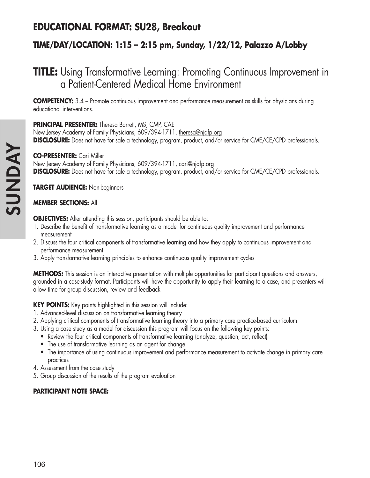# **EDUCATIONAL FORMAT: SU28, Breakout**

## **TIME/DAY/LOCATION: 1:15 – 2:15 pm, Sunday, 1/22/12, Palazzo A/Lobby**

# **TITLE:** Using Transformative Learning: Promoting Continuous Improvement in a Patient-Centered Medical Home Environment

**COMPETENCY:** 3.4 – Promote continuous improvement and performance measurement as skills for physicians during educational interventions.

#### **PRINCIPAL PRESENTER:** Theresa Barrett, MS, CMP, CAE

New Jersey Academy of Family Physicians, 609/394-1711, theresa@njafp.org **DISCLOSURE:** Does not have for sale a technology, program, product, and/or service for CME/CE/CPD professionals.

#### **CO-PRESENTER:** Cari Miller

New Jersey Academy of Family Physicians, 609/394-1711, cari@njafp.org **DISCLOSURE:** Does not have for sale a technology, program, product, and/or service for CME/CE/CPD professionals.

**TARGET AUDIENCE:** Non-beginners

#### **MEMBER SECTIONS:** All

**OBJECTIVES:** After attending this session, participants should be able to:

- 1. Describe the benefit of transformative learning as a model for continuous quality improvement and performance measurement
- 2. Discuss the four critical components of transformative learning and how they apply to continuous improvement and performance measurement
- 3. Apply transformative learning principles to enhance continuous quality improvement cycles

**METHODS:** This session is an interactive presentation with multiple opportunities for participant questions and answers, grounded in a case-study format. Participants will have the opportunity to apply their learning to a case, and presenters will allow time for group discussion, review and feedback

**KEY POINTS:** Key points highlighted in this session will include:

- 1. Advanced-level discussion on transformative learning theory
- 2. Applying critical components of transformative learning theory into a primary care practice-based curriculum
- 3. Using a case study as a model for discussion this program will focus on the following key points:
	- Review the four critical components of transformative learning (analyze, question, act, reflect)
	- The use of transformative learning as an agent for change
	- The importance of using continuous improvement and performance measurement to activate change in primary care practices
- 4. Assessment from the case study
- 5. Group discussion of the results of the program evaluation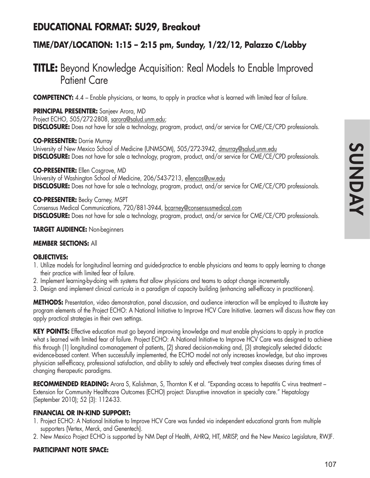## **EDUCATIONAL FORMAT: SU29, Breakout**

## **TIME/DAY/LOCATION: 1:15 – 2:15 pm, Sunday, 1/22/12, Palazzo C/Lobby**

# **TITLE:** Beyond Knowledge Acquisition: Real Models to Enable Improved Patient Care

**COMPETENCY:** 4.4 – Enable physicians, or teams, to apply in practice what is learned with limited fear of failure.

**PRINCIPAL PRESENTER:** Sanjeev Arora, MD

Project ECHO, 505/272-2808, sarora@salud.unm.edu;

**DISCLOSURE:** Does not have for sale a technology, program, product, and/or service for CME/CE/CPD professionals.

#### **CO-PRESENTER:** Dorrie Murray

University of New Mexico School of Medicine (UNMSOM), 505/272-3942, dmurray@salud,unm.edu **DISCLOSURE:** Does not have for sale a technology, program, product, and/or service for CME/CE/CPD professionals.

**CO-PRESENTER:** Ellen Cosgrove, MD University of Washington School of Medicine, 206/543-7213, ellencos@uw.edu **DISCLOSURE:** Does not have for sale a technology, program, product, and/or service for CME/CE/CPD professionals.

#### **CO-PRESENTER:** Becky Carney, MSPT

Consensus Medical Communications, 720/881-3944, bcarney@consensusmedical.com **DISCLOSURE:** Does not have for sale a technology, program, product, and/or service for CME/CE/CPD professionals.

**TARGET AUDIENCE:** Non-beginners

#### **MEMBER SECTIONS:** All

#### **OBJECTIVES:**

- 1. Utilize models for longitudinal learning and guided-practice to enable physicians and teams to apply learning to change their practice with limited fear of failure.
- 2. Implement learning-by-doing with systems that allow physicians and teams to adopt change incrementally.
- 3. Design and implement clinical curricula in a paradigm of capacity building (enhancing self-efficacy in practitioners).

**METHODS:** Presentation, video demonstration, panel discussion, and audience interaction will be employed to illustrate key program elements of the Project ECHO: A National Initiative to Improve HCV Care Initiative. Learners will discuss how they can apply practical strategies in their own settings.

**KEY POINTS:** Effective education must go beyond improving knowledge and must enable physicians to apply in practice what s learned with limited fear of failure. Project ECHO: A National Initiative to Improve HCV Care was designed to achieve this through (1) longitudinal co-management of patients, (2) shared decision-making and, (3) strategically selected didactic evidence-based content. When successfully implemented, the ECHO model not only increases knowledge, but also improves physician self-efficacy, professional satisfaction, and ability to safely and effectively treat complex diseases during times of changing therapeutic paradigms.

**RECOMMENDED READING:** Arora S, Kalishman, S, Thornton K et al. "Expanding access to hepatitis C virus treatment – Extension for Community Healthcare Outcomes (ECHO) project: Disruptive innovation in specialty care." Hepatology (September 2010); 52 (3): 1124-33.

#### **FINANCIAL OR IN-KIND SUPPORT:**

- 1. Project ECHO: A National Initiative to Improve HCV Care was funded via independent educational grants from multiple supporters (Vertex, Merck, and Genentech).
- 2. New Mexico Project ECHO is supported by NM Dept of Health, AHRQ, HIT, MRISP, and the New Mexico Legislature, RWJF.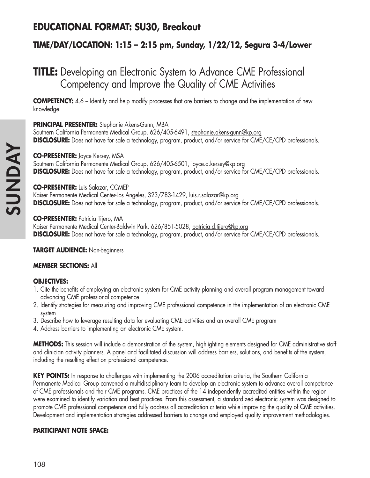# **EDUCATIONAL FORMAT: SU30, Breakout**

## **TIME/DAY/LOCATION: 1:15 – 2:15 pm, Sunday, 1/22/12, Segura 3-4/Lower**

# **TITLE:** Developing an Electronic System to Advance CME Professional Competency and Improve the Quality of CME Activities

**COMPETENCY:** 4.6 – Identify and help modify processes that are barriers to change and the implementation of new knowledge.

#### **PRINCIPAL PRESENTER:** Stephanie Akens-Gunn, MBA

Southern California Permanente Medical Group, 626/405-6491, stephanie.akens-gunn@kp.org **DISCLOSURE:** Does not have for sale a technology, program, product, and/or service for CME/CE/CPD professionals.

#### **CO-PRESENTER:** Joyce Kersey, MSA

Southern California Permanente Medical Group, 626/405-6501, joyce.a.kersey@kp.org **DISCLOSURE:** Does not have for sale a technology, program, product, and/or service for CME/CE/CPD professionals.

#### **CO-PRESENTER:** Luis Salazar, CCMEP

Kaiser Permanente Medical Center-Los Angeles, 323/783-1429, luis.r.salazar@kp.org **DISCLOSURE:** Does not have for sale a technology, program, product, and/or service for CME/CE/CPD professionals.

#### **CO-PRESENTER:** Patricia Tijero, MA

Kaiser Permanente Medical Center-Baldwin Park, 626/851-5028, patricia.d.tijero@kp.org **DISCLOSURE:** Does not have for sale a technology, program, product, and/or service for CME/CE/CPD professionals.

**TARGET AUDIENCE:** Non-beginners

#### **MEMBER SECTIONS:** All

#### **OBJECTIVES:**

- 1. Cite the benefits of employing an electronic system for CME activity planning and overall program management toward advancing CME professional competence
- 2. Identify strategies for measuring and improving CME professional competence in the implementation of an electronic CME system
- 3. Describe how to leverage resulting data for evaluating CME activities and an overall CME program
- 4. Address barriers to implementing an electronic CME system.

**METHODS:** This session will include a demonstration of the system, highlighting elements designed for CME administrative staff and clinician activity planners. A panel and facilitated discussion will address barriers, solutions, and benefits of the system, including the resulting effect on professional competence.

**KEY POINTS:** In response to challenges with implementing the 2006 accreditation criteria, the Southern California Permanente Medical Group convened a multidisciplinary team to develop an electronic system to advance overall competence of CME professionals and their CME programs. CME practices of the 14 independently accredited entities within the region were examined to identify variation and best practices. From this assessment, a standardized electronic system was designed to promote CME professional competence and fully address all accreditation criteria while improving the quality of CME activities. Development and implementation strategies addressed barriers to change and employed quality improvement methodologies.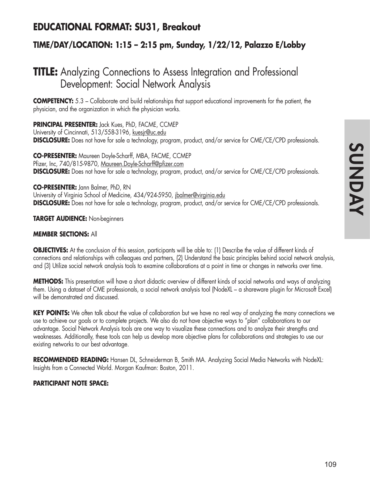# **SUNDAY SUNDAY**

## **EDUCATIONAL FORMAT: SU31, Breakout**

## **TIME/DAY/LOCATION: 1:15 – 2:15 pm, Sunday, 1/22/12, Palazzo E/Lobby**

# **TITLE:** Analyzing Connections to Assess Integration and Professional Development: Social Network Analysis

**COMPETENCY:** 5.3 – Collaborate and build relationships that support educational improvements for the patient, the physician, and the organization in which the physician works.

**PRINCIPAL PRESENTER:** Jack Kues, PhD, FACME, CCMEP

University of Cincinnati, 513/558-3196, kuesjr@uc.edu **DISCLOSURE:** Does not have for sale a technology, program, product, and/or service for CME/CE/CPD professionals.

**CO-PRESENTER:** Maureen Doyle-Scharff, MBA, FACME, CCMEP Pfizer, Inc, 740/815-9870, Maureen.Doyle-Scharff@pfizer.com **DISCLOSURE:** Does not have for sale a technology, program, product, and/or service for CME/CE/CPD professionals.

**CO-PRESENTER:** Jann Balmer, PhD, RN University of Virginia School of Medicine, 434/924-5950, jbalmer@virginia.edu **DISCLOSURE:** Does not have for sale a technology, program, product, and/or service for CME/CE/CPD professionals.

#### **TARGET AUDIENCE:** Non-beginners

#### **MEMBER SECTIONS:** All

**OBJECTIVES:** At the conclusion of this session, participants will be able to: (1) Describe the value of different kinds of connections and relationships with colleagues and partners, (2) Understand the basic principles behind social network analysis, and (3) Utilize social network analysis tools to examine collaborations at a point in time or changes in networks over time.

**METHODS:** This presentation will have a short didactic overview of different kinds of social networks and ways of analyzing them. Using a dataset of CME professionals, a social network analysis tool (NodeXL – a shareware plugin for Microsoft Excel) will be demonstrated and discussed.

**KEY POINTS:** We often talk about the value of collaboration but we have no real way of analyzing the many connections we use to achieve our goals or to complete projects. We also do not have objective ways to "plan" collaborations to our advantage. Social Network Analysis tools are one way to visualize these connections and to analyze their strengths and weaknesses. Additionally, these tools can help us develop more objective plans for collaborations and strategies to use our existing networks to our best advantage.

**RECOMMENDED READING:** Hansen DL, Schneiderman B, Smith MA. Analyzing Social Media Networks with NodeXL: Insights from a Connected World. Morgan Kaufman: Boston, 2011.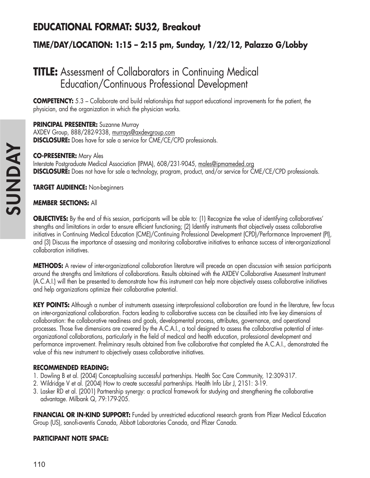# **EDUCATIONAL FORMAT: SU32, Breakout**

## **TIME/DAY/LOCATION: 1:15 – 2:15 pm, Sunday, 1/22/12, Palazzo G/Lobby**

# **TITLE:** Assessment of Collaborators in Continuing Medical Education/Continuous Professional Development

**COMPETENCY:** 5.3 – Collaborate and build relationships that support educational improvements for the patient, the physician, and the organization in which the physician works.

#### **PRINCIPAL PRESENTER:** Suzanne Murray

AXDEV Group, 888/282-9338, murrays@axdevgroup.com **DISCLOSURE:** Does have for sale a service for CME/CE/CPD professionals.

#### **CO-PRESENTER:** Mary Ales

Interstate Postgraduate Medical Association (IPMA), 608/231-9045, males@ipmameded.org **DISCLOSURE:** Does not have for sale a technology, program, product, and/or service for CME/CE/CPD professionals.

**TARGET AUDIENCE:** Non-beginners

#### **MEMBER SECTIONS:** All

**OBJECTIVES:** By the end of this session, participants will be able to: (1) Recognize the value of identifying collaboratives' strengths and limitations in order to ensure efficient functioning; (2) Identify instruments that objectively assess collaborative initiatives in Continuing Medical Education (CME)/Continuing Professional Development (CPD)/Performance Improvement (PI), and (3) Discuss the importance of assessing and monitoring collaborative initiatives to enhance success of inter-organizational collaboration initiatives.

**METHODS:** A review of inter-organizational collaboration literature will precede an open discussion with session participants around the strengths and limitations of collaborations. Results obtained with the AXDEV Collaborative Assessment Instrument (A.C.A.I.) will then be presented to demonstrate how this instrument can help more objectively assess collaborative initiatives and help organizations optimize their collaborative potential.

**KEY POINTS:** Although a number of instruments assessing interprofessional collaboration are found in the literature, few focus on inter-organizational collaboration. Factors leading to collaborative success can be classified into five key dimensions of collaboration: the collaborative readiness and goals, developmental process, attributes, governance, and operational processes. Those five dimensions are covered by the A.C.A.I., a tool designed to assess the collaborative potential of interorganizational collaborations, particularly in the field of medical and health education, professional development and performance improvement. Preliminary results obtained from five collaborative that completed the A.C.A.I., demonstrated the value of this new instrument to objectively assess collaborative initiatives.

#### **RECOMMENDED READING:**

- 1. Dowling B et al. (2004) Conceptualising successful partnerships. Health Soc Care Community, 12:309-317.
- 2. Wildridge V et al. (2004) How to create successful partnerships. Health Info Libr J, 21S1: 3-19.
- 3. Lasker RD et al. (2001) Partnership synergy: a practical framework for studying and strengthening the collaborative advantage. Milbank Q, 79:179-205.

**FINANCIAL OR IN-KIND SUPPORT:** Funded by unrestricted educational research grants from Pfizer Medical Education Group (US), sanofi-aventis Canada, Abbott Laboratories Canada, and Pfizer Canada.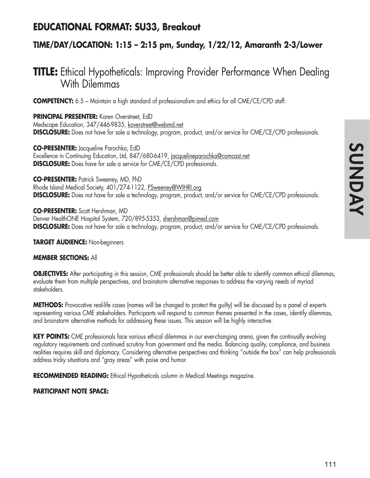## **EDUCATIONAL FORMAT: SU33, Breakout**

## **TIME/DAY/LOCATION: 1:15 – 2:15 pm, Sunday, 1/22/12, Amaranth 2-3/Lower**

# **TITLE:** Ethical Hypotheticals: Improving Provider Performance When Dealing With Dilemmas

**COMPETENCY:** 6.5 – Maintain a high standard of professionalism and ethics for all CME/CE/CPD staff.

**PRINCIPAL PRESENTER:** Karen Overstreet, EdD Medscape Education, 347/446-9835, koverstreet@webmd.net **DISCLOSURE:** Does not have for sale a technology, program, product, and/or service for CME/CE/CPD professionals.

**CO-PRESENTER:** Jacqueline Parochka, EdD Excellence in Continuing Education, Ltd, 847/680-6419, jacquelineparochka@comcast.net **DISCLOSURE:** Does have for sale a service for CME/CE/CPD professionals.

**CO-PRESENTER:** Patrick Sweeney, MD, PhD Rhode Island Medical Society, 401/274-1122, PSweeney@WIHRI.org **DISCLOSURE:** Does not have for sale a technology, program, product, and/or service for CME/CE/CPD professionals.

**CO-PRESENTER:** Scott Hershman, MD Denver HealthONE Hospital System, 720/895-5353, shershman@pimed.com **DISCLOSURE:** Does not have for sale a technology, program, product, and/or service for CME/CE/CPD professionals.

#### **TARGET AUDIENCE:** Non-beginners

#### **MEMBER SECTIONS:** All

**OBJECTIVES:** After participating in this session, CME professionals should be better able to identify common ethical dilemmas, evaluate them from multiple perspectives, and brainstorm alternative responses to address the varying needs of myriad stakeholders.

**METHODS:** Provocative real-life cases (names will be changed to protect the guilty) will be discussed by a panel of experts representing various CME stakeholders. Participants will respond to common themes presented in the cases, identify dilemmas, and brainstorm alternative methods for addressing these issues. This session will be highly interactive.

KEY POINTS: CME professionals face various ethical dilemmas in our ever-changing arena, given the continually evolving regulatory requirements and continued scrutiny from government and the media. Balancing quality, compliance, and business realities requires skill and diplomacy. Considering alternative perspectives and thinking "outside the box" can help professionals address tricky situations and "gray areas" with poise and humor.

**RECOMMENDED READING:** Ethical Hypotheticals column in Medical Meetings magazine.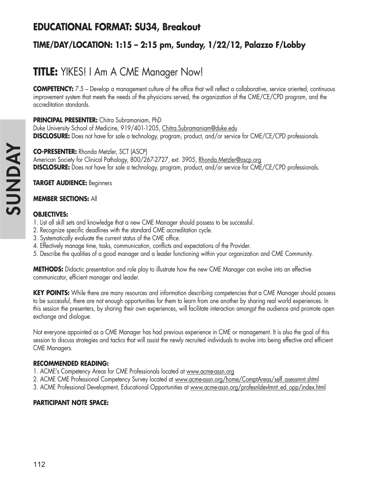## **EDUCATIONAL FORMAT: SU34, Breakout**

## **TIME/DAY/LOCATION: 1:15 – 2:15 pm, Sunday, 1/22/12, Palazzo F/Lobby**

# **TITLE:** YIKES! I Am A CME Manager Now!

**COMPETENCY:** 7.5 – Develop a management culture of the office that will reflect a collaborative, service oriented, continuous improvement system that meets the needs of the physicians served, the organization of the CME/CE/CPD program, and the accreditation standards.

#### **PRINCIPAL PRESENTER:** Chitra Subramaniam, PhD

Duke University School of Medicine, 919/401-1205, Chitra.Subramaniam@duke.edu **DISCLOSURE:** Does not have for sale a technology, program, product, and/or service for CME/CE/CPD professionals.

**CO-PRESENTER:** Rhonda Metzler, SCT (ASCP) American Society for Clinical Pathology, 800/267-2727, ext. 3905, Rhonda.Metzler@ascp.org **DISCLOSURE:** Does not have for sale a technology, program, product, and/or service for CME/CE/CPD professionals.

#### **TARGET AUDIENCE:** Beginners

#### **MEMBER SECTIONS:** All

#### **OBJECTIVES:**

- 1. List all skill sets and knowledge that a new CME Manager should possess to be successful.
- 2. Recognize specific deadlines with the standard CME accreditation cycle.
- 3. Systematically evaluate the current status of the CME office.
- 4. Effectively manage time, tasks, communication, conflicts and expectations of the Provider.
- 5. Describe the qualities of a good manager and a leader functioning within your organization and CME Community.

**METHODS:** Didactic presentation and role play to illustrate how the new CME Manager can evolve into an effective communicator, efficient manager and leader.

**KEY POINTS:** While there are many resources and information describing competencies that a CME Manager should possess to be successful, there are not enough opportunities for them to learn from one another by sharing real world experiences. In this session the presenters, by sharing their own experiences, will facilitate interaction amongst the audience and promote open exchange and dialogue.

Not everyone appointed as a CME Manager has had previous experience in CME or management. It is also the goal of this session to discuss strategies and tactics that will assist the newly recruited individuals to evolve into being effective and efficient CME Managers.

#### **RECOMMENDED READING:**

- 1. ACME's Competency Areas for CME Professionals located at www.acme-assn.org
- 2. ACME CME Professional Competency Survey located at www.acme-assn.org/home/ComptAreas/self\_asessmnt.shtml
- 3. ACME Professional Development, Educational Opportunities at www.acme-assn.org/profesnldevlmnt\_ed\_opp/index.html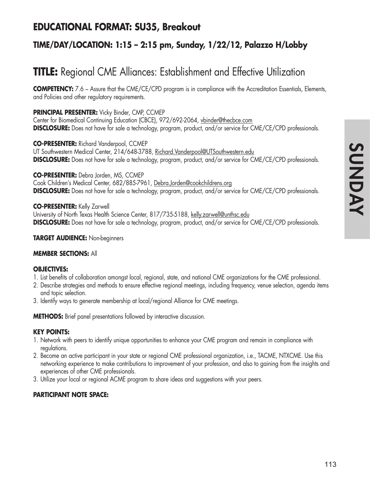## **EDUCATIONAL FORMAT: SU35, Breakout**

## **TIME/DAY/LOCATION: 1:15 – 2:15 pm, Sunday, 1/22/12, Palazzo H/Lobby**

# **TITLE:** Regional CME Alliances: Establishment and Effective Utilization

**COMPETENCY:** 7.6 – Assure that the CME/CE/CPD program is in compliance with the Accreditation Essentials, Elements, and Policies and other regulatory requirements.

#### **PRINCIPAL PRESENTER:** Vicky Binder, CMP, CCMEP

Center for Biomedical Continuing Education (CBCE), 972/692-2064, vbinder@thecbce.com **DISCLOSURE:** Does not have for sale a technology, program, product, and/or service for CME/CE/CPD professionals.

**CO-PRESENTER:** Richard Vanderpool, CCMEP UT Southwestern Medical Center, 214/648-3788, Richard. Vanderpool@UTSouthwestern.edu **DISCLOSURE:** Does not have for sale a technology, program, product, and/or service for CME/CE/CPD professionals.

#### **CO-PRESENTER:** Debra Jorden, MS, CCMEP

Cook Children's Medical Center, 682/885-7961, Debra.Jorden@cookchildrens.org **DISCLOSURE:** Does not have for sale a technology, program, product, and/or service for CME/CE/CPD professionals.

#### **CO-PRESENTER:** Kelly Zarwell

University of North Texas Health Science Center, 817/735-5188, kelly.zarwell@unthsc.edu **DISCLOSURE:** Does not have for sale a technology, program, product, and/or service for CME/CE/CPD professionals.

#### **TARGET AUDIENCE:** Non-beginners

#### **MEMBER SECTIONS:** All

#### **OBJECTIVES:**

- 1. List benefits of collaboration amongst local, regional, state, and national CME organizations for the CME professional.
- 2. Describe strategies and methods to ensure effective regional meetings, including frequency, venue selection, agenda items and topic selection.
- 3. Identify ways to generate membership at local/regional Alliance for CME meetings.

**METHODS:** Brief panel presentations followed by interactive discussion.

#### **KEY POINTS:**

- 1. Network with peers to identify unique opportunities to enhance your CME program and remain in compliance with regulations.
- 2. Become an active participant in your state or regional CME professional organization, i.e., TACME, NTXCME. Use this networking experience to make contributions to improvement of your profession, and also to gaining from the insights and experiences of other CME professionals.
- 3. Utilize your local or regional ACME program to share ideas and suggestions with your peers.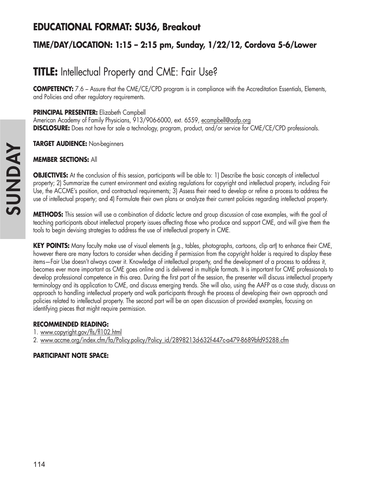## **EDUCATIONAL FORMAT: SU36, Breakout**

## **TIME/DAY/LOCATION: 1:15 – 2:15 pm, Sunday, 1/22/12, Cordova 5-6/Lower**

# **TITLE:** Intellectual Property and CME: Fair Use?

**COMPETENCY:** 7.6 – Assure that the CME/CE/CPD program is in compliance with the Accreditation Essentials, Elements, and Policies and other regulatory requirements.

**PRINCIPAL PRESENTER:** Elizabeth Campbell

American Academy of Family Physicians, 913/906-6000, ext. 6559, ecampbell@aafp.org **DISCLOSURE:** Does not have for sale a technology, program, product, and/or service for CME/CE/CPD professionals.

**TARGET AUDIENCE:** Non-beginners

#### **MEMBER SECTIONS:** All

**OBJECTIVES:** At the conclusion of this session, participants will be able to: 1) Describe the basic concepts of intellectual property; 2) Summarize the current environment and existing regulations for copyright and intellectual property, including Fair Use, the ACCME's position, and contractual requirements; 3) Assess their need to develop or refine a process to address the use of intellectual property; and 4) Formulate their own plans or analyze their current policies regarding intellectual property.

**METHODS:** This session will use a combination of didactic lecture and group discussion of case examples, with the goal of teaching participants about intellectual property issues affecting those who produce and support CME, and will give them the tools to begin devising strategies to address the use of intellectual property in CME.

**KEY POINTS:** Many faculty make use of visual elements (e.g., tables, photographs, cartoons, clip art) to enhance their CME, however there are many factors to consider when deciding if permission from the copyright holder is required to display these items—Fair Use doesn't always cover it. Knowledge of intellectual property, and the development of a process to address it, becomes ever more important as CME goes online and is delivered in multiple formats. It is important for CME professionals to develop professional competence in this area. During the first part of the session, the presenter will discuss intellectual property terminology and its application to CME, and discuss emerging trends. She will also, using the AAFP as a case study, discuss an approach to handling intellectual property and walk participants through the process of developing their own approach and policies related to intellectual property. The second part will be an open discussion of provided examples, focusing on identifying pieces that might require permission.

#### **RECOMMENDED READING:**

- 1. www.copyright.gov/fls/fl102.html
- 2. www.accme.org/index.cfm/fa/Policy.policy/Policy\_id/2898213d-632f-447c-a479-8689bfd95288.cfm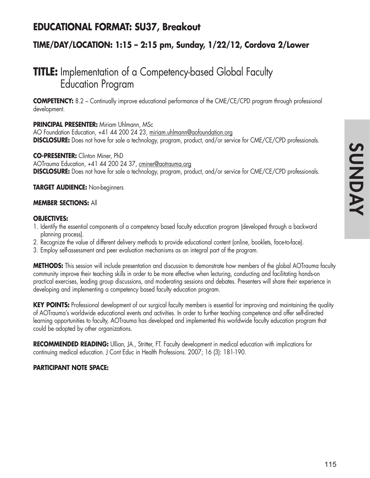## **EDUCATIONAL FORMAT: SU37, Breakout**

## **TIME/DAY/LOCATION: 1:15 – 2:15 pm, Sunday, 1/22/12, Cordova 2/Lower**

# **TITLE:** Implementation of a Competency-based Global Faculty Education Program

**COMPETENCY:** 8.2 – Continually improve educational performance of the CME/CE/CPD program through professional development.

#### **PRINCIPAL PRESENTER:** Miriam Uhlmann, MSc

AO Foundation Education, +41 44 200 24 23, miriam.uhlmann@aofoundation.org **DISCLOSURE:** Does not have for sale a technology, program, product, and/or service for CME/CE/CPD professionals.

#### **CO-PRESENTER:** Clinton Miner, PhD

AOTrauma Education, +41 44 200 24 37, cminer@aotrauma.org **DISCLOSURE:** Does not have for sale a technology, program, product, and/or service for CME/CE/CPD professionals.

#### **TARGET AUDIENCE:** Non-beginners

#### **MEMBER SECTIONS:** All

#### **OBJECTIVES:**

- 1. Identify the essential components of a competency based faculty education program (developed through a backward planning process).
- 2. Recognize the value of different delivery methods to provide educational content (online, booklets, face-to-face).
- 3. Employ self-assessment and peer evaluation mechanisms as an integral part of the program.

**METHODS:** This session will include presentation and discussion to demonstrate how members of the global AOTrauma faculty community improve their teaching skills in order to be more effective when lecturing, conducting and facilitating hands-on practical exercises, leading group discussions, and moderating sessions and debates. Presenters will share their experience in developing and implementing a competency based faculty education program.

**KEY POINTS:** Professional development of our surgical faculty members is essential for improving and maintaining the quality of AOTrauma's worldwide educational events and activities. In order to further teaching competence and offer self-directed learning opportunities to faculty, AOTrauma has developed and implemented this worldwide faculty education program that could be adopted by other organizations.

**RECOMMENDED READING:** Ullian, JA., Stritter, FT. Faculty development in medical education with implications for continuing medical education. J Cont Educ in Health Professions. 2007; 16 (3): 181-190.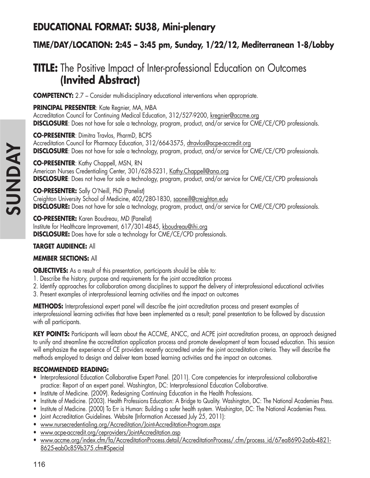# **EDUCATIONAL FORMAT: SU38, Mini-plenary**

## **TIME/DAY/LOCATION: 2:45 – 3:45 pm, Sunday, 1/22/12, Mediterranean 1-8/Lobby**

# **TITLE:** The Positive Impact of Inter-professional Education on Outcomes **(Invited Abstract)**

**COMPETENCY:** 2.7 – Consider multi-disciplinary educational interventions when appropriate.

**PRINCIPAL PRESENTER**: Kate Regnier, MA, MBA Accreditation Council for Continuing Medical Education, 312/527-9200, kregnier@accme.org **DISCLOSURE**: Does not have for sale a technology, program, product, and/or service for CME/CE/CPD professionals.

**CO-PRESENTER**: Dimitra Travlos, PharmD, BCPS Accreditation Council for Pharmacy Education, 312/664-3575, dtravlos@acpe-accredit.org **DISCLOSURE**: Does not have for sale a technology, program, product, and/or service for CME/CE/CPD professionals.

**CO-PRESENTER**: Kathy Chappell, MSN, RN American Nurses Credentialing Center, 301/628-5231, Kathy.Chappell@ana.org **DISCLOSURE**: Does not have for sale a technology, program, product, and/or service for CME/CE/CPD professionals

**CO-PRESENTER:** Sally O'Neill, PhD (Panelist) Creighton University School of Medicine, 402/280-1830, saoneill@creighton.edu **DISCLOSURE:** Does not have for sale a technology, program, product, and/or service for CME/CE/CPD professionals.

**CO-PRESENTER:** Karen Boudreau, MD (Panelist) Institute for Healthcare Improvement, 617/301-4845, kboudreau@ihi.org **DISCLOSURE:** Does have for sale a technology for CME/CE/CPD professionals.

## **TARGET AUDIENCE:** All

#### **MEMBER SECTIONS:** All

**OBJECTIVES:** As a result of this presentation, participants should be able to:

- 1. Describe the history, purpose and requirements for the joint accreditation process
- 2. Identify approaches for collaboration among disciplines to support the delivery of interprofessional educational activities
- 3. Present examples of interprofessional learning activities and the impact on outcomes

**METHODS:** Interprofessional expert panel will describe the joint accreditation process and present examples of interprofessional learning activities that have been implemented as a result; panel presentation to be followed by discussion with all participants.

**KEY POINTS:** Participants will learn about the ACCME, ANCC, and ACPE joint accreditation process, an approach designed to unify and streamline the accreditation application process and promote development of team focused education. This session will emphasize the experience of CE providers recently accredited under the joint accreditation criteria. They will describe the methods employed to design and deliver team based learning activities and the impact on outcomes.

## **RECOMMENDED READING:**

- Interprofessional Education Collaborative Expert Panel. (2011). Core competencies for interprofessional collaborative practice: Report of an expert panel. Washington, DC: Interprofessional Education Collaborative.
- Institute of Medicine. (2009). Redesigning Continuing Education in the Health Professions.
- Institute of Medicine. (2003). Health Professions Education: A Bridge to Quality. Washington, DC: The National Academies Press.
- Institute of Medicine. (2000) To Err is Human: Building a safer health system. Washington, DC: The National Academies Press.
- Joint Accreditation Guidelines. Website (Information Accessed July 25, 2011):
- www.nursecredentialing.org/Accreditation/Joint-Accreditation-Program.aspx
- www.acpe-accredit.org/ceproviders/JointAccreditation.asp
- www.accme.org/index.cfm/fa/AccreditationProcess.detail/AccreditationProcess/.cfm/process\_id/67ea8690-2a6b-4821- 8625-eab0c859b375.cfm#Special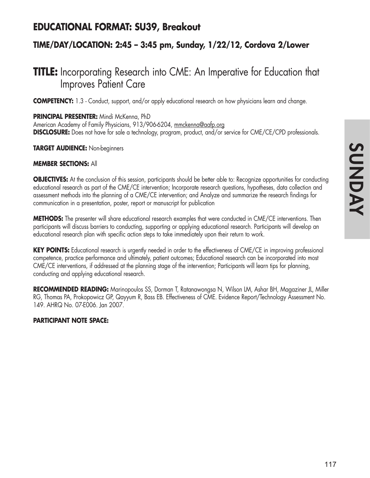## **EDUCATIONAL FORMAT: SU39, Breakout**

## **TIME/DAY/LOCATION: 2:45 – 3:45 pm, Sunday, 1/22/12, Cordova 2/Lower**

# **TITLE:** Incorporating Research into CME: An Imperative for Education that Improves Patient Care

**COMPETENCY:** 1.3 - Conduct, support, and/or apply educational research on how physicians learn and change.

**PRINCIPAL PRESENTER:** Mindi McKenna, PhD American Academy of Family Physicians, 913/906-6204, mmckenna@aafp.org **DISCLOSURE:** Does not have for sale a technology, program, product, and/or service for CME/CE/CPD professionals.

**TARGET AUDIENCE:** Non-beginners

#### **MEMBER SECTIONS:** All

**OBJECTIVES:** At the conclusion of this session, participants should be better able to: Recognize opportunities for conducting educational research as part of the CME/CE intervention; Incorporate research questions, hypotheses, data collection and assessment methods into the planning of a CME/CE intervention; and Analyze and summarize the research findings for communication in a presentation, poster, report or manuscript for publication

**METHODS:** The presenter will share educational research examples that were conducted in CME/CE interventions. Then participants will discuss barriers to conducting, supporting or applying educational research. Participants will develop an educational research plan with specific action steps to take immediately upon their return to work.

**KEY POINTS:** Educational research is urgently needed in order to the effectiveness of CME/CE in improving professional competence, practice performance and ultimately, patient outcomes; Educational research can be incorporated into most CME/CE interventions, if addressed at the planning stage of the intervention; Participants will learn tips for planning, conducting and applying educational research.

**RECOMMENDED READING:** Marinopoulos SS, Dorman T, Ratanawongsa N, Wilson LM, Ashar BH, Magaziner JL, Miller RG, Thomas PA, Prokopowicz GP, Qayyum R, Bass EB. Effectiveness of CME. Evidence Report/Technology Assessment No. 149. AHRQ No. 07-E006. Jan 2007.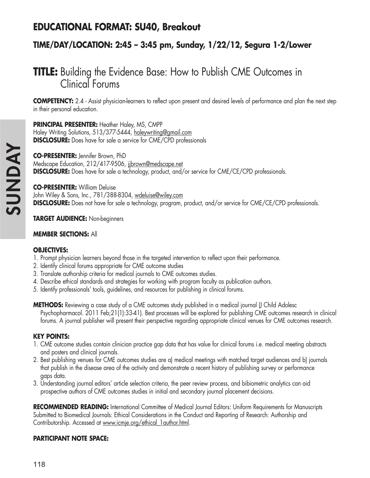# **EDUCATIONAL FORMAT: SU40, Breakout**

## **TIME/DAY/LOCATION: 2:45 – 3:45 pm, Sunday, 1/22/12, Segura 1-2/Lower**

# **TITLE:** Building the Evidence Base: How to Publish CME Outcomes in Clinical Forums

**COMPETENCY:** 2.4 - Assist physician-learners to reflect upon present and desired levels of performance and plan the next step in their personal education.

**PRINCIPAL PRESENTER:** Heather Haley, MS, CMPP

Haley Writing Solutions, 513/377-5444, haleywriting@gmail.com **DISCLOSURE:** Does have for sale a service for CME/CPD professionals

**CO-PRESENTER:** Jennifer Brown, PhD Medscape Education, 212/417-9506, jjbrown@medscape.net **DISCLOSURE:** Does have for sale a technology, product, and/or service for CME/CE/CPD professionals.

**CO-PRESENTER:** William Deluise John Wiley & Sons, Inc., 781/388-8304, <u>wdeluise@wiley.com</u> **DISCLOSURE:** Does not have for sale a technology, program, product, and/or service for CME/CE/CPD professionals.

#### **TARGET AUDIENCE:** Non-beginners

#### **MEMBER SECTIONS:** All

#### **OBJECTIVES:**

- 1. Prompt physician learners beyond those in the targeted intervention to reflect upon their performance.
- 2. Identify clinical forums appropriate for CME outcome studies
- 3. Translate authorship criteria for medical journals to CME outcomes studies.
- 4. Describe ethical standards and strategies for working with program faculty as publication authors.
- 5. Identify professionals' tools, guidelines, and resources for publishing in clinical forums.

**METHODS:** Reviewing a case study of a CME outcomes study published in a medical journal (J Child Adolesc Psychopharmacol. 2011 Feb;21(1):33-41). Best processes will be explored for publishing CME outcomes research in clinical forums. A journal publisher will present their perspective regarding appropriate clinical venues for CME outcomes research.

#### **KEY POINTS:**

- 1. CME outcome studies contain clinician practice gap data that has value for clinical forums i.e. medical meeting abstracts and posters and clinical journals.
- 2. Best publishing venues for CME outcomes studies are a) medical meetings with matched target audiences and b) journals that publish in the disease area of the activity and demonstrate a recent history of publishing survey or performance gaps data.
- 3. Understanding journal editors' article selection criteria, the peer review process, and bibiometric analytics can aid prospective authors of CME outcomes studies in initial and secondary journal placement decisions.

**RECOMMENDED READING:** International Committee of Medical Journal Editors: Uniform Requirements for Manuscripts Submitted to Biomedical Journals: Ethical Considerations in the Conduct and Reporting of Research: Authorship and Contributorship. Accessed at www.icmje.org/ethical\_1author.html.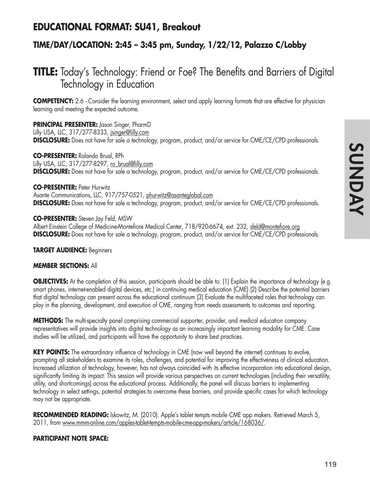## **EDUCATIONAL FORMAT: SU41, Breakout**

## **TIME/DAY/LOCATION: 2:45 – 3:45 pm, Sunday, 1/22/12, Palazzo C/Lobby**

# **TITLE:** Today's Technology: Friend or Foe? The Benefits and Barriers of Digital Technology in Education

**COMPETENCY:** 2.6 - Consider the learning environment, select and apply learning formats that are effective for physician learning and meeting the expected outcome.

#### **PRINCIPAL PRESENTER:** Jason Singer, PharmD

Lilly USA, LLC, 317/277-8333, jsinger@lilly.com **DISCLOSURE:** Does not have for sale a technology, program, product, and/or service for CME/CE/CPD professionals.

#### **CO-PRESENTER:** Rolando Brual, RPh

Lilly USA, LLC, 317/277-8297, ro\_brual@lilly.com **DISCLOSURE:** Does not have for sale a technology, program, product, and/or service for CME/CE/CPD professionals.

#### **CO-PRESENTER:** Peter Hurwitz

Asante Communications, LLC, 917/757-0521, phurwitz@asanteglobal.com **DISCLOSURE:** Does not have for sale a technology, program, product, and/or service for CME/CE/CPD professionals.

#### **CO-PRESENTER:** Steven Jay Feld, MSW

Albert Einstein College of Medicine-Montefiore Medical Center, 718/920-6674, ext. 232, sfeld@montefiore.org **DISCLOSURE:** Does not have for sale a technology, program, product, and/or service for CME/CE/CPD professionals.

#### **TARGET AUDIENCE:** Beginners

#### **MEMBER SECTIONS:** All

**OBJECTIVES:** At the completion of this session, participants should be able to: (1) Explain the importance of technology (e.g. smart phones, internet-enabled digital devices, etc.) in continuing medical education (CME) (2) Describe the potential barriers that digital technology can present across the educational continuum (3) Evaluate the multifaceted roles that technology can play in the planning, development, and execution of CME, ranging from needs assessments to outcomes and reporting.

**METHODS:** The multi-specialty panel comprising commercial supporter, provider, and medical education company representatives will provide insights into digital technology as an increasingly important learning modality for CME. Case studies will be utilized, and participants will have the opportunity to share best practices.

**KEY POINTS:** The extraordinary influence of technology in CME (now well beyond the internet) continues to evolve, prompting all stakeholders to examine its roles, challenges, and potential for improving the effectiveness of clinical education. Increased utilization of technology, however, has not always coincided with its effective incorporation into educational design, significantly limiting its impact. This session will provide various perspectives on current technologies (including their versatility, utility, and shortcomings) across the educational process. Additionally, the panel will discuss barriers to implementing technology in select settings, potential strategies to overcome these barriers, and provide specific cases for which technology may not be appropriate.

**RECOMMENDED READING:** Iskowitz, M. (2010). Apple's tablet tempts mobile CME app makers. Retrieved March 5, 2011, from www.mmm-online.com/apples-tablet-tempts-mobile-cme-app-makers/article/168036/.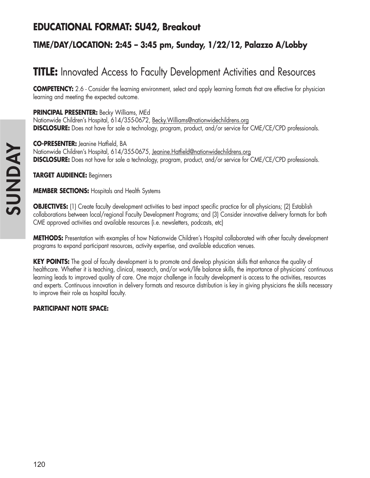## **EDUCATIONAL FORMAT: SU42, Breakout**

## **TIME/DAY/LOCATION: 2:45 – 3:45 pm, Sunday, 1/22/12, Palazzo A/Lobby**

# **TITLE:** Innovated Access to Faculty Development Activities and Resources

**COMPETENCY:** 2.6 - Consider the learning environment, select and apply learning formats that are effective for physician learning and meeting the expected outcome.

**PRINCIPAL PRESENTER:** Becky Williams, MEd

Nationwide Children's Hospital, 614/355-0672, Becky.Williams@nationwidechildrens.org **DISCLOSURE:** Does not have for sale a technology, program, product, and/or service for CME/CE/CPD professionals.

**CO-PRESENTER:** Jeanine Hatfield, BA Nationwide Children's Hospital, 614/355-0675, Jeanine.Hatfield@nationwidechildrens.org **DISCLOSURE:** Does not have for sale a technology, program, product, and/or service for CME/CE/CPD professionals.

**TARGET AUDIENCE:** Beginners

**MEMBER SECTIONS:** Hospitals and Health Systems

**OBJECTIVES:** (1) Create faculty development activities to best impact specific practice for all physicians; (2) Establish collaborations between local/regional Faculty Development Programs; and (3) Consider innovative delivery formats for both CME approved activities and available resources (i.e. newsletters, podcasts, etc)

**METHODS:** Presentation with examples of how Nationwide Children's Hospital collaborated with other faculty development programs to expand participant resources, activity expertise, and available education venues.

**KEY POINTS:** The goal of faculty development is to promote and develop physician skills that enhance the quality of healthcare. Whether it is teaching, clinical, research, and/or work/life balance skills, the importance of physicians' continuous learning leads to improved quality of care. One major challenge in faculty development is access to the activities, resources and experts. Continuous innovation in delivery formats and resource distribution is key in giving physicians the skills necessary to improve their role as hospital faculty.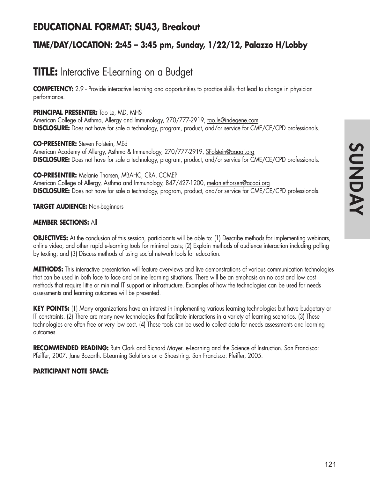## **EDUCATIONAL FORMAT: SU43, Breakout**

## **TIME/DAY/LOCATION: 2:45 – 3:45 pm, Sunday, 1/22/12, Palazzo H/Lobby**

# **TITLE:** Interactive E-Learning on a Budget

**COMPETENCY:** 2.9 - Provide interactive learning and opportunities to practice skills that lead to change in physician performance.

#### **PRINCIPAL PRESENTER:** Tao Le, MD, MHS

American College of Asthma, Allergy and Immunology, 270/777-2919, tao.le@indegene.com **DISCLOSURE:** Does not have for sale a technology, program, product, and/or service for CME/CE/CPD professionals.

**CO-PRESENTER:** Steven Folstein, MEd American Academy of Allergy, Asthma & Immunology, 270/777-2919, SFolstein@aaaai.org **DISCLOSURE:** Does not have for sale a technology, program, product, and/or service for CME/CE/CPD professionals.

#### **CO-PRESENTER:** Melanie Thorsen, MBAHC, CRA, CCMEP

American College of Allergy, Asthma and Immunology, 847/427-1200, melaniethorsen@acaai.org **DISCLOSURE:** Does not have for sale a technology, program, product, and/or service for CME/CE/CPD professionals.

#### **TARGET AUDIENCE:** Non-beginners

#### **MEMBER SECTIONS:** All

**OBJECTIVES:** At the conclusion of this session, participants will be able to: (1) Describe methods for implementing webinars, online video, and other rapid e-learning tools for minimal costs; (2) Explain methods of audience interaction including polling by texting; and (3) Discuss methods of using social network tools for education.

**METHODS:** This interactive presentation will feature overviews and live demonstrations of various communication technologies that can be used in both face to face and online learning situations. There will be an emphasis on no cost and low cost methods that require little or minimal IT support or infrastructure. Examples of how the technologies can be used for needs assessments and learning outcomes will be presented.

**KEY POINTS:** (1) Many organizations have an interest in implementing various learning technologies but have budgetary or IT constraints. (2) There are many new technologies that facilitate interactions in a variety of learning scenarios. (3) These technologies are often free or very low cost. (4) These tools can be used to collect data for needs assessments and learning outcomes.

**RECOMMENDED READING:** Ruth Clark and Richard Mayer. e-Learning and the Science of Instruction. San Francisco: Pfeiffer, 2007. Jane Bozarth. E-Learning Solutions on a Shoestring. San Francisco: Pfeiffer, 2005.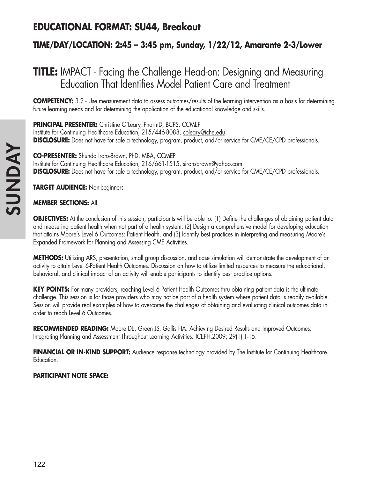# **EDUCATIONAL FORMAT: SU44, Breakout**

## **TIME/DAY/LOCATION: 2:45 – 3:45 pm, Sunday, 1/22/12, Amarante 2-3/Lower**

# **TITLE:** IMPACT - Facing the Challenge Head-on: Designing and Measuring Education That Identifies Model Patient Care and Treatment

**COMPETENCY:** 3.2 - Use measurement data to assess outcomes/results of the learning intervention as a basis for determining future learning needs and for determining the application of the educational knowledge and skills.

**PRINCIPAL PRESENTER:** Christine O'Leary, PharmD, BCPS, CCMEP Institute for Continuing Healthcare Education, 215/446-8088, coleary@iche.edu **DISCLOSURE:** Does not have for sale a technology, program, product, and/or service for CME/CE/CPD professionals.

**CO-PRESENTER:** Shunda Irons-Brown, PhD, MBA, CCMEP Institute for Continuing Healthcare Education, 216/661-1515, sironsbrown@yahoo.com **DISCLOSURE:** Does not have for sale a technology, program, product, and/or service for CME/CE/CPD professionals.

**TARGET AUDIENCE:** Non-beginners

#### **MEMBER SECTIONS:** All

**OBJECTIVES:** At the conclusion of this session, participants will be able to: (1) Define the challenges of obtaining patient data and measuring patient health when not part of a health system; (2) Design a comprehensive model for developing education that attains Moore's Level 6 Outcomes: Patient Health, and (3) Identify best practices in interpreting and measuring Moore's Expanded Framework for Planning and Assessing CME Activities.

**METHODS:** Utilizing ARS, presentation, small group discussion, and case simulation will demonstrate the development of an activity to attain Level 6-Patient Health Outcomes. Discussion on how to utilize limited resources to measure the educational, behavioral, and clinical impact of an activity will enable participants to identify best practice options.

**KEY POINTS:** For many providers, reaching Level 6 Patient Health Outcomes thru obtaining patient data is the ultimate challenge. This session is for those providers who may not be part of a health system where patient data is readily available. Session will provide real examples of how to overcome the challenges of obtaining and evaluating clinical outcomes data in order to reach Level 6 Outcomes.

**RECOMMENDED READING:** Moore DE, Green JS, Gallis HA. Achieving Desired Results and Improved Outcomes: Integrating Planning and Assessment Throughout Learning Activities. JCEPH.2009; 29(1):1-15.

FINANCIAL OR IN-KIND SUPPORT: Audience response technology provided by The Institute for Continuing Healthcare Education.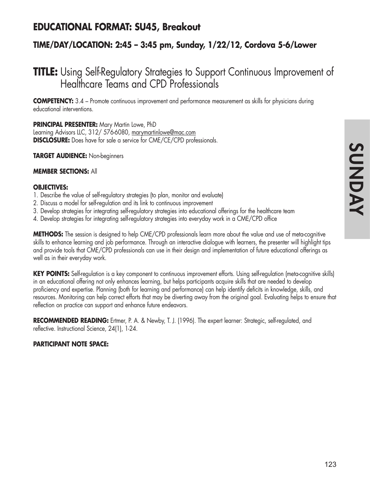## **EDUCATIONAL FORMAT: SU45, Breakout**

## **TIME/DAY/LOCATION: 2:45 – 3:45 pm, Sunday, 1/22/12, Cordova 5-6/Lower**

# **TITLE:** Using Self-Regulatory Strategies to Support Continuous Improvement of Healthcare Teams and CPD Professionals

**COMPETENCY:** 3.4 – Promote continuous improvement and performance measurement as skills for physicians during educational interventions.

**PRINCIPAL PRESENTER:** Mary Martin Lowe, PhD

Learning Advisors LLC, 312/ 576-6080, marymartinlowe@mac.com **DISCLOSURE:** Does have for sale a service for CME/CE/CPD professionals.

**TARGET AUDIENCE:** Non-beginners

#### **MEMBER SECTIONS:** All

#### **OBJECTIVES:**

- 1. Describe the value of self-regulatory strategies (to plan, monitor and evaluate)
- 2. Discuss a model for self-regulation and its link to continuous improvement
- 3. Develop strategies for integrating self-regulatory strategies into educational offerings for the healthcare team
- 4. Develop strategies for integrating self-regulatory strategies into everyday work in a CME/CPD office

**METHODS:** The session is designed to help CME/CPD professionals learn more about the value and use of meta-cognitive skills to enhance learning and job performance. Through an interactive dialogue with learners, the presenter will highlight tips and provide tools that CME/CPD professionals can use in their design and implementation of future educational offerings as well as in their everyday work.

**KEY POINTS:** Self-regulation is a key component to continuous improvement efforts. Using self-regulation (meta-cognitive skills) in an educational offering not only enhances learning, but helps participants acquire skills that are needed to develop proficiency and expertise. Planning (both for learning and performance) can help identify deficits in knowledge, skills, and resources. Monitoring can help correct efforts that may be diverting away from the original goal. Evaluating helps to ensure that reflection on practice can support and enhance future endeavors.

**RECOMMENDED READING:** Ertmer, P. A. & Newby, T. J. (1996). The expert learner: Strategic, self-regulated, and reflective. Instructional Science, 24(1), 1-24.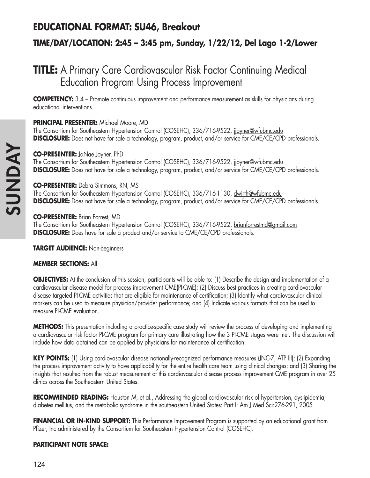## **EDUCATIONAL FORMAT: SU46, Breakout**

## **TIME/DAY/LOCATION: 2:45 – 3:45 pm, Sunday, 1/22/12, Del Lago 1-2/Lower**

# **TITLE:** A Primary Care Cardiovascular Risk Factor Continuing Medical Education Program Using Process Improvement

**COMPETENCY:** 3.4 – Promote continuous improvement and performance measurement as skills for physicians during educational interventions.

#### **PRINCIPAL PRESENTER:** Michael Moore, MD

The Consortium for Southeastern Hypertension Control (COSEHC), 336/716-9522, jjoyner@wfubmc.edu **DISCLOSURE:** Does not have for sale a technology, program, product, and/or service for CME/CE/CPD professionals.

#### **CO-PRESENTER:** JaNae Joyner, PhD

The Consortium for Southeastern Hypertension Control (COSEHC), 336/716-9522, jjoyner@wfubmc.edu **DISCLOSURE:** Does not have for sale a technology, program, product, and/or service for CME/CE/CPD professionals.

#### **CO-PRESENTER:** Debra Simmons, RN, MS

The Consortium for Southeastern Hypertension Control (COSEHC), 336/716-1130, dwirth@wfubmc.edu **DISCLOSURE:** Does not have for sale a technology, program, product, and/or service for CME/CE/CPD professionals.

#### **CO-PRESENTER:** Brian Forrest, MD

The Consortium for Southeastern Hypertension Control (COSEHC), 336/716-9522, brianforrestmd@gmail.com **DISCLOSURE:** Does have for sale a product and/or service to CME/CE/CPD professionals.

**TARGET AUDIENCE:** Non-beginners

#### **MEMBER SECTIONS:** All

**OBJECTIVES:** At the conclusion of this session, participants will be able to: (1) Describe the design and implementation of a cardiovascular disease model for process improvement CME(PI-CME); (2) Discuss best practices in creating cardiovascular disease targeted PI-CME activities that are eligible for maintenance of certification; (3) Identify what cardiovascular clinical markers can be used to measure physician/provider performance; and (4) Indicate various formats that can be used to measure PI-CME evaluation.

**METHODS:** This presentation including a practice-specific case study will review the process of developing and implementing a cardiovascular risk factor PI-CME program for primary care illustrating how the 3 PI-CME stages were met. The discussion will include how data obtained can be applied by physicians for maintenance of certification.

**KEY POINTS:** (1) Using cardiovascular disease nationally-recognized performance measures (JNC-7, ATP III); (2) Expanding the process improvement activity to have applicability for the entire health care team using clinical changes; and (3) Sharing the insights that resulted from the robust measurement of this cardiovascular disease process improvement CME program in over 25 clinics across the Southeastern United States.

**RECOMMENDED READING:** Houston M, et al., Addressing the global cardiovascular risk of hypertension, dyslipidemia, diabetes mellitus, and the metabolic syndrome in the southeastern United States: Part I: Am J Med Sci:276-291, 2005

**FINANCIAL OR IN-KIND SUPPORT:** This Performance Improvement Program is supported by an educational grant from Pfizer, Inc administered by the Consortium for Southeastern Hypertension Control (COSEHC).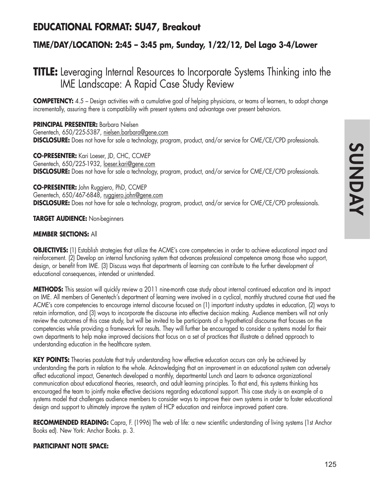## **EDUCATIONAL FORMAT: SU47, Breakout**

## **TIME/DAY/LOCATION: 2:45 – 3:45 pm, Sunday, 1/22/12, Del Lago 3-4/Lower**

# **TITLE:** Leveraging Internal Resources to Incorporate Systems Thinking into the IME Landscape: A Rapid Case Study Review

**COMPETENCY:** 4.5 – Design activities with a cumulative goal of helping physicians, or teams of learners, to adopt change incrementally, assuring there is compatibility with present systems and advantage over present behaviors.

**PRINCIPAL PRESENTER:** Barbara Nielsen Genentech, 650/225-5387, nielsen.barbara@gene.com **DISCLOSURE:** Does not have for sale a technology, program, product, and/or service for CME/CE/CPD professionals.

**CO-PRESENTER:** Kari Loeser, JD, CHC, CCMEP Genentech, 650/225-1932, loeser.kari@gene.com **DISCLOSURE:** Does not have for sale a technology, program, product, and/or service for CME/CE/CPD professionals.

**CO-PRESENTER:** John Ruggiero, PhD, CCMEP Genentech, 650/467-6848, ruggiero.john@gene.com **DISCLOSURE:** Does not have for sale a technology, program, product, and/or service for CME/CE/CPD professionals.

**TARGET AUDIENCE:** Non-beginners

#### **MEMBER SECTIONS:** All

**OBJECTIVES:** (1) Establish strategies that utilize the ACME's core competencies in order to achieve educational impact and reinforcement. (2) Develop an internal functioning system that advances professional competence among those who support, design, or benefit from IME. (3) Discuss ways that departments of learning can contribute to the further development of educational consequences, intended or unintended.

**METHODS:** This session will quickly review a 2011 nine-month case study about internal continued education and its impact on IME. All members of Genentech's department of learning were involved in a cyclical, monthly structured course that used the ACME's core competencies to encourage internal discourse focused on (1) important industry updates in education, (2) ways to retain information, and (3) ways to incorporate the discourse into effective decision making. Audience members will not only review the outcomes of this case study, but will be invited to be participants of a hypothetical discourse that focuses on the competencies while providing a framework for results. They will further be encouraged to consider a systems model for their own departments to help make improved decisions that focus on a set of practices that illustrate a defined approach to understanding education in the healthcare system.

**KEY POINTS:** Theories postulate that truly understanding how effective education occurs can only be achieved by understanding the parts in relation to the whole. Acknowledging that an improvement in an educational system can adversely affect educational impact, Genentech developed a monthly, departmental Lunch and Learn to advance organizational communication about educational theories, research, and adult learning principles. To that end, this systems thinking has encouraged the team to jointly make effective decisions regarding educational support. This case study is an example of a systems model that challenges audience members to consider ways to improve their own systems in order to foster educational design and support to ultimately improve the system of HCP education and reinforce improved patient care.

**RECOMMENDED READING:** Capra, F. (1996) The web of life: a new scientific understanding of living systems (1st Anchor Books ed). New York: Anchor Books. p. 3.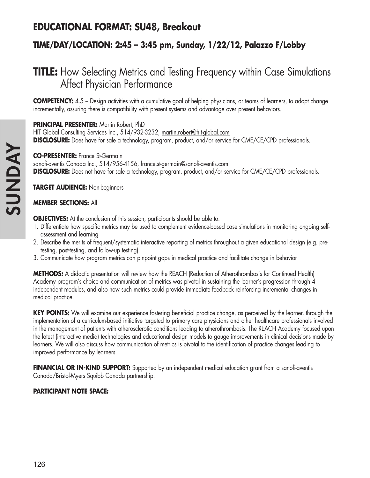# **EDUCATIONAL FORMAT: SU48, Breakout**

## **TIME/DAY/LOCATION: 2:45 – 3:45 pm, Sunday, 1/22/12, Palazzo F/Lobby**

# **TITLE:** How Selecting Metrics and Testing Frequency within Case Simulations Affect Physician Performance

**COMPETENCY:** 4.5 – Design activities with a cumulative goal of helping physicians, or teams of learners, to adopt change incrementally, assuring there is compatibility with present systems and advantage over present behaviors.

#### **PRINCIPAL PRESENTER:** Martin Robert, PhD

HIT Global Consulting Services Inc., 514/932-3232, martin.robert@hit-global.com **DISCLOSURE:** Does have for sale a technology, program, product, and/or service for CME/CE/CPD professionals.

#### **CO-PRESENTER:** France St-Germain

sanofi-aventis Canada Inc., 514/956-4156, france.st-germain@sanofi-aventis.com **DISCLOSURE:** Does not have for sale a technology, program, product, and/or service for CME/CE/CPD professionals.

**TARGET AUDIENCE:** Non-beginners

#### **MEMBER SECTIONS:** All

**OBJECTIVES:** At the conclusion of this session, participants should be able to:

- 1. Differentiate how specific metrics may be used to complement evidence-based case simulations in monitoring ongoing selfassessment and learning
- 2. Describe the merits of frequent/systematic interactive reporting of metrics throughout a given educational design (e.g. pretesting, post-testing, and follow-up testing)
- 3. Communicate how program metrics can pinpoint gaps in medical practice and facilitate change in behavior

**METHODS:** A didactic presentation will review how the REACH (Reduction of Atherothrombosis for Continued Health) Academy program's choice and communication of metrics was pivotal in sustaining the learner's progression through 4 independent modules, and also how such metrics could provide immediate feedback reinforcing incremental changes in medical practice.

**KEY POINTS:** We will examine our experience fostering beneficial practice change, as perceived by the learner, through the implementation of a curriculum-based initiative targeted to primary care physicians and other healthcare professionals involved in the management of patients with atherosclerotic conditions leading to atherothrombosis. The REACH Academy focused upon the latest (interactive media) technologies and educational design models to gauge improvements in clinical decisions made by learners. We will also discuss how communication of metrics is pivotal to the identification of practice changes leading to improved performance by learners.

**FINANCIAL OR IN-KIND SUPPORT:** Supported by an independent medical education grant from a sanofi-aventis Canada/Bristol-Myers Squibb Canada partnership.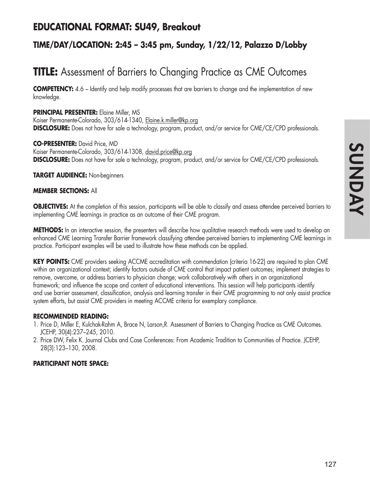# **INONUS SUNDAY**

## **EDUCATIONAL FORMAT: SU49, Breakout**

## **TIME/DAY/LOCATION: 2:45 – 3:45 pm, Sunday, 1/22/12, Palazzo D/Lobby**

# **TITLE:** Assessment of Barriers to Changing Practice as CME Outcomes

**COMPETENCY:** 4.6 – Identify and help modify processes that are barriers to change and the implementation of new knowledge.

**PRINCIPAL PRESENTER:** Elaine Miller, MS Kaiser Permanente-Colorado, 303/614-1340, Elaine.k.miller@kp.org **DISCLOSURE:** Does not have for sale a technology, program, product, and/or service for CME/CE/CPD professionals.

**CO-PRESENTER:** David Price, MD Kaiser Permanente-Colorado, 303/614-1308, david.price@kp.org **DISCLOSURE:** Does not have for sale a technology, program, product, and/or service for CME/CE/CPD professionals.

#### **TARGET AUDIENCE:** Non-beginners

#### **MEMBER SECTIONS:** All

**OBJECTIVES:** At the completion of this session, participants will be able to classify and assess attendee perceived barriers to implementing CME learnings in practice as an outcome of their CME program.

**METHODS:** In an interactive session, the presenters will describe how qualitative research methods were used to develop an enhanced CME Learning Transfer Barrier framework classifying attendee perceived barriers to implementing CME learnings in practice. Participant examples will be used to illustrate how these methods can be applied.

**KEY POINTS:** CME providers seeking ACCME accreditation with commendation (criteria 16-22) are required to plan CME within an organizational context; identify factors outside of CME control that impact patient outcomes; implement strategies to remove, overcome, or address barriers to physician change; work collaboratively with others in an organizational framework; and influence the scope and content of educational interventions. This session will help participants identify and use barrier assessment, classification, analysis and learning transfer in their CME programming to not only assist practice system efforts, but assist CME providers in meeting ACCME criteria for exemplary compliance.

#### **RECOMMENDED READING:**

- 1. Price D, Miller E, Kulchak-Rahm A, Brace N, Larson,R. Assessment of Barriers to Changing Practice as CME Outcomes. JCEHP, 30(4):237–245, 2010.
- 2. Price DW, Felix K. Journal Clubs and Case Conferences: From Academic Tradition to Communities of Practice. JCEHP, 28(3):123–130, 2008.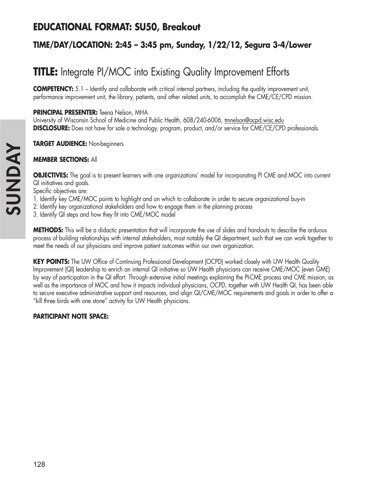# **EDUCATIONAL FORMAT: SU50, Breakout**

## **TIME/DAY/LOCATION: 2:45 – 3:45 pm, Sunday, 1/22/12, Segura 3-4/Lower**

# **TITLE:** Integrate PI/MOC into Existing Quality Improvement Efforts

**COMPETENCY:** 5.1 – Identify and collaborate with critical internal partners, including the quality improvement unit, performance improvement unit, the library, patients, and other related units, to accomplish the CME/CE/CPD mission.

#### **PRINCIPAL PRESENTER:** Teena Nelson, MHA

University of Wisconsin School of Medicine and Public Health, 608/240-6006, tmnelson@ocpd.wisc.edu **DISCLOSURE:** Does not have for sale a technology, program, product, and/or service for CME/CE/CPD professionals.

#### **TARGET AUDIENCE:** Non-beginners

#### **MEMBER SECTIONS:** All

**OBJECTIVES:** The goal is to present learners with one organizations' model for incorporating PI CME and MOC into current QI initiatives and goals.

Specific objectives are:

- 1. Identify key CME/MOC points to highlight and on which to collaborate in order to secure organizational buy-in
- 2. Identify key organizational stakeholders and how to engage them in the planning process
- 3. Identify QI steps and how they fit into CME/MOC model

**METHODS:** This will be a didactic presentation that will incorporate the use of slides and handouts to describe the arduous process of building relationships with internal stakeholders, most notably the QI department, such that we can work together to meet the needs of our physicians and improve patient outcomes within our own organization.

**KEY POINTS:** The UW Office of Continuing Professional Development (OCPD) worked closely with UW Health Quality Improvement (QI) leadership to enrich an internal QI initiative so UW Health physicians can receive CME/MOC (even GME) by way of participation in the QI effort. Through extensive initial meetings explaining the PI-CME process and CME mission, as well as the importance of MOC and how it impacts individual physicians, OCPD, together with UW Health QI, has been able to secure executive administrative support and resources, and align QI/CME/MOC requirements and goals in order to offer a "kill three birds with one stone" activity for UW Health physicians.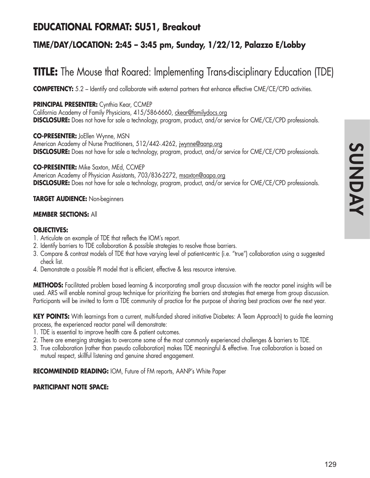## **EDUCATIONAL FORMAT: SU51, Breakout**

## **TIME/DAY/LOCATION: 2:45 – 3:45 pm, Sunday, 1/22/12, Palazzo E/Lobby**

# **TITLE:** The Mouse that Roared: Implementing Trans-disciplinary Education (TDE)

**COMPETENCY:** 5.2 – Identify and collaborate with external partners that enhance effective CME/CE/CPD activities.

#### **PRINCIPAL PRESENTER:** Cynthia Kear, CCMEP

California Academy of Family Physicians, 415/586-6660, ckear@familydocs.org **DISCLOSURE:** Does not have for sale a technology, program, product, and/or service for CME/CE/CPD professionals.

**CO-PRESENTER:** JoEllen Wynne, MSN American Academy of Nurse Practitioners, 512/442-.4262, jwynne@aanp.org **DISCLOSURE:** Does not have for sale a technology, program, product, and/or service for CME/CE/CPD professionals.

**CO-PRESENTER:** Mike Saxton, MEd, CCMEP American Academy of Physician Assistants, 703/836-2272, msaxton@aapa.org **DISCLOSURE:** Does not have for sale a technology, program, product, and/or service for CME/CE/CPD professionals.

#### **TARGET AUDIENCE:** Non-beginners

#### **MEMBER SECTIONS:** All

#### **OBJECTIVES:**

- 1. Articulate an example of TDE that reflects the IOM's report.
- 2. Identify barriers to TDE collaboration & possible strategies to resolve those barriers.
- 3. Compare & contrast models of TDE that have varying level of patient-centric (i.e. "true") collaboration using a suggested check list.
- 4. Demonstrate a possible PI model that is efficient, effective & less resource intensive.

**METHODS:** Facilitated problem based learning & incorporating small group discussion with the reactor panel insights will be used. ARS will enable nominal group technique for prioritizing the barriers and strategies that emerge from group discussion. Participants will be invited to form a TDE community of practice for the purpose of sharing best practices over the next year.

**KEY POINTS:** With learnings from a current, multi-funded shared initiative Diabetes: A Team Approach) to guide the learning process, the experienced reactor panel will demonstrate:

- 1. TDE is essential to improve health care & patient outcomes.
- 2. There are emerging strategies to overcome some of the most commonly experienced challenges & barriers to TDE.
- 3. True collaboration (rather than pseudo collaboration) makes TDE meaningful & effective. True collaboration is based on mutual respect, skillful listening and genuine shared engagement.

**RECOMMENDED READING:** IOM, Future of FM reports, AANP's White Paper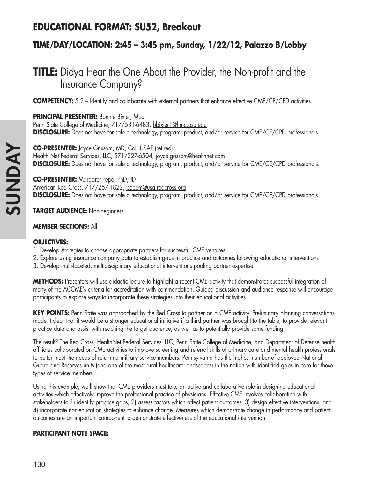## **EDUCATIONAL FORMAT: SU52, Breakout**

## **TIME/DAY/LOCATION: 2:45 – 3:45 pm, Sunday, 1/22/12, Palazzo B/Lobby**

# **TITLE:** Didya Hear the One About the Provider, the Non-profit and the Insurance Company?

**COMPETENCY:** 5.2 – Identify and collaborate with external partners that enhance effective CME/CE/CPD activities.

**PRINCIPAL PRESENTER:** Bonnie Bixler, MEd Penn State College of Medicine, 717/531-6483, bbixler1@hmc.psu.edu **DISCLOSURE:** Does not have for sale a technology, program, product, and/or service for CME/CE/CPD professionals.

**CO-PRESENTER:** Joyce Grissom, MD, Col, USAF (retired) Health Net Federal Services, LLC, 571/227-6504, joyce.grissom@healthnet.com **DISCLOSURE:** Does not have for sale a technology, program, product, and/or service for CME/CE/CPD professionals.

**CO-PRESENTER:** Margaret Pepe, PhD, JD American Red Cross, 717/257-1822, pepem@usa.redcross.org **DISCLOSURE:** Does not have for sale a technology, program, product, and/or service for CME/CE/CPD professionals.

**TARGET AUDIENCE:** Non-beginners

#### **MEMBER SECTIONS:** All

#### **OBJECTIVES:**

- 1. Develop strategies to choose appropriate partners for successful CME ventures
- 2. Explore using insurance company data to establish gaps in practice and outcomes following educational interventions
- 3. Develop multi-faceted, multidisciplinary educational interventions pooling partner expertise

**METHODS:** Presenters will use didactic lecture to highlight a recent CME activity that demonstrates successful integration of many of the ACCME's criteria for accreditation with commendation. Guided discussion and audience response will encourage participants to explore ways to incorporate these strategies into their educational activities

**KEY POINTS:** Penn State was approached by the Red Cross to partner on a CME activity. Preliminary planning conversations made it clear that it would be a stronger educational initiative if a third partner was brought to the table, to provide relevant practice data and assist with reaching the target audience, as well as to potentially provide some funding.

The result? The Red Cross, HealthNet Federal Services, LLC, Penn State College of Medicine, and Department of Defense health affiliates collaborated on CME activities to improve screening and referral skills of primary care and mental health professionals to better meet the needs of returning military service members. Pennsylvania has the highest number of deployed National Guard and Reserves units (and one of the most rural healthcare landscapes) in the nation with identified gaps in care for these types of service members.

Using this example, we'll show that CME providers must take an active and collaborative role in designing educational activities which effectively improve the professional practice of physicians. Effective CME involves collaboration with stakeholders to 1) identify practice gaps, 2) assess factors which affect patient outcomes, 3) design effective interventions, and 4) incorporate non-education strategies to enhance change. Measures which demonstrate change in performance and patient outcomes are an important component to demonstrate effectiveness of the educational intervention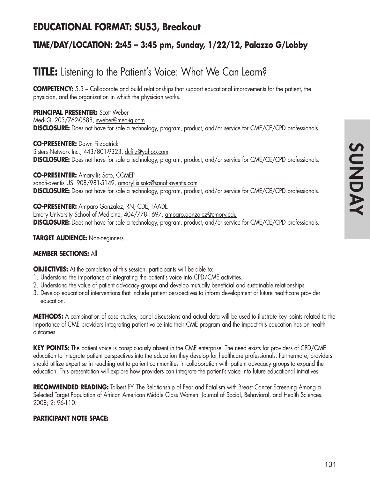## **EDUCATIONAL FORMAT: SU53, Breakout**

## **TIME/DAY/LOCATION: 2:45 – 3:45 pm, Sunday, 1/22/12, Palazzo G/Lobby**

# **TITLE:** Listening to the Patient's Voice: What We Can Learn?

**COMPETENCY:** 5.3 – Collaborate and build relationships that support educational improvements for the patient, the physician, and the organization in which the physician works.

#### **PRINCIPAL PRESENTER:** Scott Weber

Med-IQ, 203/762-0588, sweber@med-iq.com **DISCLOSURE:** Does not have for sale a technology, program, product, and/or service for CME/CE/CPD professionals.

**CO-PRESENTER:** Dawn Fitzpatrick Sisters Network Inc., 443/801-9323, dcfitz@yahoo.com **DISCLOSURE:** Does not have for sale a technology, program, product, and/or service for CME/CE/CPD professionals.

**CO-PRESENTER:** Amaryllis Soto, CCMEP sanofi-aventis US, 908/981-5149, amaryllis.soto@sanofi-aventis.com **DISCLOSURE:** Does not have for sale a technology, program, product, and/or service for CME/CE/CPD professionals.

**CO-PRESENTER:** Amparo Gonzalez, RN, CDE, FAADE Emory University School of Medicine, 404/778-1697, amparo.gonzalez@emory.edu **DISCLOSURE:** Does not have for sale a technology, program, product, and/or service for CME/CE/CPD professionals.

#### **TARGET AUDIENCE:** Non-beginners

#### **MEMBER SECTIONS:** All

**OBJECTIVES:** At the completion of this session, participants will be able to:

- 1. Understand the importance of integrating the patient's voice into CPD/CME activities.
- 2. Understand the value of patient advocacy groups and develop mutually beneficial and sustainable relationships.
- 3. Develop educational interventions that include patient perspectives to inform development of future healthcare provider education.

**METHODS:** A combination of case studies, panel discussions and actual data will be used to illustrate key points related to the importance of CME providers integrating patient voice into their CME program and the impact this education has on health outcomes.

**KEY POINTS:** The patient voice is conspicuously absent in the CME enterprise. The need exists for providers of CPD/CME education to integrate patient perspectives into the education they develop for healthcare professionals. Furthermore, providers should utilize expertise in reaching out to patient communities in collaboration with patient advocacy groups to expand the education. This presentation will explore how providers can integrate the patient's voice into future educational initiatives.

**RECOMMENDED READING:** Talbert PY. The Relationship of Fear and Fatalism with Breast Cancer Screening Among a Selected Target Population of African American Middle Class Women. Journal of Social, Behavioral, and Health Sciences. 2008; 2: 96-110.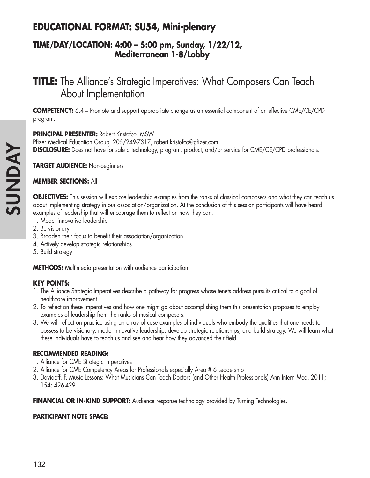# **EDUCATIONAL FORMAT: SU54, Mini-plenary**

## **TIME/DAY/LOCATION: 4:00 – 5:00 pm, Sunday, 1/22/12, Mediterranean 1-8/Lobby**

# **TITLE:** The Alliance's Strategic Imperatives: What Composers Can Teach About Implementation

**COMPETENCY:** 6.4 – Promote and support appropriate change as an essential component of an effective CME/CE/CPD program.

#### **PRINCIPAL PRESENTER:** Robert Kristofco, MSW

Pfizer Medical Education Group, 205/249-7317, robert.kristofco@pfizer.com **DISCLOSURE:** Does not have for sale a technology, program, product, and/or service for CME/CE/CPD professionals.

**TARGET AUDIENCE:** Non-beginners

#### **MEMBER SECTIONS:** All

**OBJECTIVES:** This session will explore leadership examples from the ranks of classical composers and what they can teach us about implementing strategy in our association/organization. At the conclusion of this session participants will have heard examples of leadership that will encourage them to reflect on how they can:

- 1. Model innovative leadership
- 2. Be visionary
- 3. Broaden their focus to benefit their association/organization
- 4. Actively develop strategic relationships
- 5. Build strategy

**METHODS:** Multimedia presentation with audience participation

#### **KEY POINTS:**

- 1. The Alliance Strategic Imperatives describe a pathway for progress whose tenets address pursuits critical to a goal of healthcare improvement.
- 2. To reflect on these imperatives and how one might go about accomplishing them this presentation proposes to employ examples of leadership from the ranks of musical composers.
- 3. We will reflect on practice using an array of case examples of individuals who embody the qualities that one needs to possess to be visionary, model innovative leadership, develop strategic relationships, and build strategy. We will learn what these individuals have to teach us and see and hear how they advanced their field.

#### **RECOMMENDED READING:**

- 1. Alliance for CME Strategic Imperatives
- 2. Alliance for CME Competency Areas for Professionals especially Area # 6 Leadership
- 3. Davidoff, F. Music Lessons: What Musicians Can Teach Doctors (and Other Health Professionals) Ann Intern Med. 2011; 154: 426-429

**FINANCIAL OR IN-KIND SUPPORT:** Audience response technology provided by Turning Technologies.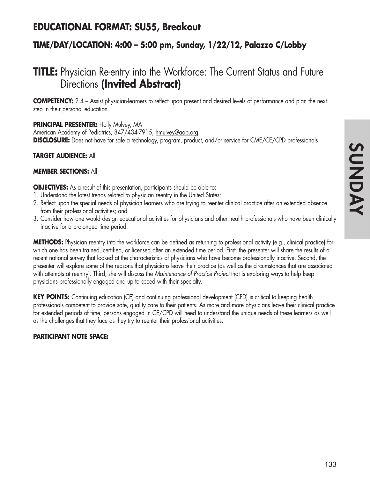## **EDUCATIONAL FORMAT: SU55, Breakout**

## **TIME/DAY/LOCATION: 4:00 – 5:00 pm, Sunday, 1/22/12, Palazzo C/Lobby**

# **TITLE:** Physician Re-entry into the Workforce: The Current Status and Future Directions **(Invited Abstract)**

**COMPETENCY:** 2.4 – Assist physician-learners to reflect upon present and desired levels of performance and plan the next step in their personal education.

#### **PRINCIPAL PRESENTER:** Holly Mulvey, MA

American Academy of Pediatrics, 847/434-7915, hmulvey@aap.org **DISCLOSURE:** Does not have for sale a technology, program, product, and/or service for CME/CE/CPD professionals

#### **TARGET AUDIENCE:** All

#### **MEMBER SECTIONS:** All

**OBJECTIVES:** As a result of this presentation, participants should be able to:

- 1. Understand the latest trends related to physician reentry in the United States;
- 2. Reflect upon the special needs of physician learners who are trying to reenter clinical practice after an extended absence from their professional activities; and
- 3. Consider how one would design educational activities for physicians and other health professionals who have been clinically inactive for a prolonged time period.

**METHODS:** Physician reentry into the workforce can be defined as returning to professional activity (e.g., clinical practice) for which one has been trained, certified, or licensed after an extended time period. First, the presenter will share the results of a recent national survey that looked at the characteristics of physicians who have become professionally inactive. Second, the presenter will explore some of the reasons that physicians leave their practice (as well as the circumstances that are associated with attempts at reentry). Third, she will discuss the *Maintenance of Practice Project* that is exploring ways to help keep physicians professionally engaged and up to speed with their specialty.

**KEY POINTS:** Continuing education (CE) and continuing professional development (CPD) is critical to keeping health professionals competent to provide safe, quality care to their patients. As more and more physicians leave their clinical practice for extended periods of time, persons engaged in CE/CPD will need to understand the unique needs of these learners as well as the challenges that they face as they try to reenter their professional activities.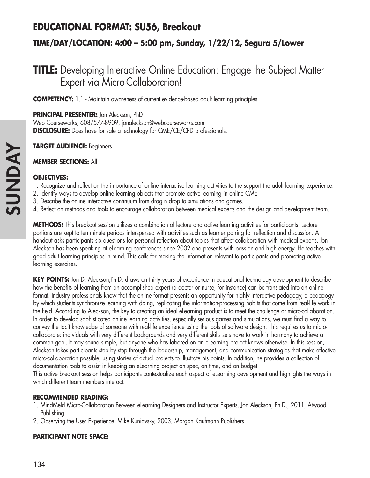# **EDUCATIONAL FORMAT: SU56, Breakout**

## **TIME/DAY/LOCATION: 4:00 – 5:00 pm, Sunday, 1/22/12, Segura 5/Lower**

# **TITLE:** Developing Interactive Online Education: Engage the Subject Matter Expert via Micro-Collaboration!

**COMPETENCY:** 1.1 - Maintain awareness of current evidence-based adult learning principles.

**PRINCIPAL PRESENTER:** Jon Aleckson, PhD

Web Courseworks, 608/577-8909, jonaleckson@webcourseworks.com **DISCLOSURE:** Does have for sale a technology for CME/CE/CPD professionals.

**TARGET AUDIENCE:** Beginners

#### **MEMBER SECTIONS:** All

#### **OBJECTIVES:**

- 1. Recognize and reflect on the importance of online interactive learning activities to the support the adult learning experience.
- 2. Identify ways to develop online learning objects that promote active learning in online CME.
- 3. Describe the online interactive continuum from drag n drop to simulations and games.
- 4. Reflect on methods and tools to encourage collaboration between medical experts and the design and development team.

**METHODS:** This breakout session utilizes a combination of lecture and active learning activities for participants. Lecture portions are kept to ten minute periods interspersed with activities such as learner pairing for reflection and discussion. A handout asks participants six questions for personal reflection about topics that affect collaboration with medical experts. Jon Aleckson has been speaking at eLearning conferences since 2002 and presents with passion and high energy. He teaches with good adult learning principles in mind. This calls for making the information relevant to participants and promoting active learning exercises.

**KEY POINTS:** Jon D. Aleckson,Ph.D. draws on thirty years of experience in educational technology development to describe how the benefits of learning from an accomplished expert (a doctor or nurse, for instance) can be translated into an online format. Industry professionals know that the online format presents an opportunity for highly interactive pedagogy, a pedagogy by which students synchronize learning with doing, replicating the information-processing habits that come from real-life work in the field. According to Aleckson, the key to creating an ideal eLearning product is to meet the challenge of micro-collaboration. In order to develop sophisticated online learning activities, especially serious games and simulations, we must find a way to convey the tacit knowledge of someone with real-life experience using the tools of software design. This requires us to microcollaborate: individuals with very different backgrounds and very different skills sets have to work in harmony to achieve a common goal. It may sound simple, but anyone who has labored on an eLearning project knows otherwise. In this session, Aleckson takes participants step by step through the leadership, management, and communication strategies that make effective micro-collaboration possible, using stories of actual projects to illustrate his points. In addition, he provides a collection of documentation tools to assist in keeping an eLearning project on spec, on time, and on budget.

This active breakout session helps participants contextualize each aspect of eLearning development and highlights the ways in which different team members interact.

#### **RECOMMENDED READING:**

- 1. MindMeld Micro-Collaboration Between eLearning Designers and Instructor Experts, Jon Aleckson, Ph.D., 2011, Atwood Publishing.
- 2. Observing the User Experience, Mike Kuniavsky, 2003, Morgan Kaufmann Publishers.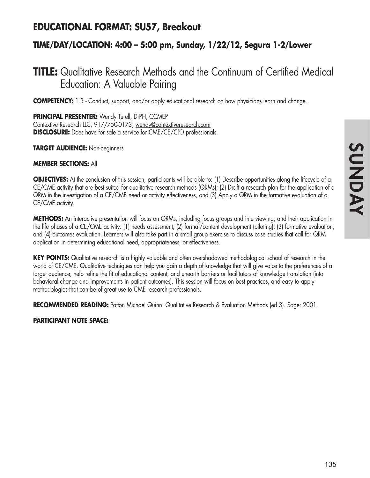## **EDUCATIONAL FORMAT: SU57, Breakout**

## **TIME/DAY/LOCATION: 4:00 – 5:00 pm, Sunday, 1/22/12, Segura 1-2/Lower**

# **TITLE:** Qualitative Research Methods and the Continuum of Certified Medical Education: A Valuable Pairing

**COMPETENCY:** 1.3 - Conduct, support, and/or apply educational research on how physicians learn and change.

**PRINCIPAL PRESENTER:** Wendy Turell, DrPH, CCMEP Contextive Research LLC, 917/750-0173, wendy@contextiveresearch.com **DISCLOSURE:** Does have for sale a service for CME/CE/CPD professionals.

**TARGET AUDIENCE:** Non-beginners

#### **MEMBER SECTIONS:** All

**OBJECTIVES:** At the conclusion of this session, participants will be able to: (1) Describe opportunities along the lifecycle of a CE/CME activity that are best suited for qualitative research methods (QRMs); (2) Draft a research plan for the application of a QRM in the investigation of a CE/CME need or activity effectiveness, and (3) Apply a QRM in the formative evaluation of a CE/CME activity.

**METHODS:** An interactive presentation will focus on QRMs, including focus groups and interviewing, and their application in the life phases of a CE/CME activity: (1) needs assessment; (2) format/content development (piloting); (3) formative evaluation, and (4) outcomes evaluation. Learners will also take part in a small group exercise to discuss case studies that call for QRM application in determining educational need, appropriateness, or effectiveness.

**KEY POINTS:** Qualitative research is a highly valuable and often overshadowed methodological school of research in the world of CE/CME. Qualitative techniques can help you gain a depth of knowledge that will give voice to the preferences of a target audience, help refine the fit of educational content, and unearth barriers or facilitators of knowledge translation (into behavioral change and improvements in patient outcomes). This session will focus on best practices, and easy to apply methodologies that can be of great use to CME research professionals.

**RECOMMENDED READING:** Patton Michael Quinn. Qualitative Research & Evaluation Methods (ed 3). Sage: 2001.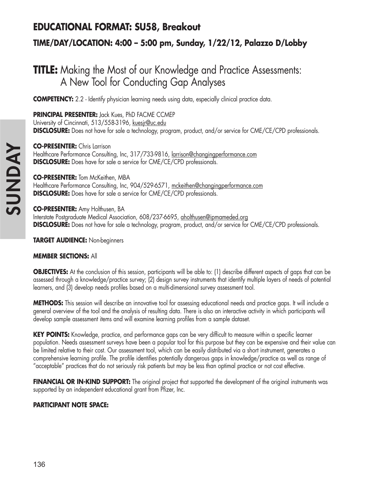# **EDUCATIONAL FORMAT: SU58, Breakout**

## **TIME/DAY/LOCATION: 4:00 – 5:00 pm, Sunday, 1/22/12, Palazzo D/Lobby**

# **TITLE:** Making the Most of our Knowledge and Practice Assessments: A New Tool for Conducting Gap Analyses

**COMPETENCY:** 2.2 - Identify physician learning needs using data, especially clinical practice data.

**PRINCIPAL PRESENTER:** Jack Kues, PhD FACME CCMEP University of Cincinnati, 513/558-3196, kuesjr@uc.edu **DISCLOSURE:** Does not have for sale a technology, program, product, and/or service for CME/CE/CPD professionals.

**CO-PRESENTER:** Chris Larrison Healthcare Performance Consulting, Inc, 317/733-9816, larrison@changingperformance.com **DISCLOSURE:** Does have for sale a service for CME/CE/CPD professionals.

**CO-PRESENTER:** Tom McKeithen, MBA Healthcare Performance Consulting, Inc, 904/529-6571, mckeithen@changingperformance.com **DISCLOSURE:** Does have for sale a service for CME/CE/CPD professionals.

**CO-PRESENTER:** Amy Holthusen, BA Interstate Postgraduate Medical Association, 608/237-6695, aholthusen@ipmameded.org **DISCLOSURE:** Does not have for sale a technology, program, product, and/or service for CME/CE/CPD professionals.

**TARGET AUDIENCE:** Non-beginners

#### **MEMBER SECTIONS:** All

**OBJECTIVES:** At the conclusion of this session, participants will be able to: (1) describe different aspects of gaps that can be assessed through a knowledge/practice survey; (2) design survey instruments that identify multiple layers of needs of potential learners, and (3) develop needs profiles based on a multi-dimensional survey assessment tool.

**METHODS:** This session will describe an innovative tool for assessing educational needs and practice gaps. It will include a general overview of the tool and the analysis of resulting data. There is also an interactive activity in which participants will develop sample assessment items and will examine learning profiles from a sample dataset.

KEY POINTS: Knowledge, practice, and performance gaps can be very difficult to measure within a specific learner population. Needs assessment surveys have been a popular tool for this purpose but they can be expensive and their value can be limited relative to their cost. Our assessment tool, which can be easily distributed via a short instrument, generates a comprehensive learning profile. The profile identifies potentially dangerous gaps in knowledge/practice as well as range of "acceptable" practices that do not seriously risk patients but may be less than optimal practice or not cost effective.

**FINANCIAL OR IN-KIND SUPPORT:** The original project that supported the development of the original instruments was supported by an independent educational grant from Pfizer, Inc.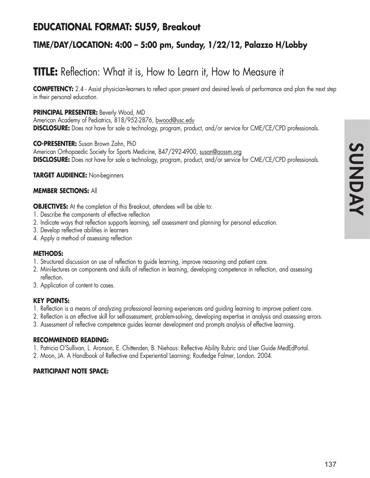## **EDUCATIONAL FORMAT: SU59, Breakout**

### **TIME/DAY/LOCATION: 4:00 – 5:00 pm, Sunday, 1/22/12, Palazzo H/Lobby**

# **TITLE:** Reflection: What it is, How to Learn it, How to Measure it

**COMPETENCY:** 2.4 - Assist physician-learners to reflect upon present and desired levels of performance and plan the next step in their personal education.

### **PRINCIPAL PRESENTER:** Beverly Wood, MD

American Academy of Pediatrics, 818/952-2876, bwood@usc.edu **DISCLOSURE:** Does not have for sale a technology, program, product, and/or service for CME/CE/CPD professionals.

#### **CO-PRESENTER:** Susan Brown Zahn, PhD

American Orthopaedic Society for Sports Medicine, 847/292-4900, susan@aossm.org **DISCLOSURE:** Does not have for sale a technology, program, product, and/or service for CME/CE/CPD professionals.

### **TARGET AUDIENCE:** Non-beginners

#### **MEMBER SECTIONS:** All

**OBJECTIVES:** At the completion of this Breakout, attendees will be able to:

- 1. Describe the components of effective reflection
- 2. Indicate ways that reflection supports learning, self assessment and planning for personal education.
- 3. Develop reflective abilities in learners
- 4. Apply a method of assessing reflection

### **METHODS:**

- 1. Structured discussion on use of reflection to guide learning, improve reasoning and patient care.
- 2. Mini-lectures on components and skills of reflection in learning, developing competence in reflection, and assessing reflection.
- 3. Application of content to cases.

#### **KEY POINTS:**

- 1. Reflection is a means of analyzing professional learning experiences and guiding learning to improve patient care.
- 2. Reflection is an effective skill for self-assessment, problem-solving, developing expertise in analysis and assessing errors.
- 3. Assessment of reflective competence guides learner development and prompts analysis of effective learning.

#### **RECOMMENDED READING:**

1. Patricia O'Sullivan, L. Aronson, E. Chittenden, B. Niehaus: Reflective Ability Rubric and User Guide MedEdPortal.

2. Moon, JA. A Handbook of Reflective and Experiential Learning; Routledge Falmer, London. 2004.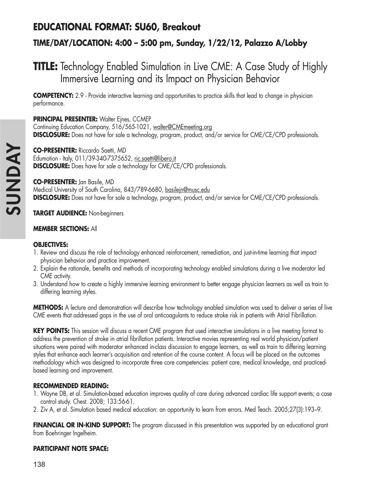## **EDUCATIONAL FORMAT: SU60, Breakout**

### **TIME/DAY/LOCATION: 4:00 – 5:00 pm, Sunday, 1/22/12, Palazzo A/Lobby**

## **TITLE:** Technology Enabled Simulation in Live CME: A Case Study of Highly Immersive Learning and its Impact on Physician Behavior

**COMPETENCY:** 2.9 - Provide interactive learning and opportunities to practice skills that lead to change in physician performance.

### **PRINCIPAL PRESENTER: Walter Ejnes, CCMEP**

Continuing Education Company, 516/565-1021, walter@CMEmeeting.org **DISCLOSURE:** Does not have for sale a technology, program, product, and/or service for CME/CE/CPD professionals.

**CO-PRESENTER:** Riccardo Saetti, MD Edumotion - Italy, 011/39-340-7375652, ric.saetti@libero.it **DISCLOSURE:** Does have for sale a technology for CME/CE/CPD professionals.

### **CO-PRESENTER:** Jan Basile, MD Medical University of South Carolina, 843/789-6680, basilejn@musc.edu

**DISCLOSURE:** Does not have for sale a technology, program, product, and/or service for CME/CE/CPD professionals.

### **TARGET AUDIENCE:** Non-beginners

### **MEMBER SECTIONS:** All

### **OBJECTIVES:**

- 1. Review and discuss the role of technology enhanced reinforcement, remediation, and just-in-time learning that impact physician behavior and practice improvement.
- 2. Explain the rationale, benefits and methods of incorporating technology enabled simulations during a live moderator led CME activity.
- 3. Understand how to create a highly immersive learning environment to better engage physician learners as well as train to differing learning styles.

**METHODS:** A lecture and demonstration will describe how technology enabled simulation was used to deliver a series of live CME events that addressed gaps in the use of oral anticoagulants to reduce stroke risk in patients with Atrial Fibrillation.

**KEY POINTS:** This session will discuss a recent CME program that used interactive simulations in a live meeting format to address the prevention of stroke in atrial fibrillation patients. Interactive movies representing real world physician/patient situations were paired with moderator enhanced in-class discussion to engage learners, as well as train to differing learning styles that enhance each learner's acquisition and retention of the course content. A focus will be placed on the outcomes methodology which was designed to incorporate three core competencies: patient care, medical knowledge, and practicedbased learning and improvement.

### **RECOMMENDED READING:**

- 1. Wayne DB, et al. Simulation-based education improves quality of care during advanced cardiac life support events; a case control study. Chest. 2008; 133:56-61.
- 2. Ziv A, et al. Simulation based medical education: an opportunity to learn from errors. Med Teach. 2005;27(3):193–9.

**FINANCIAL OR IN-KIND SUPPORT:** The program discussed in this presentation was supported by an educational grant from Boehringer Ingelheim.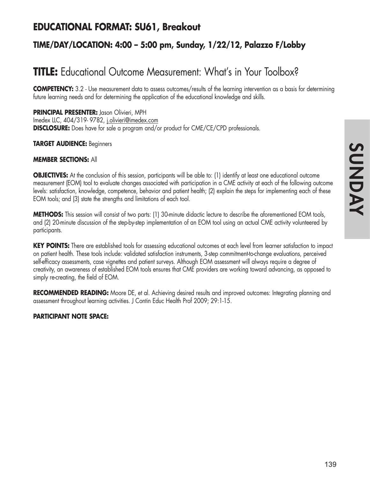## **EDUCATIONAL FORMAT: SU61, Breakout**

### **TIME/DAY/LOCATION: 4:00 – 5:00 pm, Sunday, 1/22/12, Palazzo F/Lobby**

# **TITLE:** Educational Outcome Measurement: What's in Your Toolbox?

**COMPETENCY:** 3.2 - Use measurement data to assess outcomes/results of the learning intervention as a basis for determining future learning needs and for determining the application of the educational knowledge and skills.

**PRINCIPAL PRESENTER:** Jason Olivieri, MPH Imedex LLC, 404/319- 9782, j.olivieri@imedex.com **DISCLOSURE:** Does have for sale a program and/or product for CME/CE/CPD professionals.

#### **TARGET AUDIENCE:** Beginners

### **MEMBER SECTIONS:** All

**OBJECTIVES:** At the conclusion of this session, participants will be able to: (1) identify at least one educational outcome measurement (EOM) tool to evaluate changes associated with participation in a CME activity at each of the following outcome levels: satisfaction, knowledge, competence, behavior and patient health; (2) explain the steps for implementing each of these EOM tools; and (3) state the strengths and limitations of each tool.

**METHODS:** This session will consist of two parts: (1) 30-minute didactic lecture to describe the aforementioned EOM tools, and (2) 20-minute discussion of the step-by-step implementation of an EOM tool using an actual CME activity volunteered by participants.

**KEY POINTS:** There are established tools for assessing educational outcomes at each level from learner satisfaction to impact on patient health. These tools include: validated satisfaction instruments, 3-step commitment-to-change evaluations, perceived self-efficacy assessments, case vignettes and patient surveys. Although EOM assessment will always require a degree of creativity, an awareness of established EOM tools ensures that CME providers are working toward advancing, as opposed to simply re-creating, the field of EOM.

**RECOMMENDED READING:** Moore DE, et al. Achieving desired results and improved outcomes: Integrating planning and assessment throughout learning activities. J Contin Educ Health Prof 2009; 29:1-15.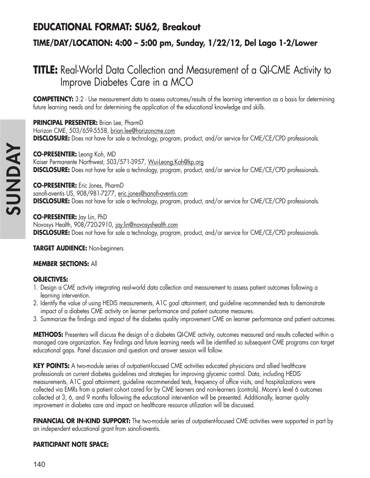## **EDUCATIONAL FORMAT: SU62, Breakout**

### **TIME/DAY/LOCATION: 4:00 – 5:00 pm, Sunday, 1/22/12, Del Lago 1-2/Lower**

## **TITLE:** Real-World Data Collection and Measurement of a QI-CME Activity to Improve Diabetes Care in a MCO

**COMPETENCY:** 3.2 - Use measurement data to assess outcomes/results of the learning intervention as a basis for determining future learning needs and for determining the application of the educational knowledge and skills.

**PRINCIPAL PRESENTER:** Brian Lee, PharmD Horizon CME, 503/659-5558, brian.lee@horizoncme.com **DISCLOSURE:** Does not have for sale a technology, program, product, and/or service for CME/CE/CPD professionals.

**CO-PRESENTER:** Leong Koh, MD Kaiser Permanente Northwest, 503/571-3957, Wui-Leong.Koh@kp.org **DISCLOSURE:** Does not have for sale a technology, program, product, and/or service for CME/CE/CPD professionals.

**CO-PRESENTER:** Eric Jones, PharmD sanofi-aventis US, 908/981-7277, eric.jones@sanofi-aventis.com **DISCLOSURE:** Does not have for sale a technology, program, product, and/or service for CME/CE/CPD professionals.

**CO-PRESENTER:** Jay Lin, PhD Novosys Health, 908/720-2910, jay.lin@novosyshealth.com **DISCLOSURE:** Does not have for sale a technology, program, product, and/or service for CME/CE/CPD professionals.

**TARGET AUDIENCE:** Non-beginners

### **MEMBER SECTIONS:** All

### **OBJECTIVES:**

- 1. Design a CME activity integrating real-world data collection and measurement to assess patient outcomes following a learning intervention.
- 2. Identify the value of using HEDIS measurements, A1C goal attainment, and guideline recommended tests to demonstrate impact of a diabetes CME activity on learner performance and patient outcome measures.
- 3. Summarize the findings and impact of the diabetes quality improvement CME on learner performance and patient outcomes.

**METHODS:** Presenters will discuss the design of a diabetes QI-CME activity, outcomes measured and results collected within a managed care organization. Key findings and future learning needs will be identified so subsequent CME programs can target educational gaps. Panel discussion and question and answer session will follow.

**KEY POINTS:** A two-module series of outpatient-focused CME activities educated physicians and allied healthcare professionals on current diabetes guidelines and strategies for improving glycemic control. Data, including HEDIS measurements, A1C goal attainment, guideline recommended tests, frequency of office visits, and hospitalizations were collected via EMRs from a patient cohort cared for by CME learners and non-learners (controls). Moore's level 6 outcomes collected at 3, 6, and 9 months following the educational intervention will be presented. Additionally, learner quality improvement in diabetes care and impact on healthcare resource utilization will be discussed.

**FINANCIAL OR IN-KIND SUPPORT:** The two-module series of outpatient-focused CME activities were supported in part by an independent educational grant from sanofi-aventis.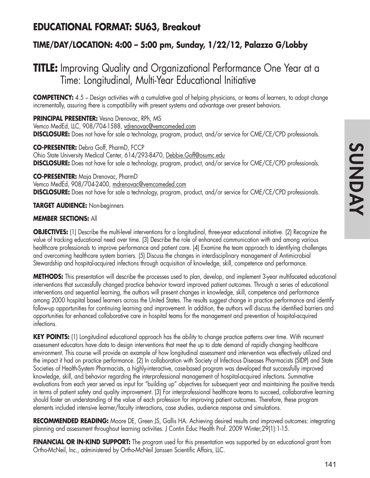### **EDUCATIONAL FORMAT: SU63, Breakout**

### **TIME/DAY/LOCATION: 4:00 – 5:00 pm, Sunday, 1/22/12, Palazzo G/Lobby**

## **TITLE:** Improving Quality and Organizational Performance One Year at a Time: Longitudinal, Multi-Year Educational Initiative

**COMPETENCY:** 4.5 – Design activities with a cumulative goal of helping physicians, or teams of learners, to adopt change incrementally, assuring there is compatibility with present systems and advantage over present behaviors.

**PRINCIPAL PRESENTER:** Vesna Drenovac, RPh, MS Vemco MedEd, LLC, 908/704-1588, vdrenovac@vemcomeded.com **DISCLOSURE:** Does not have for sale a technology, program, product, and/or service for CME/CE/CPD professionals.

**CO-PRESENTER:** Debra Goff, PharmD, FCCP Ohio State University Medical Center, 614/293-8470, Debbie.Goff@osumc.edu **DISCLOSURE:** Does not have for sale a technology, program, product, and/or service for CME/CE/CPD professionals.

**CO-PRESENTER:** Maja Drenovac, PharmD Vemco MedEd, 908/704-2400, mdrenovac@vemcomeded.com **DISCLOSURE:** Does not have for sale a technology, program, product, and/or service for CME/CE/CPD professionals.

**TARGET AUDIENCE:** Non-beginners

### **MEMBER SECTIONS:** All

**OBJECTIVES:** (1) Describe the multi-level interventions for a longitudinal, three-year educational initiative. (2) Recognize the value of tracking educational need over time. (3) Describe the role of enhanced communication with and among various healthcare professionals to improve performance and patient care. (4) Examine the team approach to identifying challenges and overcoming healthcare system barriers. (5) Discuss the changes in interdisciplinary management of Antimicrobial Stewardship and hospital-acquired infections through acquisition of knowledge, skill, competence and performance.

**METHODS:** This presentation will describe the processes used to plan, develop, and implement 3-year multifaceted educational interventions that successfully changed practice behavior toward improved patient outcomes. Through a series of educational interventions and sequential learning, the authors will present changes in knowledge, skill, competence and performance among 2000 hospital based learners across the United States. The results suggest change in practice performance and identify follow-up opportunities for continuing learning and improvement. In addition, the authors will discuss the identified barriers and opportunities for enhanced collaborative care in hospital teams for the management and prevention of hospital-acquired infections.

**KEY POINTS:** (1) Longitudinal educational approach has the ability to change practice patterns over time. With recurrent assessment educators have data to design interventions that meet the up to date demand of rapidly changing healthcare environment. This course will provide an example of how longitudinal assessment and intervention was effectively utilized and the impact it had on practice performance. (2) In collaboration with Society of Infectious Diseases Pharmacists (SIDP) and State Societies of Health-System Pharmacists, a highly-interactive, case-based program was developed that successfully improved knowledge, skill, and behavior regarding the interprofessional management of hospital-acquired infections. Summative evaluations from each year served as input for "building up" objectives for subsequent year and maintaining the positive trends in terms of patient safety and quality improvement. (3) For interprofessional healthcare teams to succeed, collaborative learning should foster an understanding of the value of each profession for improving patient outcomes. Therefore, these program elements included intensive learner/faculty interactions, case studies, audience response and simulations.

**RECOMMENDED READING:** Moore DE, Green JS, Gallis HA. Achieving desired results and improved outcomes: integrating planning and assessment throughout learning activities. J Contin Educ Health Prof. 2009 Winter;29(1):1-15.

**FINANCIAL OR IN-KIND SUPPORT:** The program used for this presentation was supported by an educational grant from Ortho-McNeil, Inc., administered by Ortho-McNeil Janssen Scientific Affairs, LLC.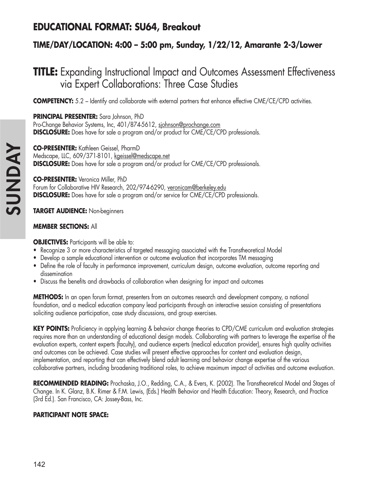## **EDUCATIONAL FORMAT: SU64, Breakout**

### **TIME/DAY/LOCATION: 4:00 – 5:00 pm, Sunday, 1/22/12, Amarante 2-3/Lower**

## **TITLE:** Expanding Instructional Impact and Outcomes Assessment Effectiveness via Expert Collaborations: Three Case Studies

**COMPETENCY:** 5.2 – Identify and collaborate with external partners that enhance effective CME/CE/CPD activities.

**PRINCIPAL PRESENTER:** Sara Johnson, PhD Pro-Change Behavior Systems, Inc, 401/874-5612, sjohnson@prochange.com **DISCLOSURE:** Does have for sale a program and/or product for CME/CE/CPD professionals.

**CO-PRESENTER:** Kathleen Geissel, PharmD Medscape, LLC, 609/371-8101, kgeissel@medscape.net **DISCLOSURE:** Does have for sale a program and/or product for CME/CE/CPD professionals.

**CO-PRESENTER:** Veronica Miller, PhD Forum for Collaborative HIV Research, 202/974-6290, veronicam@berkeley.edu **DISCLOSURE:** Does have for sale a program and/or service for CME/CE/CPD professionals.

**TARGET AUDIENCE:** Non-beginners

### **MEMBER SECTIONS:** All

**OBJECTIVES:** Participants will be able to:

- Recognize 3 or more characteristics of targeted messaging associated with the Transtheoretical Model
- Develop a sample educational intervention or outcome evaluation that incorporates TM messaging
- Define the role of faculty in performance improvement, curriculum design, outcome evaluation, outcome reporting and dissemination
- Discuss the benefits and drawbacks of collaboration when designing for impact and outcomes

**METHODS:** In an open forum format, presenters from an outcomes research and development company, a national foundation, and a medical education company lead participants through an interactive session consisting of presentations soliciting audience participation, case study discussions, and group exercises.

**KEY POINTS:** Proficiency in applying learning & behavior change theories to CPD/CME curriculum and evaluation strategies requires more than an understanding of educational design models. Collaborating with partners to leverage the expertise of the evaluation experts, content experts (faculty), and audience experts (medical education provider), ensures high quality activities and outcomes can be achieved. Case studies will present effective approaches for content and evaluation design, implementation, and reporting that can effectively blend adult learning and behavior change expertise of the various collaborative partners, including broadening traditional roles, to achieve maximum impact of activities and outcome evaluation.

**RECOMMENDED READING:** Prochaska, J.O., Redding, C.A., & Evers, K. (2002). The Transtheoretical Model and Stages of Change. In K. Glanz, B.K. Rimer & F.M. Lewis, (Eds.) Health Behavior and Health Education: Theory, Research, and Practice (3rd Ed.). San Francisco, CA: Jossey-Bass, Inc.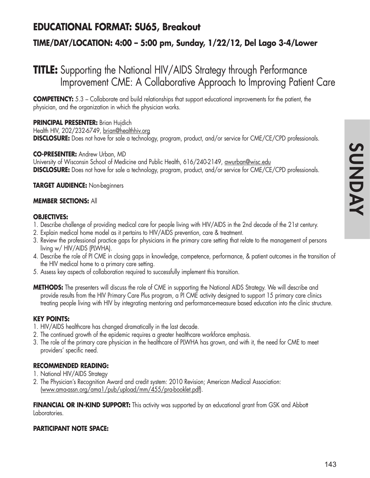## **EDUCATIONAL FORMAT: SU65, Breakout**

### **TIME/DAY/LOCATION: 4:00 – 5:00 pm, Sunday, 1/22/12, Del Lago 3-4/Lower**

## **TITLE:** Supporting the National HIV/AIDS Strategy through Performance Improvement CME: A Collaborative Approach to Improving Patient Care

**COMPETENCY:** 5.3 – Collaborate and build relationships that support educational improvements for the patient, the physician, and the organization in which the physician works.

### **PRINCIPAL PRESENTER:** Brian Hujdich

Health HIV, 202/232-6749, brian@healthhiv.org **DISCLOSURE:** Does not have for sale a technology, program, product, and/or service for CME/CE/CPD professionals.

### **CO-PRESENTER:** Andrew Urban, MD

University of Wisconsin School of Medicine and Public Health, 616/240-2149, awurban@wisc.edu **DISCLOSURE:** Does not have for sale a technology, program, product, and/or service for CME/CE/CPD professionals.

### **TARGET AUDIENCE:** Non-beginners

### **MEMBER SECTIONS:** All

### **OBJECTIVES:**

- 1. Describe challenge of providing medical care for people living with HIV/AIDS in the 2nd decade of the 21st century.
- 2. Explain medical home model as it pertains to HIV/AIDS prevention, care & treatment.
- 3. Review the professional practice gaps for physicians in the primary care setting that relate to the management of persons living w/ HIV/AIDS (PLWHA).
- 4. Describe the role of PI CME in closing gaps in knowledge, competence, performance, & patient outcomes in the transition of the HIV medical home to a primary care setting.
- 5. Assess key aspects of collaboration required to successfully implement this transition.
- **METHODS:** The presenters will discuss the role of CME in supporting the National AIDS Strategy. We will describe and provide results from the HIV Primary Care Plus program, a PI CME activity designed to support 15 primary care clinics treating people living with HIV by integrating mentoring and performance-measure based education into the clinic structure.

### **KEY POINTS:**

- 1. HIV/AIDS healthcare has changed dramatically in the last decade.
- 2. The continued growth of the epidemic requires a greater healthcare workforce emphasis.
- 3. The role of the primary care physician in the healthcare of PLWHA has grown, and with it, the need for CME to meet providers' specific need.

### **RECOMMENDED READING:**

- 1. National HIV/AIDS Strategy
- 2. The Physician's Recognition Award and credit system: 2010 Revision; American Medical Association: (www.ama-assn.org/ama1/pub/upload/mm/455/pra-booklet.pdf).

**FINANCIAL OR IN-KIND SUPPORT:** This activity was supported by an educational grant from GSK and Abbott Laboratories.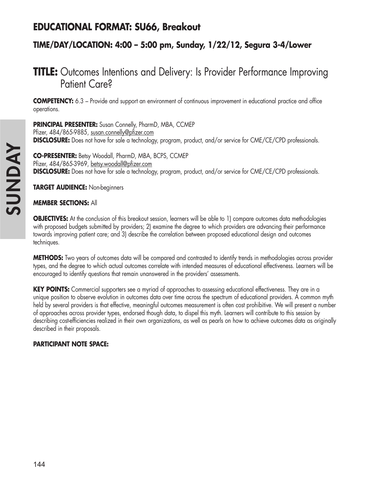## **EDUCATIONAL FORMAT: SU66, Breakout**

### **TIME/DAY/LOCATION: 4:00 – 5:00 pm, Sunday, 1/22/12, Segura 3-4/Lower**

## **TITLE:** Outcomes Intentions and Delivery: Is Provider Performance Improving Patient Care?

**COMPETENCY:** 6.3 – Provide and support an environment of continuous improvement in educational practice and office operations.

**PRINCIPAL PRESENTER:** Susan Connelly, PharmD, MBA, CCMEP Pfizer, 484/865-9885, susan.connelly@pfizer.com **DISCLOSURE:** Does not have for sale a technology, program, product, and/or service for CME/CE/CPD professionals.

**CO-PRESENTER:** Betsy Woodall, PharmD, MBA, BCPS, CCMEP Pfizer, 484/865-3969, betsy.woodall@pfizer.com **DISCLOSURE:** Does not have for sale a technology, program, product, and/or service for CME/CE/CPD professionals.

**TARGET AUDIENCE:** Non-beginners

### **MEMBER SECTIONS:** All

**OBJECTIVES:** At the conclusion of this breakout session, learners will be able to 1) compare outcomes data methodologies with proposed budgets submitted by providers; 2) examine the degree to which providers are advancing their performance towards improving patient care; and 3) describe the correlation between proposed educational design and outcomes techniques.

**METHODS:** Two years of outcomes data will be compared and contrasted to identify trends in methodologies across provider types, and the degree to which actual outcomes correlate with intended measures of educational effectiveness. Learners will be encouraged to identify questions that remain unanswered in the providers' assessments.

**KEY POINTS:** Commercial supporters see a myriad of approaches to assessing educational effectiveness. They are in a unique position to observe evolution in outcomes data over time across the spectrum of educational providers. A common myth held by several providers is that effective, meaningful outcomes measurement is often cost prohibitive. We will present a number of approaches across provider types, endorsed though data, to dispel this myth. Learners will contribute to this session by describing cost-efficiencies realized in their own organizations, as well as pearls on how to achieve outcomes data as originally described in their proposals.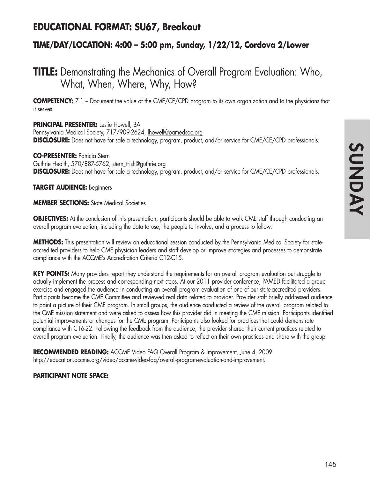## **EDUCATIONAL FORMAT: SU67, Breakout**

### **TIME/DAY/LOCATION: 4:00 – 5:00 pm, Sunday, 1/22/12, Cordova 2/Lower**

## **TITLE:** Demonstrating the Mechanics of Overall Program Evaluation: Who, What, When, Where, Why, How?

**COMPETENCY:** 7.1 – Document the value of the CME/CE/CPD program to its own organization and to the physicians that it serves.

### **PRINCIPAL PRESENTER:** Leslie Howell, BA

Pennsylvania Medical Society, 717/909-2624, lhowell@pamedsoc.org **DISCLOSURE:** Does not have for sale a technology, program, product, and/or service for CME/CE/CPD professionals.

### **CO-PRESENTER:** Patricia Stern

Guthrie Health, 570/887-5762, stern\_trish@guthrie.org **DISCLOSURE:** Does not have for sale a technology, program, product, and/or service for CME/CE/CPD professionals.

### **TARGET AUDIENCE:** Beginners

**MEMBER SECTIONS:** State Medical Societies

**OBJECTIVES:** At the conclusion of this presentation, participants should be able to walk CME staff through conducting an overall program evaluation, including the data to use, the people to involve, and a process to follow.

**METHODS:** This presentation will review an educational session conducted by the Pennsylvania Medical Society for stateaccredited providers to help CME physician leaders and staff develop or improve strategies and processes to demonstrate compliance with the ACCME's Accreditation Criteria C12-C15.

**KEY POINTS:** Many providers report they understand the requirements for an overall program evaluation but struggle to actually implement the process and corresponding next steps. At our 2011 provider conference, PAMED facilitated a group exercise and engaged the audience in conducting an overall program evaluation of one of our state-accredited providers. Participants became the CME Committee and reviewed real data related to provider. Provider staff briefly addressed audience to paint a picture of their CME program. In small groups, the audience conducted a review of the overall program related to the CME mission statement and were asked to assess how this provider did in meeting the CME mission. Participants identified potential improvements or changes for the CME program. Participants also looked for practices that could demonstrate compliance with C16-22. Following the feedback from the audience, the provider shared their current practices related to overall program evaluation. Finally, the audience was then asked to reflect on their own practices and share with the group.

**RECOMMENDED READING:** ACCME Video FAQ Overall Program & Improvement, June 4, 2009 http://education.accme.org/video/accme-video-faq/overall-program-evaluation-and-improvement.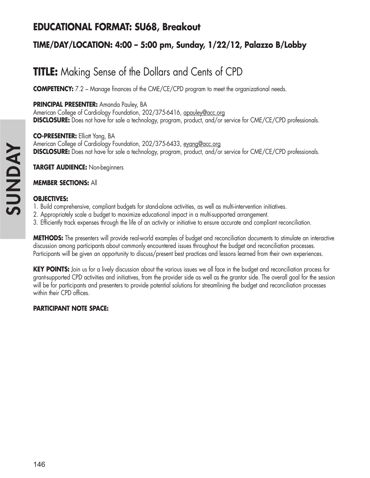## **EDUCATIONAL FORMAT: SU68, Breakout**

### **TIME/DAY/LOCATION: 4:00 – 5:00 pm, Sunday, 1/22/12, Palazzo B/Lobby**

# **TITLE:** Making Sense of the Dollars and Cents of CPD

**COMPETENCY:** 7.2 – Manage finances of the CME/CE/CPD program to meet the organizational needs.

### **PRINCIPAL PRESENTER:** Amanda Pauley, BA

American College of Cardiology Foundation, 202/375-6416, apauley@acc.org **DISCLOSURE:** Does not have for sale a technology, program, product, and/or service for CME/CE/CPD professionals.

**CO-PRESENTER:** Elliott Yang, BA American College of Cardiology Foundation, 202/375-6433, eyang@acc.org **DISCLOSURE:** Does not have for sale a technology, program, product, and/or service for CME/CE/CPD professionals.

**TARGET AUDIENCE:** Non-beginners

### **MEMBER SECTIONS:** All

### **OBJECTIVES:**

- 1. Build comprehensive, compliant budgets for stand-alone activities, as well as multi-intervention initiatives.
- 2. Appropriately scale a budget to maximize educational impact in a multi-supported arrangement.
- 3. Efficiently track expenses through the life of an activity or initiative to ensure accurate and compliant reconciliation.

**METHODS:** The presenters will provide real-world examples of budget and reconciliation documents to stimulate an interactive discussion among participants about commonly encountered issues throughout the budget and reconciliation processes. Participants will be given an opportunity to discuss/present best practices and lessons learned from their own experiences.

**KEY POINTS:** Join us for a lively discussion about the various issues we all face in the budget and reconciliation process for grant-supported CPD activities and initiatives, from the provider side as well as the grantor side. The overall goal for the session will be for participants and presenters to provide potential solutions for streamlining the budget and reconciliation processes within their CPD offices.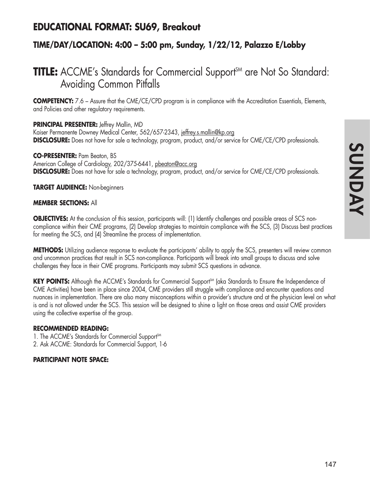## **EDUCATIONAL FORMAT: SU69, Breakout**

### **TIME/DAY/LOCATION: 4:00 – 5:00 pm, Sunday, 1/22/12, Palazzo E/Lobby**

## **TITLE:** ACCME's Standards for Commercial Support<sup>SM</sup> are Not So Standard: Avoiding Common Pitfalls

**COMPETENCY:** 7.6 – Assure that the CME/CE/CPD program is in compliance with the Accreditation Essentials, Elements, and Policies and other regulatory requirements.

### **PRINCIPAL PRESENTER:** Jeffrey Mallin, MD

Kaiser Permanente Downey Medical Center, 562/657-2343, jeffrey.s.mallin@kp.org **DISCLOSURE:** Does not have for sale a technology, program, product, and/or service for CME/CE/CPD professionals.

### **CO-PRESENTER:** Pam Beaton, BS

American College of Cardiology, 202/375-6441, pbeaton@acc.org **DISCLOSURE:** Does not have for sale a technology, program, product, and/or service for CME/CE/CPD professionals.

### **TARGET AUDIENCE:** Non-beginners

### **MEMBER SECTIONS:** All

**OBJECTIVES:** At the conclusion of this session, participants will: (1) Identify challenges and possible areas of SCS noncompliance within their CME programs, (2) Develop strategies to maintain compliance with the SCS, (3) Discuss best practices for meeting the SCS, and (4) Streamline the process of implementation.

**METHODS:** Utilizing audience response to evaluate the participants' ability to apply the SCS, presenters will review common and uncommon practices that result in SCS non-compliance. Participants will break into small groups to discuss and solve challenges they face in their CME programs. Participants may submit SCS questions in advance.

**KEY POINTS:** Although the ACCME's Standards for Commercial Support<sup>SM</sup> (aka Standards to Ensure the Independence of CME Activities) have been in place since 2004, CME providers still struggle with compliance and encounter questions and nuances in implementation. There are also many misconceptions within a provider's structure and at the physician level on what is and is not allowed under the SCS. This session will be designed to shine a light on those areas and assist CME providers using the collective expertise of the group.

### **RECOMMENDED READING:**

1. The ACCME's Standards for Commercial Support<sup>SM</sup> 2. Ask ACCME: Standards for Commercial Support, 1-6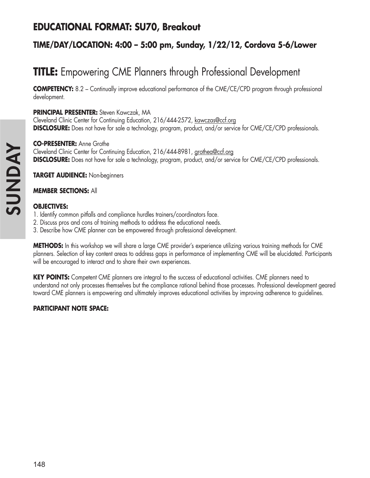## **EDUCATIONAL FORMAT: SU70, Breakout**

### **TIME/DAY/LOCATION: 4:00 – 5:00 pm, Sunday, 1/22/12, Cordova 5-6/Lower**

# **TITLE:** Empowering CME Planners through Professional Development

**COMPETENCY:** 8.2 – Continually improve educational performance of the CME/CE/CPD program through professional development.

### **PRINCIPAL PRESENTER:** Steven Kawczak, MA

Cleveland Clinic Center for Continuing Education, 216/444-2572, kawczas@ccf.org **DISCLOSURE:** Does not have for sale a technology, program, product, and/or service for CME/CE/CPD professionals.

#### **CO-PRESENTER:** Anne Grothe

Cleveland Clinic Center for Continuing Education, 216/444-8981, grothea@ccf.org **DISCLOSURE:** Does not have for sale a technology, program, product, and/or service for CME/CE/CPD professionals.

**TARGET AUDIENCE:** Non-beginners

### **MEMBER SECTIONS:** All

#### **OBJECTIVES:**

- 1. Identify common pitfalls and compliance hurdles trainers/coordinators face.
- 2. Discuss pros and cons of training methods to address the educational needs.
- 3. Describe how CME planner can be empowered through professional development.

**METHODS:** In this workshop we will share a large CME provider's experience utilizing various training methods for CME planners. Selection of key content areas to address gaps in performance of implementing CME will be elucidated. Participants will be encouraged to interact and to share their own experiences.

**KEY POINTS:** Competent CME planners are integral to the success of educational activities. CME planners need to understand not only processes themselves but the compliance rational behind those processes. Professional development geared toward CME planners is empowering and ultimately improves educational activities by improving adherence to guidelines.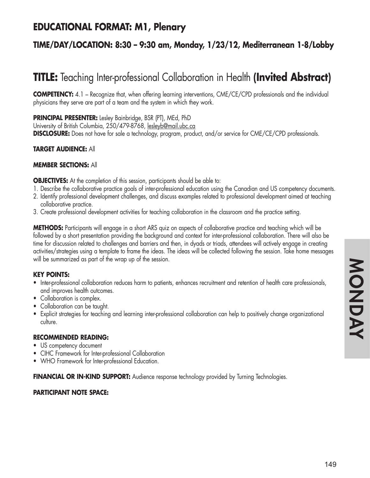## **EDUCATIONAL FORMAT: M1, Plenary**

### **TIME/DAY/LOCATION: 8:30 – 9:30 am, Monday, 1/23/12, Mediterranean 1-8/Lobby**

# **TITLE:** Teaching Inter-professional Collaboration in Health **(Invited Abstract)**

**COMPETENCY:** 4.1 – Recognize that, when offering learning interventions, CME/CE/CPD professionals and the individual physicians they serve are part of a team and the system in which they work.

**PRINCIPAL PRESENTER:** Lesley Bainbridge, BSR (PT), MEd, PhD

University of British Columbia, 250/479-8768, lesleyb@mail.ubc.ca **DISCLOSURE:** Does not have for sale a technology, program, product, and/or service for CME/CE/CPD professionals.

### **TARGET AUDIENCE:** All

#### **MEMBER SECTIONS:** All

**OBJECTIVES:** At the completion of this session, participants should be able to:

- 1. Describe the collaborative practice goals of inter-professional education using the Canadian and US competency documents.
- 2. Identify professional development challenges, and discuss examples related to professional development aimed at teaching collaborative practice.
- 3. Create professional development activities for teaching collaboration in the classroom and the practice setting.

**METHODS:** Participants will engage in a short ARS quiz on aspects of collaborative practice and teaching which will be followed by a short presentation providing the background and context for inter-professional collaboration. There will also be time for discussion related to challenges and barriers and then, in dyads or triads, attendees will actively engage in creating activities/strategies using a template to frame the ideas. The ideas will be collected following the session. Take home messages will be summarized as part of the wrap up of the session.

### **KEY POINTS:**

- Inter-professional collaboration reduces harm to patients, enhances recruitment and retention of health care professionals, and improves health outcomes.
- Collaboration is complex.
- Collaboration can be taught.
- Explicit strategies for teaching and learning inter-professional collaboration can help to positively change organizational culture.

### **RECOMMENDED READING:**

- US competency document
- CIHC Framework for Inter-professional Collaboration
- WHO Framework for Inter-professional Education.

**FINANCIAL OR IN-KIND SUPPORT:** Audience response technology provided by Turning Technologies.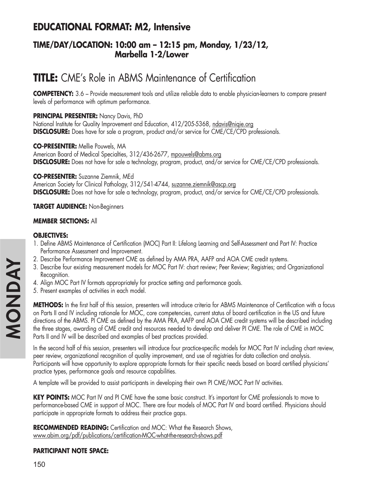## **EDUCATIONAL FORMAT: M2, Intensive**

### **TIME/DAY/LOCATION: 10:00 am – 12:15 pm, Monday, 1/23/12, Marbella 1-2/Lower**

# **TITLE:** CME's Role in ABMS Maintenance of Certification

**COMPETENCY:** 3.6 – Provide measurement tools and utilize reliable data to enable physician-learners to compare present levels of performance with optimum performance.

### **PRINCIPAL PRESENTER:** Nancy Davis, PhD

National Institute for Quality Improvement and Education, 412/205-5368, ndavis@niqie.org **DISCLOSURE:** Does have for sale a program, product and/or service for CME/CE/CPD professionals.

### **CO-PRESENTER:** Mellie Pouwels, MA

American Board of Medical Specialties, 312/436-2677, mpouwels@abms.org **DISCLOSURE:** Does not have for sale a technology, program, product, and/or service for CME/CE/CPD professionals.

### **CO-PRESENTER:** Suzanne Ziemnik, MEd

American Society for Clinical Pathology, 312/541-4744, suzanne.ziemnik@ascp.org **DISCLOSURE:** Does not have for sale a technology, program, product, and/or service for CME/CE/CPD professionals.

### **TARGET AUDIENCE:** Non-Beginners

### **MEMBER SECTIONS:** All

### **OBJECTIVES:**

- 1. Define ABMS Maintenance of Certification (MOC) Part II: Lifelong Learning and Self-Assessment and Part IV: Practice Performance Assessment and Improvement.
- 2. Describe Performance Improvement CME as defined by AMA PRA, AAFP and AOA CME credit systems.
- 3. Describe four existing measurement models for MOC Part IV: chart review; Peer Review; Registries; and Organizational Recognition.
- 4. Align MOC Part IV formats appropriately for practice setting and performance goals.
- 5. Present examples of activities in each model.

**METHODS:** In the first half of this session, presenters will introduce criteria for ABMS Maintenance of Certification with a focus on Parts II and IV including rationale for MOC, core competencies, current status of board certification in the US and future directions of the ABMS. PI CME as defined by the AMA PRA, AAFP and AOA CME credit systems will be described including the three stages, awarding of CME credit and resources needed to develop and deliver PI CME. The role of CME in MOC Parts II and IV will be described and examples of best practices provided.

In the second half of this session, presenters will introduce four practice-specific models for MOC Part IV including chart review, peer review, organizational recognition of quality improvement, and use of registries for data collection and analysis. Participants will have opportunity to explore appropriate formats for their specific needs based on board certified physicians' practice types, performance goals and resource capabilities.

A template will be provided to assist participants in developing their own PI CME/MOC Part IV activities.

**KEY POINTS:** MOC Part IV and PI CME have the same basic construct. It's important for CME professionals to move to performance-based CME in support of MOC. There are four models of MOC Part IV and board certified. Physicians should participate in appropriate formats to address their practice gaps.

**RECOMMENDED READING:** Certification and MOC: What the Research Shows, www.abim.org/pdf/publications/certification-MOC-what-the-research-shows.pdf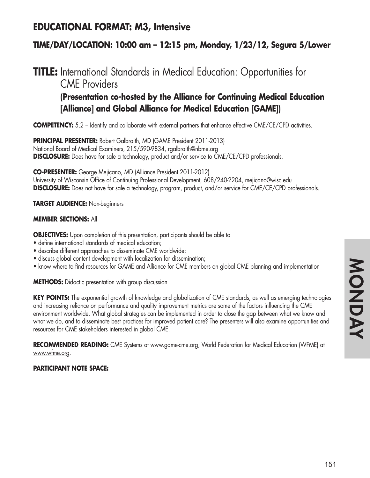## **EDUCATIONAL FORMAT: M3, Intensive**

### **TIME/DAY/LOCATION: 10:00 am – 12:15 pm, Monday, 1/23/12, Segura 5/Lower**

### **TITLE:** International Standards in Medical Education: Opportunities for CME Providers **(Presentation co-hosted by the Alliance for Continuing Medical Education**

# **[Alliance] and Global Alliance for Medical Education [GAME])**

**COMPETENCY:** 5.2 – Identify and collaborate with external partners that enhance effective CME/CE/CPD activities.

**PRINCIPAL PRESENTER:** Robert Galbraith, MD (GAME President 2011-2013) National Board of Medical Examiners, 215/590-9834, rgalbraith@nbme.org **DISCLOSURE:** Does have for sale a technology, product and/or service to CME/CE/CPD professionals.

**CO-PRESENTER:** George Mejicano, MD (Alliance President 2011-2012) University of Wisconsin Office of Continuing Professional Development, 608/240-2204, mejicano@wisc.edu **DISCLOSURE:** Does not have for sale a technology, program, product, and/or service for CME/CE/CPD professionals.

### **TARGET AUDIENCE:** Non-beginners

### **MEMBER SECTIONS:** All

**OBJECTIVES:** Upon completion of this presentation, participants should be able to

- define international standards of medical education;
- describe different approaches to disseminate CME worldwide;
- discuss global content development with localization for dissemination;
- know where to find resources for GAME and Alliance for CME members on global CME planning and implementation

**METHODS:** Didactic presentation with group discussion

**KEY POINTS:** The exponential growth of knowledge and globalization of CME standards, as well as emerging technologies and increasing reliance on performance and quality improvement metrics are some of the factors influencing the CME environment worldwide. What global strategies can be implemented in order to close the gap between what we know and what we do, and to disseminate best practices for improved patient care? The presenters will also examine opportunities and resources for CME stakeholders interested in global CME.

RECOMMENDED READING: CME Systems at www.game-cme.org; World Federation for Medical Education (WFME) at www.wfme.org.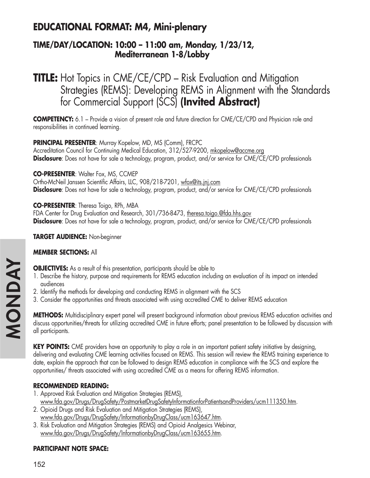## **EDUCATIONAL FORMAT: M4, Mini-plenary**

### **TIME/DAY/LOCATION: 10:00 – 11:00 am, Monday, 1/23/12, Mediterranean 1-8/Lobby**

## **TITLE:** Hot Topics in CME/CE/CPD – Risk Evaluation and Mitigation Strategies (REMS): Developing REMS in Alignment with the Standards for Commercial Support (SCS) **(Invited Abstract)**

**COMPETENCY:** 6.1 – Provide a vision of present role and future direction for CME/CE/CPD and Physician role and responsibilities in continued learning.

### **PRINCIPAL PRESENTER**: Murray Kopelow, MD, MS (Comm), FRCPC

Accreditation Council for Continuing Medical Education, 312/527-9200, mkopelow@accme.org **Disclosure**: Does not have for sale a technology, program, product, and/or service for CME/CE/CPD professionals

### **CO-PRESENTER:** Walter Fox, MS, CCMEP

Ortho-McNeil Janssen Scientific Affairs, LLC, 908/218-7201, wfox@its.jnj.com **Disclosure**: Does not have for sale a technology, program, product, and/or service for CME/CE/CPD professionals

**CO-PRESENTER**: Theresa Toigo, RPh, MBA FDA Center for Drug Evaluation and Research, 301/736-8473, theresa.toigo.@fda.hhs.gov **Disclosure**: Does not have for sale a technology, program, product, and/or service for CME/CE/CPD professionals

### **TARGET AUDIENCE:** Non-beginner

### **MEMBER SECTIONS:** All

**OBJECTIVES:** As a result of this presentation, participants should be able to

- 1. Describe the history, purpose and requirements for REMS education including an evaluation of its impact on intended audiences
- 2. Identify the methods for developing and conducting REMS in alignment with the SCS
- 3. Consider the opportunities and threats associated with using accredited CME to deliver REMS education

**METHODS:** Multidisciplinary expert panel will present background information about previous REMS education activities and discuss opportunities/threats for utilizing accredited CME in future efforts; panel presentation to be followed by discussion with all participants.

**KEY POINTS:** CME providers have an opportunity to play a role in an important patient safety initiative by designing, delivering and evaluating CME learning activities focused on REMS. This session will review the REMS training experience to date, explain the approach that can be followed to design REMS education in compliance with the SCS and explore the opportunities/ threats associated with using accredited CME as a means for offering REMS information.

### **RECOMMENDED READING:**

- 1. Approved Risk Evaluation and Mitigation Strategies (REMS), www.fda.gov/Drugs/DrugSafety/PostmarketDrugSafetyInformationforPatientsandProviders/ucm111350.htm.
- 2. Opioid Drugs and Risk Evaluation and Mitigation Strategies (REMS), www.fda.gov/Drugs/DrugSafety/InformationbyDrugClass/ucm163647.htm.
- 3. Risk Evaluation and Mitigation Strategies (REMS) and Opioid Analgesics Webinar, www.fda.gov/Drugs/DrugSafety/InformationbyDrugClass/ucm163655.htm.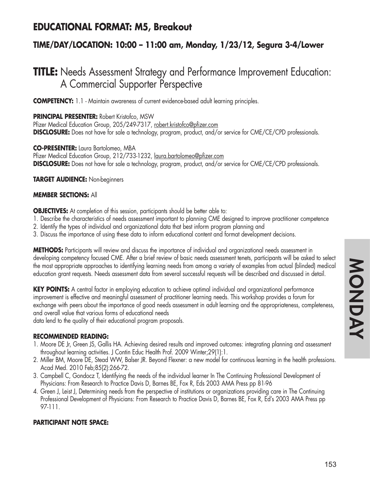## **EDUCATIONAL FORMAT: M5, Breakout**

### **TIME/DAY/LOCATION: 10:00 – 11:00 am, Monday, 1/23/12, Segura 3-4/Lower**

## **TITLE:** Needs Assessment Strategy and Performance Improvement Education: A Commercial Supporter Perspective

**COMPETENCY:** 1.1 - Maintain awareness of current evidence-based adult learning principles.

### **PRINCIPAL PRESENTER:** Robert Kristofco, MSW

Pfizer Medical Education Group, 205/249-7317, robert.kristofco@pfizer.com **DISCLOSURE:** Does not have for sale a technology, program, product, and/or service for CME/CE/CPD professionals.

### **CO-PRESENTER:** Laura Bartolomeo, MBA

Pfizer Medical Education Group, 212/733-1232, laura.bartolomeo@pfizer.com **DISCLOSURE:** Does not have for sale a technology, program, product, and/or service for CME/CE/CPD professionals.

### **TARGET AUDIENCE:** Non-beginners

### **MEMBER SECTIONS:** All

**OBJECTIVES:** At completion of this session, participants should be better able to:

- 1. Describe the characteristics of needs assessment important to planning CME designed to improve practitioner competence
- 2. Identify the types of individual and organizational data that best inform program planning and
- 3. Discuss the importance of using these data to inform educational content and format development decisions.

**METHODS:** Participants will review and discuss the importance of individual and organizational needs assessment in developing competency focused CME. After a brief review of basic needs assessment tenets, participants will be asked to select the most appropriate approaches to identifying learning needs from among a variety of examples from actual (blinded) medical education grant requests. Needs assessment data from several successful requests will be described and discussed in detail.

**KEY POINTS:** A central factor in employing education to achieve optimal individual and organizational performance improvement is effective and meaningful assessment of practitioner learning needs. This workshop provides a forum for exchange with peers about the importance of good needs assessment in adult learning and the appropriateness, completeness, and overall value that various forms of educational needs

data lend to the quality of their educational program proposals.

### **RECOMMENDED READING:**

- 1. Moore DE Jr, Green JS, Gallis HA. Achieving desired results and improved outcomes: integrating planning and assessment throughout learning activities. J Contin Educ Health Prof. 2009 Winter;29(1):1.
- 2. Miller BM, Moore DE, Stead WW, Balser JR. Beyond Flexner: a new model for continuous learning in the health professions. Acad Med. 2010 Feb;85(2):266-72.
- 3. Campbell C, Gondocz T, Identifying the needs of the individual learner In The Continuing Professional Development of Physicians: From Research to Practice Davis D, Barnes BE, Fox R, Eds 2003 AMA Press pp 81-96
- 4. Green J, Leist J, Determining needs from the perspective of institutions or organizations providing care in The Continuing Professional Development of Physicians: From Research to Practice Davis D, Barnes BE, Fox R, Ed's 2003 AMA Press pp 97-111.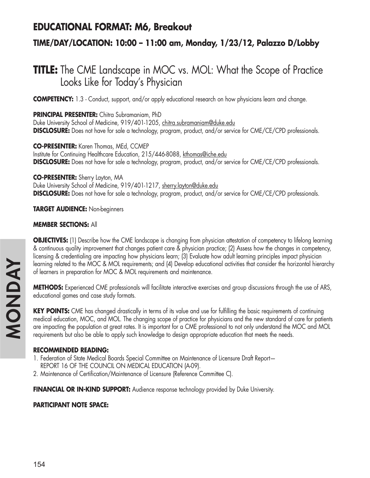### **EDUCATIONAL FORMAT: M6, Breakout**

### **TIME/DAY/LOCATION: 10:00 – 11:00 am, Monday, 1/23/12, Palazzo D/Lobby**

## **TITLE:** The CME Landscape in MOC vs. MOL: What the Scope of Practice Looks Like for Today's Physician

**COMPETENCY:** 1.3 - Conduct, support, and/or apply educational research on how physicians learn and change.

**PRINCIPAL PRESENTER:** Chitra Subramaniam, PhD Duke University School of Medicine, 919/401-1205, chitra.subramaniam@duke.edu **DISCLOSURE:** Does not have for sale a technology, program, product, and/or service for CME/CE/CPD professionals.

**CO-PRESENTER:** Karen Thomas, MEd, CCMEP Institute for Continuing Healthcare Education, 215/446-8088, kthomas@iche.edu **DISCLOSURE:** Does not have for sale a technology, program, product, and/or service for CME/CE/CPD professionals.

**CO-PRESENTER:** Sherry Layton, MA Duke University School of Medicine, 919/401-1217, sherry.layton@duke.edu **DISCLOSURE:** Does not have for sale a technology, program, product, and/or service for CME/CE/CPD professionals.

**TARGET AUDIENCE:** Non-beginners

#### **MEMBER SECTIONS:** All

**OBJECTIVES:** (1) Describe how the CME landscape is changing from physician attestation of competency to lifelong learning & continuous quality improvement that changes patient care & physician practice; (2) Assess how the changes in competency, licensing & credentialing are impacting how physicians learn; (3) Evaluate how adult learning principles impact physician learning related to the MOC & MOL requirements; and (4) Develop educational activities that consider the horizontal hierarchy of learners in preparation for MOC & MOL requirements and maintenance.

**METHODS:** Experienced CME professionals will facilitate interactive exercises and group discussions through the use of ARS, educational games and case study formats.

**KEY POINTS:** CME has changed drastically in terms of its value and use for fulfilling the basic requirements of continuing medical education, MOC, and MOL. The changing scope of practice for physicians and the new standard of care for patients are impacting the population at great rates. It is important for a CME professional to not only understand the MOC and MOL requirements but also be able to apply such knowledge to design appropriate education that meets the needs.

### **RECOMMENDED READING:**

- 1. Federation of State Medical Boards Special Committee on Maintenance of Licensure Draft Report—
	- REPORT 16 OF THE COUNCIL ON MEDICAL EDUCATION (A-09).
- 2. Maintenance of Certification/Maintenance of Licensure (Reference Committee C).

**FINANCIAL OR IN-KIND SUPPORT:** Audience response technology provided by Duke University.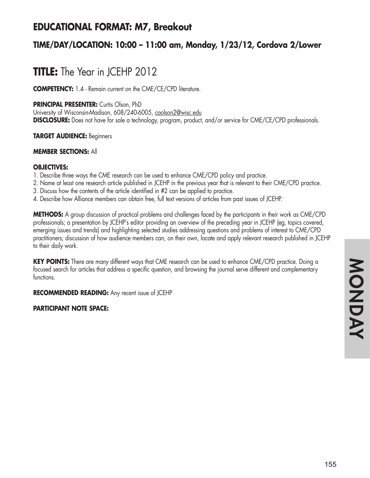## **EDUCATIONAL FORMAT: M7, Breakout**

### **TIME/DAY/LOCATION: 10:00 – 11:00 am, Monday, 1/23/12, Cordova 2/Lower**

# **TITLE:** The Year in JCEHP 2012

**COMPETENCY:** 1.4 - Remain current on the CME/CE/CPD literature.

**PRINCIPAL PRESENTER:** Curtis Olson, PhD

University of Wisconsin-Madison, 608/240-6005, caolson2@wisc.edu **DISCLOSURE:** Does not have for sale a technology, program, product, and/or service for CME/CE/CPD professionals.

**TARGET AUDIENCE:** Beginners

#### **MEMBER SECTIONS:** All

#### **OBJECTIVES:**

- 1. Describe three ways the CME research can be used to enhance CME/CPD policy and practice.
- 2. Name at least one research article published in JCEHP in the previous year that is relevant to their CME/CPD practice.
- 3. Discuss how the contents of the article identified in #2 can be applied to practice.
- 4. Describe how Alliance members can obtain free, full text versions of articles from past issues of JCEHP.

**METHODS:** A group discussion of practical problems and challenges faced by the participants in their work as CME/CPD professionals; a presentation by JCEHP's editor providing an overview of the preceding year in JCEHP (eg, topics covered, emerging issues and trends) and highlighting selected studies addressing questions and problems of interest to CME/CPD practitioners; discussion of how audience members can, on their own, locate and apply relevant research published in JCEHP to their daily work.

**KEY POINTS:** There are many different ways that CME research can be used to enhance CME/CPD practice. Doing a focused search for articles that address a specific question, and browsing the journal serve different and complementary functions.

**RECOMMENDED READING:** Any recent issue of JCEHP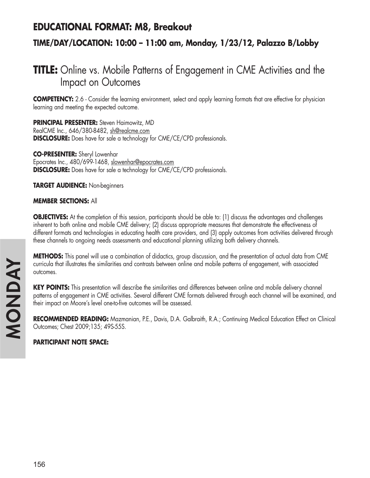### **EDUCATIONAL FORMAT: M8, Breakout**

### **TIME/DAY/LOCATION: 10:00 – 11:00 am, Monday, 1/23/12, Palazzo B/Lobby**

## **TITLE:** Online vs. Mobile Patterns of Engagement in CME Activities and the Impact on Outcomes

**COMPETENCY:** 2.6 - Consider the learning environment, select and apply learning formats that are effective for physician learning and meeting the expected outcome.

**PRINCIPAL PRESENTER:** Steven Haimowitz, MD RealCME Inc., 646/380-8482, sh@realcme.com **DISCLOSURE:** Does have for sale a technology for CME/CE/CPD professionals.

**CO-PRESENTER:** Sheryl Lowenhar Epocrates Inc., 480/699-1468, slowenhar@epocrates.com **DISCLOSURE:** Does have for sale a technology for CME/CE/CPD professionals.

**TARGET AUDIENCE:** Non-beginners

**MEMBER SECTIONS:** All

**OBJECTIVES:** At the completion of this session, participants should be able to: (1) discuss the advantages and challenges inherent to both online and mobile CME delivery; (2) discuss appropriate measures that demonstrate the effectiveness of different formats and technologies in educating health care providers, and (3) apply outcomes from activities delivered through these channels to ongoing needs assessments and educational planning utilizing both delivery channels.

**METHODS:** This panel will use a combination of didactics, group discussion, and the presentation of actual data from CME curricula that illustrates the similarities and contrasts between online and mobile patterns of engagement, with associated outcomes.

KEY POINTS: This presentation will describe the similarities and differences between online and mobile delivery channel patterns of engagement in CME activities. Several different CME formats delivered through each channel will be examined, and their impact on Moore's level one-to-five outcomes will be assessed.

**RECOMMENDED READING:** Mazmanian, P.E., Davis, D.A. Galbraith, R.A.; Continuing Medical Education Effect on Clinical Outcomes; Chest 2009;135; 49S-55S.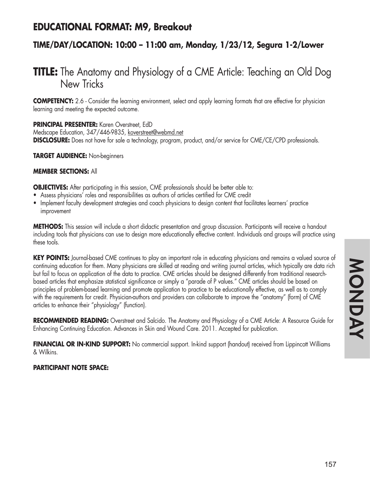## **EDUCATIONAL FORMAT: M9, Breakout**

### **TIME/DAY/LOCATION: 10:00 – 11:00 am, Monday, 1/23/12, Segura 1-2/Lower**

## **TITLE:** The Anatomy and Physiology of a CME Article: Teaching an Old Dog New Tricks

**COMPETENCY:** 2.6 - Consider the learning environment, select and apply learning formats that are effective for physician learning and meeting the expected outcome.

**PRINCIPAL PRESENTER:** Karen Overstreet, EdD Medscape Education, 347/446-9835, koverstreet@webmd.net **DISCLOSURE:** Does not have for sale a technology, program, product, and/or service for CME/CE/CPD professionals.

**TARGET AUDIENCE:** Non-beginners

#### **MEMBER SECTIONS:** All

**OBJECTIVES:** After participating in this session, CME professionals should be better able to:

- Assess physicians' roles and responsibilities as authors of articles certified for CME credit
- Implement faculty development strategies and coach physicians to design content that facilitates learners' practice improvement

**METHODS:** This session will include a short didactic presentation and group discussion. Participants will receive a handout including tools that physicians can use to design more educationally effective content. Individuals and groups will practice using these tools.

KEY POINTS: Journal-based CME continues to play an important role in educating physicians and remains a valued source of continuing education for them. Many physicians are skilled at reading and writing journal articles, which typically are data rich but fail to focus on application of the data to practice. CME articles should be designed differently from traditional researchbased articles that emphasize statistical significance or simply a "parade of P values." CME articles should be based on principles of problem-based learning and promote application to practice to be educationally effective, as well as to comply with the requirements for credit. Physician-authors and providers can collaborate to improve the "anatomy" (form) of CME articles to enhance their "physiology" (function).

**RECOMMENDED READING:** Overstreet and Salcido. The Anatomy and Physiology of a CME Article: A Resource Guide for Enhancing Continuing Education. Advances in Skin and Wound Care. 2011. Accepted for publication.

**FINANCIAL OR IN-KIND SUPPORT:** No commercial support. In-kind support (handout) received from Lippincott Williams & Wilkins.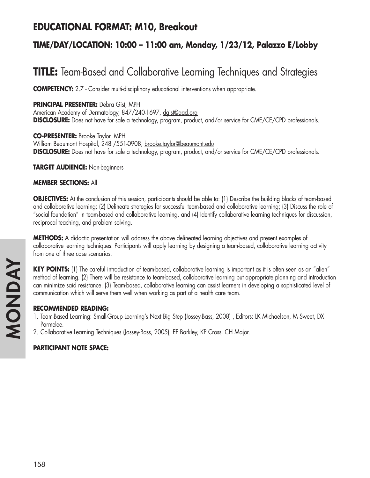## **EDUCATIONAL FORMAT: M10, Breakout**

### **TIME/DAY/LOCATION: 10:00 – 11:00 am, Monday, 1/23/12, Palazzo E/Lobby**

# **TITLE:** Team-Based and Collaborative Learning Techniques and Strategies

**COMPETENCY:** 2.7 - Consider multi-disciplinary educational interventions when appropriate.

### **PRINCIPAL PRESENTER:** Debra Gist, MPH

American Academy of Dermatology, 847/240-1697, dgist@aad.org **DISCLOSURE:** Does not have for sale a technology, program, product, and/or service for CME/CE/CPD professionals.

**CO-PRESENTER:** Brooke Taylor, MPH William Beaumont Hospital, 248 / 551-0908, brooke.taylor@beaumont.edu **DISCLOSURE:** Does not have for sale a technology, program, product, and/or service for CME/CE/CPD professionals.

**TARGET AUDIENCE:** Non-beginners

### **MEMBER SECTIONS:** All

**OBJECTIVES:** At the conclusion of this session, participants should be able to: (1) Describe the building blocks of team-based and collaborative learning; (2) Delineate strategies for successful team-based and collaborative learning; (3) Discuss the role of "social foundation" in team-based and collaborative learning, and (4) Identify collaborative learning techniques for discussion, reciprocal teaching, and problem solving.

**METHODS:** A didactic presentation will address the above delineated learning objectives and present examples of collaborative learning techniques. Participants will apply learning by designing a team-based, collaborative learning activity from one of three case scenarios.

**KEY POINTS:** (1) The careful introduction of team-based, collaborative learning is important as it is often seen as an "alien" method of learning. (2) There will be resistance to team-based, collaborative learning but appropriate planning and introduction can minimize said resistance. (3) Team-based, collaborative learning can assist learners in developing a sophisticated level of communication which will serve them well when working as part of a health care team.

### **RECOMMENDED READING:**

- 1. Team-Based Learning: Small-Group Learning's Next Big Step (Jossey-Bass, 2008) , Editors: LK Michaelson, M Sweet, DX Parmelee.
- 2. Collaborative Learning Techniques (Jossey-Bass, 2005), EF Barkley, KP Cross, CH Major.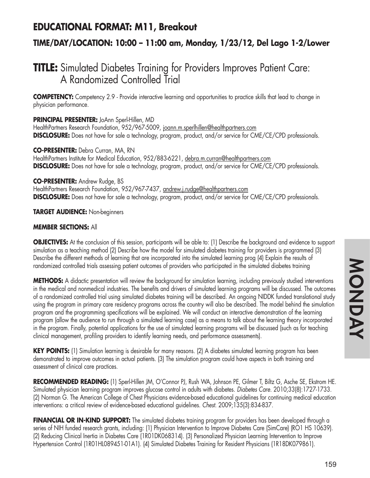## **EDUCATIONAL FORMAT: M11, Breakout**

### **TIME/DAY/LOCATION: 10:00 – 11:00 am, Monday, 1/23/12, Del Lago 1-2/Lower**

## **TITLE:** Simulated Diabetes Training for Providers Improves Patient Care: A Randomized Controlled Trial

**COMPETENCY:** Competency 2.9 - Provide interactive learning and opportunities to practice skills that lead to change in physician performance.

#### **PRINCIPAL PRESENTER:** JoAnn Sperl-Hillen, MD

HealthPartners Research Foundation, 952/967-5009, joann.m.sperlhillen@healthpartners.com **DISCLOSURE:** Does not have for sale a technology, program, product, and/or service for CME/CE/CPD professionals.

**CO-PRESENTER:** Debra Curran, MA, RN HealthPartners Institute for Medical Education, 952/883-6221, debra.m.curran@healthpartners.com **DISCLOSURE:** Does not have for sale a technology, program, product, and/or service for CME/CE/CPD professionals.

**CO-PRESENTER:** Andrew Rudge, BS HealthPartners Research Foundation, 952/967-7437, andrew.j.rudge@healthpartners.com **DISCLOSURE:** Does not have for sale a technology, program, product, and/or service for CME/CE/CPD professionals.

**TARGET AUDIENCE:** Non-beginners

### **MEMBER SECTIONS:** All

**OBJECTIVES:** At the conclusion of this session, participants will be able to: (1) Describe the background and evidence to support simulation as a teaching method (2) Describe how the model for simulated diabetes training for providers is programmed (3) Describe the different methods of learning that are incorporated into the simulated learning prog (4) Explain the results of randomized controlled trials assessing patient outcomes of providers who participated in the simulated diabetes training

**METHODS:** A didactic presentation will review the background for simulation learning, including previously studied interventions in the medical and nonmedical industries. The benefits and drivers of simulated learning programs will be discussed. The outcomes of a randomized controlled trial using simulated diabetes training will be described. An ongoing NIDDK funded translational study using the program in primary care residency programs across the country will also be described. The model behind the simulation program and the programming specifications will be explained. We will conduct an interactive demonstration of the learning program (allow the audience to run through a simulated learning case) as a means to talk about the learning theory incorporated in the program. Finally, potential applications for the use of simulated learning programs will be discussed (such as for teaching clinical management, profiling providers to identify learning needs, and performance assessments).

**KEY POINTS:** (1) Simulation learning is desirable for many reasons. (2) A diabetes simulated learning program has been demonstrated to improve outcomes in actual patients. (3) The simulation program could have aspects in both training and assessment of clinical care practices.

**RECOMMENDED READING:** (1) Sperl-Hillen JM, O'Connor PJ, Rush WA, Johnson PE, Gilmer T, Biltz G, Asche SE, Ekstrom HE. Simulated physician learning program improves glucose control in adults with diabetes. *Diabetes Care.* 2010;33(8):1727-1733. (2) Norman G. The American College of Chest Physicians evidence-based educational guidelines for continuing medical education interventions: a critical review of evidence-based educational guidelines. *Chest.* 2009;135(3):834-837.

FINANCIAL OR IN-KIND SUPPORT: The simulated diabetes training program for providers has been developed through a series of NIH funded research grants, including: (1) Physician Intervention to Improve Diabetes Care (SimCare) (RO1 HS 10639). (2) Reducing Clinical Inertia in Diabetes Care (1R01DK068314). (3) Personalized Physician Learning Intervention to Improve Hypertension Control (1R01HL089451-01A1). (4) Simulated Diabetes Training for Resident Physicians (1R18DK079861).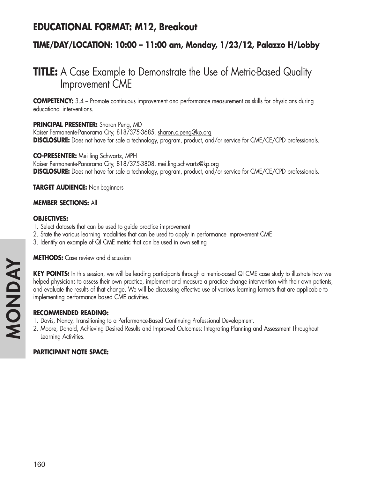## **EDUCATIONAL FORMAT: M12, Breakout**

### **TIME/DAY/LOCATION: 10:00 – 11:00 am, Monday, 1/23/12, Palazzo H/Lobby**

## **TITLE:** A Case Example to Demonstrate the Use of Metric-Based Quality Improvement CME

**COMPETENCY:** 3.4 – Promote continuous improvement and performance measurement as skills for physicians during educational interventions.

### **PRINCIPAL PRESENTER:** Sharon Peng, MD

Kaiser Permanente-Panorama City, 818/375-3685, sharon.c.peng@kp.org **DISCLOSURE:** Does not have for sale a technology, program, product, and/or service for CME/CE/CPD professionals.

**CO-PRESENTER:** Mei ling Schwartz, MPH Kaiser Permanente-Panorama City, 818/375-3808, mei.ling.schwartz@kp.org **DISCLOSURE:** Does not have for sale a technology, program, product, and/or service for CME/CE/CPD professionals.

**TARGET AUDIENCE:** Non-beginners

#### **MEMBER SECTIONS:** All

#### **OBJECTIVES:**

- 1. Select datasets that can be used to guide practice improvement
- 2. State the various learning modalities that can be used to apply in performance improvement CME
- 3. Identify an example of QI CME metric that can be used in own setting

**METHODS:** Case review and discussion

**KEY POINTS:** In this session, we will be leading participants through a metric-based QI CME case study to illustrate how we helped physicians to assess their own practice, implement and measure a practice change intervention with their own patients, and evaluate the results of that change. We will be discussing effective use of various learning formats that are applicable to implementing performance based CME activities.

### **RECOMMENDED READING:**

- 1. Davis, Nancy, Transitioning to a Performance-Based Continuing Professional Development.
- 2. Moore, Donald, Achieving Desired Results and Improved Outcomes: Integrating Planning and Assessment Throughout Learning Activities.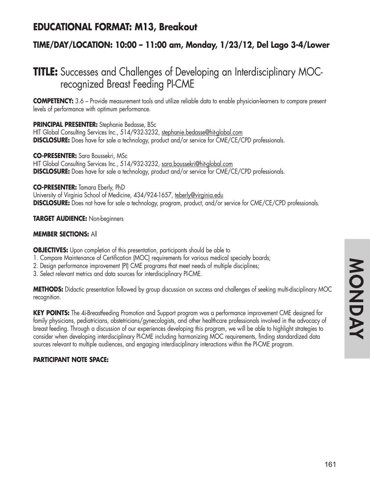## **EDUCATIONAL FORMAT: M13, Breakout**

### **TIME/DAY/LOCATION: 10:00 – 11:00 am, Monday, 1/23/12, Del Lago 3-4/Lower**

## **TITLE:** Successes and Challenges of Developing an Interdisciplinary MOCrecognized Breast Feeding PI-CME

**COMPETENCY:** 3.6 – Provide measurement tools and utilize reliable data to enable physician-learners to compare present levels of performance with optimum performance.

#### **PRINCIPAL PRESENTER:** Stephanie Bedasse, BSc

HIT Global Consulting Services Inc., 514/932-3232, stephanie.bedasse@hit-global.com **DISCLOSURE:** Does have for sale a technology, product and/or service for CME/CE/CPD professionals.

**CO-PRESENTER:** Sara Boussekri, MSc HIT Global Consulting Services Inc., 514/932-3232, sara.boussekri@hit-global.com **DISCLOSURE:** Does have for sale a technology, product and/or service for CME/CE/CPD professionals.

**CO-PRESENTER:** Tamara Eberly, PhD University of Virginia School of Medicine, 434/924-1657, teberly@virginia.edu **DISCLOSURE:** Does not have for sale a technology, program, product, and/or service for CME/CE/CPD professionals.

**TARGET AUDIENCE:** Non-beginners

### **MEMBER SECTIONS:** All

**OBJECTIVES:** Upon completion of this presentation, participants should be able to

- 1. Compare Maintenance of Certification (MOC) requirements for various medical specialty boards;
- 2. Design performance improvement (PI) CME programs that meet needs of multiple disciplines;
- 3. Select relevant metrics and data sources for interdisciplinary PI-CME.

**METHODS:** Didactic presentation followed by group discussion on success and challenges of seeking multi-disciplinary MOC recognition.

**KEY POINTS:** The 4i-Breastfeeding Promotion and Support program was a performance improvement CME designed for family physicians, pediatricians, obstetricians/gynecologists, and other healthcare professionals involved in the advocacy of breast feeding. Through a discussion of our experiences developing this program, we will be able to highlight strategies to consider when developing interdisciplinary PI-CME including harmonizing MOC requirements, finding standardized data sources relevant to multiple audiences, and engaging interdisciplinary interactions within the PI-CME program.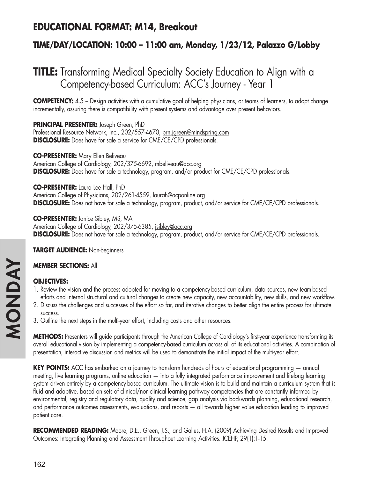## **EDUCATIONAL FORMAT: M14, Breakout**

### **TIME/DAY/LOCATION: 10:00 – 11:00 am, Monday, 1/23/12, Palazzo G/Lobby**

# **TITLE:** Transforming Medical Specialty Society Education to Align with a Competency-based Curriculum: ACC's Journey - Year 1

**COMPETENCY:** 4.5 – Design activities with a cumulative goal of helping physicians, or teams of learners, to adopt change incrementally, assuring there is compatibility with present systems and advantage over present behaviors.

### **PRINCIPAL PRESENTER:** Joseph Green, PhD

Professional Resource Network, Inc., 202/557-4670, prn.jgreen@mindspring.com **DISCLOSURE:** Does have for sale a service for CME/CE/CPD professionals.

**CO-PRESENTER:** Mary Ellen Beliveau

American College of Cardiology, 202/375-6692, mbeliveau@acc.org **DISCLOSURE:** Does have for sale a technology, program, and/or product for CME/CE/CPD professionals.

**CO-PRESENTER:** Laura Lee Hall, PhD American College of Physicians, 202/261-4559, laurah@acponline.org **DISCLOSURE:** Does not have for sale a technology, program, product, and/or service for CME/CE/CPD professionals.

**CO-PRESENTER:** Janice Sibley, MS, MA American College of Cardiology, 202/375-6385, *isibley@acc.org* **DISCLOSURE:** Does not have for sale a technology, program, product, and/or service for CME/CE/CPD professionals.

**TARGET AUDIENCE:** Non-beginners

### **MEMBER SECTIONS:** All

### **OBJECTIVES:**

- 1. Review the vision and the process adopted for moving to a competency-based curriculum, data sources, new team-based efforts and internal structural and cultural changes to create new capacity, new accountability, new skills, and new workflow.
- 2. Discuss the challenges and successes of the effort so far, and iterative changes to better align the entire process for ultimate success.
- 3. Outline the next steps in the multi-year effort, including costs and other resources.

**METHODS:** Presenters will guide participants through the American College of Cardiology's first-year experience transforming its overall educational vision by implementing a competency-based curriculum across all of its educational activities. A combination of presentation, interactive discussion and metrics will be used to demonstrate the initial impact of the multi-year effort.

**KEY POINTS:** ACC has embarked on a journey to transform hundreds of hours of educational programming — annual meeting, live learning programs, online education — into a fully integrated performance improvement and lifelong learning system driven entirely by a competency-based curriculum. The ultimate vision is to build and maintain a curriculum system that is fluid and adaptive, based on sets of clinical/non-clinical learning pathway competencies that are constantly informed by environmental, registry and regulatory data, quality and science, gap analysis via backwards planning, educational research, and performance outcomes assessments, evaluations, and reports — all towards higher value education leading to improved patient care.

**RECOMMENDED READING:** Moore, D.E., Green, J.S., and Gallus, H.A. (2009) Achieving Desired Results and Improved Outcomes: Integrating Planning and Assessment Throughout Learning Activities. JCEHP, 29(1):1-15.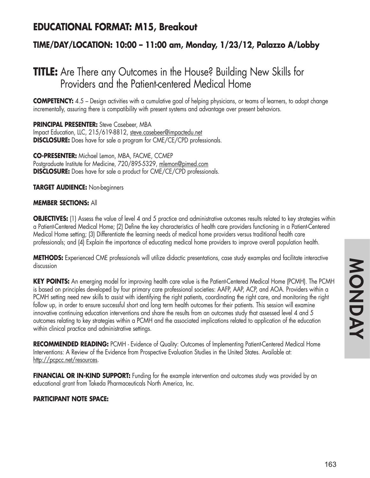### **EDUCATIONAL FORMAT: M15, Breakout**

### **TIME/DAY/LOCATION: 10:00 – 11:00 am, Monday, 1/23/12, Palazzo A/Lobby**

## **TITLE:** Are There any Outcomes in the House? Building New Skills for Providers and the Patient-centered Medical Home

**COMPETENCY:** 4.5 – Design activities with a cumulative goal of helping physicians, or teams of learners, to adopt change incrementally, assuring there is compatibility with present systems and advantage over present behaviors.

**PRINCIPAL PRESENTER:** Steve Casebeer, MBA Impact Education, LLC, 215/619-8812, steve.casebeer@impactedu.net **DISCLOSURE:** Does have for sale a program for CME/CE/CPD professionals.

**CO-PRESENTER:** Michael Lemon, MBA, FACME, CCMEP Postgraduate Institute for Medicine, 720/895-5329, mlemon@pimed.com **DISCLOSURE:** Does have for sale a product for CME/CE/CPD professionals.

**TARGET AUDIENCE:** Non-beginners

#### **MEMBER SECTIONS:** All

**OBJECTIVES:** (1) Assess the value of level 4 and 5 practice and administrative outcomes results related to key strategies within a Patient-Centered Medical Home; (2) Define the key characteristics of health care providers functioning in a Patient-Centered Medical Home setting; (3) Differentiate the learning needs of medical home providers versus traditional health care professionals; and (4) Explain the importance of educating medical home providers to improve overall population health.

**METHODS:** Experienced CME professionals will utilize didactic presentations, case study examples and facilitate interactive discussion

**KEY POINTS:** An emerging model for improving health care value is the Patient-Centered Medical Home (PCMH). The PCMH is based on principles developed by four primary care professional societies: AAFP, AAP, ACP, and AOA. Providers within a PCMH setting need new skills to assist with identifying the right patients, coordinating the right care, and monitoring the right follow up, in order to ensure successful short and long term health outcomes for their patients. This session will examine innovative continuing education interventions and share the results from an outcomes study that assessed level 4 and 5 outcomes relating to key strategies within a PCMH and the associated implications related to application of the education within clinical practice and administrative settings.

RECOMMENDED READING: PCMH - Evidence of Quality: Outcomes of Implementing Patient-Centered Medical Home Interventions: A Review of the Evidence from Prospective Evaluation Studies in the United States. Available at: http://pcpcc.net/resources.

**FINANCIAL OR IN-KIND SUPPORT:** Funding for the example intervention and outcomes study was provided by an educational grant from Takeda Pharmaceuticals North America, Inc.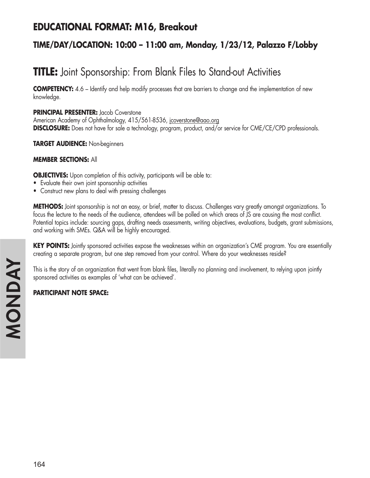## **EDUCATIONAL FORMAT: M16, Breakout**

### **TIME/DAY/LOCATION: 10:00 – 11:00 am, Monday, 1/23/12, Palazzo F/Lobby**

# **TITLE:** Joint Sponsorship: From Blank Files to Stand-out Activities

**COMPETENCY:** 4.6 – Identify and help modify processes that are barriers to change and the implementation of new knowledge.

**PRINCIPAL PRESENTER:** Jacob Coverstone American Academy of Ophthalmology, 415/561-8536, jcoverstone@aao.org **DISCLOSURE:** Does not have for sale a technology, program, product, and/or service for CME/CE/CPD professionals.

**TARGET AUDIENCE:** Non-beginners

### **MEMBER SECTIONS:** All

**OBJECTIVES:** Upon completion of this activity, participants will be able to:

- Evaluate their own joint sponsorship activities
- Construct new plans to deal with pressing challenges

**METHODS:** Joint sponsorship is not an easy, or brief, matter to discuss. Challenges vary greatly amongst organizations. To focus the lecture to the needs of the audience, attendees will be polled on which areas of JS are causing the most conflict. Potential topics include: sourcing gaps, drafting needs assessments, writing objectives, evaluations, budgets, grant submissions, and working with SMEs. Q&A will be highly encouraged.

**KEY POINTS:** Jointly sponsored activities expose the weaknesses within an organization's CME program. You are essentially creating a separate program, but one step removed from your control. Where do your weaknesses reside?

This is the story of an organization that went from blank files, literally no planning and involvement, to relying upon jointly sponsored activities as examples of 'what can be achieved'.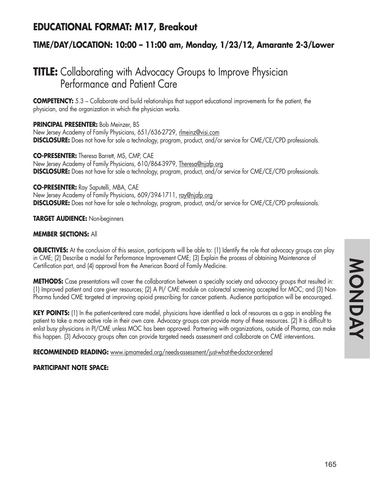### **EDUCATIONAL FORMAT: M17, Breakout**

### **TIME/DAY/LOCATION: 10:00 – 11:00 am, Monday, 1/23/12, Amarante 2-3/Lower**

## **TITLE:** Collaborating with Advocacy Groups to Improve Physician Performance and Patient Care

**COMPETENCY:** 5.3 – Collaborate and build relationships that support educational improvements for the patient, the physician, and the organization in which the physician works.

### **PRINCIPAL PRESENTER:** Bob Meinzer, BS

New Jersey Academy of Family Physicians, 651/636-2729, rlmeinz@visi.com **DISCLOSURE:** Does not have for sale a technology, program, product, and/or service for CME/CE/CPD professionals.

**CO-PRESENTER:** Theresa Barrett, MS, CMP, CAE New Jersey Academy of Family Physicians, 610/864-3979, Theresa@njafp.org **DISCLOSURE:** Does not have for sale a technology, program, product, and/or service for CME/CE/CPD professionals.

**CO-PRESENTER:** Ray Saputelli, MBA, CAE New Jersey Academy of Family Physicians, 609/394-1711, ray@njafp.org **DISCLOSURE:** Does not have for sale a technology, program, product, and/or service for CME/CE/CPD professionals.

### **TARGET AUDIENCE:** Non-beginners

### **MEMBER SECTIONS:** All

**OBJECTIVES:** At the conclusion of this session, participants will be able to: (1) Identify the role that advocacy groups can play in CME; (2) Describe a model for Performance Improvement CME; (3) Explain the process of obtaining Maintenance of Certification part, and (4) approval from the American Board of Family Medicine.

**METHODS:** Case presentations will cover the collaboration between a specialty society and advocacy groups that resulted in: (1) Improved patient and care giver resources; (2) A PI/ CME module on colorectal screening accepted for MOC; and (3) Non-Pharma funded CME targeted at improving opioid prescribing for cancer patients. Audience participation will be encouraged.

**KEY POINTS:** (1) In the patient-centered care model, physicians have identified a lack of resources as a gap in enabling the patient to take a more active role in their own care. Advocacy groups can provide many of these resources. (2) It is difficult to enlist busy physicians in PI/CME unless MOC has been approved. Partnering with organizations, outside of Pharma, can make this happen. (3) Advocacy groups often can provide targeted needs assessment and collaborate on CME interventions.

### **RECOMMENDED READING:** www.ipmameded.org/needs-assessment/just-what-the-doctor-ordered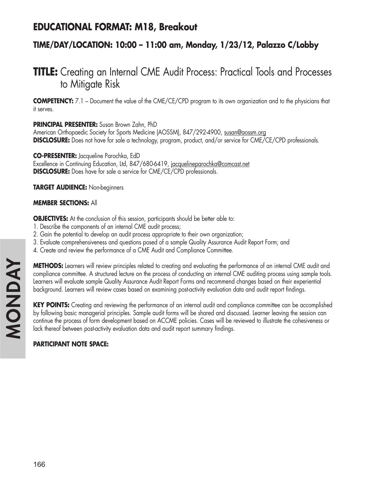### **EDUCATIONAL FORMAT: M18, Breakout**

### **TIME/DAY/LOCATION: 10:00 – 11:00 am, Monday, 1/23/12, Palazzo C/Lobby**

## **TITLE:** Creating an Internal CME Audit Process: Practical Tools and Processes to Mitigate Risk

**COMPETENCY:** 7.1 – Document the value of the CME/CE/CPD program to its own organization and to the physicians that it serves.

**PRINCIPAL PRESENTER:** Susan Brown Zahn, PhD

American Orthopaedic Society for Sports Medicine (AOSSM), 847/292-4900, susan@aossm.org **DISCLOSURE:** Does not have for sale a technology, program, product, and/or service for CME/CE/CPD professionals.

**CO-PRESENTER:** Jacqueline Parochka, EdD Excellence in Continuing Education, Ltd, 847/680-6419, jacquelineparochka@comcast.net **DISCLOSURE:** Does have for sale a service for CME/CE/CPD professionals.

**TARGET AUDIENCE:** Non-beginners

### **MEMBER SECTIONS:** All

**OBJECTIVES:** At the conclusion of this session, participants should be better able to:

- 1. Describe the components of an internal CME audit process;
- 2. Gain the potential to develop an audit process appropriate to their own organization;
- 3. Evaluate comprehensiveness and questions posed of a sample Quality Assurance Audit Report Form; and
- 4. Create and review the performance of a CME Audit and Compliance Committee.

**METHODS:** Learners will review principles related to creating and evaluating the performance of an internal CME audit and compliance committee. A structured lecture on the process of conducting an internal CME auditing process using sample tools. Learners will evaluate sample Quality Assurance Audit Report Forms and recommend changes based on their experiential background. Learners will review cases based on examining post-activity evaluation data and audit report findings.

**KEY POINTS:** Creating and reviewing the performance of an internal audit and compliance committee can be accomplished by following basic managerial principles. Sample audit forms will be shared and discussed. Learner leaving the session can continue the process of form development based on ACCME policies. Cases will be reviewed to illustrate the cohesiveness or lack thereof between post-activity evaluation data and audit report summary findings.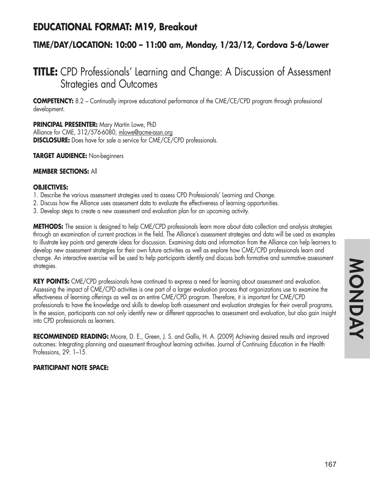### **EDUCATIONAL FORMAT: M19, Breakout**

### **TIME/DAY/LOCATION: 10:00 – 11:00 am, Monday, 1/23/12, Cordova 5-6/Lower**

## **TITLE:** CPD Professionals' Learning and Change: A Discussion of Assessment Strategies and Outcomes

**COMPETENCY:** 8.2 – Continually improve educational performance of the CME/CE/CPD program through professional development.

**PRINCIPAL PRESENTER:** Mary Martin Lowe, PhD

Alliance for CME, 312/576-6080, mlowe@acme-assn.org **DISCLOSURE:** Does have for sale a service for CME/CE/CPD professionals.

**TARGET AUDIENCE:** Non-beginners

### **MEMBER SECTIONS:** All

### **OBJECTIVES:**

1. Describe the various assessment strategies used to assess CPD Professionals' Learning and Change.

- 2. Discuss how the Alliance uses assessment data to evaluate the effectiveness of learning opportunities.
- 3. Develop steps to create a new assessment and evaluation plan for an upcoming activity.

**METHODS:** The session is designed to help CME/CPD professionals learn more about data collection and analysis strategies through an examination of current practices in the field. The Alliance's assessment strategies and data will be used as examples to illustrate key points and generate ideas for discussion. Examining data and information from the Alliance can help learners to develop new assessment strategies for their own future activities as well as explore how CME/CPD professionals learn and change. An interactive exercise will be used to help participants identify and discuss both formative and summative assessment strategies.

**KEY POINTS:** CME/CPD professionals have continued to express a need for learning about assessment and evaluation. Assessing the impact of CME/CPD activities is one part of a larger evaluation process that organizations use to examine the effectiveness of learning offerings as well as an entire CME/CPD program. Therefore, it is important for CME/CPD professionals to have the knowledge and skills to develop both assessment and evaluation strategies for their overall programs. In the session, participants can not only identify new or different approaches to assessment and evaluation, but also gain insight into CPD professionals as learners.

**RECOMMENDED READING:** Moore, D. E., Green, J. S. and Gallis, H. A. (2009) Achieving desired results and improved outcomes: Integrating planning and assessment throughout learning activities. Journal of Continuing Education in the Health Professions, 29: 1–15.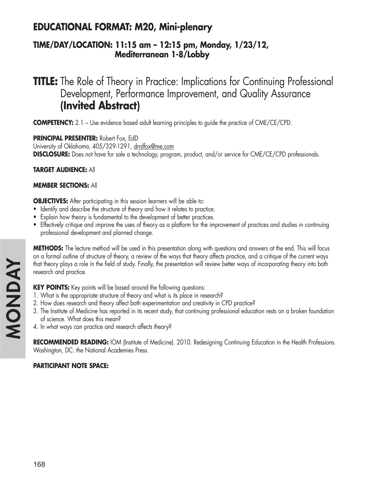## **EDUCATIONAL FORMAT: M20, Mini-plenary**

### **TIME/DAY/LOCATION: 11:15 am – 12:15 pm, Monday, 1/23/12, Mediterranean 1-8/Lobby**

**TITLE:** The Role of Theory in Practice: Implications for Continuing Professional Development, Performance Improvement, and Quality Assurance **(Invited Abstract)**

**COMPETENCY:** 2.1 – Use evidence based adult learning principles to guide the practice of CME/CE/CPD.

**PRINCIPAL PRESENTER:** Robert Fox, EdD University of Oklahoma, 405/329-1291, drrdfox@me.com **DISCLOSURE:** Does not have for sale a technology, program, product, and/or service for CME/CE/CPD professionals.

**TARGET AUDIENCE:** All

### **MEMBER SECTIONS:** All

**OBJECTIVES:** After participating in this session learners will be able to:

- Identify and describe the structure of theory and how it relates to practice.
- Explain how theory is fundamental to the development of better practices.
- Effectively critique and improve the uses of theory as a platform for the improvement of practices and studies in continuing professional development and planned change.

**METHODS:** The lecture method will be used in this presentation along with questions and answers at the end. This will focus on a formal outline of structure of theory, a review of the ways that theory affects practice, and a critique of the current ways that theory plays a role in the field of study. Finally, the presentation will review better ways of incorporating theory into both research and practice.

**KEY POINTS:** Key points will be based around the following questions:

- 1. What is the appropriate structure of theory and what is its place in research?
- 2. How does research and theory affect both experimentation and creativity in CPD practice?
- 3. The Institute of Medicine has reported in its recent study, that continuing professional education rests on a broken foundation of science. What does this mean?
- 4. In what ways can practice and research affects theory?

**RECOMMENDED READING:** IOM (Institute of Medicine). 2010. Redesigning Continuing Education in the Health Professions. Washington, DC: the National Academies Press.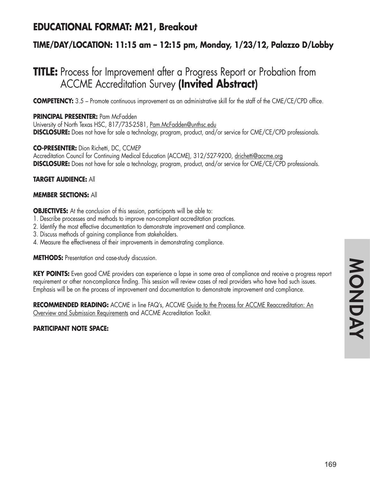## **EDUCATIONAL FORMAT: M21, Breakout**

### **TIME/DAY/LOCATION: 11:15 am – 12:15 pm, Monday, 1/23/12, Palazzo D/Lobby**

## **TITLE:** Process for Improvement after a Progress Report or Probation from ACCME Accreditation Survey **(Invited Abstract)**

**COMPETENCY:** 3.5 – Promote continuous improvement as an administrative skill for the staff of the CME/CE/CPD office.

### **PRINCIPAL PRESENTER:** Pam McFadden

University of North Texas HSC, 817/735-2581, Pam.McFadden@unthsc.edu **DISCLOSURE:** Does not have for sale a technology, program, product, and/or service for CME/CE/CPD professionals.

**CO-PRESENTER:** Dion Richetti, DC, CCMEP Accreditation Council for Continuing Medical Education (ACCME), 312/527-9200, drichetti@accme.org **DISCLOSURE:** Does not have for sale a technology, program, product, and/or service for CME/CE/CPD professionals.

### **TARGET AUDIENCE:** All

### **MEMBER SECTIONS:** All

**OBJECTIVES:** At the conclusion of this session, participants will be able to:

- 1. Describe processes and methods to improve non-compliant accreditation practices.
- 2. Identify the most effective documentation to demonstrate improvement and compliance.
- 3. Discuss methods of gaining compliance from stakeholders.
- 4. Measure the effectiveness of their improvements in demonstrating compliance.

**METHODS:** Presentation and case-study discussion.

**KEY POINTS:** Even good CME providers can experience a lapse in some area of compliance and receive a progress report requirement or other non-compliance finding. This session will review cases of real providers who have had such issues. Emphasis will be on the process of improvement and documentation to demonstrate improvement and compliance.

RECOMMENDED READING: ACCME in line FAQ's, ACCME Guide to the Process for ACCME Reaccreditation: An Overview and Submission Requirements and ACCME Accreditation Toolkit.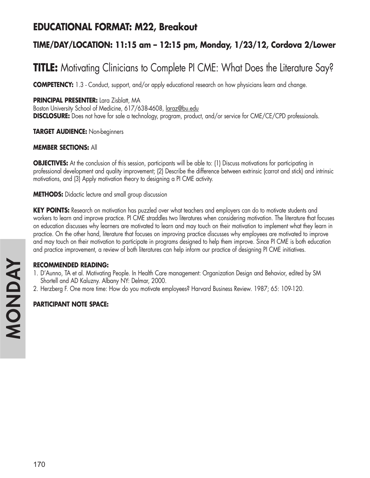## **EDUCATIONAL FORMAT: M22, Breakout**

### **TIME/DAY/LOCATION: 11:15 am – 12:15 pm, Monday, 1/23/12, Cordova 2/Lower**

# **TITLE:** Motivating Clinicians to Complete PI CME: What Does the Literature Say?

**COMPETENCY:** 1.3 - Conduct, support, and/or apply educational research on how physicians learn and change.

### **PRINCIPAL PRESENTER:** Lara Zisblatt, MA

Boston University School of Medicine, 617/638-4608, laraz@bu.edu **DISCLOSURE:** Does not have for sale a technology, program, product, and/or service for CME/CE/CPD professionals.

**TARGET AUDIENCE:** Non-beginners

### **MEMBER SECTIONS:** All

**OBJECTIVES:** At the conclusion of this session, participants will be able to: (1) Discuss motivations for participating in professional development and quality improvement; (2) Describe the difference between extrinsic (carrot and stick) and intrinsic motivations, and (3) Apply motivation theory to designing a PI CME activity.

**METHODS:** Didactic lecture and small group discussion

**KEY POINTS:** Research on motivation has puzzled over what teachers and employers can do to motivate students and workers to learn and improve practice. PI CME straddles two literatures when considering motivation. The literature that focuses on education discusses why learners are motivated to learn and may touch on their motivation to implement what they learn in practice. On the other hand, literature that focuses on improving practice discusses why employees are motivated to improve and may touch on their motivation to participate in programs designed to help them improve. Since PI CME is both education and practice improvement, a review of both literatures can help inform our practice of designing PI CME initiatives.

### **RECOMMENDED READING:**

- 1. D'Aunno, TA et al. Motivating People. In Health Care management: Organization Design and Behavior, edited by SM Shortell and AD Kaluzny. Albany NY: Delmar, 2000.
- 2. Herzberg F. One more time: How do you motivate employees? Harvard Business Review. 1987; 65: 109-120.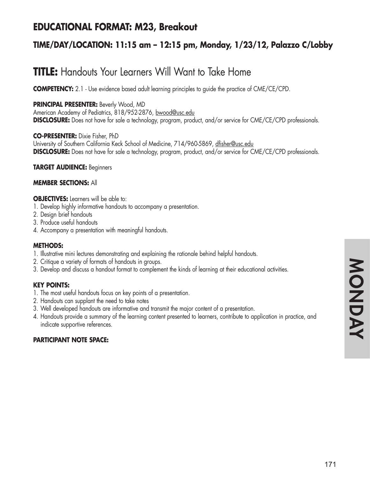## **EDUCATIONAL FORMAT: M23, Breakout**

### **TIME/DAY/LOCATION: 11:15 am – 12:15 pm, Monday, 1/23/12, Palazzo C/Lobby**

# **TITLE:** Handouts Your Learners Will Want to Take Home

**COMPETENCY:** 2.1 - Use evidence based adult learning principles to guide the practice of CME/CE/CPD.

### **PRINCIPAL PRESENTER:** Beverly Wood, MD

American Academy of Pediatrics, 818/952-2876, bwood@usc.edu **DISCLOSURE:** Does not have for sale a technology, program, product, and/or service for CME/CE/CPD professionals.

**CO-PRESENTER:** Dixie Fisher, PhD

University of Southern California Keck School of Medicine, 714/960-5869, dfisher@usc.edu **DISCLOSURE:** Does not have for sale a technology, program, product, and/or service for CME/CE/CPD professionals.

**TARGET AUDIENCE:** Beginners

### **MEMBER SECTIONS:** All

#### **OBJECTIVES:** Learners will be able to:

- 1. Develop highly informative handouts to accompany a presentation.
- 2. Design brief handouts
- 3. Produce useful handouts
- 4. Accompany a presentation with meaningful handouts.

### **METHODS:**

- 1. Illustrative mini lectures demonstrating and explaining the rationale behind helpful handouts.
- 2. Critique a variety of formats of handouts in groups.
- 3. Develop and discuss a handout format to complement the kinds of learning at their educational activities.

### **KEY POINTS:**

- 1. The most useful handouts focus on key points of a presentation.
- 2. Handouts can supplant the need to take notes
- 3. Well developed handouts are informative and transmit the major content of a presentation.
- 4. Handouts provide a summary of the learning content presented to learners, contribute to application in practice, and indicate supportive references.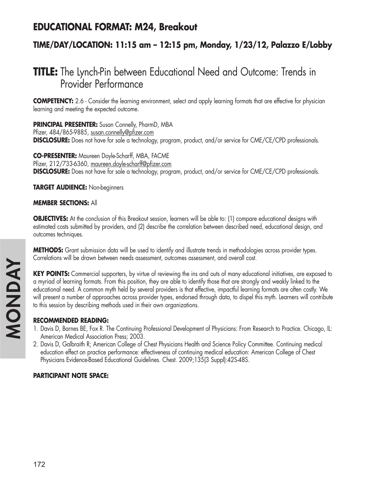## **EDUCATIONAL FORMAT: M24, Breakout**

### **TIME/DAY/LOCATION: 11:15 am – 12:15 pm, Monday, 1/23/12, Palazzo E/Lobby**

## **TITLE:** The Lynch-Pin between Educational Need and Outcome: Trends in Provider Performance

**COMPETENCY:** 2.6 - Consider the learning environment, select and apply learning formats that are effective for physician learning and meeting the expected outcome.

**PRINCIPAL PRESENTER:** Susan Connelly, PharmD, MBA

Pfizer, 484/865-9885, susan.connelly@pfizer.com **DISCLOSURE:** Does not have for sale a technology, program, product, and/or service for CME/CE/CPD professionals.

**CO-PRESENTER:** Maureen Doyle-Scharff, MBA, FACME Pfizer, 212/733-6360, maureen.doyle-scharff@pfizer.com **DISCLOSURE:** Does not have for sale a technology, program, product, and/or service for CME/CE/CPD professionals.

**TARGET AUDIENCE:** Non-beginners

### **MEMBER SECTIONS:** All

**OBJECTIVES:** At the conclusion of this Breakout session, learners will be able to: (1) compare educational designs with estimated costs submitted by providers, and (2) describe the correlation between described need, educational design, and outcomes techniques.

**METHODS:** Grant submission data will be used to identify and illustrate trends in methodologies across provider types. Correlations will be drawn between needs assessment, outcomes assessment, and overall cost.

**KEY POINTS:** Commercial supporters, by virtue of reviewing the ins and outs of many educational initiatives, are exposed to a myriad of learning formats. From this position, they are able to identify those that are strongly and weakly linked to the educational need. A common myth held by several providers is that effective, impactful learning formats are often costly. We will present a number of approaches across provider types, endorsed through data, to dispel this myth. Learners will contribute to this session by describing methods used in their own organizations.

### **RECOMMENDED READING:**

- 1. Davis D, Barnes BE, Fox R. The Continuing Professional Development of Physicians: From Research to Practice. Chicago, IL: American Medical Association Press; 2003.
- 2. Davis D, Galbraith R; American College of Chest Physicians Health and Science Policy Committee. Continuing medical education effect on practice performance: effectiveness of continuing medical education: American College of Chest Physicians Evidence-Based Educational Guidelines. Chest. 2009;135(3 Suppl):42S-48S.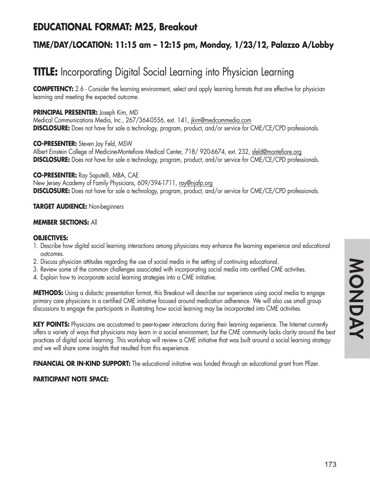## **EDUCATIONAL FORMAT: M25, Breakout**

### **TIME/DAY/LOCATION: 11:15 am – 12:15 pm, Monday, 1/23/12, Palazzo A/Lobby**

# **TITLE:** Incorporating Digital Social Learning into Physician Learning

**COMPETENCY:** 2.6 - Consider the learning environment, select and apply learning formats that are effective for physician learning and meeting the expected outcome.

#### **PRINCIPAL PRESENTER:** Joseph Kim, MD

Medical Communications Media, Inc., 267/364-0556, ext. 141, jkim@medcommedia.com **DISCLOSURE:** Does not have for sale a technology, program, product, and/or service for CME/CE/CPD professionals.

#### **CO-PRESENTER:** Steven Jay Feld, MSW Albert Einstein College of Medicine-Montefiore Medical Center, 718/920-6674, ext. 232, sfeld@montefiore.org **DISCLOSURE:** Does not have for sale a technology, program, product, and/or service for CME/CE/CPD professionals.

#### **CO-PRESENTER:** Ray Saputelli, MBA, CAE

New Jersey Academy of Family Physicians, 609/394-1711, ray@njafp.org **DISCLOSURE:** Does not have for sale a technology, program, product, and/or service for CME/CE/CPD professionals.

#### **TARGET AUDIENCE:** Non-beginners

#### **MEMBER SECTIONS:** All

#### **OBJECTIVES:**

- 1. Describe how digital social learning interactions among physicians may enhance the learning experience and educational outcomes.
- 2. Discuss physician attitudes regarding the use of social media in the setting of continuing educational.
- 3. Review some of the common challenges associated with incorporating social media into certified CME activities.
- 4. Explain how to incorporate social learning strategies into a CME initiative.

**METHODS:** Using a didactic presentation format, this Breakout will describe our experience using social media to engage primary care physicians in a certified CME initiative focused around medication adherence. We will also use small group discussions to engage the participants in illustrating how social learning may be incorporated into CME activities.

**KEY POINTS:** Physicians are accustomed to peer-to-peer interactions during their learning experience. The Internet currently offers a variety of ways that physicians may learn in a social environment, but the CME community lacks clarity around the best practices of digital social learning. This workshop will review a CME initiative that was built around a social learning strategy and we will share some insights that resulted from this experience.

**FINANCIAL OR IN-KIND SUPPORT:** The educational initiative was funded through an educational grant from Pfizer.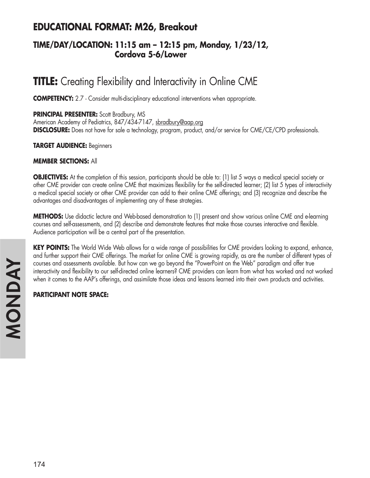## **EDUCATIONAL FORMAT: M26, Breakout**

### **TIME/DAY/LOCATION: 11:15 am – 12:15 pm, Monday, 1/23/12, Cordova 5-6/Lower**

# **TITLE:** Creating Flexibility and Interactivity in Online CME

**COMPETENCY:** 2.7 - Consider multi-disciplinary educational interventions when appropriate.

#### **PRINCIPAL PRESENTER:** Scott Bradbury, MS

American Academy of Pediatrics, 847/434-7147, sbradbury@aap.org **DISCLOSURE:** Does not have for sale a technology, program, product, and/or service for CME/CE/CPD professionals.

**TARGET AUDIENCE:** Beginners

#### **MEMBER SECTIONS:** All

**OBJECTIVES:** At the completion of this session, participants should be able to: (1) list 5 ways a medical special society or other CME provider can create online CME that maximizes flexibility for the self-directed learner; (2) list 5 types of interactivity a medical special society or other CME provider can add to their online CME offerings; and (3) recognize and describe the advantages and disadvantages of implementing any of these strategies.

**METHODS:** Use didactic lecture and Web-based demonstration to (1) present and show various online CME and e-learning courses and self-assessments, and (2) describe and demonstrate features that make those courses interactive and flexible. Audience participation will be a central part of the presentation.

**KEY POINTS:** The World Wide Web allows for a wide range of possibilities for CME providers looking to expand, enhance, and further support their CME offerings. The market for online CME is growing rapidly, as are the number of different types of courses and assessments available. But how can we go beyond the "PowerPoint on the Web" paradigm and offer true interactivity and flexibility to our self-directed online learners? CME providers can learn from what has worked and not worked when it comes to the AAP's offerings, and assimilate those ideas and lessons learned into their own products and activities.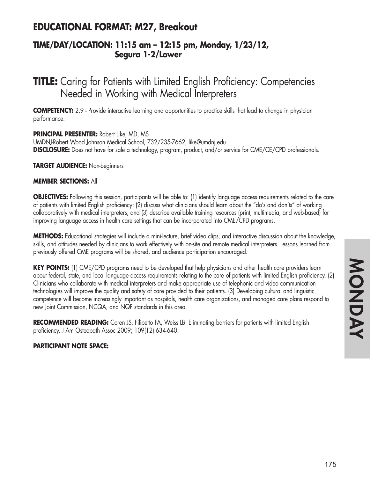## **EDUCATIONAL FORMAT: M27, Breakout**

### **TIME/DAY/LOCATION: 11:15 am – 12:15 pm, Monday, 1/23/12, Segura 1-2/Lower**

## **TITLE:** Caring for Patients with Limited English Proficiency: Competencies Needed in Working with Medical Interpreters

**COMPETENCY:** 2.9 - Provide interactive learning and opportunities to practice skills that lead to change in physician performance.

#### **PRINCIPAL PRESENTER:** Robert Like, MD, MS

UMDNJ-Robert Wood Johnson Medical School, 732/235-7662, like@umdnj.edu **DISCLOSURE:** Does not have for sale a technology, program, product, and/or service for CME/CE/CPD professionals.

#### **TARGET AUDIENCE:** Non-beginners

#### **MEMBER SECTIONS:** All

**OBJECTIVES:** Following this session, participants will be able to: (1) identify language access requirements related to the care of patients with limited English proficiency; (2) discuss what clinicians should learn about the "do's and don'ts" of working collaboratively with medical interpreters; and (3) describe available training resources (print, multimedia, and web-based) for improving language access in health care settings that can be incorporated into CME/CPD programs.

**METHODS:** Educational strategies will include a mini-lecture, brief video clips, and interactive discussion about the knowledge, skills, and attitudes needed by clinicians to work effectively with on-site and remote medical interpreters. Lessons learned from previously offered CME programs will be shared, and audience participation encouraged.

**KEY POINTS:** (1) CME/CPD programs need to be developed that help physicians and other health care providers learn about federal, state, and local language access requirements relating to the care of patients with limited English proficiency. (2) Clinicians who collaborate with medical interpreters and make appropriate use of telephonic and video communication technologies will improve the quality and safety of care provided to their patients. (3) Developing cultural and linguistic competence will become increasingly important as hospitals, health care organizations, and managed care plans respond to new Joint Commission, NCQA, and NQF standards in this area.

**RECOMMENDED READING:** Coren JS, Filipetto FA, Weiss LB. Eliminating barriers for patients with limited English proficiency. J Am Osteopath Assoc 2009; 109(12):634-640.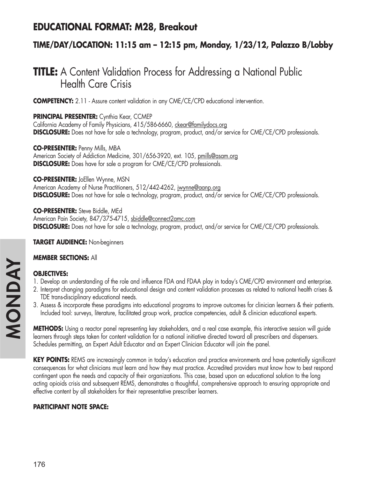## **EDUCATIONAL FORMAT: M28, Breakout**

### **TIME/DAY/LOCATION: 11:15 am – 12:15 pm, Monday, 1/23/12, Palazzo B/Lobby**

# **TITLE:** A Content Validation Process for Addressing a National Public Health Care Crisis

**COMPETENCY:** 2.11 - Assure content validation in any CME/CE/CPD educational intervention.

**PRINCIPAL PRESENTER:** Cynthia Kear, CCMEP

California Academy of Family Physicians, 415/586-6660, ckear@familydocs.org **DISCLOSURE:** Does not have for sale a technology, program, product, and/or service for CME/CE/CPD professionals.

**CO-PRESENTER:** Penny Mills, MBA American Society of Addiction Medicine, 301/656-3920, ext. 105, pmills@asam.org **DISCLOSURE:** Does have for sale a program for CME/CE/CPD professionals.

**CO-PRESENTER:** JoEllen Wynne, MSN American Academy of Nurse Practitioners, 512/442-4262, jwynne@aanp.org **DISCLOSURE:** Does not have for sale a technology, program, product, and/or service for CME/CE/CPD professionals.

**CO-PRESENTER:** Steve Biddle, MEd American Pain Society, 847/375-4715, sbiddle@connect2amc.com **DISCLOSURE:** Does not have for sale a technology, program, product, and/or service for CME/CE/CPD professionals.

**TARGET AUDIENCE:** Non-beginners

#### **MEMBER SECTIONS:** All

### **OBJECTIVES:**

- 1. Develop an understanding of the role and influence FDA and FDAA play in today's CME/CPD environment and enterprise.
- 2. Interpret changing paradigms for educational design and content validation processes as related to national health crises & TDE trans-disciplinary educational needs.
- 3. Assess & incorporate these paradigms into educational programs to improve outcomes for clinician learners & their patients. Included tool: surveys, literature, facilitated group work, practice competencies, adult & clinician educational experts.

**METHODS:** Using a reactor panel representing key stakeholders, and a real case example, this interactive session will guide learners through steps taken for content validation for a national initiative directed toward all prescribers and dispensers. Schedules permitting, an Expert Adult Educator and an Expert Clinician Educator will join the panel.

**KEY POINTS:** REMS are increasingly common in today's education and practice environments and have potentially significant consequences for what clinicians must learn and how they must practice. Accredited providers must know how to best respond contingent upon the needs and capacity of their organizations. This case, based upon an educational solution to the long acting opioids crisis and subsequent REMS, demonstrates a thoughtful, comprehensive approach to ensuring appropriate and effective content by all stakeholders for their representative prescriber learners.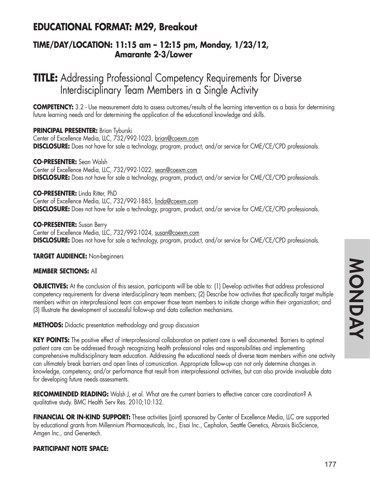## **EDUCATIONAL FORMAT: M29, Breakout**

### **TIME/DAY/LOCATION: 11:15 am – 12:15 pm, Monday, 1/23/12, Amarante 2-3/Lower**

# **TITLE:** Addressing Professional Competency Requirements for Diverse Interdisciplinary Team Members in a Single Activity

**COMPETENCY:** 3.2 - Use measurement data to assess outcomes/results of the learning intervention as a basis for determining future learning needs and for determining the application of the educational knowledge and skills.

**PRINCIPAL PRESENTER: Brian Tyburski** Center of Excellence Media, LLC, 732/992-1023, brian@coexm.com **DISCLOSURE:** Does not have for sale a technology, program, product, and/or service for CME/CE/CPD professionals.

**CO-PRESENTER:** Sean Walsh Center of Excellence Media, LLC, 732/992-1022, sean@coexm.com **DISCLOSURE:** Does not have for sale a technology, program, product, and/or service for CME/CE/CPD professionals.

**CO-PRESENTER:** Linda Ritter, PhD Center of Excellence Media, LLC, 732/992-1885, linda@coexm.com **DISCLOSURE:** Does not have for sale a technology, program, product, and/or service for CME/CE/CPD professionals.

**CO-PRESENTER:** Susan Berry Center of Excellence Media, LLC, 732/992-1024, susan@coexm.com **DISCLOSURE:** Does not have for sale a technology, program, product, and/or service for CME/CE/CPD professionals.

**TARGET AUDIENCE:** Non-beginners

#### **MEMBER SECTIONS:** All

**OBJECTIVES:** At the conclusion of this session, participants will be able to: (1) Develop activities that address professional competency requirements for diverse interdisciplinary team members; (2) Describe how activities that specifically target multiple members within an interprofessional team can empower those team members to initiate change within their organization; and (3) Illustrate the development of successful follow-up and data collection mechanisms.

**METHODS:** Didactic presentation methodology and group discussion

**KEY POINTS:** The positive effect of interprofessional collaboration on patient care is well documented. Barriers to optimal patient care can be addressed through recognizing health professional roles and responsibilities and implementing comprehensive multidisciplinary team education. Addressing the educational needs of diverse team members within one activity can ultimately break barriers and open lines of comunication. Appropriate follow-up can not only determine changes in knowledge, competency, and/or performance that result from interprofessional activities, but can also provide invaluable data for developing future needs assessments.

RECOMMENDED READING: Walsh J, et al. What are the current barriers to effective cancer care coordination? A qualitative study. BMC Health Serv Res. 2010;10:132.

**FINANCIAL OR IN-KIND SUPPORT:** These activities (joint) sponsored by Center of Excellence Media, LLC are supported by educational grants from Millennium Pharmaceuticals, Inc., Eisai Inc., Cephalon, Seattle Genetics, Abraxis BioScience, Amgen Inc., and Genentech.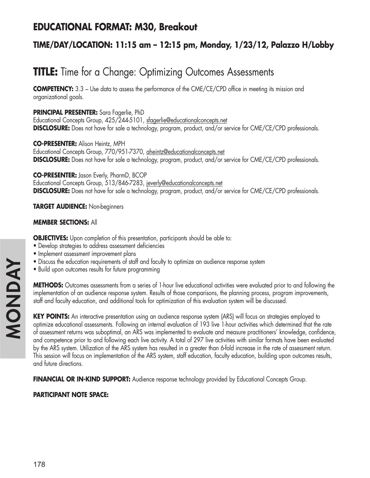## **EDUCATIONAL FORMAT: M30, Breakout**

### **TIME/DAY/LOCATION: 11:15 am – 12:15 pm, Monday, 1/23/12, Palazzo H/Lobby**

# **TITLE:** Time for a Change: Optimizing Outcomes Assessments

**COMPETENCY:** 3.3 – Use data to assess the performance of the CME/CE/CPD office in meeting its mission and organizational goals.

#### **PRINCIPAL PRESENTER:** Sara Fagerlie, PhD

Educational Concepts Group, 425/244-5101, sfagerlie@educationalconcepts.net **DISCLOSURE:** Does not have for sale a technology, program, product, and/or service for CME/CE/CPD professionals.

**CO-PRESENTER:** Alison Heintz, MPH Educational Concepts Group, 770/951-7370, aheintz@educationalconcepts.net **DISCLOSURE:** Does not have for sale a technology, program, product, and/or service for CME/CE/CPD professionals.

#### **CO-PRESENTER:** Jason Everly, PharmD, BCOP

Educational Concepts Group, 513/846-7283, jeverly@educationalconcepts.net **DISCLOSURE:** Does not have for sale a technology, program, product, and/or service for CME/CE/CPD professionals.

#### **TARGET AUDIENCE:** Non-beginners

#### **MEMBER SECTIONS:** All

**OBJECTIVES:** Upon completion of this presentation, participants should be able to:

- Develop strategies to address assessment deficiencies
- Implement assessment improvement plans
- Discuss the education requirements of staff and faculty to optimize an audience response system
- Build upon outcomes results for future programming

**METHODS:** Outcomes assessments from a series of 1-hour live educational activities were evaluated prior to and following the implementation of an audience response system. Results of those comparisons, the planning process, program improvements, staff and faculty education, and additional tools for optimization of this evaluation system will be discussed.

**KEY POINTS:** An interactive presentation using an audience response system (ARS) will focus on strategies employed to optimize educational assessments. Following an internal evaluation of 193 live 1-hour activities which determined that the rate of assessment returns was suboptimal, an ARS was implemented to evaluate and measure practitioners' knowledge, confidence, and competence prior to and following each live activity. A total of 297 live activities with similar formats have been evaluated by the ARS system. Utilization of the ARS system has resulted in a greater than 6-fold increase in the rate of assessment return. This session will focus on implementation of the ARS system, staff education, faculty education, building upon outcomes results, and future directions.

**FINANCIAL OR IN-KIND SUPPORT:** Audience response technology provided by Educational Concepts Group.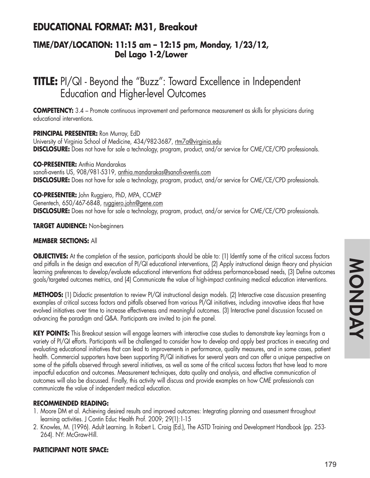## **EDUCATIONAL FORMAT: M31, Breakout**

### **TIME/DAY/LOCATION: 11:15 am – 12:15 pm, Monday, 1/23/12, Del Lago 1-2/Lower**

# **TITLE:** PI/QI - Beyond the "Buzz": Toward Excellence in Independent Education and Higher-level Outcomes

**COMPETENCY:** 3.4 – Promote continuous improvement and performance measurement as skills for physicians during educational interventions.

#### **PRINCIPAL PRESENTER:** Ron Murray, EdD

University of Virginia School of Medicine, 434/982-3687, rtm7a@virginia.edu **DISCLOSURE:** Does not have for sale a technology, program, product, and/or service for CME/CE/CPD professionals.

**CO-PRESENTER:** Anthia Mandarakas sanofi-aventis US, 908/981-5319, anthia.mandarakas@sanofi-aventis.com **DISCLOSURE:** Does not have for sale a technology, program, product, and/or service for CME/CE/CPD professionals.

**CO-PRESENTER:** John Ruggiero, PhD, MPA, CCMEP Genentech, 650/467-6848, ruggiero.john@gene.com **DISCLOSURE:** Does not have for sale a technology, program, product, and/or service for CME/CE/CPD professionals.

**TARGET AUDIENCE:** Non-beginners

#### **MEMBER SECTIONS:** All

**OBJECTIVES:** At the completion of the session, participants should be able to: (1) Identify some of the critical success factors and pitfalls in the design and execution of PI/QI educational interventions, (2) Apply instructional design theory and physician learning preferences to develop/evaluate educational interventions that address performance-based needs, (3) Define outcomes goals/targeted outcomes metrics, and (4) Communicate the value of high-impact continuing medical education interventions.

**METHODS:** (1) Didactic presentation to review PI/QI instructional design models. (2) Interactive case discussion presenting examples of critical success factors and pitfalls observed from various PI/QI initiatives, including innovative ideas that have evolved initiatives over time to increase effectiveness and meaningful outcomes. (3) Interactive panel discussion focused on advancing the paradigm and Q&A. Participants are invited to join the panel.

**KEY POINTS:** This Breakout session will engage learners with interactive case studies to demonstrate key learnings from a variety of PI/QI efforts. Participants will be challenged to consider how to develop and apply best practices in executing and evaluating educational initiatives that can lead to improvements in performance, quality measures, and in some cases, patient health. Commercial supporters have been supporting PI/QI initiatives for several years and can offer a unique perspective on some of the pitfalls observed through several initiatives, as well as some of the critical success factors that have lead to more impactful education and outcomes. Measurement techniques, data quality and analysis, and effective communication of outcomes will also be discussed. Finally, this activity will discuss and provide examples on how CME professionals can communicate the value of independent medical education.

#### **RECOMMENDED READING:**

- 1. Moore DM et al. Achieving desired results and improved outcomes: Integrating planning and assessment throughout learning activities. J Contin Educ Health Prof. 2009; 29(1):1-15
- 2. Knowles, M. (1996). Adult Learning. In Robert L. Craig (Ed.), The ASTD Training and Development Handbook (pp. 253- 264). NY: McGraw-Hill.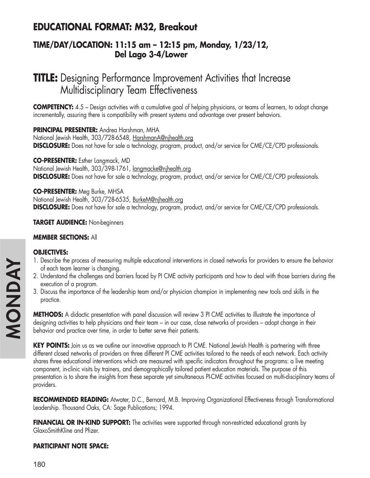## **EDUCATIONAL FORMAT: M32, Breakout**

### **TIME/DAY/LOCATION: 11:15 am – 12:15 pm, Monday, 1/23/12, Del Lago 3-4/Lower**

# **TITLE:** Designing Performance Improvement Activities that Increase Multidisciplinary Team Effectiveness

**COMPETENCY:** 4.5 – Design activities with a cumulative goal of helping physicians, or teams of learners, to adopt change incrementally, assuring there is compatibility with present systems and advantage over present behaviors.

**PRINCIPAL PRESENTER:** Andrea Harshman, MHA National Jewish Health, 303/728-6548, HarshmanA@njhealth.org **DISCLOSURE:** Does not have for sale a technology, program, product, and/or service for CME/CE/CPD professionals.

**CO-PRESENTER:** Esther Langmack, MD National Jewish Health, 303/398-1761, langmacke@njhealth.org **DISCLOSURE:** Does not have for sale a technology, program, product, and/or service for CME/CE/CPD professionals.

**CO-PRESENTER:** Meg Burke, MHSA National Jewish Health, 303/728-6535, BurkeM@njhealth.org **DISCLOSURE:** Does not have for sale a technology, program, product, and/or service for CME/CE/CPD professionals.

#### **TARGET AUDIENCE:** Non-beginners

#### **MEMBER SECTIONS:** All

#### **OBJECTIVES:**

- 1. Describe the process of measuring multiple educational interventions in closed networks for providers to ensure the behavior of each team learner is changing.
- 2. Understand the challenges and barriers faced by PI CME activity participants and how to deal with those barriers during the execution of a program.
- 3. Discuss the importance of the leadership team and/or physician champion in implementing new tools and skills in the practice.

**METHODS:** A didactic presentation with panel discussion will review 3 PI CME activities to illustrate the importance of designing activities to help physicians and their team – in our case, close networks of providers – adopt change in their behavior and practice over time, in order to better serve their patients.

KEY POINTS: Join us as we outline our innovative approach to PI CME. National Jewish Health is partnering with three different closed networks of providers on three different PI CME activities tailored to the needs of each network. Each activity shares three educational interventions which are measured with specific indicators throughout the programs: a live meeting component, in-clinic visits by trainers, and demographically tailored patient education materials. The purpose of this presentation is to share the insights from these separate yet simultaneous PI-CME activities focused on multi-disciplinary teams of providers.

**RECOMMENDED READING:** Atwater, D.C., Bernard, M.B. Improving Organizational Effectiveness through Transformational Leadership. Thousand Oaks, CA: Sage Publications; 1994.

**FINANCIAL OR IN-KIND SUPPORT:** The activities were supported through non-restricted educational grants by GlaxoSmithKline and Pfizer.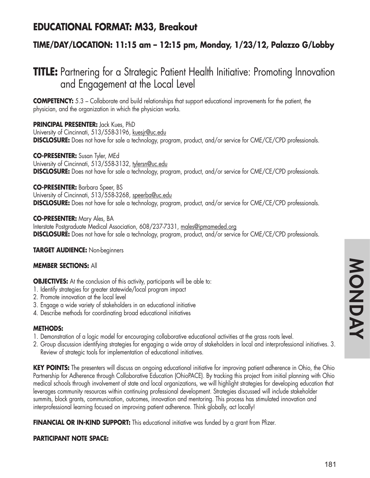## **EDUCATIONAL FORMAT: M33, Breakout**

### **TIME/DAY/LOCATION: 11:15 am – 12:15 pm, Monday, 1/23/12, Palazzo G/Lobby**

# **TITLE:** Partnering for a Strategic Patient Health Initiative: Promoting Innovation and Engagement at the Local Level

**COMPETENCY:** 5.3 – Collaborate and build relationships that support educational improvements for the patient, the physician, and the organization in which the physician works.

#### **PRINCIPAL PRESENTER:** Jack Kues, PhD

University of Cincinnati, 513/558-3196, kuesjr@uc.edu **DISCLOSURE:** Does not have for sale a technology, program, product, and/or service for CME/CE/CPD professionals.

#### **CO-PRESENTER:** Susan Tyler, MEd

University of Cincinnati, 513/558-3132, tylersn@uc.edu **DISCLOSURE:** Does not have for sale a technology, program, product, and/or service for CME/CE/CPD professionals.

#### **CO-PRESENTER:** Barbara Speer, BS University of Cincinnati, 513/558-3268, speerba@uc.edu

**DISCLOSURE:** Does not have for sale a technology, program, product, and/or service for CME/CE/CPD professionals.

**CO-PRESENTER:** Mary Ales, BA Interstate Postgraduate Medical Association, 608/237-7331, males@ipmameded.org **DISCLOSURE:** Does not have for sale a technology, program, product, and/or service for CME/CE/CPD professionals.

**TARGET AUDIENCE:** Non-beginners

#### **MEMBER SECTIONS:** All

**OBJECTIVES:** At the conclusion of this activity, participants will be able to:

- 1. Identify strategies for greater statewide/local program impact
- 2. Promote innovation at the local level
- 3. Engage a wide variety of stakeholders in an educational initiative
- 4. Describe methods for coordinating broad educational initiatives

#### **METHODS:**

- 1. Demonstration of a logic model for encouraging collaborative educational activities at the grass roots level.
- 2. Group discussion identifying strategies for engaging a wide array of stakeholders in local and interprofessional initiatives. 3. Review of strategic tools for implementation of educational initiatives.

**KEY POINTS:** The presenters will discuss an ongoing educational initiative for improving patient adherence in Ohio, the Ohio Partnership for Adherence through Collaborative Education (OhioPACE). By tracking this project from initial planning with Ohio medical schools through involvement of state and local organizations, we will highlight strategies for developing education that leverages community resources within continuing professional development. Strategies discussed will include stakeholder summits, block grants, communication, outcomes, innovation and mentoring. This process has stimulated innovation and interprofessional learning focused on improving patient adherence. Think globally, act locally!

**FINANCIAL OR IN-KIND SUPPORT:** This educational initiative was funded by a grant from Pfizer.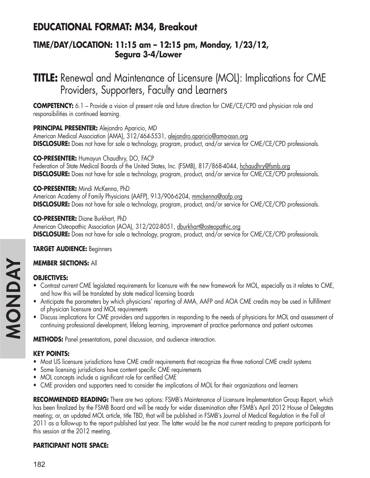## **EDUCATIONAL FORMAT: M34, Breakout**

### **TIME/DAY/LOCATION: 11:15 am – 12:15 pm, Monday, 1/23/12, Segura 3-4/Lower**

# **TITLE:** Renewal and Maintenance of Licensure (MOL): Implications for CME Providers, Supporters, Faculty and Learners

**COMPETENCY:** 6.1 – Provide a vision of present role and future direction for CME/CE/CPD and physician role and responsibilities in continued learning.

### **PRINCIPAL PRESENTER:** Alejandro Aparicio, MD

American Medical Association (AMA), 312/464-5531, alejandro.aparicio@ama-assn.org **DISCLOSURE:** Does not have for sale a technology, program, product, and/or service for CME/CE/CPD professionals.

#### **CO-PRESENTER:** Humayun Chaudhry, DO, FACP

Federation of State Medical Boards of the United States, Inc. (FSMB), 817/868-4044, hchaudhry@fsmb.org **DISCLOSURE:** Does not have for sale a technology, program, product, and/or service for CME/CE/CPD professionals.

#### **CO-PRESENTER:** Mindi McKenna, PhD

American Academy of Family Physicians (AAFP), 913/906-6204, mmckenna@aafp.org **DISCLOSURE:** Does not have for sale a technology, program, product, and/or service for CME/CE/CPD professionals.

**CO-PRESENTER:** Diane Burkhart, PhD American Osteopathic Association (AOA), 312/202-8051, dburkhart@osteopathic.org **DISCLOSURE:** Does not have for sale a technology, program, product, and/or service for CME/CE/CPD professionals.

### **TARGET AUDIENCE:** Beginners

### **MEMBER SECTIONS:** All

### **OBJECTIVES:**

- Contrast current CME legislated requirements for licensure with the new framework for MOL, especially as it relates to CME, and how this will be translated by state medical licensing boards
- Anticipate the parameters by which physicians' reporting of AMA, AAFP and AOA CME credits may be used in fulfillment of physician licensure and MOL requirements
- Discuss implications for CME providers and supporters in responding to the needs of physicians for MOL and assessment of continuing professional development, lifelong learning, improvement of practice performance and patient outcomes

**METHODS:** Panel presentations, panel discussion, and audience interaction.

### **KEY POINTS:**

- Most US licensure jurisdictions have CME credit requirements that recognize the three national CME credit systems
- Some licensing jurisdictions have content specific CME requirements
- MOL concepts include a significant role for certified CME
- CME providers and supporters need to consider the implications of MOL for their organizations and learners

**RECOMMENDED READING:** There are two options: FSMB's Maintenance of Licensure Implementation Group Report, which has been finalized by the FSMB Board and will be ready for wider dissemination after FSMB's April 2012 House of Delegates meeting; or, an updated MOL article, title TBD, that will be published in FSMB's Journal of Medical Regulation in the Fall of 2011 as a follow-up to the report published last year. The latter would be the most current reading to prepare participants for this session at the 2012 meeting.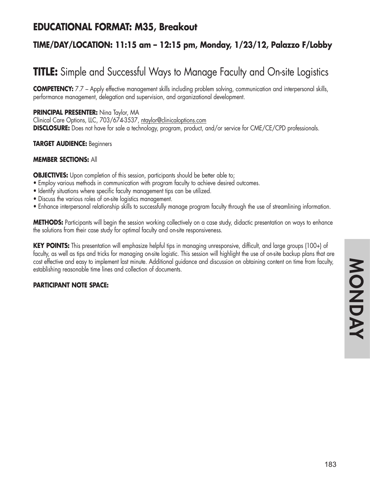## **EDUCATIONAL FORMAT: M35, Breakout**

### **TIME/DAY/LOCATION: 11:15 am – 12:15 pm, Monday, 1/23/12, Palazzo F/Lobby**

# **TITLE:** Simple and Successful Ways to Manage Faculty and On-site Logistics

**COMPETENCY:** 7.7 – Apply effective management skills including problem solving, communication and interpersonal skills, performance management, delegation and supervision, and organizational development.

**PRINCIPAL PRESENTER:** Nina Taylor, MA

Clinical Care Options, LLC, 703/674-3537, ntaylor@clinicaloptions.com **DISCLOSURE:** Does not have for sale a technology, program, product, and/or service for CME/CE/CPD professionals.

#### **TARGET AUDIENCE:** Beginners

#### **MEMBER SECTIONS:** All

**OBJECTIVES:** Upon completion of this session, participants should be better able to;

- Employ various methods in communication with program faculty to achieve desired outcomes.
- Identify situations where specific faculty management tips can be utilized.
- Discuss the various roles of on-site logistics management.
- Enhance interpersonal relationship skills to successfully manage program faculty through the use of streamlining information.

**METHODS:** Participants will begin the session working collectively on a case study, didactic presentation on ways to enhance the solutions from their case study for optimal faculty and on-site responsiveness.

**KEY POINTS:** This presentation will emphasize helpful tips in managing unresponsive, difficult, and large groups (100+) of faculty, as well as tips and tricks for managing on-site logistic. This session will highlight the use of on-site backup plans that are cost effective and easy to implement last minute. Additional guidance and discussion on obtaining content on time from faculty, establishing reasonable time lines and collection of documents.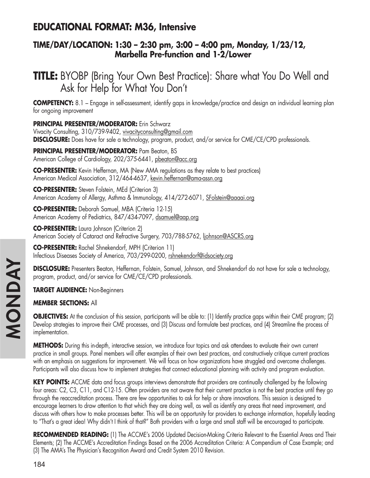## **EDUCATIONAL FORMAT: M36, Intensive**

### **TIME/DAY/LOCATION: 1:30 – 2:30 pm, 3:00 – 4:00 pm, Monday, 1/23/12, Marbella Pre-function and 1-2/Lower**

# **TITLE:** BYOBP (Bring Your Own Best Practice): Share what You Do Well and Ask for Help for What You Don't

**COMPETENCY:** 8.1 – Engage in self-assessment, identify gaps in knowledge/practice and design an individual learning plan for ongoing improvement

### **PRINCIPAL PRESENTER/MODERATOR:** Erin Schwarz

Vivacity Consulting, 310/739-9402, vivacityconsulting@gmail.com **DISCLOSURE:** Does have for sale a technology, program, product, and/or service for CME/CE/CPD professionals.

**PRINCIPAL PRESENTER/MODERATOR:** Pam Beaton, BS American College of Cardiology, 202/375-6441, pbeaton@acc.org

**CO-PRESENTER:** Kevin Heffernan, MA (New AMA regulations as they relate to best practices) American Medical Association, 312/464-4637, kevin.heffernan@ama-assn.org

**CO-PRESENTER:** Steven Folstein, MEd (Criterion 3) American Academy of Allergy, Asthma & Immunology, 414/272-6071, SFolstein@aaaai.org

**CO-PRESENTER:** Deborah Samuel, MBA (Criteria 12-15) American Academy of Pediatrics, 847/434-7097, dsamuel@aap.org

**CO-PRESENTER:** Laura Johnson (Criterion 2) American Society of Cataract and Refractive Surgery, 703/788-5762, liohnson@ASCRS.org

**CO-PRESENTER:** Rachel Shnekendorf, MPH (Criterion 11) Infectious Diseases Society of America, 703/299-0200, rshnekendorf@idsociety.org

**DISCLOSURE:** Presenters Beaton, Heffernan, Folstein, Samuel, Johnson, and Shnekendorf do not have for sale a technology, program, product, and/or service for CME/CE/CPD professionals.

**TARGET AUDIENCE:** Non-Beginners

### **MEMBER SECTIONS:** All

**OBJECTIVES:** At the conclusion of this session, participants will be able to: (1) Identify practice gaps within their CME program; (2) Develop strategies to improve their CME processes, and (3) Discuss and formulate best practices, and (4) Streamline the process of implementation.

**METHODS:** During this in-depth, interactive session, we introduce four topics and ask attendees to evaluate their own current practice in small groups. Panel members will offer examples of their own best practices, and constructively critique current practices with an emphasis on suggestions for improvement. We will focus on how organizations have struggled and overcome challenges. Participants will also discuss how to implement strategies that connect educational planning with activity and program evaluation.

**KEY POINTS:** ACCME data and focus groups interviews demonstrate that providers are continually challenged by the following four areas: C2, C3, C11, and C12-15. Often providers are not aware that their current practice is not the best practice until they go through the reaccreditation process. There are few opportunities to ask for help or share innovations. This session is designed to encourage learners to draw attention to that which they are doing well, as well as identify any areas that need improvement, and discuss with others how to make processes better. This will be an opportunity for providers to exchange information, hopefully leading to "That's a great idea! Why didn't I think of that?" Both providers with a large and small staff will be encouraged to participate.

**RECOMMENDED READING:** (1) The ACCME's 2006 Updated Decision-Making Criteria Relevant to the Essential Areas and Their Elements; (2) The ACCME's Accreditation Findings Based on the 2006 Accreditation Criteria: A Compendium of Case Example; and (3) The AMA's The Physician's Recognition Award and Credit System 2010 Revision.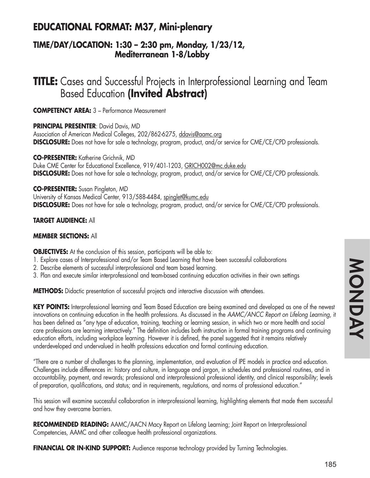## **EDUCATIONAL FORMAT: M37, Mini-plenary**

### **TIME/DAY/LOCATION: 1:30 – 2:30 pm, Monday, 1/23/12, Mediterranean 1-8/Lobby**

**TITLE:** Cases and Successful Projects in Interprofessional Learning and Team Based Education **(Invited Abstract)**

**COMPETENCY AREA:** 3 – Performance Measurement

**PRINCIPAL PRESENTER**: David Davis, MD

Association of American Medical Colleges, 202/862-6275, ddavis@aamc.org **DISCLOSURE:** Does not have for sale a technology, program, product, and/or service for CME/CE/CPD professionals.

**CO-PRESENTER:** Katherine Grichnik, MD Duke CME Center for Educational Excellence, 919/401-1203, GRICH002@mc.duke.edu **DISCLOSURE:** Does not have for sale a technology, program, product, and/or service for CME/CE/CPD professionals.

#### **CO-PRESENTER:** Susan Pingleton, MD

University of Kansas Medical Center, 913/588-4484, spinglet@kumc.edu **DISCLOSURE:** Does not have for sale a technology, program, product, and/or service for CME/CE/CPD professionals.

#### **TARGET AUDIENCE:** All

#### **MEMBER SECTIONS:** All

**OBJECTIVES:** At the conclusion of this session, participants will be able to:

- 1. Explore cases of Interprofessional and/or Team Based Learning that have been successful collaborations
- 2. Describe elements of successful interprofessional and team based learning.
- 3. Plan and execute similar interprofessional and team-based continuing education activities in their own settings

**METHODS:** Didactic presentation of successful projects and interactive discussion with attendees.

**KEY POINTS:** Interprofessional learning and Team Based Education are being examined and developed as one of the newest innovations on continuing education in the health professions. As discussed in the *AAMC/ANCC Report on Lifelong Learning*, it has been defined as "any type of education, training, teaching or learning session, in which two or more health and social care professions are learning interactively." The definition includes both instruction in formal training programs and continuing education efforts, including workplace learning. However it is defined, the panel suggested that it remains relatively underdeveloped and undervalued in health professions education and formal continuing education.

"There are a number of challenges to the planning, implementation, and evaluation of IPE models in practice and education. Challenges include differences in: history and culture, in language and jargon, in schedules and professional routines, and in accountability, payment, and rewards; professional and interprofessional professional identity, and clinical responsibility; levels of preparation, qualifications, and status; and in requirements, regulations, and norms of professional education."

This session will examine successful collaboration in interprofessional learning, highlighting elements that made them successful and how they overcame barriers.

**RECOMMENDED READING:** AAMC/AACN Macy Report on Lifelong Learning; Joint Report on Interprofessional Competencies, AAMC and other colleague health professional organizations.

**FINANCIAL OR IN-KIND SUPPORT:** Audience response technology provided by Turning Technologies.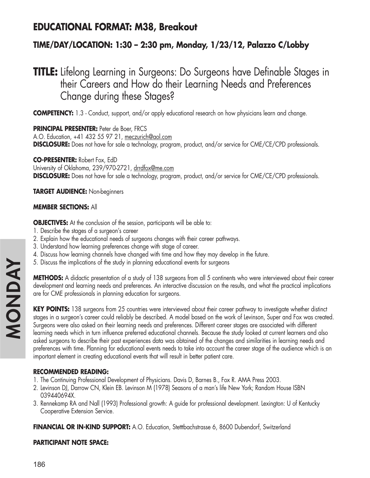## **EDUCATIONAL FORMAT: M38, Breakout**

### **TIME/DAY/LOCATION: 1:30 – 2:30 pm, Monday, 1/23/12, Palazzo C/Lobby**

# **TITLE:** Lifelong Learning in Surgeons: Do Surgeons have Definable Stages in their Careers and How do their Learning Needs and Preferences Change during these Stages?

**COMPETENCY:** 1.3 - Conduct, support, and/or apply educational research on how physicians learn and change.

**PRINCIPAL PRESENTER:** Peter de Boer, FRCS A.O. Education, +41 432 55 97 21, meczurich@aol.com **DISCLOSURE:** Does not have for sale a technology, program, product, and/or service for CME/CE/CPD professionals.

**CO-PRESENTER:** Robert Fox, EdD University of Oklahoma, 239/970-2721, drrdfox@me.com **DISCLOSURE:** Does not have for sale a technology, program, product, and/or service for CME/CE/CPD professionals.

**TARGET AUDIENCE:** Non-beginners

#### **MEMBER SECTIONS:** All

**OBJECTIVES:** At the conclusion of the session, participants will be able to:

- 1. Describe the stages of a surgeon's career
- 2. Explain how the educational needs of surgeons changes with their career pathways.
- 3. Understand how learning preferences change with stage of career.
- 4. Discuss how learning channels have changed with time and how they may develop in the future.
- 5. Discuss the implications of the study in planning educational events for surgeons

**METHODS:** A didactic presentation of a study of 138 surgeons from all 5 continents who were interviewed about their career development and learning needs and preferences. An interactive discussion on the results, and what the practical implications are for CME professionals in planning education for surgeons.

**KEY POINTS:** 138 surgeons from 25 countries were interviewed about their career pathway to investigate whether distinct stages in a surgeon's career could reliably be described. A model based on the work of Levinson, Super and Fox was created. Surgeons were also asked on their learning needs and preferences. Different career stages are associated with different learning needs which in turn influence preferred educational channels. Because the study looked at current learners and also asked surgeons to describe their past experiences data was obtained of the changes and similarities in learning needs and preferences with time. Planning for educational events needs to take into account the career stage of the audience which is an important element in creating educational events that will result in better patient care.

### **RECOMMENDED READING:**

- 1. The Continuing Professional Development of Physicians. Davis D, Barnes B., Fox R. AMA Press 2003.
- 2. Levinson DJ, Darrow CN, Klein EB. Levinson M (1978) Seasons of a man's life New York; Random House ISBN 039440694X.
- 3. Rennekamp RA and Nall (1993) Professional growth: A guide for professional development. Lexington: U of Kentucky Cooperative Extension Service.

**FINANCIAL OR IN-KIND SUPPORT:** A.O. Education, Stetttbachstrasse 6, 8600 Dubendorf, Switzerland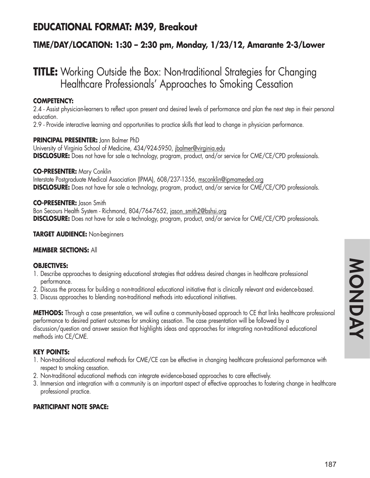## **EDUCATIONAL FORMAT: M39, Breakout**

### **TIME/DAY/LOCATION: 1:30 – 2:30 pm, Monday, 1/23/12, Amarante 2-3/Lower**

# **TITLE:** Working Outside the Box: Non-traditional Strategies for Changing Healthcare Professionals' Approaches to Smoking Cessation

#### **COMPETENCY:**

2.4 - Assist physician-learners to reflect upon present and desired levels of performance and plan the next step in their personal education.

2.9 - Provide interactive learning and opportunities to practice skills that lead to change in physician performance.

#### **PRINCIPAL PRESENTER:** Jann Balmer PhD

University of Virginia School of Medicine, 434/924-5950, jbalmer@virginia.edu **DISCLOSURE:** Does not have for sale a technology, program, product, and/or service for CME/CE/CPD professionals.

#### **CO-PRESENTER:** Mary Conklin

Interstate Postgraduate Medical Association (IPMA), 608/237-1356, msconklin@ipmameded.org **DISCLOSURE:** Does not have for sale a technology, program, product, and/or service for CME/CE/CPD professionals.

#### **CO-PRESENTER:** Jason Smith

Bon Secours Health System - Richmond, 804/764-7652, jason\_smith2@bshsi.org **DISCLOSURE:** Does not have for sale a technology, program, product, and/or service for CME/CE/CPD professionals.

#### **TARGET AUDIENCE:** Non-beginners

#### **MEMBER SECTIONS:** All

#### **OBJECTIVES:**

- 1. Describe approaches to designing educational strategies that address desired changes in healthcare professional performance.
- 2. Discuss the process for building a non-traditional educational initiative that is clinically relevant and evidence-based.
- 3. Discuss approaches to blending non-traditional methods into educational initiatives.

**METHODS:** Through a case presentation, we will outline a community-based approach to CE that links healthcare professional performance to desired patient outcomes for smoking cessation. The case presentation will be followed by a discussion/question and answer session that highlights ideas and approaches for integrating non-traditional educational methods into CE/CME.

### **KEY POINTS:**

- 1. Non-traditional educational methods for CME/CE can be effective in changing healthcare professional performance with respect to smoking cessation.
- 2. Non-traditional educational methods can integrate evidence-based approaches to care effectively.
- 3. Immersion and integration with a community is an important aspect of effective approaches to fostering change in healthcare professional practice.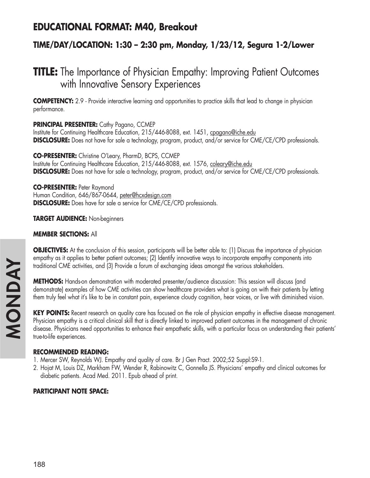## **EDUCATIONAL FORMAT: M40, Breakout**

### **TIME/DAY/LOCATION: 1:30 – 2:30 pm, Monday, 1/23/12, Segura 1-2/Lower**

# **TITLE:** The Importance of Physician Empathy: Improving Patient Outcomes with Innovative Sensory Experiences

**COMPETENCY:** 2.9 - Provide interactive learning and opportunities to practice skills that lead to change in physician performance.

#### **PRINCIPAL PRESENTER:** Cathy Pagano, CCMEP

Institute for Continuing Healthcare Education, 215/446-8088, ext. 1451, cpagano@iche.edu **DISCLOSURE:** Does not have for sale a technology, program, product, and/or service for CME/CE/CPD professionals.

**CO-PRESENTER:** Christine O'Leary, PharmD, BCPS, CCMEP Institute for Continuing Healthcare Education, 215/446-8088, ext. 1576, coleary@iche.edu **DISCLOSURE:** Does not have for sale a technology, program, product, and/or service for CME/CE/CPD professionals.

#### **CO-PRESENTER:** Peter Raymond

Human Condition, 646/867-0644, peter@hcxdesign.com **DISCLOSURE:** Does have for sale a service for CME/CE/CPD professionals.

#### **TARGET AUDIENCE:** Non-beginners

#### **MEMBER SECTIONS:** All

**OBJECTIVES:** At the conclusion of this session, participants will be better able to: (1) Discuss the importance of physician empathy as it applies to better patient outcomes; (2) Identify innovative ways to incorporate empathy components into traditional CME activities, and (3) Provide a forum of exchanging ideas amongst the various stakeholders.

**METHODS:** Hands-on demonstration with moderated presenter/audience discussion: This session will discuss (and demonstrate) examples of how CME activities can show healthcare providers what is going on with their patients by letting them truly feel what it's like to be in constant pain, experience cloudy cognition, hear voices, or live with diminished vision.

**KEY POINTS:** Recent research on quality care has focused on the role of physician empathy in effective disease management. Physician empathy is a critical clinical skill that is directly linked to improved patient outcomes in the management of chronic disease. Physicians need opportunities to enhance their empathetic skills, with a particular focus on understanding their patients' true-to-life experiences.

#### **RECOMMENDED READING:**

- 1. Mercer SW, Reynolds WJ. Empathy and quality of care. Br J Gen Pract. 2002;52 Suppl:S9-1.
- 2. Hojat M, Louis DZ, Markham FW, Wender R, Rabinowitz C, Gonnella JS. Physicians' empathy and clinical outcomes for diabetic patients. Acad Med. 2011. Epub ahead of print.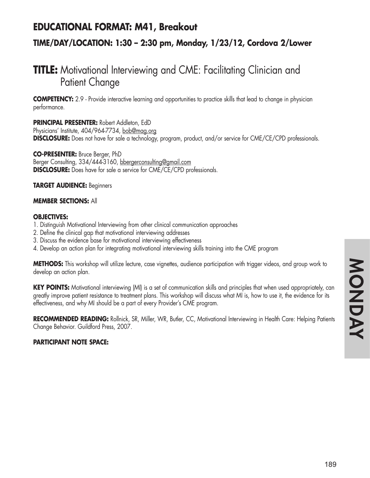## **EDUCATIONAL FORMAT: M41, Breakout**

### **TIME/DAY/LOCATION: 1:30 – 2:30 pm, Monday, 1/23/12, Cordova 2/Lower**

# **TITLE:** Motivational Interviewing and CME: Facilitating Clinician and Patient Change

**COMPETENCY:** 2.9 - Provide interactive learning and opportunities to practice skills that lead to change in physician performance.

**PRINCIPAL PRESENTER:** Robert Addleton, EdD Physicians' Institute, 404/964-7734, bob@mag.org **DISCLOSURE:** Does not have for sale a technology, program, product, and/or service for CME/CE/CPD professionals.

**CO-PRESENTER:** Bruce Berger, PhD Berger Consulting, 334/444-3160, bbergerconsulting@gmail.com **DISCLOSURE:** Does have for sale a service for CME/CE/CPD professionals.

**TARGET AUDIENCE:** Beginners

#### **MEMBER SECTIONS:** All

#### **OBJECTIVES:**

- 1. Distinguish Motivational Interviewing from other clinical communication approaches
- 2. Define the clinical gap that motivational interviewing addresses
- 3. Discuss the evidence base for motivational interviewing effectiveness
- 4. Develop an action plan for integrating motivational interviewing skills training into the CME program

**METHODS:** This workshop will utilize lecture, case vignettes, audience participation with trigger videos, and group work to develop an action plan.

**KEY POINTS:** Motivational interviewing (MI) is a set of communication skills and principles that when used appropriately, can greatly improve patient resistance to treatment plans. This workshop will discuss what MI is, how to use it, the evidence for its effectiveness, and why MI should be a part of every Provider's CME program.

**RECOMMENDED READING:** Rollnick, SR, Miller, WR, Butler, CC, Motivational Interviewing in Health Care: Helping Patients Change Behavior. Guildford Press, 2007.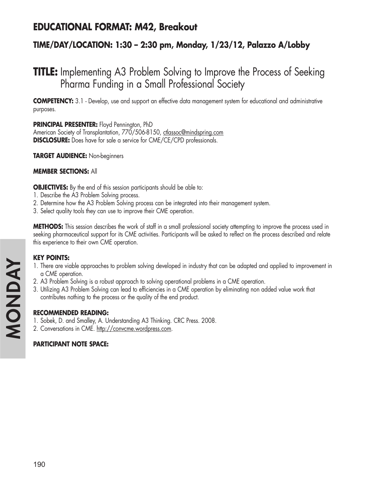## **EDUCATIONAL FORMAT: M42, Breakout**

### **TIME/DAY/LOCATION: 1:30 – 2:30 pm, Monday, 1/23/12, Palazzo A/Lobby**

# **TITLE:** Implementing A3 Problem Solving to Improve the Process of Seeking Pharma Funding in a Small Professional Society

**COMPETENCY:** 3.1 - Develop, use and support an effective data management system for educational and administrative purposes.

**PRINCIPAL PRESENTER:** Floyd Pennington, PhD American Society of Transplantation, 770/506-8150, ctlassoc@mindspring.com **DISCLOSURE:** Does have for sale a service for CME/CE/CPD professionals.

**TARGET AUDIENCE:** Non-beginners

#### **MEMBER SECTIONS:** All

**OBJECTIVES:** By the end of this session participants should be able to:

- 1. Describe the A3 Problem Solving process.
- 2. Determine how the A3 Problem Solving process can be integrated into their management system.
- 3. Select quality tools they can use to improve their CME operation.

**METHODS:** This session describes the work of staff in a small professional society attempting to improve the process used in seeking pharmaceutical support for its CME activities. Participants will be asked to reflect on the process described and relate this experience to their own CME operation.

### **KEY POINTS:**

- 1. There are viable approaches to problem solving developed in industry that can be adapted and applied to improvement in a CME operation.
- 2. A3 Problem Solving is a robust approach to solving operational problems in a CME operation.
- 3. Utilizing A3 Problem Solving can lead to efficiencies in a CME operation by eliminating non added value work that contributes nothing to the process or the quality of the end product.

#### **RECOMMENDED READING:**

- 1. Sobek, D. and Smalley, A. Understanding A3 Thinking. CRC Press. 2008.
- 2. Conversations in CME. http://convcme.wordpress.com.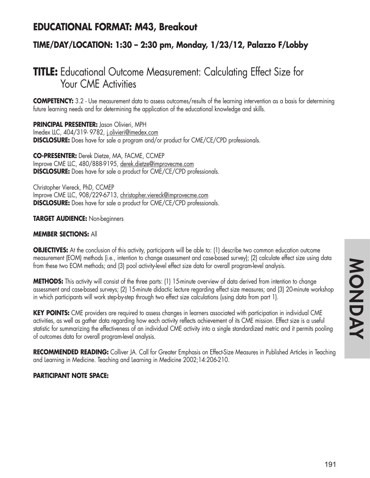## **EDUCATIONAL FORMAT: M43, Breakout**

### **TIME/DAY/LOCATION: 1:30 – 2:30 pm, Monday, 1/23/12, Palazzo F/Lobby**

# **TITLE:** Educational Outcome Measurement: Calculating Effect Size for Your CME Activities

**COMPETENCY:** 3.2 - Use measurement data to assess outcomes/results of the learning intervention as a basis for determining future learning needs and for determining the application of the educational knowledge and skills.

**PRINCIPAL PRESENTER:** Jason Olivieri, MPH Imedex LLC, 404/319-9782, j.olivieri@imedex.com **DISCLOSURE:** Does have for sale a program and/or product for CME/CE/CPD professionals.

**CO-PRESENTER:** Derek Dietze, MA, FACME, CCMEP Improve CME LLC, 480/888-9195, derek.dietze@improvecme.com **DISCLOSURE:** Does have for sale a product for CME/CE/CPD professionals.

Christopher Viereck, PhD, CCMEP Improve CME LLC, 908/229-6713, christopher.viereck@improvecme.com **DISCLOSURE:** Does have for sale a product for CME/CE/CPD professionals.

#### **TARGET AUDIENCE:** Non-beginners

#### **MEMBER SECTIONS:** All

**OBJECTIVES:** At the conclusion of this activity, participants will be able to: (1) describe two common education outcome measurement (EOM) methods (i.e., intention to change assessment and case-based survey); (2) calculate effect size using data from these two EOM methods; and (3) pool activity-level effect size data for overall program-level analysis.

**METHODS:** This activity will consist of the three parts: (1) 15-minute overview of data derived from intention to change assessment and case-based surveys; (2) 15-minute didactic lecture regarding effect size measures; and (3) 20-minute workshop in which participants will work step-by-step through two effect size calculations (using data from part 1).

**KEY POINTS:** CME providers are required to assess changes in learners associated with participation in individual CME activities, as well as gather data regarding how each activity reflects achievement of its CME mission. Effect size is a useful statistic for summarizing the effectiveness of an individual CME activity into a single standardized metric and it permits pooling of outcomes data for overall program-level analysis.

**RECOMMENDED READING:** Colliver JA. Call for Greater Emphasis on Effect-Size Measures in Published Articles in Teaching and Learning in Medicine. Teaching and Learning in Medicine 2002;14:206-210.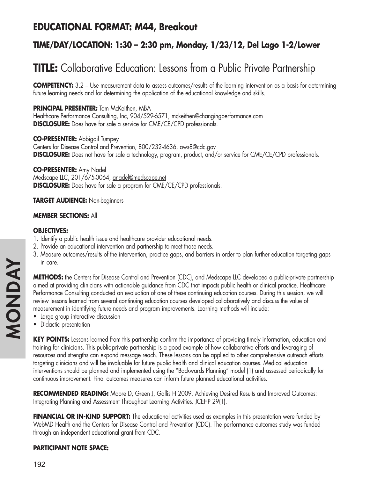## **EDUCATIONAL FORMAT: M44, Breakout**

### **TIME/DAY/LOCATION: 1:30 – 2:30 pm, Monday, 1/23/12, Del Lago 1-2/Lower**

# **TITLE:** Collaborative Education: Lessons from a Public Private Partnership

**COMPETENCY:** 3.2 – Use measurement data to assess outcomes/results of the learning intervention as a basis for determining future learning needs and for determining the application of the educational knowledge and skills.

#### **PRINCIPAL PRESENTER:** Tom McKeithen, MBA

Healthcare Performance Consulting, Inc, 904/529-6571, mckeithen@changingperformance.com **DISCLOSURE:** Does have for sale a service for CME/CE/CPD professionals.

**CO-PRESENTER:** Abbigail Tumpey Centers for Disease Control and Prevention, 800/232-4636, aws8@cdc.gov **DISCLOSURE:** Does not have for sale a technology, program, product, and/or service for CME/CE/CPD professionals.

#### **CO-PRESENTER:** Amy Nadel

Medscape LLC, 201/675-0064, anadel@medscape.net **DISCLOSURE:** Does have for sale a program for CME/CE/CPD professionals.

#### **TARGET AUDIENCE:** Non-beginners

#### **MEMBER SECTIONS:** All

#### **OBJECTIVES:**

- 1. Identify a public health issue and healthcare provider educational needs.
- 2. Provide an educational intervention and partnership to meet those needs.
- 3. Measure outcomes/results of the intervention, practice gaps, and barriers in order to plan further education targeting gaps in care.

**METHODS:** the Centers for Disease Control and Prevention (CDC), and Medscape LLC developed a public-private partnership aimed at providing clinicians with actionable guidance from CDC that impacts public health or clinical practice. Healthcare Performance Consulting conducted an evaluation of one of these continuing education courses. During this session, we will review lessons learned from several continuing education courses developed collaboratively and discuss the value of measurement in identifying future needs and program improvements. Learning methods will include:

- Large group interactive discussion
- Didactic presentation

**KEY POINTS:** Lessons learned from this partnership confirm the importance of providing timely information, education and training for clinicians. This public-private partnership is a good example of how collaborative efforts and leveraging of resources and strengths can expand message reach. These lessons can be applied to other comprehensive outreach efforts targeting clinicians and will be invaluable for future public health and clinical education courses. Medical education interventions should be planned and implemented using the "Backwards Planning" model (1) and assessed periodically for continuous improvement. Final outcomes measures can inform future planned educational activities.

**RECOMMENDED READING:** Moore D, Green J, Gallis H 2009, Achieving Desired Results and Improved Outcomes: Integrating Planning and Assessment Throughout Learning Activities. JCEHP 29(1).

**FINANCIAL OR IN-KIND SUPPORT:** The educational activities used as examples in this presentation were funded by WebMD Health and the Centers for Disease Control and Prevention (CDC). The performance outcomes study was funded through an independent educational grant from CDC.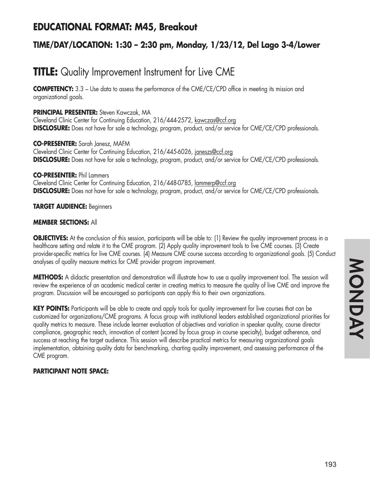## **EDUCATIONAL FORMAT: M45, Breakout**

### **TIME/DAY/LOCATION: 1:30 – 2:30 pm, Monday, 1/23/12, Del Lago 3-4/Lower**

# **TITLE:** Quality Improvement Instrument for Live CME

**COMPETENCY:** 3.3 – Use data to assess the performance of the CME/CE/CPD office in meeting its mission and organizational goals.

#### **PRINCIPAL PRESENTER:** Steven Kawczak, MA

Cleveland Clinic Center for Continuing Education, 216/444-2572, kawczas@ccf.org **DISCLOSURE:** Does not have for sale a technology, program, product, and/or service for CME/CE/CPD professionals.

**CO-PRESENTER:** Sarah Janesz, MAFM Cleveland Clinic Center for Continuing Education, 216/445-6026, janeszs@ccf.org **DISCLOSURE:** Does not have for sale a technology, program, product, and/or service for CME/CE/CPD professionals.

#### **CO-PRESENTER:** Phil Lammers

Cleveland Clinic Center for Continuing Education, 216/448-0785, lammerp@ccf.org **DISCLOSURE:** Does not have for sale a technology, program, product, and/or service for CME/CE/CPD professionals.

#### **TARGET AUDIENCE:** Beginners

#### **MEMBER SECTIONS:** All

**OBJECTIVES:** At the conclusion of this session, participants will be able to: (1) Review the quality improvement process in a healthcare setting and relate it to the CME program. (2) Apply quality improvement tools to live CME courses. (3) Create provider-specific metrics for live CME courses. (4) Measure CME course success according to organizational goals. (5) Conduct analyses of quality measure metrics for CME provider program improvement.

**METHODS:** A didactic presentation and demonstration will illustrate how to use a quality improvement tool. The session will review the experience of an academic medical center in creating metrics to measure the quality of live CME and improve the program. Discussion will be encouraged so participants can apply this to their own organizations.

KEY POINTS: Participants will be able to create and apply tools for quality improvement for live courses that can be customized for organizations/CME programs. A focus group with institutional leaders established organizational priorities for quality metrics to measure. These include learner evaluation of objectives and variation in speaker quality, course director compliance, geographic reach, innovation of content (scored by focus group in course specialty), budget adherence, and success at reaching the target audience. This session will describe practical metrics for measuring organizational goals implementation, obtaining quality data for benchmarking, charting quality improvement, and assessing performance of the CME program.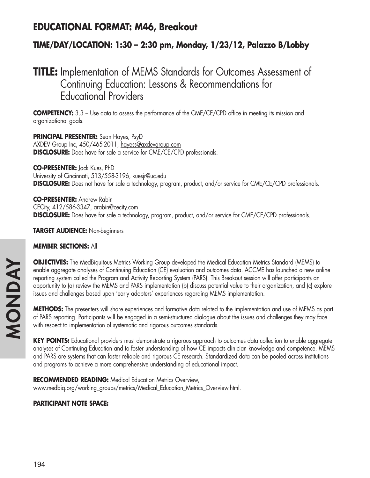## **EDUCATIONAL FORMAT: M46, Breakout**

### **TIME/DAY/LOCATION: 1:30 – 2:30 pm, Monday, 1/23/12, Palazzo B/Lobby**

# **TITLE:** Implementation of MEMS Standards for Outcomes Assessment of Continuing Education: Lessons & Recommendations for Educational Providers

**COMPETENCY:** 3.3 – Use data to assess the performance of the CME/CE/CPD office in meeting its mission and organizational goals.

**PRINCIPAL PRESENTER:** Sean Hayes, PsyD AXDEV Group Inc, 450/465-2011, hayess@axdevgroup.com **DISCLOSURE:** Does have for sale a service for CME/CE/CPD professionals.

**CO-PRESENTER:** Jack Kues, PhD University of Cincinnati, 513/558-3196, kuesjr@uc.edu **DISCLOSURE:** Does not have for sale a technology, program, product, and/or service for CME/CE/CPD professionals.

**CO-PRESENTER:** Andrew Rabin CECity, 412/586-3347, arabin@cecity.com **DISCLOSURE:** Does have for sale a technology, program, product, and/or service for CME/CE/CPD professionals.

**TARGET AUDIENCE:** Non-beginners

#### **MEMBER SECTIONS:** All

**OBJECTIVES:** The MedBiquitous Metrics Working Group developed the Medical Education Metrics Standard (MEMS) to enable aggregate analyses of Continuing Education (CE) evaluation and outcomes data. ACCME has launched a new online reporting system called the Program and Activity Reporting System (PARS). This Breakout session will offer participants an opportunity to (a) review the MEMS and PARS implementation (b) discuss potential value to their organization, and (c) explore issues and challenges based upon 'early adopters' experiences regarding MEMS implementation.

**METHODS:** The presenters will share experiences and formative data related to the implementation and use of MEMS as part of PARS reporting. Participants will be engaged in a semi-structured dialogue about the issues and challenges they may face with respect to implementation of systematic and rigorous outcomes standards.

**KEY POINTS:** Educational providers must demonstrate a rigorous approach to outcomes data collection to enable aggregate analyses of Continuing Education and to foster understanding of how CE impacts clinician knowledge and competence. MEMS and PARS are systems that can foster reliable and rigorous CE research. Standardized data can be pooled across institutions and programs to achieve a more comprehensive understanding of educational impact.

**RECOMMENDED READING:** Medical Education Metrics Overview, www.medbiq.org/working\_groups/metrics/Medical\_Education\_Metrics\_Overview.html.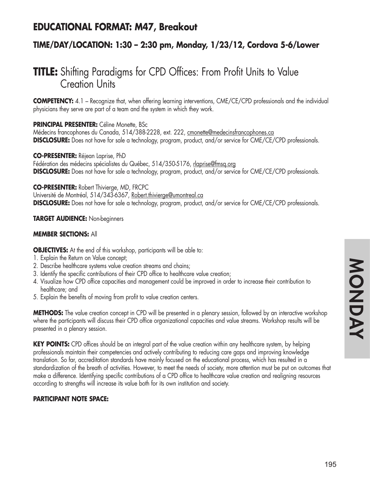## **EDUCATIONAL FORMAT: M47, Breakout**

### **TIME/DAY/LOCATION: 1:30 – 2:30 pm, Monday, 1/23/12, Cordova 5-6/Lower**

# **TITLE:** Shifting Paradigms for CPD Offices: From Profit Units to Value Creation Units

**COMPETENCY:** 4.1 – Recognize that, when offering learning interventions, CME/CE/CPD professionals and the individual physicians they serve are part of a team and the system in which they work.

#### **PRINCIPAL PRESENTER:** Céline Monette, BSc

Médecins francophones du Canada, 514/388-2228, ext. 222, cmonette@medecinsfrancophones.ca **DISCLOSURE:** Does not have for sale a technology, program, product, and/or service for CME/CE/CPD professionals.

**CO-PRESENTER:** Réjean Laprise, PhD

Fédération des médecins spécialistes du Québec, 514/350-5176, rlaprise@fmsq.org **DISCLOSURE:** Does not have for sale a technology, program, product, and/or service for CME/CE/CPD professionals.

**CO-PRESENTER:** Robert Thivierge, MD, FRCPC

Université de Montréal, 514/343-6367, Robert.thivierge@umontreal.ca

**DISCLOSURE:** Does not have for sale a technology, program, product, and/or service for CME/CE/CPD professionals.

**TARGET AUDIENCE:** Non-beginners

### **MEMBER SECTIONS:** All

**OBJECTIVES:** At the end of this workshop, participants will be able to:

- 1. Explain the Return on Value concept;
- 2. Describe healthcare systems value creation streams and chains;
- 3. Identify the specific contributions of their CPD office to healthcare value creation;
- 4. Visualize how CPD office capacities and management could be improved in order to increase their contribution to healthcare; and
- 5. Explain the benefits of moving from profit to value creation centers.

**METHODS:** The value creation concept in CPD will be presented in a plenary session, followed by an interactive workshop where the participants will discuss their CPD office organizational capacities and value streams. Workshop results will be presented in a plenary session.

**KEY POINTS:** CPD offices should be an integral part of the value creation within any healthcare system, by helping professionals maintain their competencies and actively contributing to reducing care gaps and improving knowledge translation. So far, accreditation standards have mainly focused on the educational process, which has resulted in a standardization of the breath of activities. However, to meet the needs of society, more attention must be put on outcomes that make a difference. Identifying specific contributions of a CPD office to healthcare value creation and realigning resources according to strengths will increase its value both for its own institution and society.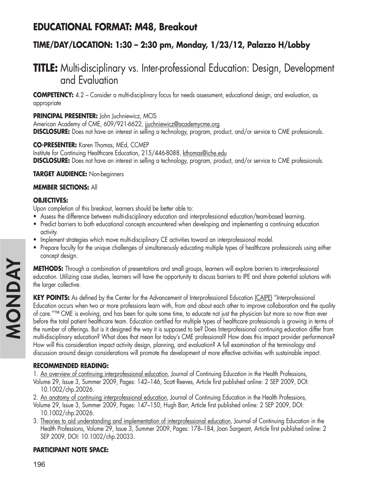## **EDUCATIONAL FORMAT: M48, Breakout**

### **TIME/DAY/LOCATION: 1:30 – 2:30 pm, Monday, 1/23/12, Palazzo H/Lobby**

# **TITLE:** Multi-disciplinary vs. Inter-professional Education: Design, Development and Evaluation

**COMPETENCY:** 4.2 – Consider a multi-disciplinary focus for needs assessment, educational design, and evaluation, as appropriate

**PRINCIPAL PRESENTER:** John Juchniewicz, MCIS

American Academy of CME, 609/921-6622, jjuchniewicz@academycme.org **DISCLOSURE:** Does not have an interest in selling a technology, program, product, and/or service to CME professionals.

#### **CO-PRESENTER:** Karen Thomas, MEd, CCMEP

Institute for Continuing Healthcare Education, 215/446-8088, kthomas@iche.edu **DISCLOSURE:** Does not have an interest in selling a technology, program, product, and/or service to CME professionals.

**TARGET AUDIENCE:** Non-beginners

#### **MEMBER SECTIONS:** All

### **OBJECTIVES:**

Upon completion of this breakout, learners should be better able to:

- Assess the difference between multi-disciplinary education and interprofessional education/team-based learning.
- Predict barriers to both educational concepts encountered when developing and implementing a continuing education activity.
- Implement strategies which move multi-disciplinary CE activities toward an interprofessional model.
- Prepare faculty for the unique challenges of simultaneously educating multiple types of healthcare professionals using either concept design.

**METHODS:** Through a combination of presentations and small groups, learners will explore barriers to interprofessional education. Utilizing case studies, learners will have the opportunity to discuss barriers to IPE and share potential solutions with the larger collective.

**KEY POINTS:** As defined by the Center for the Advancement of Interprofessional Education (CAIPE) "Interprofessional Education occurs when two or more professions learn with, from and about each other to improve collaboration and the quality of care."™ CME is evolving, and has been for quite some time, to educate not just the physician but more so now than ever before the total patient healthcare team. Education certified for multiple types of healthcare professionals is growing in terms of the number of offerings. But is it designed the way it is supposed to be? Does Interprofessional continuing education differ from multi-disciplinary education? What does that mean for today's CME professional? How does this impact provider performance? How will this consideration impact activity design, planning, and evaluation? A full examination of the terminology and discussion around design considerations will promote the development of more effective activities with sustainable impact.

### **RECOMMENDED READING:**

1. An overview of continuing interprofessional education, Journal of Continuing Education in the Health Professions, Volume 29, Issue 3, Summer 2009, Pages: 142–146, Scott Reeves, Article first published online: 2 SEP 2009, DOI:

10.1002/chp.20026.

2. An anatomy of continuing interprofessional education, Journal of Continuing Education in the Health Professions,

- Volume 29, Issue 3, Summer 2009, Pages: 147–150, Hugh Barr, Article first published online: 2 SEP 2009, DOI: 10.1002/chp.20026.
- 3. Theories to aid understanding and implementation of interprofessional education, Journal of Continuing Education in the Health Professions, Volume 29, Issue 3, Summer 2009, Pages: 178–184, Joan Sargeant, Article first published online: 2 SEP 2009, DOI: 10.1002/chp.20033.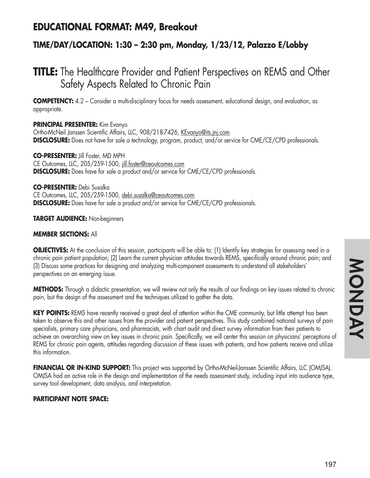## **EDUCATIONAL FORMAT: M49, Breakout**

### **TIME/DAY/LOCATION: 1:30 – 2:30 pm, Monday, 1/23/12, Palazzo E/Lobby**

# **TITLE:** The Healthcare Provider and Patient Perspectives on REMS and Other Safety Aspects Related to Chronic Pain

**COMPETENCY:** 4.2 – Consider a multi-disciplinary focus for needs assessment, educational design, and evaluation, as appropriate.

**PRINCIPAL PRESENTER:** Kim Evanyo

Ortho-McNeil Janssen Scientific Affairs, LLC, 908/218-7426, KEvanyo@its.jnj.com **DISCLOSURE:** Does not have for sale a technology, program, product, and/or service for CME/CE/CPD professionals.

**CO-PRESENTER:** Jill Foster, MD MPH CE Outcomes, LLC, 205/259-1500, jill.foster@ceoutcomes.com **DISCLOSURE:** Does have for sale a product and/or service for CME/CE/CPD professionals.

**CO-PRESENTER:** Debi Susalka CE Outcomes, LLC, 205/259-1500, debi.susalka@ceoutcomes.com **DISCLOSURE:** Does have for sale a product and/or service for CME/CE/CPD professionals.

**TARGET AUDIENCE:** Non-beginners

#### **MEMBER SECTIONS:** All

**OBJECTIVES:** At the conclusion of this session, participants will be able to: (1) Identify key strategies for assessing need in a chronic pain patient population; (2) Learn the current physician attitudes towards REMS, specifically around chronic pain; and (3) Discuss some practices for designing and analyzing multi-component assessments to understand all stakeholders' perspectives on an emerging issue.

**METHODS:** Through a didactic presentation, we will review not only the results of our findings on key issues related to chronic pain, but the design of the assessment and the techniques utilized to gather the data.

**KEY POINTS:** REMS have recently received a great deal of attention within the CME community, but little attempt has been taken to observe this and other issues from the provider and patient perspectives. This study combined national surveys of pain specialists, primary care physicians, and pharmacists, with chart audit and direct survey information from their patients to achieve an overarching view on key issues in chronic pain. Specifically, we will center this session on physicians' perceptions of REMS for chronic pain agents, attitudes regarding discussion of these issues with patients, and how patients receive and utilize this information.

**FINANCIAL OR IN-KIND SUPPORT:** This project was supported by Ortho-McNeil-Janssen Scientific Affairs, LLC (OMJSA). OMJSA had an active role in the design and implementation of the needs assessment study, including input into audience type, survey tool development, data analysis, and interpretation.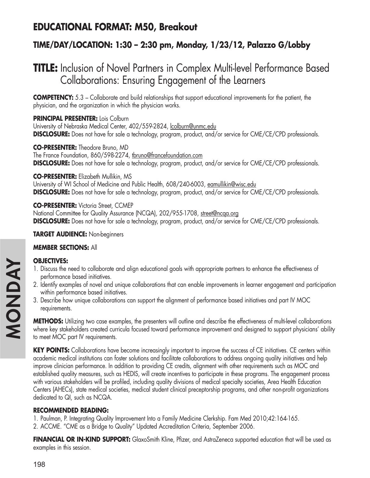## **EDUCATIONAL FORMAT: M50, Breakout**

### **TIME/DAY/LOCATION: 1:30 – 2:30 pm, Monday, 1/23/12, Palazzo G/Lobby**

# **TITLE:** Inclusion of Novel Partners in Complex Multi-level Performance Based Collaborations: Ensuring Engagement of the Learners

**COMPETENCY:** 5.3 – Collaborate and build relationships that support educational improvements for the patient, the physician, and the organization in which the physician works.

**PRINCIPAL PRESENTER:** Lois Colburn University of Nebraska Medical Center, 402/559-2824, lcolburn@unmc.edu **DISCLOSURE:** Does not have for sale a technology, program, product, and/or service for CME/CE/CPD professionals.

**CO-PRESENTER:** Theodore Bruno, MD The France Foundation, 860/598-2274, thruno@francefoundation.com **DISCLOSURE:** Does not have for sale a technology, program, product, and/or service for CME/CE/CPD professionals.

#### **CO-PRESENTER:** Elizabeth Mullikin, MS

University of WI School of Medicine and Public Health, 608/240-6003, eamullikin@wisc.edu **DISCLOSURE:** Does not have for sale a technology, program, product, and/or service for CME/CE/CPD professionals.

**CO-PRESENTER:** Victoria Street, CCMEP National Committee for Quality Assurance (NCQA), 202/955-1708, street@ncqa.org **DISCLOSURE:** Does not have for sale a technology, program, product, and/or service for CME/CE/CPD professionals.

**TARGET AUDIENCE:** Non-beginners

### **MEMBER SECTIONS:** All

### **OBJECTIVES:**

- 1. Discuss the need to collaborate and align educational goals with appropriate partners to enhance the effectiveness of performance based initiatives.
- 2. Identify examples of novel and unique collaborations that can enable improvements in learner engagement and participation within performance based initiatives.
- 3. Describe how unique collaborations can support the alignment of performance based initiatives and part IV MOC requirements.

**METHODS:** Utilizing two case examples, the presenters will outline and describe the effectiveness of multi-level collaborations where key stakeholders created curricula focused toward performance improvement and designed to support physicians' ability to meet MOC part IV requirements.

**KEY POINTS:** Collaborations have become increasingly important to improve the success of CE initiatives. CE centers within academic medical institutions can foster solutions and facilitate collaborations to address ongoing quality initiatives and help improve clinician performance. In addition to providing CE credits, alignment with other requirements such as MOC and established quality measures, such as HEDIS, will create incentives to participate in these programs. The engagement process with various stakeholders will be profiled, including quality divisions of medical specialty societies, Area Health Education Centers (AHECs), state medical societies, medical student clinical preceptorship programs, and other non-profit organizations dedicated to QI, such as NCQA.

### **RECOMMENDED READING:**

- 1. Paulman, P. Integrating Quality Improvement Into a Family Medicine Clerkship. Fam Med 2010;42:164-165.
- 2. ACCME. "CME as a Bridge to Quality" Updated Accreditation Criteria, September 2006.

**FINANCIAL OR IN-KIND SUPPORT:** GlaxoSmith Kline, Pfizer, and AstraZeneca supported education that will be used as examples in this session.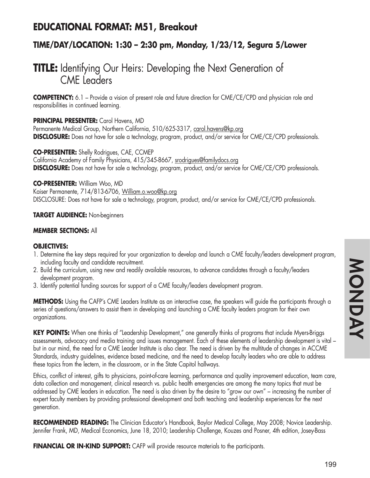## **EDUCATIONAL FORMAT: M51, Breakout**

### **TIME/DAY/LOCATION: 1:30 – 2:30 pm, Monday, 1/23/12, Segura 5/Lower**

# **TITLE:** Identifying Our Heirs: Developing the Next Generation of CME Leaders

**COMPETENCY:** 6.1 – Provide a vision of present role and future direction for CME/CE/CPD and physician role and responsibilities in continued learning.

#### **PRINCIPAL PRESENTER:** Carol Havens, MD

Permanente Medical Group, Northern California, 510/625-3317, carol.havens@kp.org **DISCLOSURE:** Does not have for sale a technology, program, product, and/or service for CME/CE/CPD professionals.

**CO-PRESENTER:** Shelly Rodrigues, CAE, CCMEP California Academy of Family Physicians, 415/345-8667, srodrigues@familydocs.org **DISCLOSURE:** Does not have for sale a technology, program, product, and/or service for CME/CE/CPD professionals.

#### **CO-PRESENTER:** William Woo, MD

Kaiser Permanente, 714/813-6706, William.o.woo@kp.org DISCLOSURE: Does not have for sale a technology, program, product, and/or service for CME/CE/CPD professionals.

#### **TARGET AUDIENCE:** Non-beginners

#### **MEMBER SECTIONS:** All

#### **OBJECTIVES:**

- 1. Determine the key steps required for your organization to develop and launch a CME faculty/leaders development program, including faculty and candidate recruitment.
- 2. Build the curriculum, using new and readily available resources, to advance candidates through a faculty/leaders development program.
- 3. Identify potential funding sources for support of a CME faculty/leaders development program.

**METHODS:** Using the CAFP's CME Leaders Institute as an interactive case, the speakers will guide the participants through a series of questions/answers to assist them in developing and launching a CME faculty leaders program for their own organizations.

**KEY POINTS:** When one thinks of "Leadership Development," one generally thinks of programs that include Myers-Briggs assessments, advocacy and media training and issues management. Each of these elements of leadership development is vital – but in our mind, the need for a CME Leader Institute is also clear. The need is driven by the multitude of changes in ACCME Standards, industry guidelines, evidence based medicine, and the need to develop faculty leaders who are able to address these topics from the lectern, in the classroom, or in the State Capitol hallways.

Ethics, conflict of interest, gifts to physicians, point-of-care learning, performance and quality improvement education, team care, data collection and management, clinical research vs. public health emergencies are among the many topics that must be addressed by CME leaders in education. The need is also driven by the desire to "grow our own" – increasing the number of expert faculty members by providing professional development and both teaching and leadership experiences for the next generation.

**RECOMMENDED READING:** The Clinician Educator's Handbook, Baylor Medical College, May 2008; Novice Leadership. Jennifer Frank, MD, Medical Economics, June 18, 2010; Leadership Challenge, Kouzes and Posner, 4th edition, Josey-Bass

**FINANCIAL OR IN-KIND SUPPORT:** CAFP will provide resource materials to the participants.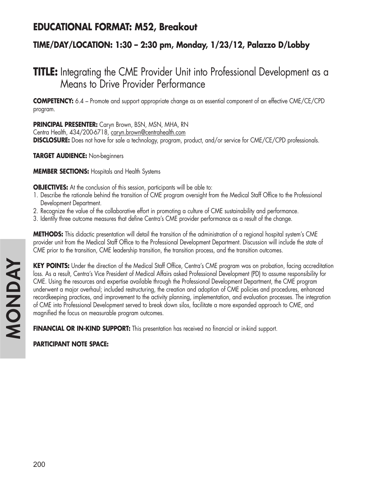## **EDUCATIONAL FORMAT: M52, Breakout**

### **TIME/DAY/LOCATION: 1:30 – 2:30 pm, Monday, 1/23/12, Palazzo D/Lobby**

# **TITLE:** Integrating the CME Provider Unit into Professional Development as a Means to Drive Provider Performance

**COMPETENCY:** 6.4 – Promote and support appropriate change as an essential component of an effective CME/CE/CPD program.

**PRINCIPAL PRESENTER:** Caryn Brown, BSN, MSN, MHA, RN

Centra Health, 434/200-6718, caryn.brown@centrahealth.com **DISCLOSURE:** Does not have for sale a technology, program, product, and/or service for CME/CE/CPD professionals.

**TARGET AUDIENCE:** Non-beginners

**MEMBER SECTIONS:** Hospitals and Health Systems

**OBJECTIVES:** At the conclusion of this session, participants will be able to:

- 1. Describe the rationale behind the transition of CME program oversight from the Medical Staff Office to the Professional Development Department.
- 2. Recognize the value of the collaborative effort in promoting a culture of CME sustainability and performance.
- 3. Identify three outcome measures that define Centra's CME provider performance as a result of the change.

**METHODS:** This didactic presentation will detail the transition of the administration of a regional hospital system's CME provider unit from the Medical Staff Office to the Professional Development Department. Discussion will include the state of CME prior to the transition, CME leadership transition, the transition process, and the transition outcomes.

**KEY POINTS:** Under the direction of the Medical Staff Office, Centra's CME program was on probation, facing accreditation loss. As a result, Centra's Vice President of Medical Affairs asked Professional Development (PD) to assume responsibility for CME. Using the resources and expertise available through the Professional Development Department, the CME program underwent a major overhaul; included restructuring, the creation and adoption of CME policies and procedures, enhanced recordkeeping practices, and improvement to the activity planning, implementation, and evaluation processes. The integration of CME into Professional Development served to break down silos, facilitate a more expanded approach to CME, and magnified the focus on measurable program outcomes.

**FINANCIAL OR IN-KIND SUPPORT:** This presentation has received no financial or in-kind support.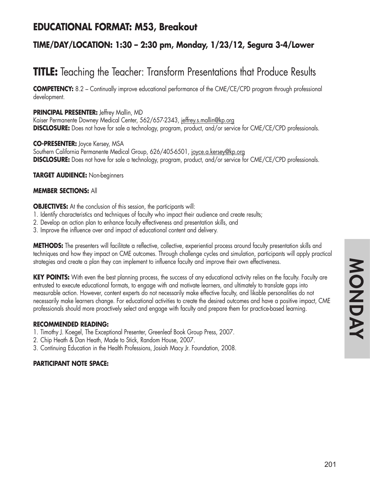## **EDUCATIONAL FORMAT: M53, Breakout**

### **TIME/DAY/LOCATION: 1:30 – 2:30 pm, Monday, 1/23/12, Segura 3-4/Lower**

# **TITLE:** Teaching the Teacher: Transform Presentations that Produce Results

**COMPETENCY:** 8.2 – Continually improve educational performance of the CME/CE/CPD program through professional development.

#### **PRINCIPAL PRESENTER:** Jeffrey Mallin, MD

Kaiser Permanente Downey Medical Center, 562/657-2343, jeffrey.s.mallin@kp.org **DISCLOSURE:** Does not have for sale a technology, program, product, and/or service for CME/CE/CPD professionals.

**CO-PRESENTER:** Joyce Kersey, MSA Southern California Permanente Medical Group, 626/405-6501, joyce.a.kersey@kp.org **DISCLOSURE:** Does not have for sale a technology, program, product, and/or service for CME/CE/CPD professionals.

**TARGET AUDIENCE:** Non-beginners

#### **MEMBER SECTIONS:** All

**OBJECTIVES:** At the conclusion of this session, the participants will:

- 1. Identify characteristics and techniques of faculty who impact their audience and create results;
- 2. Develop an action plan to enhance faculty effectiveness and presentation skills, and
- 3. Improve the influence over and impact of educational content and delivery.

**METHODS:** The presenters will facilitate a reflective, collective, experiential process around faculty presentation skills and techniques and how they impact on CME outcomes. Through challenge cycles and simulation, participants will apply practical strategies and create a plan they can implement to influence faculty and improve their own effectiveness.

**KEY POINTS:** With even the best planning process, the success of any educational activity relies on the faculty. Faculty are entrusted to execute educational formats, to engage with and motivate learners, and ultimately to translate gaps into measurable action. However, content experts do not necessarily make effective faculty, and likable personalities do not necessarily make learners change. For educational activities to create the desired outcomes and have a positive impact, CME professionals should more proactively select and engage with faculty and prepare them for practice-based learning.

#### **RECOMMENDED READING:**

- 1. Timothy J. Koegel, The Exceptional Presenter, Greenleaf Book Group Press, 2007.
- 2. Chip Heath & Dan Heath, Made to Stick, Random House, 2007.
- 3. Continuing Education in the Health Professions, Josiah Macy Jr. Foundation, 2008.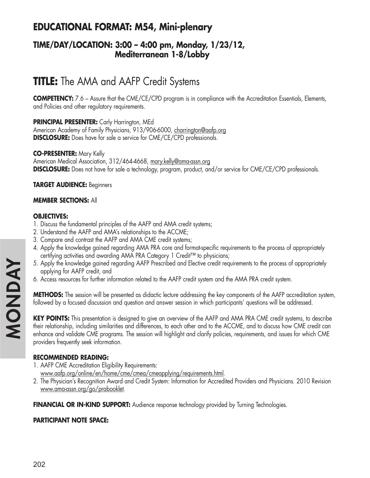## **EDUCATIONAL FORMAT: M54, Mini-plenary**

### **TIME/DAY/LOCATION: 3:00 – 4:00 pm, Monday, 1/23/12, Mediterranean 1-8/Lobby**

# **TITLE:** The AMA and AAFP Credit Systems

**COMPETENCY:** 7.6 – Assure that the CME/CE/CPD program is in compliance with the Accreditation Essentials, Elements, and Policies and other regulatory requirements.

#### **PRINCIPAL PRESENTER:** Carly Harrington, MEd

American Academy of Family Physicians, 913/906-6000, charrington@aafp.org **DISCLOSURE:** Does have for sale a service for CME/CE/CPD professionals.

#### **CO-PRESENTER:** Mary Kelly

American Medical Association, 312/464-4668, mary.kelly@ama-assn.org **DISCLOSURE:** Does not have for sale a technology, program, product, and/or service for CME/CE/CPD professionals.

#### **TARGET AUDIENCE:** Beginners

#### **MEMBER SECTIONS:** All

#### **OBJECTIVES:**

- 1. Discuss the fundamental principles of the AAFP and AMA credit systems;
- 2. Understand the AAFP and AMA's relationships to the ACCME;
- 3. Compare and contrast the AAFP and AMA CME credit systems;
- 4. Apply the knowledge gained regarding AMA PRA core and format-specific requirements to the process of appropriately certifying activities and awarding AMA PRA Category 1 Credit™ to physicians;
- 5. Apply the knowledge gained regarding AAFP Prescribed and Elective credit requirements to the process of appropriately applying for AAFP credit, and
- 6. Access resources for further information related to the AAFP credit system and the AMA PRA credit system.

**METHODS:** The session will be presented as didactic lecture addressing the key components of the AAFP accreditation system, followed by a focused discussion and question and answer session in which participants' questions will be addressed.

**KEY POINTS:** This presentation is designed to give an overview of the AAFP and AMA PRA CME credit systems, to describe their relationship, including similarities and differences, to each other and to the ACCME, and to discuss how CME credit can enhance and validate CME programs. The session will highlight and clarify policies, requirements, and issues for which CME providers frequently seek information.

#### **RECOMMENDED READING:**

- 1. AAFP CME Accreditation Eligibility Requirements: www.aafp.org/online/en/home/cme/cmea/cmeapplying/requirements.html.
- 2. The Physician's Recognition Award and Credit System: Information for Accredited Providers and Physicians. 2010 Revision www.ama-assn.org/go/prabooklet.

FINANCIAL OR IN-KIND SUPPORT: Audience response technology provided by Turning Technologies.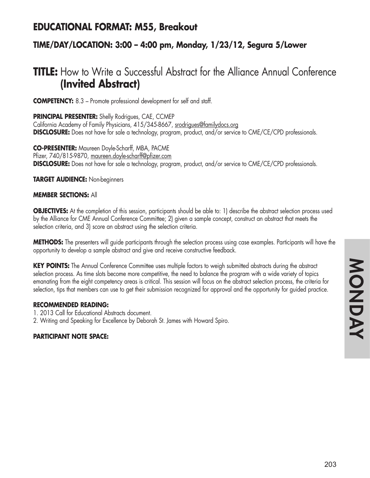## **EDUCATIONAL FORMAT: M55, Breakout**

### **TIME/DAY/LOCATION: 3:00 – 4:00 pm, Monday, 1/23/12, Segura 5/Lower**

# **TITLE:** How to Write a Successful Abstract for the Alliance Annual Conference **(Invited Abstract)**

**COMPETENCY:** 8.3 – Promote professional development for self and staff.

#### **PRINCIPAL PRESENTER:** Shelly Rodrigues, CAE, CCMEP

California Academy of Family Physicians, 415/345-8667, srodrigues@familydocs.org **DISCLOSURE:** Does not have for sale a technology, program, product, and/or service to CME/CE/CPD professionals.

**CO-PRESENTER:** Maureen Doyle-Scharff, MBA, PACME Pfizer, 740/815-9870, maureen.doyle-scharff@pfizer.com **DISCLOSURE:** Does not have for sale a technology, program, product, and/or service to CME/CE/CPD professionals.

**TARGET AUDIENCE:** Non-beginners

#### **MEMBER SECTIONS:** All

**OBJECTIVES:** At the completion of this session, participants should be able to: 1) describe the abstract selection process used by the Alliance for CME Annual Conference Committee; 2) given a sample concept, construct an abstract that meets the selection criteria, and 3) score an abstract using the selection criteria.

**METHODS:** The presenters will guide participants through the selection process using case examples. Participants will have the opportunity to develop a sample abstract and give and receive constructive feedback.

KEY POINTS: The Annual Conference Committee uses multiple factors to weigh submitted abstracts during the abstract selection process. As time slots become more competitive, the need to balance the program with a wide variety of topics emanating from the eight competency areas is critical. This session will focus on the abstract selection process, the criteria for selection, tips that members can use to get their submission recognized for approval and the opportunity for guided practice.

#### **RECOMMENDED READING:**

- 1. 2013 Call for Educational Abstracts document.
- 2. Writing and Speaking for Excellence by Deborah St. James with Howard Spiro.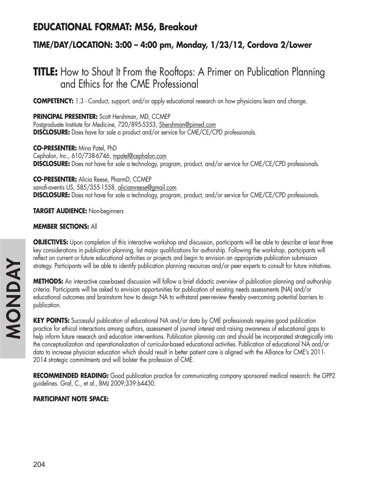## **EDUCATIONAL FORMAT: M56, Breakout**

### **TIME/DAY/LOCATION: 3:00 – 4:00 pm, Monday, 1/23/12, Cordova 2/Lower**

# **TITLE:** How to Shout It From the Rooftops: A Primer on Publication Planning and Ethics for the CME Professional

**COMPETENCY:** 1.3 - Conduct, support, and/or apply educational research on how physicians learn and change.

**PRINCIPAL PRESENTER:** Scott Hershman, MD, CCMEP Postgraduate Institute for Medicine, 720/895-5353, Shershman@pimed.com **DISCLOSURE:** Does have for sale a product and/or service for CME/CE/CPD professionals.

**CO-PRESENTER:** Mina Patel, PhD Cephalon, Inc., 610/738-6746, mpatel@cephalon.com **DISCLOSURE:** Does not have for sale a technology, program, product, and/or service for CME/CE/CPD professionals.

**CO-PRESENTER:** Alicia Reese, PharmD, CCMEP sanofi-aventis US, 585/355-1558, aliciamreese@gmail.com **DISCLOSURE:** Does not have for sale a technology, program, product, and/or service for CME/CE/CPD professionals.

**TARGET AUDIENCE:** Non-beginners

#### **MEMBER SECTIONS:** All

**OBJECTIVES:** Upon completion of this interactive workshop and discussion, participants will be able to describe at least three key considerations in publication planning, list major qualifications for authorship. Following the workshop, participants will reflect on current or future educational activities or projects and begin to envision an appropriate publication submission strategy. Participants will be able to identify publication planning resources and/or peer experts to consult for future initiatives.

**METHODS:** An interactive case-based discussion will follow a brief didactic overview of publication planning and authorship criteria. Participants will be asked to envision opportunities for publication of existing needs assessments (NA) and/or educational outcomes and brainstorm how to design NA to withstand peer-review thereby overcoming potential barriers to publication.

**KEY POINTS:** Successful publication of educational NA and/or data by CME professionals requires good publication practice for ethical interactions among authors, assessment of journal interest and raising awareness of educational gaps to help inform future research and education interventions. Publication planning can and should be incorporated strategically into the conceptualization and operationalization of curricular-based educational activities. Publication of educational NA and/or data to increase physician education which should result in better patient care is aligned with the Alliance for CME's 2011- 2014 strategic commitments and will bolster the profession of CME.

**RECOMMENDED READING:** Good publication practice for communicating company sponsored medical research: the GPP2 guidelines. Graf, C., et al., BMJ 2009;339:b4430.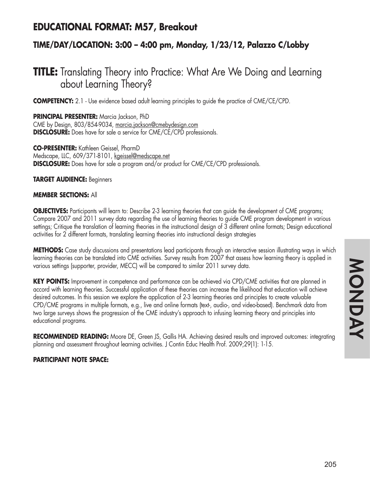## **EDUCATIONAL FORMAT: M57, Breakout**

### **TIME/DAY/LOCATION: 3:00 – 4:00 pm, Monday, 1/23/12, Palazzo C/Lobby**

# **TITLE:** Translating Theory into Practice: What Are We Doing and Learning about Learning Theory?

**COMPETENCY:** 2.1 - Use evidence based adult learning principles to quide the practice of CME/CE/CPD.

**PRINCIPAL PRESENTER:** Marcia Jackson, PhD CME by Design, 803/854-9034, marcia.jackson@cmebydesign.com **DISCLOSURE:** Does have for sale a service for CME/CE/CPD professionals.

**CO-PRESENTER:** Kathleen Geissel, PharmD Medscape, LLC, 609/371-8101, kgeissel@medscape.net **DISCLOSURE:** Does have for sale a program and/or product for CME/CE/CPD professionals.

**TARGET AUDIENCE:** Beginners

#### **MEMBER SECTIONS:** All

**OBJECTIVES:** Participants will learn to: Describe 2-3 learning theories that can guide the development of CME programs; Compare 2007 and 2011 survey data regarding the use of learning theories to guide CME program development in various settings; Critique the translation of learning theories in the instructional design of 3 different online formats; Design educational activities for 2 different formats, translating learning theories into instructional design strategies

**METHODS:** Case study discussions and presentations lead participants through an interactive session illustrating ways in which learning theories can be translated into CME activities. Survey results from 2007 that assess how learning theory is applied in various settings (supporter, provider, MECC) will be compared to similar 2011 survey data.

**KEY POINTS:** Improvement in competence and performance can be achieved via CPD/CME activities that are planned in accord with learning theories. Successful application of these theories can increase the likelihood that education will achieve desired outcomes. In this session we explore the application of 2-3 learning theories and principles to create valuable CPD/CME programs in multiple formats, e.g., live and online formats (text-, audio-, and video-based). Benchmark data from two large surveys shows the progression of the CME industry's approach to infusing learning theory and principles into educational programs.

**RECOMMENDED READING:** Moore DE, Green JS, Gallis HA. Achieving desired results and improved outcomes: integrating planning and assessment throughout learning activities. J Contin Educ Health Prof. 2009;29(1): 1-15.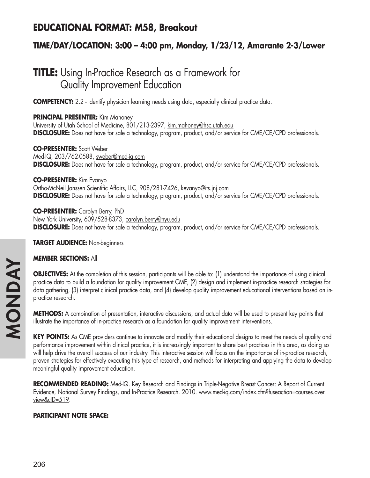## **EDUCATIONAL FORMAT: M58, Breakout**

### **TIME/DAY/LOCATION: 3:00 – 4:00 pm, Monday, 1/23/12, Amarante 2-3/Lower**

# **TITLE:** Using In-Practice Research as a Framework for Quality Improvement Education

**COMPETENCY:** 2.2 - Identify physician learning needs using data, especially clinical practice data.

### **PRINCIPAL PRESENTER:** Kim Mahoney

University of Utah School of Medicine, 801/213-2397, kim.mahoney@hsc.utah.edu **DISCLOSURE:** Does not have for sale a technology, program, product, and/or service for CME/CE/CPD professionals.

**CO-PRESENTER:** Scott Weber Med-IQ, 203/762-0588, sweber@med-iq.com **DISCLOSURE:** Does not have for sale a technology, program, product, and/or service for CME/CE/CPD professionals.

**CO-PRESENTER:** Kim Evanyo Ortho-McNeil Janssen Scientific Affairs, LLC, 908/281-7426, kevanyo@its.jnj.com **DISCLOSURE:** Does not have for sale a technology, program, product, and/or service for CME/CE/CPD professionals.

**CO-PRESENTER:** Carolyn Berry, PhD New York University, 609/528-8373, carolyn.berry@nyu.edu **DISCLOSURE:** Does not have for sale a technology, program, product, and/or service for CME/CE/CPD professionals.

**TARGET AUDIENCE:** Non-beginners

#### **MEMBER SECTIONS:** All

**OBJECTIVES:** At the completion of this session, participants will be able to: (1) understand the importance of using clinical practice data to build a foundation for quality improvement CME, (2) design and implement in-practice research strategies for data gathering, (3) interpret clinical practice data, and (4) develop quality improvement educational interventions based on inpractice research.

**METHODS:** A combination of presentation, interactive discussions, and actual data will be used to present key points that illustrate the importance of in-practice research as a foundation for quality improvement interventions.

**KEY POINTS:** As CME providers continue to innovate and modify their educational designs to meet the needs of quality and performance improvement within clinical practice, it is increasingly important to share best practices in this area, as doing so will help drive the overall success of our industry. This interactive session will focus on the importance of in-practice research, proven strategies for effectively executing this type of research, and methods for interpreting and applying the data to develop meaningful quality improvement education.

**RECOMMENDED READING:** Med-IQ. Key Research and Findings in Triple-Negative Breast Cancer: A Report of Current Evidence, National Survey Findings, and In-Practice Research. 2010. www.med-iq.com/index.cfm?fuseaction=courses.over view&cID=519.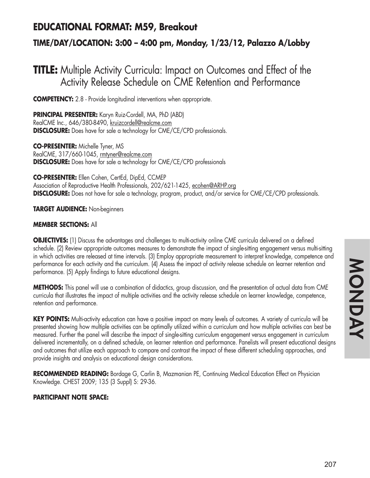## **EDUCATIONAL FORMAT: M59, Breakout**

### **TIME/DAY/LOCATION: 3:00 – 4:00 pm, Monday, 1/23/12, Palazzo A/Lobby**

## **TITLE:** Multiple Activity Curricula: Impact on Outcomes and Effect of the Activity Release Schedule on CME Retention and Performance

**COMPETENCY:** 2.8 - Provide longitudinal interventions when appropriate.

**PRINCIPAL PRESENTER:** Karyn Ruiz-Cordell, MA, PhD (ABD) RealCME Inc., 646/380-8490, kruizcordell@realcme.com **DISCLOSURE:** Does have for sale a technology for CME/CE/CPD professionals.

**CO-PRESENTER:** Michelle Tyner, MS RealCME, 317/660-1045, rmtyner@realcme.com **DISCLOSURE:** Does have for sale a technology for CME/CE/CPD professionals

**CO-PRESENTER:** Ellen Cohen, CertEd, DipEd, CCMEP Association of Reproductive Health Professionals, 202/621-1425, ecohen@ARHP.org **DISCLOSURE:** Does not have for sale a technology, program, product, and/or service for CME/CE/CPD professionals.

**TARGET AUDIENCE:** Non-beginners

#### **MEMBER SECTIONS:** All

**OBJECTIVES:** (1) Discuss the advantages and challenges to multi-activity online CME curricula delivered on a defined schedule. (2) Review appropriate outcomes measures to demonstrate the impact of single-sitting engagement versus multi-sitting in which activities are released at time intervals. (3) Employ appropriate measurement to interpret knowledge, competence and performance for each activity and the curriculum. (4) Assess the impact of activity release schedule on learner retention and performance. (5) Apply findings to future educational designs.

**METHODS:** This panel will use a combination of didactics, group discussion, and the presentation of actual data from CME curricula that illustrates the impact of multiple activities and the activity release schedule on learner knowledge, competence, retention and performance.

**KEY POINTS:** Multi-activity education can have a positive impact on many levels of outcomes. A variety of curricula will be presented showing how multiple activities can be optimally utilized within a curriculum and how multiple activities can best be measured. Further the panel will describe the impact of single-sitting curriculum engagement versus engagement in curriculum delivered incrementally, on a defined schedule, on learner retention and performance. Panelists will present educational designs and outcomes that utilize each approach to compare and contrast the impact of these different scheduling approaches, and provide insights and analysis on educational design considerations.

**RECOMMENDED READING:** Bordage G, Carlin B, Mazmanian PE, Continuing Medical Education Effect on Physician Knowledge. CHEST 2009; 135 (3 Suppl) S: 29-36.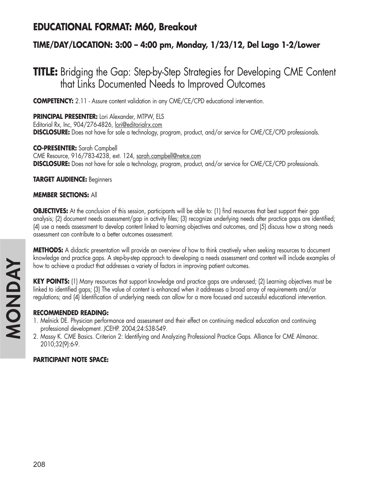## **EDUCATIONAL FORMAT: M60, Breakout**

### **TIME/DAY/LOCATION: 3:00 – 4:00 pm, Monday, 1/23/12, Del Lago 1-2/Lower**

## **TITLE:** Bridging the Gap: Step-by-Step Strategies for Developing CME Content that Links Documented Needs to Improved Outcomes

**COMPETENCY:** 2.11 - Assure content validation in any CME/CE/CPD educational intervention.

**PRINCIPAL PRESENTER:** Lori Alexander, MTPW, ELS Editorial Rx, Inc, 904/276-4826, lori@editorialrx.com **DISCLOSURE:** Does not have for sale a technology, program, product, and/or service for CME/CE/CPD professionals.

**CO-PRESENTER:** Sarah Campbell CME Resource, 916/783-4238, ext. 124, sarah.campbell@netce.com **DISCLOSURE:** Does not have for sale a technology, program, product, and/or service for CME/CE/CPD professionals.

**TARGET AUDIENCE:** Beginners

#### **MEMBER SECTIONS:** All

**OBJECTIVES:** At the conclusion of this session, participants will be able to: (1) find resources that best support their gap analysis; (2) document needs assessment/gap in activity files; (3) recognize underlying needs after practice gaps are identified; (4) use a needs assessment to develop content linked to learning objectives and outcomes, and (5) discuss how a strong needs assessment can contribute to a better outcomes assessment.

**METHODS:** A didactic presentation will provide an overview of how to think creatively when seeking resources to document knowledge and practice gaps. A step-by-step approach to developing a needs assessment and content will include examples of how to achieve a product that addresses a variety of factors in improving patient outcomes.

**KEY POINTS:** (1) Many resources that support knowledge and practice gaps are underused; (2) Learning objectives must be linked to identified gaps; (3) The value of content is enhanced when it addresses a broad array of requirements and/or regulations; and (4) Identification of underlying needs can allow for a more focused and successful educational intervention.

#### **RECOMMENDED READING:**

- 1. Melnick DE. Physician performance and assessment and their effect on continuing medical education and continuing professional development. JCEHP. 2004;24:S38-S49.
- 2. Massy K. CME Basics. Criterion 2: Identifying and Analyzing Professional Practice Gaps. Alliance for CME Almanac. 2010;32(9):6-9.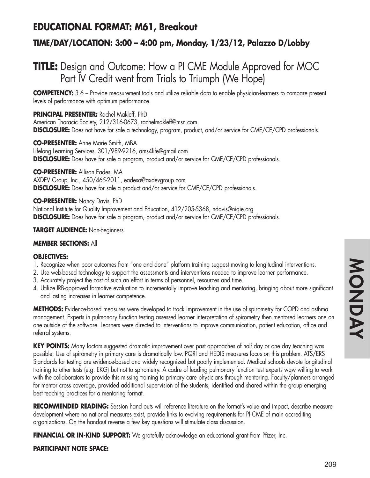# **EDUCATIONAL FORMAT: M61, Breakout**

## **TIME/DAY/LOCATION: 3:00 – 4:00 pm, Monday, 1/23/12, Palazzo D/Lobby**

# **TITLE:** Design and Outcome: How a PI CME Module Approved for MOC Part IV Credit went from Trials to Triumph (We Hope)

**COMPETENCY:** 3.6 – Provide measurement tools and utilize reliable data to enable physician-learners to compare present levels of performance with optimum performance.

**PRINCIPAL PRESENTER:** Rachel Makleff, PhD

American Thoracic Society, 212/316-0673, rachelmakleff@msn.com **DISCLOSURE:** Does not have for sale a technology, program, product, and/or service for CME/CE/CPD professionals.

**CO-PRESENTER:** Anne Marie Smith, MBA Lifelong Learning Services, 301/989-9216, ams4life@gmail.com **DISCLOSURE:** Does have for sale a program, product and/or service for CME/CE/CPD professionals.

**CO-PRESENTER:** Allison Eades, MA AXDEV Group, Inc., 450/465-2011, eadesa@axdevgroup.com **DISCLOSURE:** Does have for sale a product and/or service for CME/CE/CPD professionals.

**CO-PRESENTER:** Nancy Davis, PhD

National Institute for Quality Improvement and Education, 412/205-5368, ndavis@niqie.org **DISCLOSURE:** Does have for sale a program, product and/or service for CME/CE/CPD professionals.

**TARGET AUDIENCE:** Non-beginners

### **MEMBER SECTIONS:** All

### **OBJECTIVES:**

- 1. Recognize when poor outcomes from "one and done" platform training suggest moving to longitudinal interventions.
- 2. Use web-based technology to support the assessments and interventions needed to improve learner performance.
- 3. Accurately project the cost of such an effort in terms of personnel, resources and time.
- 4. Utilize IRB-approved formative evaluation to incrementally improve teaching and mentoring, bringing about more significant and lasting increases in learner competence.

**METHODS:** Evidence-based measures were developed to track improvement in the use of spirometry for COPD and asthma management. Experts in pulmonary function testing assessed learner interpretation of spirometry then mentored learners one on one outside of the software. Learners were directed to interventions to improve communication, patient education, office and referral systems.

**KEY POINTS:** Many factors suggested dramatic improvement over past approaches of half day or one day teaching was possible: Use of spirometry in primary care is dramatically low. PQRI and HEDIS measures focus on this problem. ATS/ERS Standards for testing are evidence-based and widely recognized but poorly implemented. Medical schools devote longitudinal training to other tests (e.g. EKG) but not to spirometry. A cadre of leading pulmonary function test experts wqw willing to work with the collaborators to provide this missing training to primary care physicians through mentoring. Faculty/planners arranged for mentor cross coverage, provided additional supervision of the students, identified and shared within the group emerging best teaching practices for a mentoring format.

**RECOMMENDED READING:** Session hand outs will reference literature on the format's value and impact, describe measure development where no national measures exist, provide links to evolving requirements for PI CME of main accrediting organizations. On the handout reverse a few key questions will stimulate class discussion.

**FINANCIAL OR IN-KIND SUPPORT:** We gratefully acknowledge an educational grant from Pfizer, Inc.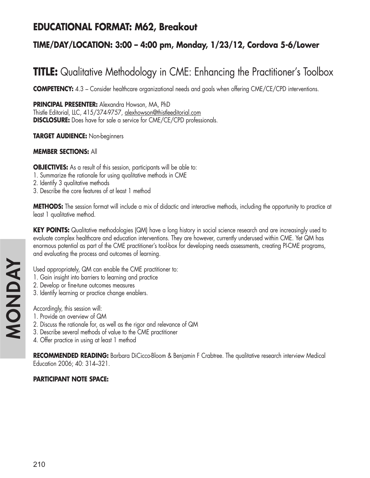## **EDUCATIONAL FORMAT: M62, Breakout**

## **TIME/DAY/LOCATION: 3:00 – 4:00 pm, Monday, 1/23/12, Cordova 5-6/Lower**

# **TITLE:** Qualitative Methodology in CME: Enhancing the Practitioner's Toolbox

**COMPETENCY:** 4.3 – Consider healthcare organizational needs and goals when offering CME/CE/CPD interventions.

**PRINCIPAL PRESENTER:** Alexandra Howson, MA, PhD

Thistle Editorial, LLC, 415/374-9757, alexhowson@thistleeditorial.com **DISCLOSURE:** Does have for sale a service for CME/CE/CPD professionals.

**TARGET AUDIENCE:** Non-beginners

## **MEMBER SECTIONS:** All

**OBJECTIVES:** As a result of this session, participants will be able to:

- 1. Summarize the rationale for using qualitative methods in CME
- 2. Identify 3 qualitative methods
- 3. Describe the core features of at least 1 method

**METHODS:** The session format will include a mix of didactic and interactive methods, including the opportunity to practice at least 1 qualitative method.

**KEY POINTS:** Qualitative methodologies (QM) have a long history in social science research and are increasingly used to evaluate complex healthcare and education interventions. They are however, currently underused within CME. Yet QM has enormous potential as part of the CME practitioner's tool-box for developing needs assessments, creating PI-CME programs, and evaluating the process and outcomes of learning.

Used appropriately, QM can enable the CME practitioner to:

- 1. Gain insight into barriers to learning and practice
- 2. Develop or fine-tune outcomes measures
- 3. Identify learning or practice change enablers.

Accordingly, this session will:

- 1. Provide an overview of QM
- 2. Discuss the rationale for, as well as the rigor and relevance of QM
- 3. Describe several methods of value to the CME practitioner
- 4. Offer practice in using at least 1 method

**RECOMMENDED READING:** Barbara DiCicco-Bloom & Benjamin F Crabtree. The qualitative research interview Medical Education 2006; 40: 314–321.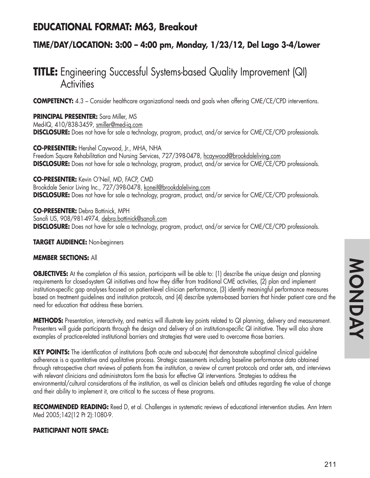## **EDUCATIONAL FORMAT: M63, Breakout**

## **TIME/DAY/LOCATION: 3:00 – 4:00 pm, Monday, 1/23/12, Del Lago 3-4/Lower**

# **TITLE:** Engineering Successful Systems-based Quality Improvement (QI) **Activities**

**COMPETENCY:** 4.3 – Consider healthcare organizational needs and goals when offering CME/CE/CPD interventions.

#### **PRINCIPAL PRESENTER:** Sara Miller, MS Med-IQ, 410/838-3459, smiller@med-iq.com **DISCLOSURE:** Does not have for sale a technology, program, product, and/or service for CME/CE/CPD professionals.

**CO-PRESENTER:** Hershel Caywood, Jr., MHA, NHA Freedom Square Rehabilitation and Nursing Services, 727/398-0478, hcaywood@brookdaleliving.com **DISCLOSURE:** Does not have for sale a technology, program, product, and/or service for CME/CE/CPD professionals.

**CO-PRESENTER:** Kevin O'Neil, MD, FACP, CMD Brookdale Senior Living Inc., 727/398-0478, koneil@brookdaleliving.com **DISCLOSURE:** Does not have for sale a technology, program, product, and/or service for CME/CE/CPD professionals.

**CO-PRESENTER:** Debra Bottinick, MPH Sanofi US, 908/981-4974, debra.bottinick@sanofi.com **DISCLOSURE:** Does not have for sale a technology, program, product, and/or service for CME/CE/CPD professionals.

### **TARGET AUDIENCE:** Non-beginners

### **MEMBER SECTIONS:** All

**OBJECTIVES:** At the completion of this session, participants will be able to: (1) describe the unique design and planning requirements for closed-system QI initiatives and how they differ from traditional CME activities, (2) plan and implement institution-specific gap analyses focused on patient-level clinician performance, (3) identify meaningful performance measures based on treatment guidelines and institution protocols, and (4) describe systems-based barriers that hinder patient care and the need for education that address these barriers.

**METHODS:** Presentation, interactivity, and metrics will illustrate key points related to QI planning, delivery and measurement. Presenters will guide participants through the design and delivery of an institution-specific QI initiative. They will also share examples of practice-related institutional barriers and strategies that were used to overcome those barriers.

**KEY POINTS:** The identification of institutions (both acute and sub-acute) that demonstrate suboptimal clinical guideline adherence is a quantitative and qualitative process. Strategic assessments including baseline performance data obtained through retrospective chart reviews of patients from the institution, a review of current protocols and order sets, and interviews with relevant clinicians and administrators form the basis for effective QI interventions. Strategies to address the environmental/cultural considerations of the institution, as well as clinician beliefs and attitudes regarding the value of change and their ability to implement it, are critical to the success of these programs.

**RECOMMENDED READING:** Reed D, et al. Challenges in systematic reviews of educational intervention studies. Ann Intern Med 2005;142(12 Pt 2):1080-9.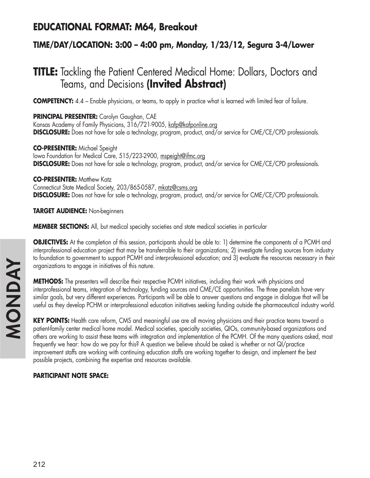## **EDUCATIONAL FORMAT: M64, Breakout**

## **TIME/DAY/LOCATION: 3:00 – 4:00 pm, Monday, 1/23/12, Segura 3-4/Lower**

# **TITLE:** Tackling the Patient Centered Medical Home: Dollars, Doctors and Teams, and Decisions **(Invited Abstract)**

**COMPETENCY:** 4.4 – Enable physicians, or teams, to apply in practice what is learned with limited fear of failure.

**PRINCIPAL PRESENTER:** Carolyn Gaughan, CAE Kansas Academy of Family Physicians, 316/721-9005, kafp@kafponline.org **DISCLOSURE:** Does not have for sale a technology, program, product, and/or service for CME/CE/CPD professionals.

**CO-PRESENTER:** Michael Speight lowa Foundation for Medical Care, 515/223-2900, mspeight@ifmc.org **DISCLOSURE:** Does not have for sale a technology, program, product, and/or service for CME/CE/CPD professionals.

**CO-PRESENTER: Matthew Katz** 

Connecticut State Medical Society, 203/865-0587, mkatz@csms.org **DISCLOSURE:** Does not have for sale a technology, program, product, and/or service for CME/CE/CPD professionals.

**TARGET AUDIENCE:** Non-beginners

**MEMBER SECTIONS:** All, but medical specialty societies and state medical societies in particular

**OBJECTIVES:** At the completion of this session, participants should be able to: 1) determine the components of a PCMH and interprofessional education project that may be transferrable to their organizations; 2) investigate funding sources from industry to foundation to government to support PCMH and interprofessional education; and 3) evaluate the resources necessary in their organizations to engage in initiatives of this nature.

**METHODS:** The presenters will describe their respective PCMH initiatives, including their work with physicians and interprofessional teams, integration of technology, funding sources and CME/CE opportunities. The three panelists have very similar goals, but very different experiences. Participants will be able to answer questions and engage in dialogue that will be useful as they develop PCHM or interprofessional education initiatives seeking funding outside the pharmaceutical industry world.

**KEY POINTS:** Health care reform, CMS and meaningful use are all moving physicians and their practice teams toward a patient-family center medical home model. Medical societies, specialty societies, QIOs, community-based organizations and others are working to assist these teams with integration and implementation of the PCMH. Of the many questions asked, most frequently we hear: how do we pay for this? A question we believe should be asked is whether or not QI/practice improvement staffs are working with continuing education staffs are working together to design, and implement the best possible projects, combining the expertise and resources available.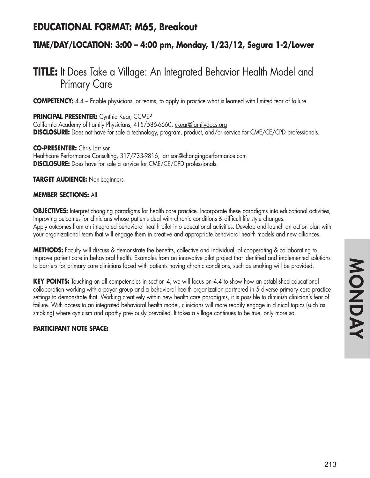## **EDUCATIONAL FORMAT: M65, Breakout**

## **TIME/DAY/LOCATION: 3:00 – 4:00 pm, Monday, 1/23/12, Segura 1-2/Lower**

# **TITLE:** It Does Take a Village: An Integrated Behavior Health Model and Primary Care

**COMPETENCY:** 4.4 – Enable physicians, or teams, to apply in practice what is learned with limited fear of failure.

**PRINCIPAL PRESENTER:** Cynthia Kear, CCMEP California Academy of Family Physicians, 415/586-6660, ckear@familydocs.org **DISCLOSURE:** Does not have for sale a technology, program, product, and/or service for CME/CE/CPD professionals.

**CO-PRESENTER:** Chris Larrison Healthcare Performance Consulting, 317/733-9816, larrison@changingperformance.com **DISCLOSURE:** Does have for sale a service for CME/CE/CPD professionals.

**TARGET AUDIENCE:** Non-beginners

### **MEMBER SECTIONS:** All

**OBJECTIVES:** Interpret changing paradigms for health care practice. Incorporate these paradigms into educational activities, improving outcomes for clinicians whose patients deal with chronic conditions & difficult life style changes. Apply outcomes from an integrated behavioral health pilot into educational activities. Develop and launch an action plan with your organizational team that will engage them in creative and appropriate behavioral health models and new alliances.

**METHODS:** Faculty will discuss & demonstrate the benefits, collective and individual, of cooperating & collaborating to improve patient care in behavioral health. Examples from an innovative pilot project that identified and implemented solutions to barriers for primary care clinicians faced with patients having chronic conditions, such as smoking will be provided.

**KEY POINTS:** Touching on all competencies in section 4, we will focus on 4.4 to show how an established educational collaboration working with a payor group and a behavioral health organization partnered in 5 diverse primary care practice settings to demonstrate that: Working creatively within new health care paradigms, it is possible to diminish clinician's fear of failure. With access to an integrated behavioral health model, clinicians will more readily engage in clinical topics (such as smoking) where cynicism and apathy previously prevailed. It takes a village continues to be true, only more so.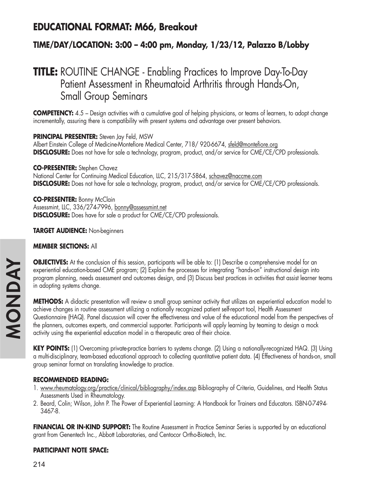## **EDUCATIONAL FORMAT: M66, Breakout**

## **TIME/DAY/LOCATION: 3:00 – 4:00 pm, Monday, 1/23/12, Palazzo B/Lobby**

# **TITLE:** ROUTINE CHANGE - Enabling Practices to Improve Day-To-Day Patient Assessment in Rheumatoid Arthritis through Hands-On, Small Group Seminars

**COMPETENCY:** 4.5 – Design activities with a cumulative goal of helping physicians, or teams of learners, to adopt change incrementally, assuring there is compatibility with present systems and advantage over present behaviors.

### **PRINCIPAL PRESENTER:** Steven Jay Feld, MSW

Albert Einstein College of Medicine-Montefiore Medical Center, 718/ 920-6674, sfeld@montefiore.org **DISCLOSURE:** Does not have for sale a technology, program, product, and/or service for CME/CE/CPD professionals.

### **CO-PRESENTER:** Stephen Chavez

National Center for Continuing Medical Education, LLC, 215/317-5864, schavez@naccme.com **DISCLOSURE:** Does not have for sale a technology, program, product, and/or service for CME/CE/CPD professionals.

**CO-PRESENTER:** Bonny McClain Assessmint, LLC, 336/274-7996, bonny@assessmint.net **DISCLOSURE:** Does have for sale a product for CME/CE/CPD professionals.

**TARGET AUDIENCE:** Non-beginners

## **MEMBER SECTIONS:** All

**OBJECTIVES:** At the conclusion of this session, participants will be able to: (1) Describe a comprehensive model for an experiential education-based CME program; (2) Explain the processes for integrating "hands-on" instructional design into program planning, needs assessment and outcomes design, and (3) Discuss best practices in activities that assist learner teams in adopting systems change.

**METHODS:** A didactic presentation will review a small group seminar activity that utilizes an experiential education model to achieve changes in routine assessment utilizing a nationally recognized patient self-report tool, Health Assessment Questionnaire (HAQ). Panel discussion will cover the effectiveness and value of the educational model from the perspectives of the planners, outcomes experts, and commercial supporter. Participants will apply learning by teaming to design a mock activity using the experiential education model in a therapeutic area of their choice.

KEY POINTS: (1) Overcoming private-practice barriers to systems change. (2) Using a nationally-recognized HAQ. (3) Using a multi-disciplinary, team-based educational approach to collecting quantitative patient data. (4) Effectiveness of hands-on, small group seminar format on translating knowledge to practice.

### **RECOMMENDED READING:**

- 1. www.rheumatology.org/practice/clinical/bibliography/index.asp Bibliography of Criteria, Guidelines, and Health Status Assessments Used in Rheumatology.
- 2. Beard, Colin; Wilson, John P. The Power of Experiential Learning: A Handbook for Trainers and Educators. ISBN-0-7494- 3467-8.

**FINANCIAL OR IN-KIND SUPPORT:** The Routine Assessment in Practice Seminar Series is supported by an educational grant from Genentech Inc., Abbott Laboratories, and Centocor Ortho-Biotech, Inc.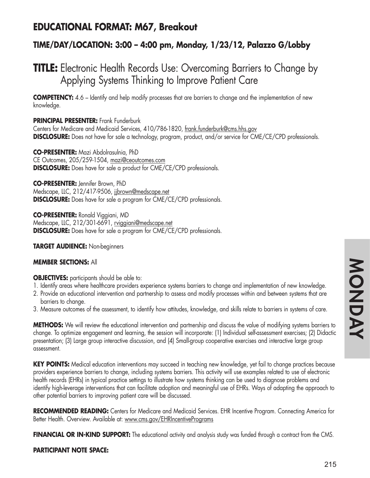## **EDUCATIONAL FORMAT: M67, Breakout**

## **TIME/DAY/LOCATION: 3:00 – 4:00 pm, Monday, 1/23/12, Palazzo G/Lobby**

# **TITLE:** Electronic Health Records Use: Overcoming Barriers to Change by Applying Systems Thinking to Improve Patient Care

**COMPETENCY:** 4.6 – Identify and help modify processes that are barriers to change and the implementation of new knowledge.

### **PRINCIPAL PRESENTER:** Frank Funderburk

Centers for Medicare and Medicaid Services, 410/786-1820, frank.funderburk@cms.hhs.gov **DISCLOSURE:** Does not have for sale a technology, program, product, and/or service for CME/CE/CPD professionals.

**CO-PRESENTER:** Mazi Abdolrasulnia, PhD CE Outcomes, 205/259-1504, mazi@ceoutcomes.com **DISCLOSURE:** Does have for sale a product for CME/CE/CPD professionals.

**CO-PRESENTER:** Jennifer Brown, PhD Medscape, LLC, 212/417-9506, jjbrown@medscape.net **DISCLOSURE:** Does have for sale a program for CME/CE/CPD professionals.

**CO-PRESENTER:** Ronald Viggiani, MD Medscape, LLC, 212/301-6691, rviggiani@medscape.net **DISCLOSURE:** Does have for sale a program for CME/CE/CPD professionals.

### **TARGET AUDIENCE:** Non-beginners

### **MEMBER SECTIONS:** All

### **OBJECTIVES:** participants should be able to:

- 1. Identify areas where healthcare providers experience systems barriers to change and implementation of new knowledge.
- 2. Provide an educational intervention and partnership to assess and modify processes within and between systems that are barriers to change.
- 3. Measure outcomes of the assessment, to identify how attitudes, knowledge, and skills relate to barriers in systems of care.

**METHODS:** We will review the educational intervention and partnership and discuss the value of modifying systems barriers to change. To optimize engagement and learning, the session will incorporate: (1) Individual self-assessment exercises; (2) Didactic presentation; (3) Large group interactive discussion, and (4) Small-group cooperative exercises and interactive large group assessment.

**KEY POINTS:** Medical education interventions may succeed in teaching new knowledge, yet fail to change practices because providers experience barriers to change, including systems barriers. This activity will use examples related to use of electronic health records (EHRs) in typical practice settings to illustrate how systems thinking can be used to diagnose problems and identify high-leverage interventions that can facilitate adoption and meaningful use of EHRs. Ways of adapting the approach to other potential barriers to improving patient care will be discussed.

**RECOMMENDED READING:** Centers for Medicare and Medicaid Services. EHR Incentive Program. Connecting America for Better Health. Overview. Available at: www.cms.gov/EHRIncentivePrograms

**FINANCIAL OR IN-KIND SUPPORT:** The educational activity and analysis study was funded through a contract from the CMS.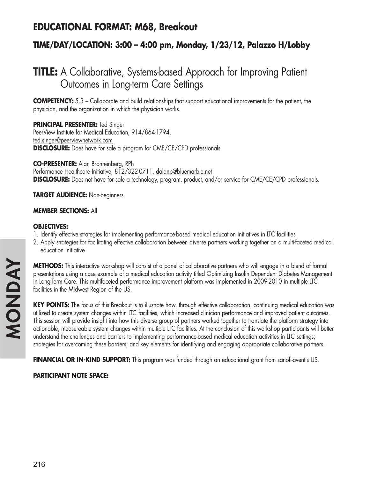# **EDUCATIONAL FORMAT: M68, Breakout**

## **TIME/DAY/LOCATION: 3:00 – 4:00 pm, Monday, 1/23/12, Palazzo H/Lobby**

# **TITLE:** A Collaborative, Systems-based Approach for Improving Patient Outcomes in Long-term Care Settings

**COMPETENCY:** 5.3 – Collaborate and build relationships that support educational improvements for the patient, the physician, and the organization in which the physician works.

**PRINCIPAL PRESENTER:** Ted Singer PeerView Institute for Medical Education, 914/864-1794, ted.singer@peerviewnetwork.com **DISCLOSURE:** Does have for sale a program for CME/CE/CPD professionals.

**CO-PRESENTER:** Alan Bronnenberg, RPh Performance Healthcare Initiative, 812/322-0711, dalanb@bluemarble.net **DISCLOSURE:** Does not have for sale a technology, program, product, and/or service for CME/CE/CPD professionals.

**TARGET AUDIENCE:** Non-beginners

#### **MEMBER SECTIONS:** All

#### **OBJECTIVES:**

- 1. Identify effective strategies for implementing performance-based medical education initiatives in LTC facilities
- 2. Apply strategies for facilitating effective collaboration between diverse partners working together on a multi-faceted medical education initiative

**METHODS:** This interactive workshop will consist of a panel of collaborative partners who will engage in a blend of formal presentations using a case example of a medical education activity titled Optimizing Insulin Dependent Diabetes Management in Long-Term Care. This multifaceted performance improvement platform was implemented in 2009-2010 in multiple LTC facilities in the Midwest Region of the US.

**KEY POINTS:** The focus of this Breakout is to illustrate how, through effective collaboration, continuing medical education was utilized to create system changes within LTC facilities, which increased clinician performance and improved patient outcomes. This session will provide insight into how this diverse group of partners worked together to translate the platform strategy into actionable, measureable system changes within multiple LTC facilities. At the conclusion of this workshop participants will better understand the challenges and barriers to implementing performance-based medical education activities in LTC settings; strategies for overcoming these barriers; and key elements for identifying and engaging appropriate collaborative partners.

**FINANCIAL OR IN-KIND SUPPORT:** This program was funded through an educational grant from sanofi-aventis US.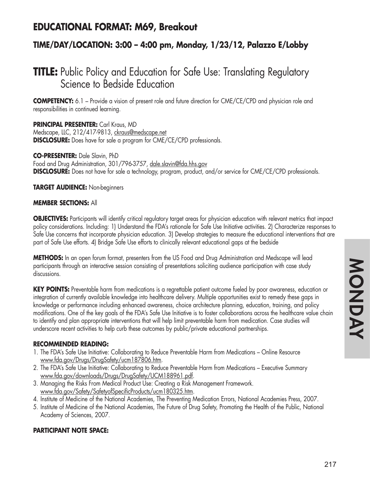## **EDUCATIONAL FORMAT: M69, Breakout**

## **TIME/DAY/LOCATION: 3:00 – 4:00 pm, Monday, 1/23/12, Palazzo E/Lobby**

# **TITLE:** Public Policy and Education for Safe Use: Translating Regulatory Science to Bedside Education

**COMPETENCY:** 6.1 – Provide a vision of present role and future direction for CME/CE/CPD and physician role and responsibilities in continued learning.

**PRINCIPAL PRESENTER:** Carl Kraus, MD Medscape, LLC, 212/417-9813, ckraus@medscape.net **DISCLOSURE:** Does have for sale a program for CME/CE/CPD professionals.

### **CO-PRESENTER:** Dale Slavin, PhD

Food and Drug Administration, 301/796-3757, dale.slavin@fda.hhs.gov **DISCLOSURE:** Does not have for sale a technology, program, product, and/or service for CME/CE/CPD professionals.

### **TARGET AUDIENCE:** Non-beginners

#### **MEMBER SECTIONS:** All

**OBJECTIVES:** Participants will identify critical regulatory target areas for physician education with relevant metrics that impact policy considerations. Including: 1) Understand the FDA's rationale for Safe Use Initiative activities. 2) Characterize responses to Safe Use concerns that incorporate physician education. 3) Develop strategies to measure the educational interventions that are part of Safe Use efforts. 4) Bridge Safe Use efforts to clinically relevant educational gaps at the bedside

**METHODS:** In an open forum format, presenters from the US Food and Drug Administration and Medscape will lead participants through an interactive session consisting of presentations soliciting audience participation with case study discussions.

**KEY POINTS:** Preventable harm from medications is a regrettable patient outcome fueled by poor awareness, education or integration of currently available knowledge into healthcare delivery. Multiple opportunities exist to remedy these gaps in knowledge or performance including enhanced awareness, choice architecture planning, education, training, and policy modifications. One of the key goals of the FDA's Safe Use Initiative is to foster collaborations across the healthcare value chain to identify and plan appropriate interventions that will help limit preventable harm from medication. Case studies will underscore recent activities to help curb these outcomes by public/private educational partnerships.

#### **RECOMMENDED READING:**

- 1. The FDA's Safe Use Initiative: Collaborating to Reduce Preventable Harm from Medications Online Resource www.fda.gov/Drugs/DrugSafety/ucm187806.htm.
- 2. The FDA's Safe Use Initiative: Collaborating to Reduce Preventable Harm from Medications Executive Summary www.fda.gov/downloads/Drugs/DrugSafety/UCM188961.pdf.
- 3. Managing the Risks From Medical Product Use: Creating a Risk Management Framework. www.fda.gov/Safety/SafetyofSpecificProducts/ucm180325.htm.
- 4. Institute of Medicine of the National Academies, The Preventing Medication Errors, National Academies Press, 2007.
- 5. Institute of Medicine of the National Academies, The Future of Drug Safety, Promoting the Health of the Public, National Academy of Sciences, 2007.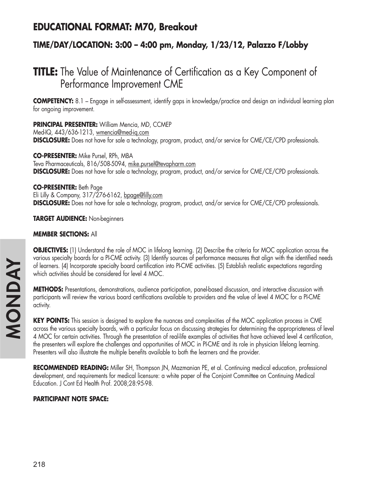## **EDUCATIONAL FORMAT: M70, Breakout**

## **TIME/DAY/LOCATION: 3:00 – 4:00 pm, Monday, 1/23/12, Palazzo F/Lobby**

# **TITLE:** The Value of Maintenance of Certification as a Key Component of Performance Improvement CME

**COMPETENCY:** 8.1 – Engage in self-assessment, identify gaps in knowledge/practice and design an individual learning plan for ongoing improvement.

**PRINCIPAL PRESENTER:** William Mencia, MD, CCMEP

Med-IQ, 443/636-1213, wmencia@med-iq.com **DISCLOSURE:** Does not have for sale a technology, program, product, and/or service for CME/CE/CPD professionals.

**CO-PRESENTER:** Mike Pursel, RPh, MBA Teva Pharmaceuticals, 816/508-5094, mike.pursel@tevapharm.com **DISCLOSURE:** Does not have for sale a technology, program, product, and/or service for CME/CE/CPD professionals.

**CO-PRESENTER:** Beth Page

Eli Lilly & Company, 317/276-6162, bpage@lilly.com **DISCLOSURE:** Does not have for sale a technology, program, product, and/or service for CME/CE/CPD professionals.

**TARGET AUDIENCE:** Non-beginners

### **MEMBER SECTIONS:** All

**OBJECTIVES:** (1) Understand the role of MOC in lifelong learning. (2) Describe the criteria for MOC application across the various specialty boards for a PI-CME activity. (3) Identify sources of performance measures that align with the identified needs of learners. (4) Incorporate specialty board certification into PI-CME activities. (5) Establish realistic expectations regarding which activities should be considered for level 4 MOC.

**METHODS:** Presentations, demonstrations, audience participation, panel-based discussion, and interactive discussion with participants will review the various board certifications available to providers and the value of level 4 MOC for a PI-CME activity.

**KEY POINTS:** This session is designed to explore the nuances and complexities of the MOC application process in CME across the various specialty boards, with a particular focus on discussing strategies for determining the appropriateness of level 4 MOC for certain activities. Through the presentation of real-life examples of activities that have achieved level 4 certification, the presenters will explore the challenges and opportunities of MOC in PI-CME and its role in physician lifelong learning. Presenters will also illustrate the multiple benefits available to both the learners and the provider.

**RECOMMENDED READING:** Miller SH, Thompson JN, Mazmanian PE, et al. Continuing medical education, professional development, and requirements for medical licensure: a white paper of the Conjoint Committee on Continuing Medical Education. J Cont Ed Health Prof. 2008;28:95-98.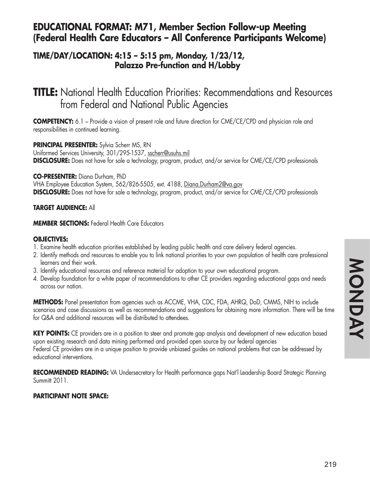## **EDUCATIONAL FORMAT: M71, Member Section Follow-up Meeting (Federal Health Care Educators – All Conference Participants Welcome)**

## **TIME/DAY/LOCATION: 4:15 – 5:15 pm, Monday, 1/23/12, Palazzo Pre-function and H/Lobby**

# **TITLE:** National Health Education Priorities: Recommendations and Resources from Federal and National Public Agencies

**COMPETENCY:** 6.1 – Provide a vision of present role and future direction for CME/CE/CPD and physician role and responsibilities in continued learning.

#### **PRINCIPAL PRESENTER:** Sylvia Scherr MS, RN

Uniformed Services University, 301/295-1537, sscherr@usuhs.mil **DISCLOSURE:** Does not have for sale a technology, program, product, and/or service for CME/CE/CPD professionals

#### **CO-PRESENTER:** Diana Durham, PhD

VHA Employee Education System, 562/826-5505, ext. 4188, Diana.Durham2@va.gov **DISCLOSURE:** Does not have for sale a technology, program, product, and/or service for CME/CE/CPD professionals

#### **TARGET AUDIENCE:** All

#### **MEMBER SECTIONS:** Federal Health Care Educators

#### **OBJECTIVES:**

- 1. Examine health education priorities established by leading public health and care delivery federal agencies.
- 2. Identify methods and resources to enable you to link national priorities to your own population of health care professional learners and their work.
- 3. Identify educational resources and reference material for adoption to your own educational program.
- 4. Develop foundation for a white paper of recommendations to other CE providers regarding educational gaps and needs across our nation.

**METHODS:** Panel presentation from agencies such as ACCME, VHA, CDC, FDA, AHRQ, DoD, CMMS, NIH to include scenarios and case discussions as well as recommendations and suggestions for obtaining more information. There will be time for Q&A and additional resources will be distributed to attendees.

**KEY POINTS:** CE providers are in a position to steer and promote gap analysis and development of new education based upon existing research and data mining performed and provided open source by our federal agencies Federal CE providers are in a unique position to provide unbiased guides on national problems that can be addressed by educational interventions.

**RECOMMENDED READING:** VA Undersecretary for Health performance gaps Nat'l Leadership Board Strategic Planning Summitt 2011.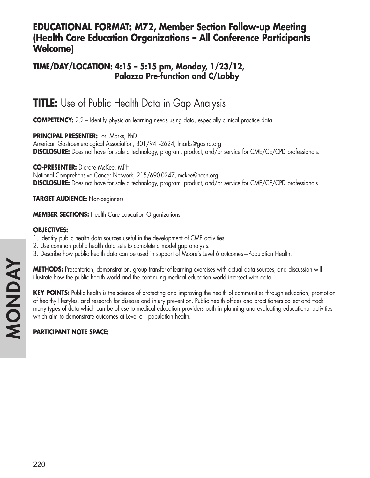## **EDUCATIONAL FORMAT: M72, Member Section Follow-up Meeting (Health Care Education Organizations – All Conference Participants Welcome)**

## **TIME/DAY/LOCATION: 4:15 – 5:15 pm, Monday, 1/23/12, Palazzo Pre-function and C/Lobby**

# **TITLE:** Use of Public Health Data in Gap Analysis

**COMPETENCY:** 2.2 – Identify physician learning needs using data, especially clinical practice data.

**PRINCIPAL PRESENTER:** Lori Marks, PhD

American Gastroenterological Association, 301/941-2624, lmarks@gastro.org **DISCLOSURE:** Does not have for sale a technology, program, product, and/or service for CME/CE/CPD professionals.

**CO-PRESENTER:** Dierdre McKee, MPH

National Comprehensive Cancer Network, 215/690-0247, mckee@nccn.org **DISCLOSURE:** Does not have for sale a technology, program, product, and/or service for CME/CE/CPD professionals

**TARGET AUDIENCE:** Non-beginners

**MEMBER SECTIONS:** Health Care Education Organizations

## **OBJECTIVES:**

- 1. Identify public health data sources useful in the development of CME activities.
- 2. Use common public health data sets to complete a model gap analysis.
- 3. Describe how public health data can be used in support of Moore's Level 6 outcomes—Population Health.

**METHODS:** Presentation, demonstration, group transfer-of-learning exercises with actual data sources, and discussion will illustrate how the public health world and the continuing medical education world intersect with data.

**KEY POINTS:** Public health is the science of protecting and improving the health of communities through education, promotion of healthy lifestyles, and research for disease and injury prevention. Public health offices and practitioners collect and track many types of data which can be of use to medical education providers both in planning and evaluating educational activities which aim to demonstrate outcomes at Level 6—population health.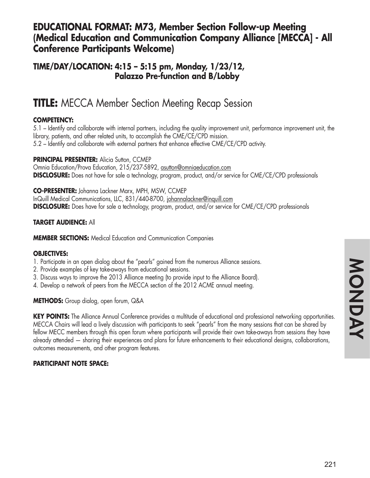## **EDUCATIONAL FORMAT: M73, Member Section Follow-up Meeting (Medical Education and Communication Company Alliance [MECCA] - All Conference Participants Welcome)**

**TIME/DAY/LOCATION: 4:15 – 5:15 pm, Monday, 1/23/12, Palazzo Pre-function and B/Lobby**

# **TITLE:** MECCA Member Section Meeting Recap Session

## **COMPETENCY:**

5.1 – Identify and collaborate with internal partners, including the quality improvement unit, performance improvement unit, the library, patients, and other related units, to accomplish the CME/CE/CPD mission. 5.2 – Identify and collaborate with external partners that enhance effective CME/CE/CPD activity.

**PRINCIPAL PRESENTER: Alicia Sutton, CCMEP** Omnia Education/Prova Education, 215/237-5892, asutton@omniaeducation.com **DISCLOSURE:** Does not have for sale a technology, program, product, and/or service for CME/CE/CPD professionals

**CO-PRESENTER:** Johanna Lackner Marx, MPH, MSW, CCMEP InQuill Medical Communications, LLC, 831/440-8700, johannalackner@inquill.com **DISCLOSURE:** Does have for sale a technology, program, product, and/or service for CME/CE/CPD professionals

### **TARGET AUDIENCE:** All

**MEMBER SECTIONS:** Medical Education and Communication Companies

### **OBJECTIVES:**

- 1. Participate in an open dialog about the "pearls" gained from the numerous Alliance sessions.
- 2. Provide examples of key take-aways from educational sessions.
- 3. Discuss ways to improve the 2013 Alliance meeting (to provide input to the Alliance Board).
- 4. Develop a network of peers from the MECCA section of the 2012 ACME annual meeting.

**METHODS:** Group dialog, open forum, Q&A

**KEY POINTS:** The Alliance Annual Conference provides a multitude of educational and professional networking opportunities. MECCA Chairs will lead a lively discussion with participants to seek "pearls" from the many sessions that can be shared by fellow MECC members through this open forum where participants will provide their own take-aways from sessions they have already attended — sharing their experiences and plans for future enhancements to their educational designs, collaborations, outcomes measurements, and other program features.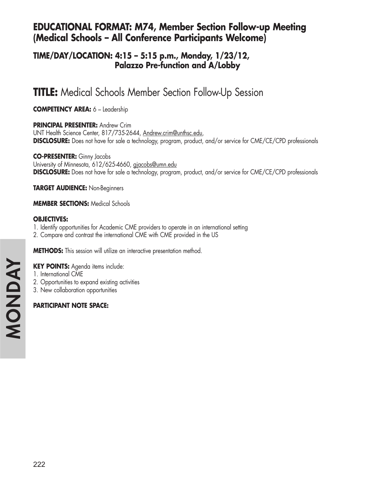## **EDUCATIONAL FORMAT: M74, Member Section Follow-up Meeting (Medical Schools – All Conference Participants Welcome)**

## **TIME/DAY/LOCATION: 4:15 – 5:15 p.m., Monday, 1/23/12, Palazzo Pre-function and A/Lobby**

# **TITLE:** Medical Schools Member Section Follow-Up Session

**COMPETENCY AREA:** 6 – Leadership

### **PRINCIPAL PRESENTER:** Andrew Crim

UNT Health Science Center, 817/735-2644, Andrew.crim@unthsc.edu, **DISCLOSURE:** Does not have for sale a technology, program, product, and/or service for CME/CE/CPD professionals

### **CO-PRESENTER:** Ginny Jacobs

University of Minnesota, 612/625-4660, gjacobs@umn.edu **DISCLOSURE:** Does not have for sale a technology, program, product, and/or service for CME/CE/CPD professionals

**TARGET AUDIENCE:** Non-Beginners

### **MEMBER SECTIONS:** Medical Schools

### **OBJECTIVES:**

- 1. Identify opportunities for Academic CME providers to operate in an international setting
- 2. Compare and contrast the international CME with CME provided in the US

**METHODS:** This session will utilize an interactive presentation method.

## **KEY POINTS:** Agenda items include:

- 1. International CME
- 2. Opportunities to expand existing activities
- 3. New collaboration opportunities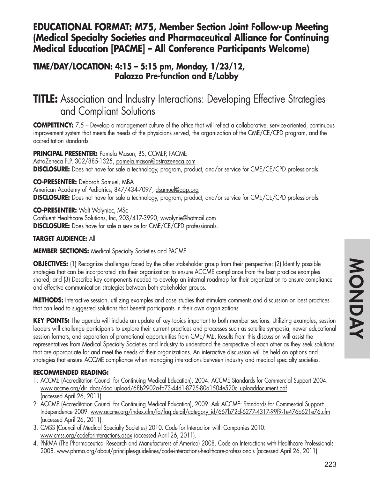## **EDUCATIONAL FORMAT: M75, Member Section Joint Follow-up Meeting (Medical Specialty Societies and Pharmaceutical Alliance for Continuing Medical Education [PACME] – All Conference Participants Welcome)**

**TIME/DAY/LOCATION: 4:15 – 5:15 pm, Monday, 1/23/12, Palazzo Pre-function and E/Lobby**

# **TITLE:** Association and Industry Interactions: Developing Effective Strategies and Compliant Solutions

**COMPETENCY:** 7.5 – Develop a management culture of the office that will reflect a collaborative, service-oriented, continuous improvement system that meets the needs of the physicians served, the organization of the CME/CE/CPD program, and the accreditation standards.

### **PRINCIPAL PRESENTER:** Pamela Mason, BS, CCMEP, FACME

AstraZeneca PLP, 302/885-1325, pamela.mason@astrazeneca.com **DISCLOSURE:** Does not have for sale a technology, program, product, and/or service for CME/CE/CPD professionals.

#### **CO-PRESENTER:** Deborah Samuel, MBA

American Academy of Pediatrics, 847/434-7097, dsamuel@aap.org **DISCLOSURE:** Does not have for sale a technology, program, product, and/or service for CME/CE/CPD professionals.

**CO-PRESENTER:** Walt Wolyniec, MSc Confluent Healthcare Solutions, Inc, 203/417-3990, wwolynie@hotmail.com **DISCLOSURE:** Does have for sale a service for CME/CE/CPD professionals.

### **TARGET AUDIENCE:** All

**MEMBER SECTIONS:** Medical Specialty Societies and PACME

**OBJECTIVES:** (1) Recognize challenges faced by the other stakeholder group from their perspective; (2) Identify possible strategies that can be incorporated into their organization to ensure ACCME compliance from the best practice examples shared; and (3) Describe key components needed to develop an internal roadmap for their organization to ensure compliance and effective communication strategies between both stakeholder groups.

**METHODS:** Interactive session, utilizing examples and case studies that stimulate comments and discussion on best practices that can lead to suggested solutions that benefit participants in their own organizations

**KEY POINTS:** The agenda will include an update of key topics important to both member sections. Utilizing examples, session leaders will challenge participants to explore their current practices and processes such as satellite symposia, newer educational session formats, and separation of promotional opportunities from CME/IME. Results from this discussion will assist the representatives from Medical Specialty Societies and Industry to understand the perspective of each other as they seek solutions that are appropriate for and meet the needs of their organizations. An interactive discussion will be held on options and strategies that ensure ACCME compliance when managing interactions between industry and medical specialty societies.

### **RECOMMENDED READING:**

- 1. ACCME (Accreditation Council for Continuing Medical Education), 2004. ACCME Standards for Commercial Support 2004. www.accme.org/dir\_docs/doc\_upload/68b2902a-fb73-44d1-8725-80a1504e520c\_uploaddocument.pdf (accessed April 26, 2011).
- 2. ACCME (Accreditation Council for Continuing Medical Education), 2009. Ask ACCME: Standards for Commercial Support: Independence 2009. www.accme.org/index.cfm/fa/faq.detail/category\_id/667b72cf-6277-4317-99f9-1e476b621e76.cfm (accessed April 26, 2011).
- 3. CMSS (Council of Medical Specialty Societies) 2010. Code for Interaction with Companies 2010. www.cmss.org/codeforinteractions.aspx (accessed April 26, 2011).
- 4. PhRMA (The Pharmaceutical Research and Manufacturers of America) 2008. Code on Interactions with Healthcare Professionals 2008. www.phrma.org/about/principles-guidelines/code-interactions-healthcare-professionals (accessed April 26, 2011).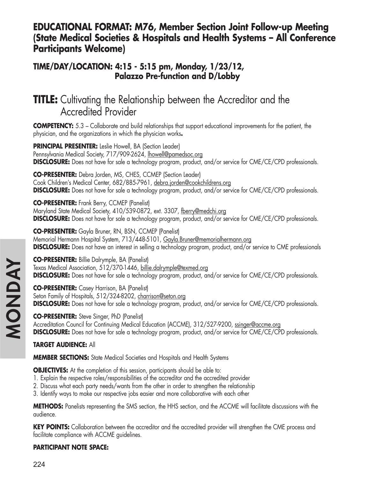## **EDUCATIONAL FORMAT: M76, Member Section Joint Follow-up Meeting (State Medical Societies & Hospitals and Health Systems – All Conference Participants Welcome)**

## **TIME/DAY/LOCATION: 4:15 - 5:15 pm, Monday, 1/23/12, Palazzo Pre-function and D/Lobby**

# **TITLE:** Cultivating the Relationship between the Accreditor and the Accredited Provider

**COMPETENCY:** 5.3 – Collaborate and build relationships that support educational improvements for the patient, the physician, and the organizations in which the physician works**.**

**PRINCIPAL PRESENTER:** Leslie Howell, BA (Section Leader) Pennsylvania Medical Society, 717/909-2624, lhowell@pamedsoc.org **DISCLOSURE:** Does not have for sale a technology program, product, and/or service for CME/CE/CPD professionals.

**CO-PRESENTER:** Debra Jorden, MS, CHES, CCMEP (Section Leader) Cook Children's Medical Center, 682/885-7961, debra.jorden@cookchildrens.org **DISCLOSURE:** Does not have for sale a technology program, product, and/or service for CME/CE/CPD professionals.

**CO-PRESENTER:** Frank Berry, CCMEP (Panelist) Maryland State Medical Society, 410/539-0872, ext. 3307, fberry@medchi.org **DISCLOSURE:** Does not have for sale a technology program, product, and/or service for CME/CE/CPD professionals.

**CO-PRESENTER:** Gayla Bruner, RN, BSN, CCMEP (Panelist) Memorial Hermann Hospital System, 713/448-5101, Gayla.Bruner@memorialhermann.org **DISCLOSURE:** Does not have an interest in selling a technology program, product, and/or service to CME professionals

**CO-PRESENTER:** Billie Dalrymple, BA (Panelist) Texas Medical Association, 512/370-1446, billie.dalrymple@texmed.org **DISCLOSURE:** Does not have for sale a technology program, product, and/or service for CME/CE/CPD professionals.

**CO-PRESENTER:** Casey Harrison, BA (Panelist) Seton Family of Hospitals, 512/324-8202, charrison@seton.org **DISCLOSURE:** Does not have for sale a technology program, product, and/or service for CME/CE/CPD professionals.

**CO-PRESENTER:** Steve Singer, PhD (Panelist) Accreditation Council for Continuing Medical Education (ACCME), 312/527-9200, ssinger@accme.org **DISCLOSURE:** Does not have for sale a technology program, product, and/or service for CME/CE/CPD professionals.

## **TARGET AUDIENCE:** All

**MEMBER SECTIONS:** State Medical Societies and Hospitals and Health Systems

**OBJECTIVES:** At the completion of this session, participants should be able to:

- 1. Explain the respective roles/responsibilities of the accreditor and the accredited provider
- 2. Discuss what each party needs/wants from the other in order to strengthen the relationship
- 3. Identify ways to make our respective jobs easier and more collaborative with each other

**METHODS:** Panelists representing the SMS section, the HHS section, and the ACCME will facilitate discussions with the audience.

**KEY POINTS:** Collaboration between the accreditor and the accredited provider will strengthen the CME process and facilitate compliance with ACCME guidelines.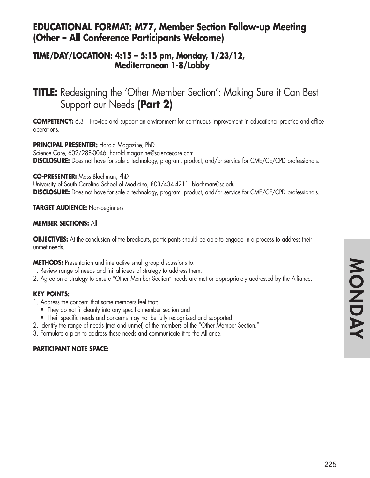## **EDUCATIONAL FORMAT: M77, Member Section Follow-up Meeting (Other – All Conference Participants Welcome)**

## **TIME/DAY/LOCATION: 4:15 – 5:15 pm, Monday, 1/23/12, Mediterranean 1-8/Lobby**

# **TITLE:** Redesigning the 'Other Member Section': Making Sure it Can Best Support our Needs **(Part 2)**

**COMPETENCY:** 6.3 – Provide and support an environment for continuous improvement in educational practice and office operations.

#### **PRINCIPAL PRESENTER:** Harold Magazine, PhD

Science Care, 602/288-0046, harold.magazine@sciencecare.com **DISCLOSURE:** Does not have for sale a technology, program, product, and/or service for CME/CE/CPD professionals.

#### **CO-PRESENTER:** Moss Blachman, PhD

University of South Carolina School of Medicine, 803/434-4211, blachman@sc.edu **DISCLOSURE:** Does not have for sale a technology, program, product, and/or service for CME/CE/CPD professionals.

#### **TARGET AUDIENCE:** Non-beginners

#### **MEMBER SECTIONS:** All

**OBJECTIVES:** At the conclusion of the breakouts, participants should be able to engage in a process to address their unmet needs.

**METHODS:** Presentation and interactive small group discussions to:

- 1. Review range of needs and initial ideas of strategy to address them.
- 2. Agree on a strategy to ensure "Other Member Section" needs are met or appropriately addressed by the Alliance.

### **KEY POINTS:**

- 1. Address the concern that some members feel that:
	- They do not fit cleanly into any specific member section and
	- Their specific needs and concerns may not be fully recognized and supported.
- 2. Identify the range of needs (met and unmet) of the members of the "Other Member Section."
- 3. Formulate a plan to address these needs and communicate it to the Alliance.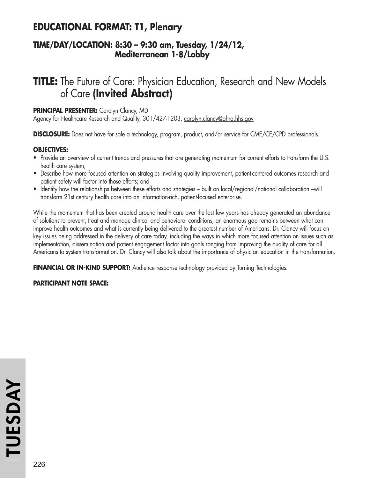## **EDUCATIONAL FORMAT: T1, Plenary**

## **TIME/DAY/LOCATION: 8:30 – 9:30 am, Tuesday, 1/24/12, Mediterranean 1-8/Lobby**

# **TITLE:** The Future of Care: Physician Education, Research and New Models of Care **(Invited Abstract)**

#### **PRINCIPAL PRESENTER:** Carolyn Clancy, MD

Agency for Healthcare Research and Quality, 301/427-1203, carolyn.clancy@ahrq.hhs.gov

**DISCLOSURE:** Does not have for sale a technology, program, product, and/or service for CME/CE/CPD professionals.

### **OBJECTIVES:**

- Provide an overview of current trends and pressures that are generating momentum for current efforts to transform the U.S. health care system;
- Describe how more focused attention on strategies involving quality improvement, patient-centered outcomes research and patient safety will factor into those efforts; and
- Identify how the relationships between these efforts and strategies built on local/regional/national collaboration –will transform 21st century health care into an information-rich, patient-focused enterprise.

While the momentum that has been created around health care over the last few years has already generated an abundance of solutions to prevent, treat and manage clinical and behavioral conditions, an enormous gap remains between what can improve health outcomes and what is currently being delivered to the greatest number of Americans. Dr. Clancy will focus on key issues being addressed in the delivery of care today, including the ways in which more focused attention on issues such as implementation, dissemination and patient engagement factor into goals ranging from improving the quality of care for all Americans to system transformation. Dr. Clancy will also talk about the importance of physician education in the transformation.

FINANCIAL OR IN-KIND SUPPORT: Audience response technology provided by Turning Technologies.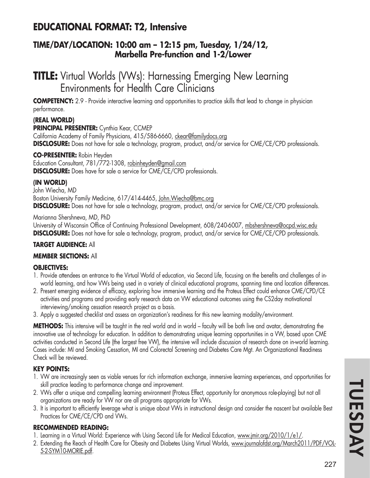## **EDUCATIONAL FORMAT: T2, Intensive**

## **TIME/DAY/LOCATION: 10:00 am – 12:15 pm, Tuesday, 1/24/12, Marbella Pre-function and 1-2/Lower**

# **TITLE:** Virtual Worlds (VWs): Harnessing Emerging New Learning Environments for Health Care Clinicians

**COMPETENCY:** 2.9 - Provide interactive learning and opportunities to practice skills that lead to change in physician performance.

### **(REAL WORLD)**

**PRINCIPAL PRESENTER:** Cynthia Kear, CCMEP

California Academy of Family Physicians, 415/586-6660, ckear@familydocs.org **DISCLOSURE:** Does not have for sale a technology, program, product, and/or service for CME/CE/CPD professionals.

### **CO-PRESENTER:** Robin Heyden

Education Consultant, 781/772-1308, robinheyden@gmail.com **DISCLOSURE:** Does have for sale a service for CME/CE/CPD professionals.

### **(IN WORLD)**

John Wiecha, MD Boston University Family Medicine, 617/414-4465, John.Wiecha@bmc.org **DISCLOSURE:** Does not have for sale a technology, program, product, and/or service for CME/CE/CPD professionals.

Marianna Shershneva, MD, PhD University of Wisconsin Office of Continuing Professional Development, 608/240-6007, mbshershneva@ocpd.wisc.edu **DISCLOSURE:** Does not have for sale a technology, program, product, and/or service for CME/CE/CPD professionals.

### **TARGET AUDIENCE:** All

### **MEMBER SECTIONS:** All

### **OBJECTIVES:**

- 1. Provide attendees an entrance to the Virtual World of education, via Second Life, focusing on the benefits and challenges of inworld learning, and how VWs being used in a variety of clinical educational programs, spanning time and location differences.
- 2. Present emerging evidence of efficacy, exploring how immersive learning and the Proteus Effect could enhance CME/CPD/CE activities and programs and providing early research data on VW educational outcomes using the CS2day motivational interviewing/smoking cessation research project as a basis.
- 3. Apply a suggested checklist and assess an organization's readiness for this new learning modality/environment.

**METHODS:** This intensive will be taught in the real world and in world – faculty will be both live and avatar, demonstrating the innovative use of technology for education. In addition to demonstrating unique learning opportunities in a VW, based upon CME activities conducted in Second Life (the largest free VW), the intensive will include discussion of research done on in-world learning. Cases include: MI and Smoking Cessation, MI and Colorectal Screening and Diabetes Care Mgt. An Organizational Readiness Check will be reviewed.

## **KEY POINTS:**

- 1. VW are increasingly seen as viable venues for rich information exchange, immersive learning experiences, and opportunities for skill practice leading to performance change and improvement.
- 2. VWs offer a unique and compelling learning environment (Proteus Effect, opportunity for anonymous role-playing) but not all organizations are ready for VW nor are all programs appropriate for VWs.
- 3. It is important to efficiently leverage what is unique about VWs in instructional design and consider the nascent but available Best Practices for CME/CE/CPD and VWs.

### **RECOMMENDED READING:**

- 1. Learning in a Virtual World: Experience with Using Second Life for Medical Education, www.jmir.org/2010/1/e1/.
- 2. Extending the Reach of Health Care for Obesity and Diabetes Using Virtual Worlds, www.journalofdst.org/March2011/PDF/VOL-5-2-SYM10-MORIE.pdf.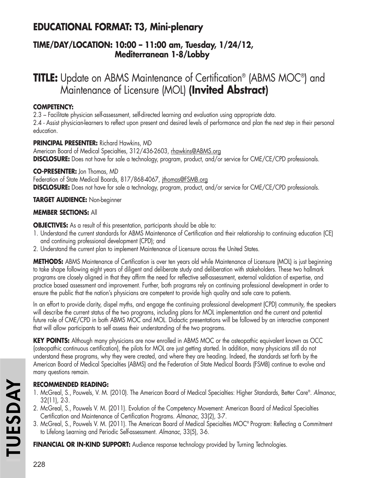# **EDUCATIONAL FORMAT: T3, Mini-plenary**

## **TIME/DAY/LOCATION: 10:00 – 11:00 am, Tuesday, 1/24/12, Mediterranean 1-8/Lobby**

# **TITLE:** Update on ABMS Maintenance of Certification® (ABMS MOC®) and Maintenance of Licensure (MOL) **(Invited Abstract)**

## **COMPETENCY:**

2.3 – Facilitate physician self-assessment, self-directed learning and evaluation using appropriate data. 2.4 - Assist physician-learners to reflect upon present and desired levels of performance and plan the next step in their personal education.

## **PRINCIPAL PRESENTER:** Richard Hawkins, MD

American Board of Medical Specialties, 312/436-2603, rhawkins@ABMS.org **DISCLOSURE:** Does not have for sale a technology, program, product, and/or service for CME/CE/CPD professionals.

## **CO-PRESENTER:** Jon Thomas, MD

Federation of State Medical Boards, 817/868-4067, jthomas@FSMB.org **DISCLOSURE:** Does not have for sale a technology, program, product, and/or service for CME/CE/CPD professionals.

## **TARGET AUDIENCE:** Non-beginner

## **MEMBER SECTIONS:** All

**OBJECTIVES:** As a result of this presentation, participants should be able to:

- 1. Understand the current standards for ABMS Maintenance of Certification and their relationship to continuing education (CE) and continuing professional development (CPD); and
- 2. Understand the current plan to implement Maintenance of Licensure across the United States.

**METHODS:** ABMS Maintenance of Certification is over ten years old while Maintenance of Licensure (MOL) is just beginning to take shape following eight years of diligent and deliberate study and deliberation with stakeholders. These two hallmark programs are closely aligned in that they affirm the need for reflective self-assessment, external validation of expertise, and practice based assessment and improvement. Further, both programs rely on continuing professional development in order to ensure the public that the nation's physicians are competent to provide high quality and safe care to patients.

In an effort to provide clarity, dispel myths, and engage the continuing professional development (CPD) community, the speakers will describe the current status of the two programs, including plans for MOL implementation and the current and potential future role of CME/CPD in both ABMS MOC and MOL. Didactic presentations will be followed by an interactive component that will allow participants to self assess their understanding of the two programs.

**KEY POINTS:** Although many physicians are now enrolled in ABMS MOC or the osteopathic equivalent known as OCC (osteopathic continuous certification), the pilots for MOL are just getting started. In addition, many physicians still do not understand these programs, why they were created, and where they are heading. Indeed, the standards set forth by the American Board of Medical Specialties (ABMS) and the Federation of State Medical Boards (FSMB) continue to evolve and many questions remain.

## **RECOMMENDED READING:**

- 1. McGreal, S., Pouwels, V. M. (2010). The American Board of Medical Specialties: Higher Standards, Better Care®. *Almanac*, 32(11), 2-3.
- 2. McGreal, S., Pouwels V. M. (2011). Evolution of the Competency Movement: American Board of Medical Specialties Certification and Maintenance of Certification Programs. *Almanac*, 33(2), 3-7.
- 3. McGreal, S., Pouwels V. M. (2011). The American Board of Medical Specialties MOC® Program: Reflecting a Commitment to Lifelong Learning and Periodic Self-assessment. *Almanac*, 33(5), 3-6.

**FINANCIAL OR IN-KIND SUPPORT:** Audience response technology provided by Turning Technologies.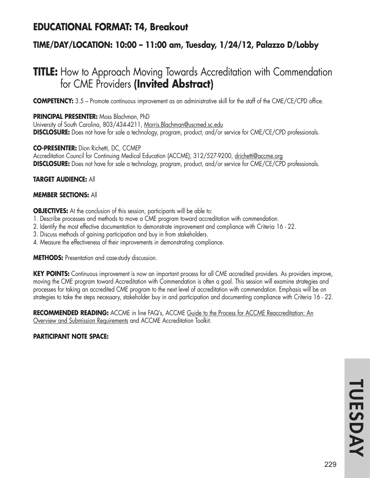## **EDUCATIONAL FORMAT: T4, Breakout**

## **TIME/DAY/LOCATION: 10:00 – 11:00 am, Tuesday, 1/24/12, Palazzo D/Lobby**

# **TITLE:** How to Approach Moving Towards Accreditation with Commendation for CME Providers **(Invited Abstract)**

**COMPETENCY:** 3.5 – Promote continuous improvement as an administrative skill for the staff of the CME/CE/CPD office.

**PRINCIPAL PRESENTER:** Moss Blachman, PhD University of South Carolina, 803/434-4211, Morris.Blachman@uscmed.sc.edu **DISCLOSURE:** Does not have for sale a technology, program, product, and/or service for CME/CE/CPD professionals.

**CO-PRESENTER:** Dion Richetti, DC, CCMEP Accreditation Council for Continuing Medical Education (ACCME), 312/527-9200, drichetti@accme.org **DISCLOSURE:** Does not have for sale a technology, program, product, and/or service for CME/CE/CPD professionals.

**TARGET AUDIENCE:** All

### **MEMBER SECTIONS:** All

**OBJECTIVES:** At the conclusion of this session, participants will be able to:

- 1. Describe processes and methods to move a CME program toward accreditation with commendation.
- 2. Identify the most effective documentation to demonstrate improvement and compliance with Criteria 16 22.
- 3. Discuss methods of gaining participation and buy in from stakeholders.
- 4. Measure the effectiveness of their improvements in demonstrating compliance.

**METHODS:** Presentation and case-study discussion.

**KEY POINTS:** Continuous improvement is now an important process for all CME accredited providers. As providers improve, moving the CME program toward Accreditation with Commendation is often a goal. This session will examine strategies and processes for taking an accredited CME program to the next level of accreditation with commendation. Emphasis will be on strategies to take the steps necessary, stakeholder buy in and participation and documenting compliance with Criteria 16 - 22.

**RECOMMENDED READING:** ACCME in line FAQ's, ACCME Guide to the Process for ACCME Reaccreditation: An Overview and Submission Requirements and ACCME Accreditation Toolkit.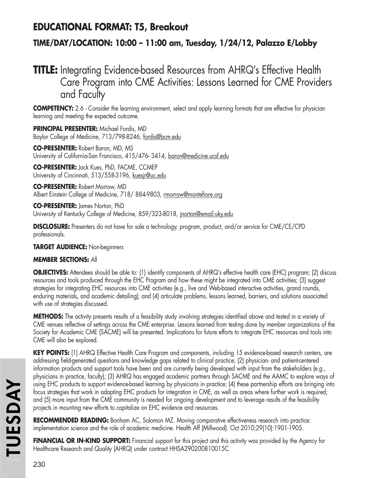## **EDUCATIONAL FORMAT: T5, Breakout**

## **TIME/DAY/LOCATION: 10:00 – 11:00 am, Tuesday, 1/24/12, Palazzo E/Lobby**

# **TITLE:** Integrating Evidence-based Resources from AHRQ's Effective Health Care Program into CME Activities: Lessons Learned for CME Providers and Faculty

**COMPETENCY:** 2.6 - Consider the learning environment, select and apply learning formats that are effective for physician learning and meeting the expected outcome.

**PRINCIPAL PRESENTER:** Michael Fordis, MD Baylor College of Medicine, 713/798-8246, fordis@bcm.edu

**CO-PRESENTER:** Robert Baron, MD, MS University of California-San Francisco, 415/476-3414, baron@medicine.ucsf.edu

**CO-PRESENTER:** Jack Kues, PhD, FACME, CCMEP University of Cincinnati, 513/558-3196, kuesjr@uc.edu

**CO-PRESENTER:** Robert Morrow, MD Albert Einstein College of Medicine, 718/884-9803, rmorrow@montefiore.org

**CO-PRESENTER:** James Norton, PhD University of Kentucky College of Medicine, 859/323-8018, jnorton@email.uky.edu

**DISCLOSURE:** Presenters do not have for sale a technology, program, product, and/or service for CME/CE/CPD professionals.

## **TARGET AUDIENCE:** Non-beginners

## **MEMBER SECTIONS:** All

**OBJECTIVES:** Attendees should be able to: (1) identify components of AHRQ's effective health care (EHC) program; (2) discuss resources and tools produced through the EHC Program and how these might be integrated into CME activities; (3) suggest strategies for integrating EHC resources into CME activities (e.g., live and Web-based interactive activities, grand rounds, enduring materials, and academic detailing); and (4) articulate problems, lessons learned, barriers, and solutions associated with use of strategies discussed.

**METHODS:** The activity presents results of a feasibility study involving strategies identified above and tested in a variety of CME venues reflective of settings across the CME enterprise. Lessons learned from testing done by member organizations of the Society for Academic CME (SACME) will be presented. Implications for future efforts to integrate EHC resources and tools into CME will also be explored.

**KEY POINTS:** (1) AHRQ Effective Health Care Program and components, including 15 evidence-based research centers, are addressing field-generated questions and knowledge gaps related to clinical practice; (2) physician- and patient-centered information products and support tools have been and are currently being developed with input from the stakeholders (e.g., physicians in practice, faculty); (3) AHRQ has engaged academic partners through SACME and the AAMC to explore ways of using EHC products to support evidence-based learning by physicians in practice; (4) these partnership efforts are bringing into focus strategies that work in adapting EHC products for integration in CME, as well as areas where further work is required; and (5) more input from the CME community is needed for ongoing development and to leverage results of the feasibility projects in mounting new efforts to capitalize on EHC evidence and resources.

**RECOMMENDED READING:** Bonham AC, Solomon MZ. Moving comparative effectiveness research into practice: implementation science and the role of academic medicine. Health Aff (Millwood). Oct 2010;29(10):1901-1905.

FINANCIAL OR IN-KIND SUPPORT: Financial support for this project and this activity was provided by the Agency for Healthcare Research and Quality (AHRQ) under contract HHSA290200810015C.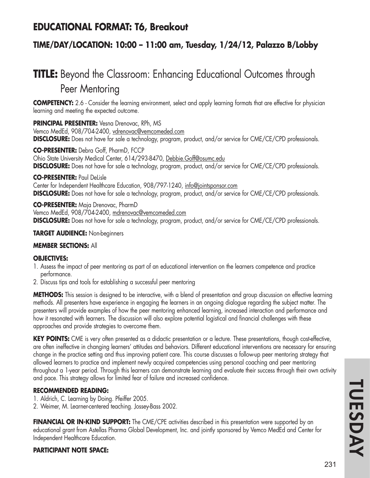## **EDUCATIONAL FORMAT: T6, Breakout**

## **TIME/DAY/LOCATION: 10:00 – 11:00 am, Tuesday, 1/24/12, Palazzo B/Lobby**

# **TITLE:** Beyond the Classroom: Enhancing Educational Outcomes through Peer Mentoring

**COMPETENCY:** 2.6 - Consider the learning environment, select and apply learning formats that are effective for physician learning and meeting the expected outcome.

**PRINCIPAL PRESENTER:** Vesna Drenovac, RPh, MS

Vemco MedEd, 908/704-2400, vdrenovac@vemcomeded.com **DISCLOSURE:** Does not have for sale a technology, program, product, and/or service for CME/CE/CPD professionals.

**CO-PRESENTER:** Debra Goff, PharmD, FCCP Ohio State University Medical Center, 614/293-8470, Debbie.Goff@osumc.edu **DISCLOSURE:** Does not have for sale a technology, program, product, and/or service for CME/CE/CPD professionals.

#### **CO-PRESENTER:** Paul DeLisle

Center for Independent Healthcare Education, 908/797-1240, info@jointsponsor.com **DISCLOSURE:** Does not have for sale a technology, program, product, and/or service for CME/CE/CPD professionals.

**CO-PRESENTER:** Maja Drenovac, PharmD Vemco MedEd, 908/704-2400, mdrenovac@vemcomeded.com **DISCLOSURE:** Does not have for sale a technology, program, product, and/or service for CME/CE/CPD professionals.

### **TARGET AUDIENCE:** Non-beginners

### **MEMBER SECTIONS:** All

#### **OBJECTIVES:**

- 1. Assess the impact of peer mentoring as part of an educational intervention on the learners competence and practice performance.
- 2. Discuss tips and tools for establishing a successful peer mentoring

**METHODS:** This session is designed to be interactive, with a blend of presentation and group discussion on effective learning methods. All presenters have experience in engaging the learners in an ongoing dialogue regarding the subject matter. The presenters will provide examples of how the peer mentoring enhanced learning, increased interaction and performance and how it resonated with learners. The discussion will also explore potential logistical and financial challenges with these approaches and provide strategies to overcome them.

**KEY POINTS:** CME is very often presented as a didactic presentation or a lecture. These presentations, though cost-effective, are often ineffective in changing learners' attitudes and behaviors. Different educational interventions are necessary for ensuring change in the practice setting and thus improving patient care. This course discusses a follow-up peer mentoring strategy that allowed learners to practice and implement newly acquired competencies using personal coaching and peer mentoring throughout a 1-year period. Through this learners can demonstrate learning and evaluate their success through their own activity and pace. This strategy allows for limited fear of failure and increased confidence.

### **RECOMMENDED READING:**

- 1. Aldrich, C. Learning by Doing. Pfeiffer 2005.
- 2. Weimer, M. Learner-centered teaching. Jossey-Bass 2002.

**FINANCIAL OR IN-KIND SUPPORT:** The CME/CPE activities described in this presentation were supported by an educational grant from Astellas Pharma Global Development, Inc. and jointly sponsored by Vemco MedEd and Center for Independent Healthcare Education.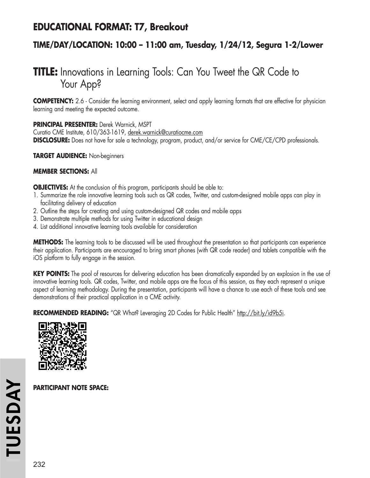## **EDUCATIONAL FORMAT: T7, Breakout**

## **TIME/DAY/LOCATION: 10:00 – 11:00 am, Tuesday, 1/24/12, Segura 1-2/Lower**

# **TITLE:** Innovations in Learning Tools: Can You Tweet the QR Code to Your App?

**COMPETENCY:** 2.6 - Consider the learning environment, select and apply learning formats that are effective for physician learning and meeting the expected outcome.

### **PRINCIPAL PRESENTER:** Derek Warnick, MSPT

Curatio CME Institute, 610/363-1619, derek.warnick@curatiocme.com **DISCLOSURE:** Does not have for sale a technology, program, product, and/or service for CME/CE/CPD professionals.

**TARGET AUDIENCE:** Non-beginners

### **MEMBER SECTIONS:** All

**OBJECTIVES:** At the conclusion of this program, participants should be able to:

- 1. Summarize the role innovative learning tools such as QR codes, Twitter, and custom-designed mobile apps can play in facilitating delivery of education
- 2. Outline the steps for creating and using custom-designed QR codes and mobile apps
- 3. Demonstrate multiple methods for using Twitter in educational design
- 4. List additional innovative learning tools available for consideration

**METHODS:** The learning tools to be discussed will be used throughout the presentation so that participants can experience their application. Participants are encouraged to bring smart phones (with QR code reader) and tablets compatible with the iOS platform to fully engage in the session.

**KEY POINTS:** The pool of resources for delivering education has been dramatically expanded by an explosion in the use of innovative learning tools. QR codes, Twitter, and mobile apps are the focus of this session, as they each represent a unique aspect of learning methodology. During the presentation, participants will have a chance to use each of these tools and see demonstrations of their practical application in a CME activity.

**RECOMMENDED READING:** "QR What? Leveraging 2D Codes for Public Health" http://bit.ly/id9b5i.

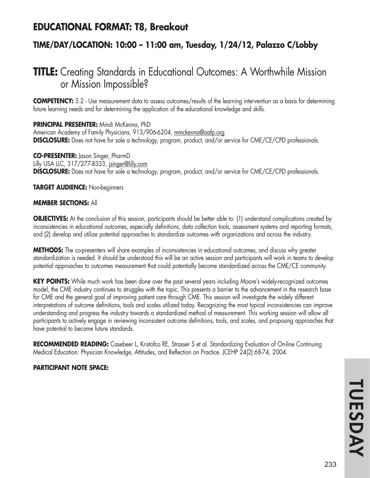## **EDUCATIONAL FORMAT: T8, Breakout**

## **TIME/DAY/LOCATION: 10:00 – 11:00 am, Tuesday, 1/24/12, Palazzo C/Lobby**

# **TITLE:** Creating Standards in Educational Outcomes: A Worthwhile Mission or Mission Impossible?

**COMPETENCY:** 3.2 - Use measurement data to assess outcomes/results of the learning intervention as a basis for determining future learning needs and for determining the application of the educational knowledge and skills.

#### **PRINCIPAL PRESENTER:** Mindi McKenna, PhD

American Academy of Family Physicians, 913/906-6204, mmckenna@aafp.org **DISCLOSURE:** Does not have for sale a technology, program, product, and/or service for CME/CE/CPD professionals.

#### **CO-PRESENTER:** Jason Singer, PharmD

Lilly USA LLC, 317/277-8333, jsinger@lilly.com **DISCLOSURE:** Does not have for sale a technology, program, product, and/or service for CME/CE/CPD professionals.

#### **TARGET AUDIENCE:** Non-beginners

#### **MEMBER SECTIONS:** All

**OBJECTIVES:** At the conclusion of this session, participants should be better able to: (1) understand complications created by inconsistencies in educational outcomes, especially definitions, data collection tools, assessment systems and reporting formats, and (2) develop and utilize potential approaches to standardize outcomes with organizations and across the industry.

**METHODS:** The co-presenters will share examples of inconsistencies in educational outcomes, and discuss why greater standardization is needed. It should be understood this will be an active session and participants will work in teams to develop potential approaches to outcomes measurement that could potentially become standardized across the CME/CE community.

**KEY POINTS:** While much work has been done over the past several years including Moore's widely-recognized outcomes model, the CME industry continues to struggles with the topic. This presents a barrier to the advancement in the research base for CME and the general goal of improving patient care through CME. This session will investigate the widely different interpretations of outcome definitions, tools and scales utilized today. Recognizing the most typical inconsistencies can improve understanding and progress the industry towards a standardized method of measurement. This working session will allow all participants to actively engage in reviewing inconsistent outcome definitions, tools, and scales, and proposing approaches that have potential to become future standards.

**RECOMMENDED READING:** Casebeer L, Kristofco RE, Strasser S et al. Standardizing Evaluation of On-line Continuing Medical Education: Physician Knowledge, Attitudes, and Reflection on Practice. JCEHP 24(2):68-74, 2004.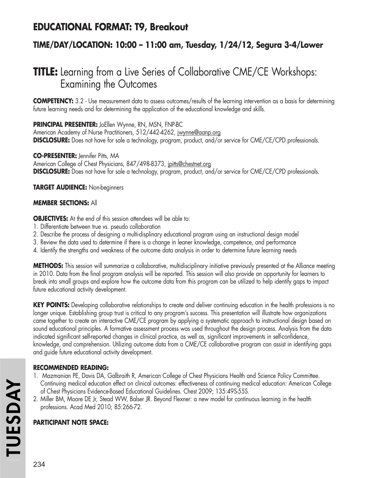## **EDUCATIONAL FORMAT: T9, Breakout**

## **TIME/DAY/LOCATION: 10:00 – 11:00 am, Tuesday, 1/24/12, Segura 3-4/Lower**

# **TITLE:** Learning from a Live Series of Collaborative CME/CE Workshops: Examining the Outcomes

**COMPETENCY:** 3.2 - Use measurement data to assess outcomes/results of the learning intervention as a basis for determining future learning needs and for determining the application of the educational knowledge and skills.

**PRINCIPAL PRESENTER:** JoEllen Wynne, RN, MSN, FNP-BC

American Academy of Nurse Practitioners, 512/442-4262, jwynne@aanp.org **DISCLOSURE:** Does not have for sale a technology, program, product, and/or service for CME/CE/CPD professionals.

### **CO-PRESENTER:** Jennifer Pitts, MA

American College of Chest Physicians, 847/498-8373, jpitts@chestnet.org **DISCLOSURE:** Does not have for sale a technology, program, product, and/or service for CME/CE/CPD professionals.

### **TARGET AUDIENCE:** Non-beginners

## **MEMBER SECTIONS:** All

**OBJECTIVES:** At the end of this session attendees will be able to:

- 1. Differentiate between true vs. pseudo collaboration
- 2. Describe the process of designing a multi-displinary educational program using an instructional design model
- 3. Review the data used to determine if there is a change in leaner knowledge, competence, and performance
- 4. Identify the strengths and weakness of the outcome data analysis in order to determine future learning needs

**METHODS:** This session will summarize a collaborative, multidisciplinary initiative previously presented at the Alliance meeting in 2010. Data from the final program analysis will be reported. This session will also provide an opportunity for learners to break into small groups and explore how the outcome data from this program can be utilized to help identify gaps to impact future educational activity development.

**KEY POINTS:** Developing collaborative relationships to create and deliver continuing education in the health professions is no longer unique. Establishing group trust is critical to any program's success. This presentation will illustrate how organizations came together to create an interactive CME/CE program by applying a systematic approach to instructional design based on sound educational principles. A formative assessment process was used throughout the design process. Analysis from the data indicated significant self-reported changes in clinical practice, as well as, significant improvements in self-confidence, knowledge, and comprehension. Utilizing outcome data from a CME/CE collaborative program can assist in identifying gaps and guide future educational activity development.

## **RECOMMENDED READING:**

- 1. Mazmanian PE, Davis DA, Galbraith R, American College of Chest Physicians Health and Science Policy Committee. Continuing medical education effect on clinical outcomes: effectiveness of continuing medical education: American College of Chest Physicians Evidence-Based Educational Guidelines. Chest 2009; 135:49S-55S.
- 2. Miller BM, Moore DE Jr, Stead WW, Balser JR. Beyond Flexner: a new model for continuous learning in the health professions. Acad Med 2010; 85:266-72.

## **PARTICIPANT NOTE SPACE:**

**ITUESDAY**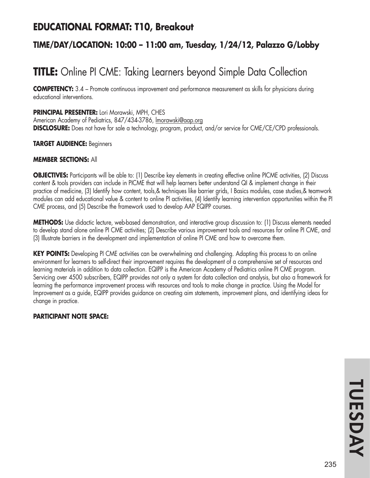## **EDUCATIONAL FORMAT: T10, Breakout**

## **TIME/DAY/LOCATION: 10:00 – 11:00 am, Tuesday, 1/24/12, Palazzo G/Lobby**

# **TITLE:** Online PI CME: Taking Learners beyond Simple Data Collection

**COMPETENCY:** 3.4 – Promote continuous improvement and performance measurement as skills for physicians during educational interventions.

**PRINCIPAL PRESENTER:** Lori Morawski, MPH, CHES American Academy of Pediatrics, 847/434-3786, lmorawski@aap.org **DISCLOSURE:** Does not have for sale a technology, program, product, and/or service for CME/CE/CPD professionals.

#### **TARGET AUDIENCE:** Beginners

#### **MEMBER SECTIONS:** All

**OBJECTIVES:** Participants will be able to: (1) Describe key elements in creating effective online PICME activities, (2) Discuss content & tools providers can include in PICME that will help learners better understand QI & implement change in their practice of medicine, (3) Identify how content, tools,& techniques like barrier grids, I Basics modules, case studies,& teamwork modules can add educational value & content to online PI activities, (4) Identify learning intervention opportunities within the PI CME process, and (5) Describe the framework used to develop AAP EQIPP courses.

**METHODS:** Use didactic lecture, web-based demonstration, and interactive group discussion to: (1) Discuss elements needed to develop stand alone online PI CME activities; (2) Describe various improvement tools and resources for online PI CME, and (3) Illustrate barriers in the development and implementation of online PI CME and how to overcome them.

**KEY POINTS:** Developing PI CME activities can be overwhelming and challenging. Adapting this process to an online environment for learners to self-direct their improvement requires the development of a comprehensive set of resources and learning materials in addition to data collection. EQIPP is the American Academy of Pediatrics online PI CME program. Servicing over 4500 subscribers, EQIPP provides not only a system for data collection and analysis, but also a framework for learning the performance improvement process with resources and tools to make change in practice. Using the Model for Improvement as a guide, EQIPP provides guidance on creating aim statements, improvement plans, and identifying ideas for change in practice.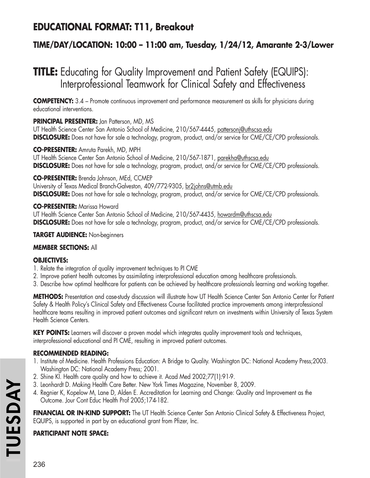# **EDUCATIONAL FORMAT: T11, Breakout**

## **TIME/DAY/LOCATION: 10:00 – 11:00 am, Tuesday, 1/24/12, Amarante 2-3/Lower**

# **TITLE:** Educating for Quality Improvement and Patient Safety (EQUIPS): Interprofessional Teamwork for Clinical Safety and Effectiveness

**COMPETENCY:** 3.4 – Promote continuous improvement and performance measurement as skills for physicians during educational interventions.

## **PRINCIPAL PRESENTER:** Jan Patterson, MD, MS

UT Health Science Center San Antonio School of Medicine, 210/567-4445, pattersonj@uthscsa.edu **DISCLOSURE:** Does not have for sale a technology, program, product, and/or service for CME/CE/CPD professionals.

### **CO-PRESENTER:** Amruta Parekh, MD, MPH

UT Health Science Center San Antonio School of Medicine, 210/567-1871, parekha@uthscsa.edu **DISCLOSURE:** Does not have for sale a technology, program, product, and/or service for CME/CE/CPD professionals.

### **CO-PRESENTER:** Brenda Johnson, MEd, CCMEP

University of Texas Medical Branch-Galveston, 409/772-9305, br2johns@utmb.edu **DISCLOSURE:** Does not have for sale a technology, program, product, and/or service for CME/CE/CPD professionals.

### **CO-PRESENTER:** Marissa Howard

UT Health Science Center San Antonio School of Medicine, 210/567-4435, howardm@uthscsa.edu **DISCLOSURE:** Does not have for sale a technology, program, product, and/or service for CME/CE/CPD professionals.

### **TARGET AUDIENCE:** Non-beginners

### **MEMBER SECTIONS:** All

## **OBJECTIVES:**

- 1. Relate the integration of quality improvement techniques to PI CME
- 2. Improve patient health outcomes by assimilating interprofessional education among healthcare professionals.
- 3. Describe how optimal healthcare for patients can be achieved by healthcare professionals learning and working together.

**METHODS:** Presentation and case-study discussion will illustrate how UT Health Science Center San Antonio Center for Patient Safety & Health Policy's Clinical Safety and Effectiveness Course facilitated practice improvements among interprofessional healthcare teams resulting in improved patient outcomes and significant return on investments within University of Texas System Health Science Centers.

**KEY POINTS:** Learners will discover a proven model which integrates quality improvement tools and techniques, interprofessional educational and PI CME, resulting in improved patient outcomes.

## **RECOMMENDED READING:**

- 1. Institute of Medicine. Health Professions Education: A Bridge to Quality. Washington DC: National Academy Press;2003. Washington DC: National Academy Press; 2001.
- 2. Shine KI. Health care quality and how to achieve it. Acad Med 2002;77(1):91-9.
- 3. Leonhardt D. Making Health Care Better. New York Times Magazine, November 8, 2009.
- 4. Regnier K, Kopelow M, Lane D, Alden E. Accreditation for Learning and Change: Quality and Improvement as the Outcome. Jour Cont Educ Health Prof 2005;174-182.

**FINANCIAL OR IN-KIND SUPPORT:** The UT Health Science Center San Antonio Clinical Safety & Effectiveness Project, EQUIPS, is supported in part by an educational grant from Pfizer, Inc.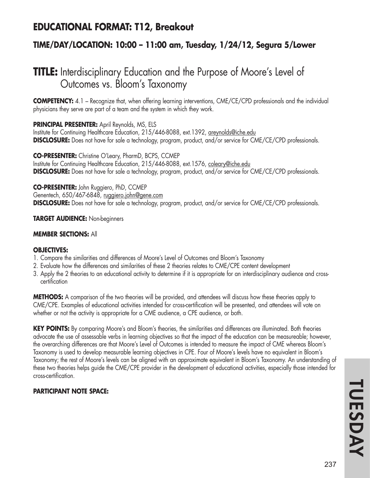## **EDUCATIONAL FORMAT: T12, Breakout**

## **TIME/DAY/LOCATION: 10:00 – 11:00 am, Tuesday, 1/24/12, Segura 5/Lower**

# **TITLE:** Interdisciplinary Education and the Purpose of Moore's Level of Outcomes vs. Bloom's Taxonomy

**COMPETENCY:** 4.1 – Recognize that, when offering learning interventions, CME/CE/CPD professionals and the individual physicians they serve are part of a team and the system in which they work.

**PRINCIPAL PRESENTER:** April Reynolds, MS, ELS

Institute for Continuing Healthcare Education, 215/446-8088, ext.1392, areynolds@iche.edu **DISCLOSURE:** Does not have for sale a technology, program, product, and/or service for CME/CE/CPD professionals.

**CO-PRESENTER:** Christine O'Leary, PharmD, BCPS, CCMEP Institute for Continuing Healthcare Education, 215/446-8088, ext.1576, coleary@iche.edu **DISCLOSURE:** Does not have for sale a technology, program, product, and/or service for CME/CE/CPD professionals.

**CO-PRESENTER:** John Ruggiero, PhD, CCMEP Genentech, 650/467-6848, ruggiero.john@gene.com **DISCLOSURE:** Does not have for sale a technology, program, product, and/or service for CME/CE/CPD professionals.

**TARGET AUDIENCE:** Non-beginners

## **MEMBER SECTIONS:** All

### **OBJECTIVES:**

- 1. Compare the similarities and differences of Moore's Level of Outcomes and Bloom's Taxonomy
- 2. Evaluate how the differences and similarities of these 2 theories relates to CME/CPE content development
- 3. Apply the 2 theories to an educational activity to determine if it is appropriate for an interdisciplinary audience and crosscertification

**METHODS:** A comparison of the two theories will be provided, and attendees will discuss how these theories apply to CME/CPE. Examples of educational activities intended for cross-certification will be presented, and attendees will vote on whether or not the activity is appropriate for a CME audience, a CPE audience, or both.

**KEY POINTS:** By comparing Moore's and Bloom's theories, the similarities and differences are illuminated. Both theories advocate the use of assessable verbs in learning objectives so that the impact of the education can be measureable; however, the overarching differences are that Moore's Level of Outcomes is intended to measure the impact of CME whereas Bloom's Taxonomy is used to develop measurable learning objectives in CPE. Four of Moore's levels have no equivalent in Bloom's Taxonomy; the rest of Moore's levels can be aligned with an approximate equivalent in Bloom's Taxonomy. An understanding of these two theories helps guide the CME/CPE provider in the development of educational activities, especially those intended for cross-certification.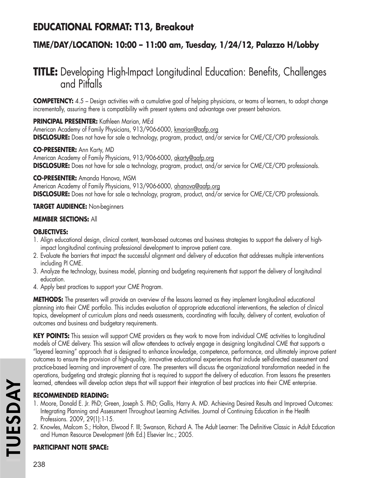# **EDUCATIONAL FORMAT: T13, Breakout**

## **TIME/DAY/LOCATION: 10:00 – 11:00 am, Tuesday, 1/24/12, Palazzo H/Lobby**

# **TITLE:** Developing High-Impact Longitudinal Education: Benefits, Challenges and Pitfalls

**COMPETENCY:** 4.5 – Design activities with a cumulative goal of helping physicians, or teams of learners, to adopt change incrementally, assuring there is compatibility with present systems and advantage over present behaviors.

**PRINCIPAL PRESENTER:** Kathleen Marian, MEd

American Academy of Family Physicians, 913/906-6000, kmarian@aafp.org **DISCLOSURE:** Does not have for sale a technology, program, product, and/or service for CME/CE/CPD professionals.

**CO-PRESENTER:** Ann Karty, MD

American Academy of Family Physicians, 913/906-6000, akarty@aafp.org **DISCLOSURE:** Does not have for sale a technology, program, product, and/or service for CME/CE/CPD professionals.

## **CO-PRESENTER:** Amanda Hanova, MSM

American Academy of Family Physicians, 913/906-6000, ahanova@aafp.org **DISCLOSURE:** Does not have for sale a technology, program, product, and/or service for CME/CE/CPD professionals.

## **TARGET AUDIENCE:** Non-beginners

## **MEMBER SECTIONS:** All

### **OBJECTIVES:**

- 1. Align educational design, clinical content, team-based outcomes and business strategies to support the delivery of highimpact longitudinal continuing professional development to improve patient care.
- 2. Evaluate the barriers that impact the successful alignment and delivery of education that addresses multiple interventions including PI CME.
- 3. Analyze the technology, business model, planning and budgeting requirements that support the delivery of longitudinal education.
- 4. Apply best practices to support your CME Program.

**METHODS:** The presenters will provide an overview of the lessons learned as they implement longitudinal educational planning into their CME portfolio. This includes evaluation of appropriate educational interventions, the selection of clinical topics, development of curriculum plans and needs assessments, coordinating with faculty, delivery of content, evaluation of outcomes and business and budgetary requirements.

**KEY POINTS:** This session will support CME providers as they work to move from individual CME activities to longitudinal models of CME delivery. This session will allow attendees to actively engage in designing longitudinal CME that supports a "layered learning" approach that is designed to enhance knowledge, competence, performance, and ultimately improve patient outcomes to ensure the provision of high-quality, innovative educational experiences that include self-directed assessment and practice-based learning and improvement of care. The presenters will discuss the organizational transformation needed in the operations, budgeting and strategic planning that is required to support the delivery of education. From lessons the presenters learned, attendees will develop action steps that will support their integration of best practices into their CME enterprise.

## **RECOMMENDED READING:**

- 1. Moore, Donald E. Jr. PhD; Green, Joseph S. PhD; Gallis, Harry A. MD. Achieving Desired Results and Improved Outcomes: Integrating Planning and Assessment Throughout Learning Activities. Journal of Continuing Education in the Health Professions. 2009, 29(1):1-15.
- 2. Knowles, Malcom S.; Holton, Elwood F. III; Swanson, Richard A. The Adult Learner: The Definitive Classic in Adult Education and Human Resource Development (6th Ed.) Elsevier Inc.; 2005.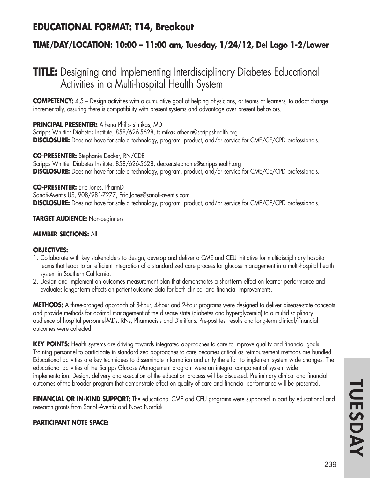## **EDUCATIONAL FORMAT: T14, Breakout**

## **TIME/DAY/LOCATION: 10:00 – 11:00 am, Tuesday, 1/24/12, Del Lago 1-2/Lower**

# **TITLE:** Designing and Implementing Interdisciplinary Diabetes Educational Activities in a Multi-hospital Health System

**COMPETENCY:** 4.5 – Design activities with a cumulative goal of helping physicians, or teams of learners, to adopt change incrementally, assuring there is compatibility with present systems and advantage over present behaviors.

**PRINCIPAL PRESENTER:** Athena Philis-Tsimikas, MD

Scripps Whittier Diabetes Institute, 858/626-5628, tsimikas.athena@scrippshealth.org **DISCLOSURE:** Does not have for sale a technology, program, product, and/or service for CME/CE/CPD professionals.

**CO-PRESENTER:** Stephanie Decker, RN/CDE Scripps Whittier Diabetes Institute, 858/626-5628, decker.stephanie@scrippshealth.org **DISCLOSURE:** Does not have for sale a technology, program, product, and/or service for CME/CE/CPD professionals.

**CO-PRESENTER:** Eric Jones, PharmD Sanofi-Aventis US, 908/981-7277, Eric.Jones@sanofi-aventis.com **DISCLOSURE:** Does not have for sale a technology, program, product, and/or service for CME/CE/CPD professionals.

**TARGET AUDIENCE:** Non-beginners

### **MEMBER SECTIONS:** All

### **OBJECTIVES:**

- 1. Collaborate with key stakeholders to design, develop and deliver a CME and CEU initiative for multidisciplinary hospital teams that leads to an efficient integration of a standardized care process for glucose management in a multi-hospital health system in Southern California.
- 2. Design and implement an outcomes measurement plan that demonstrates a short-term effect on learner performance and evaluates longer-term effects on patient-outcome data for both clinical and financial improvements.

**METHODS:** A three-pronged approach of 8-hour, 4-hour and 2-hour programs were designed to deliver disease-state concepts and provide methods for optimal management of the disease state (diabetes and hyperglycemia) to a multidisciplinary audience of hospital personnel-MDs, RNs, Pharmacists and Dietitians. Pre-post test results and long-term clinical/financial outcomes were collected.

KEY POINTS: Health systems are driving towards integrated approaches to care to improve quality and financial goals. Training personnel to participate in standardized approaches to care becomes critical as reimbursement methods are bundled. Educational activities are key techniques to disseminate information and unify the effort to implement system wide changes. The educational activities of the Scripps Glucose Management program were an integral component of system wide implementation. Design, delivery and execution of the education process will be discussed. Preliminary clinical and financial outcomes of the broader program that demonstrate effect on quality of care and financial performance will be presented.

**FINANCIAL OR IN-KIND SUPPORT:** The educational CME and CEU programs were supported in part by educational and research grants from Sanofi-Aventis and Novo Nordisk.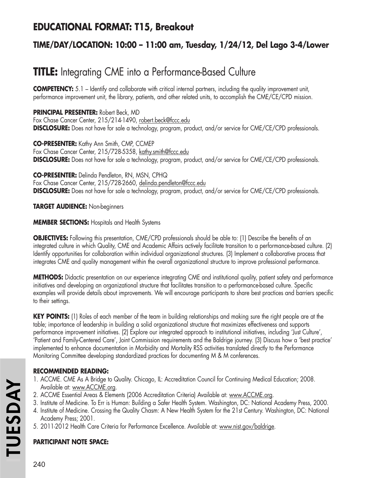# **EDUCATIONAL FORMAT: T15, Breakout**

## **TIME/DAY/LOCATION: 10:00 – 11:00 am, Tuesday, 1/24/12, Del Lago 3-4/Lower**

# **TITLE:** Integrating CME into a Performance-Based Culture

**COMPETENCY:** 5.1 – Identify and collaborate with critical internal partners, including the quality improvement unit, performance improvement unit, the library, patients, and other related units, to accomplish the CME/CE/CPD mission.

**PRINCIPAL PRESENTER:** Robert Beck, MD Fox Chase Cancer Center, 215/214-1490, robert.beck@fccc.edu **DISCLOSURE:** Does not have for sale a technology, program, product, and/or service for CME/CE/CPD professionals.

**CO-PRESENTER:** Kathy Ann Smith, CMP, CCMEP Fox Chase Cancer Center, 215/728-5358, kathy.smith@fccc.edu **DISCLOSURE:** Does not have for sale a technology, program, product, and/or service for CME/CE/CPD professionals.

**CO-PRESENTER:** Delinda Pendleton, RN, MSN, CPHQ Fox Chase Cancer Center, 215/728-2660, delinda.pendleton@fccc.edu **DISCLOSURE:** Does not have for sale a technology, program, product, and/or service for CME/CE/CPD professionals.

**TARGET AUDIENCE:** Non-beginners

**MEMBER SECTIONS:** Hospitals and Health Systems

**OBJECTIVES:** Following this presentation, CME/CPD professionals should be able to: (1) Describe the benefits of an integrated culture in which Quality, CME and Academic Affairs actively facilitate transition to a performance-based culture. (2) Identify opportunities for collaboration within individual organizational structures. (3) Implement a collaborative process that integrates CME and quality management within the overall organizational structure to improve professional performance.

**METHODS:** Didactic presentation on our experience integrating CME and institutional quality, patient safety and performance initiatives and developing an organizational structure that facilitates transition to a performance-based culture. Specific examples will provide details about improvements. We will encourage participants to share best practices and barriers specific to their settings.

**KEY POINTS:** (1) Roles of each member of the team in building relationships and making sure the right people are at the table; importance of leadership in building a solid organizational structure that maximizes effectiveness and supports performance improvement initiatives. (2) Explore our integrated approach to institutional initiatives, including 'Just Culture', 'Patient and Family-Centered Care', Joint Commission requirements and the Baldrige journey. (3) Discuss how a 'best practice' implemented to enhance documentation in Morbidity and Mortality RSS activities translated directly to the Performance Monitoring Committee developing standardized practices for documenting M & M conferences.

## **RECOMMENDED READING:**

- 1. ACCME. CME As A Bridge to Quality. Chicago, IL: Accreditation Council for Continuing Medical Education; 2008. Available at: www.ACCME.org.
- 2. ACCME Essential Areas & Elements (2006 Accreditation Criteria) Available at: www.ACCME.org.
- 3. Institute of Medicine. To Err is Human: Building a Safer Health System. Washington, DC: National Academy Press, 2000.
- 4. Institute of Medicine. Crossing the Quality Chasm: A New Health System for the 21st Century. Washington, DC: National Academy Press; 2001.
- 5. 2011-2012 Health Care Criteria for Performance Excellence. Available at: www.nist.gov/baldrige.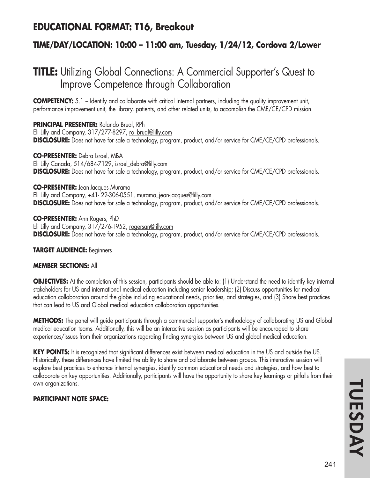## **EDUCATIONAL FORMAT: T16, Breakout**

## **TIME/DAY/LOCATION: 10:00 – 11:00 am, Tuesday, 1/24/12, Cordova 2/Lower**

# **TITLE:** Utilizing Global Connections: A Commercial Supporter's Quest to Improve Competence through Collaboration

**COMPETENCY:** 5.1 – Identify and collaborate with critical internal partners, including the quality improvement unit, performance improvement unit, the library, patients, and other related units, to accomplish the CME/CE/CPD mission.

**PRINCIPAL PRESENTER:** Rolando Brual, RPh Eli Lilly and Company, 317/277-8297, ro\_brual@lilly.com **DISCLOSURE:** Does not have for sale a technology, program, product, and/or service for CME/CE/CPD professionals.

**CO-PRESENTER:** Debra Israel, MBA Eli Lilly Canada, 514/684-7129, israel\_debra@lilly.com **DISCLOSURE:** Does not have for sale a technology, program, product, and/or service for CME/CE/CPD professionals.

**CO-PRESENTER:** Jean-Jacques Murama Eli Lilly and Company, +41- 22-306-0551, murama jean-jacques@lilly.com **DISCLOSURE:** Does not have for sale a technology, program, product, and/or service for CME/CE/CPD professionals.

**CO-PRESENTER:** Ann Rogers, PhD Eli Lilly and Company, 317/276-1952, rogersan@lilly.com **DISCLOSURE:** Does not have for sale a technology, program, product, and/or service for CME/CE/CPD professionals.

**TARGET AUDIENCE:** Beginners

### **MEMBER SECTIONS:** All

**OBJECTIVES:** At the completion of this session, participants should be able to: (1) Understand the need to identify key internal stakeholders for US and international medical education including senior leadership; (2) Discuss opportunities for medical education collaboration around the globe including educational needs, priorities, and strategies, and (3) Share best practices that can lead to US and Global medical education collaboration opportunities.

**METHODS:** The panel will guide participants through a commercial supporter's methodology of collaborating US and Global medical education teams. Additionally, this will be an interactive session as participants will be encouraged to share experiences/issues from their organizations regarding finding synergies between US and global medical education.

**KEY POINTS:** It is recognized that significant differences exist between medical education in the US and outside the US. Historically, these differences have limited the ability to share and collaborate between groups. This interactive session will explore best practices to enhance internal synergies, identify common educational needs and strategies, and how best to collaborate on key opportunities. Additionally, participants will have the opportunity to share key learnings or pitfalls from their own organizations.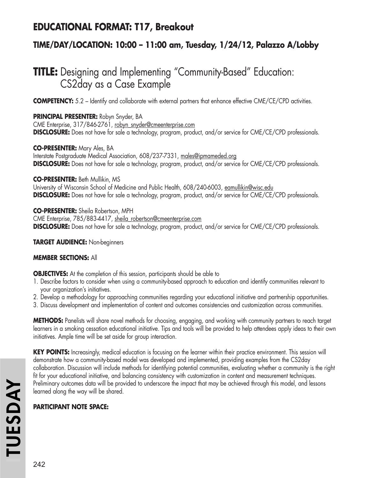## **EDUCATIONAL FORMAT: T17, Breakout**

## **TIME/DAY/LOCATION: 10:00 – 11:00 am, Tuesday, 1/24/12, Palazzo A/Lobby**

# **TITLE:** Designing and Implementing "Community-Based" Education: CS2day as a Case Example

**COMPETENCY:** 5.2 – Identify and collaborate with external partners that enhance effective CME/CE/CPD activities.

**PRINCIPAL PRESENTER:** Robyn Snyder, BA CME Enterprise, 317/846-2761, robyn\_snyder@cmeenterprise.com **DISCLOSURE:** Does not have for sale a technology, program, product, and/or service for CME/CE/CPD professionals.

**CO-PRESENTER:** Mary Ales, BA Interstate Postgraduate Medical Association, 608/237-7331, males@ipmameded.org **DISCLOSURE:** Does not have for sale a technology, program, product, and/or service for CME/CE/CPD professionals.

**CO-PRESENTER:** Beth Mullikin, MS University of Wisconsin School of Medicine and Public Health, 608/240-6003, eamullikin@wisc.edu **DISCLOSURE:** Does not have for sale a technology, program, product, and/or service for CME/CE/CPD professionals.

**CO-PRESENTER:** Sheila Robertson, MPH CME Enterprise, 785/883-4417, sheila\_robertson@cmeenterprise.com **DISCLOSURE:** Does not have for sale a technology, program, product, and/or service for CME/CE/CPD professionals.

**TARGET AUDIENCE:** Non-beginners

## **MEMBER SECTIONS:** All

**OBJECTIVES:** At the completion of this session, participants should be able to

- 1. Describe factors to consider when using a community-based approach to education and identify communities relevant to your organization's initiatives.
- 2. Develop a methodology for approaching communities regarding your educational initiative and partnership opportunities.
- 3. Discuss development and implementation of content and outcomes consistencies and customization across communities.

**METHODS:** Panelists will share novel methods for choosing, engaging, and working with community partners to reach target learners in a smoking cessation educational initiative. Tips and tools will be provided to help attendees apply ideas to their own initiatives. Ample time will be set aside for group interaction.

**KEY POINTS:** Increasingly, medical education is focusing on the learner within their practice environment. This session will demonstrate how a community-based model was developed and implemented, providing examples from the CS2day collaboration. Discussion will include methods for identifying potential communities, evaluating whether a community is the right fit for your educational initiative, and balancing consistency with customization in content and measurement techniques. Preliminary outcomes data will be provided to underscore the impact that may be achieved through this model, and lessons learned along the way will be shared.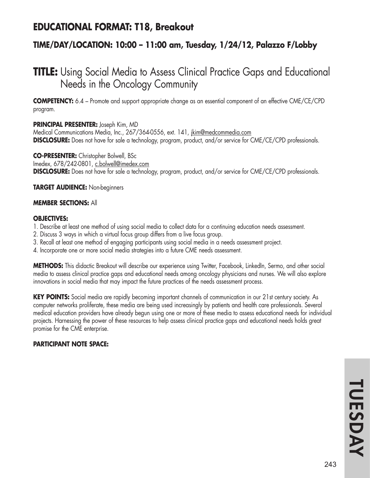## **EDUCATIONAL FORMAT: T18, Breakout**

## **TIME/DAY/LOCATION: 10:00 – 11:00 am, Tuesday, 1/24/12, Palazzo F/Lobby**

# **TITLE:** Using Social Media to Assess Clinical Practice Gaps and Educational Needs in the Oncology Community

**COMPETENCY:** 6.4 – Promote and support appropriate change as an essential component of an effective CME/CE/CPD program.

### **PRINCIPAL PRESENTER:** Joseph Kim, MD

Medical Communications Media, Inc., 267/364-0556, ext. 141, *jkim@medcommedia.com* **DISCLOSURE:** Does not have for sale a technology, program, product, and/or service for CME/CE/CPD professionals.

**CO-PRESENTER:** Christopher Bolwell, BSc Imedex, 678/242-0801, c.bolwell@imedex.com **DISCLOSURE:** Does not have for sale a technology, program, product, and/or service for CME/CE/CPD professionals.

**TARGET AUDIENCE:** Non-beginners

#### **MEMBER SECTIONS:** All

#### **OBJECTIVES:**

- 1. Describe at least one method of using social media to collect data for a continuing education needs assessment.
- 2. Discuss 3 ways in which a virtual focus group differs from a live focus group.
- 3. Recall at least one method of engaging participants using social media in a needs assessment project.
- 4. Incorporate one or more social media strategies into a future CME needs assessment.

**METHODS:** This didactic Breakout will describe our experience using Twitter, Facebook, LinkedIn, Sermo, and other social media to assess clinical practice gaps and educational needs among oncology physicians and nurses. We will also explore innovations in social media that may impact the future practices of the needs assessment process.

**KEY POINTS:** Social media are rapidly becoming important channels of communication in our 21st century society. As computer networks proliferate, these media are being used increasingly by patients and health care professionals. Several medical education providers have already begun using one or more of these media to assess educational needs for individual projects. Harnessing the power of these resources to help assess clinical practice gaps and educational needs holds great promise for the CME enterprise.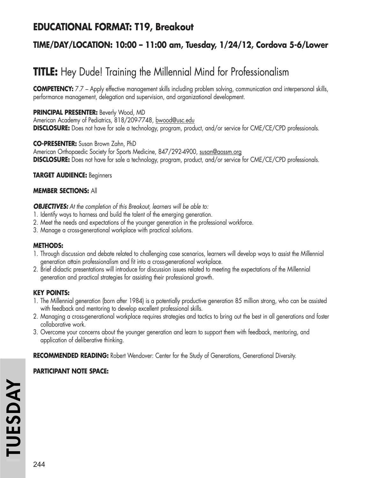## **EDUCATIONAL FORMAT: T19, Breakout**

## **TIME/DAY/LOCATION: 10:00 – 11:00 am, Tuesday, 1/24/12, Cordova 5-6/Lower**

# **TITLE:** Hey Dude! Training the Millennial Mind for Professionalism

**COMPETENCY:** 7.7 – Apply effective management skills including problem solving, communication and interpersonal skills, performance management, delegation and supervision, and organizational development.

### **PRINCIPAL PRESENTER:** Beverly Wood, MD

American Academy of Pediatrics, 818/209-7748, bwood@usc.edu **DISCLOSURE:** Does not have for sale a technology, program, product, and/or service for CME/CE/CPD professionals.

#### **CO-PRESENTER:** Susan Brown Zahn, PhD

American Orthopaedic Society for Sports Medicine, 847/292-4900, susan@aossm.org **DISCLOSURE:** Does not have for sale a technology, program, product, and/or service for CME/CE/CPD professionals.

### **TARGET AUDIENCE:** Beginners

#### **MEMBER SECTIONS:** All

*OBJECTIVES: At the completion of this Breakout, learners will be able to:*

- 1. Identify ways to harness and build the talent of the emerging generation.
- 2. Meet the needs and expectations of the younger generation in the professional workforce.
- 3. Manage a cross-generational workplace with practical solutions.

### **METHODS:**

- 1. Through discussion and debate related to challenging case scenarios, learners will develop ways to assist the Millennial generation attain professionalism and fit into a cross-generational workplace.
- 2. Brief didactic presentations will introduce for discussion issues related to meeting the expectations of the Millennial generation and practical strategies for assisting their professional growth.

### **KEY POINTS:**

- 1. The Millennial generation (born after 1984) is a potentially productive generation 85 million strong, who can be assisted with feedback and mentoring to develop excellent professional skills.
- 2. Managing a cross-generational workplace requires strategies and tactics to bring out the best in all generations and foster collaborative work.
- 3. Overcome your concerns about the younger generation and learn to support them with feedback, mentoring, and application of deliberative thinking.

**RECOMMENDED READING:** Robert Wendover: Center for the Study of Generations, Generational Diversity.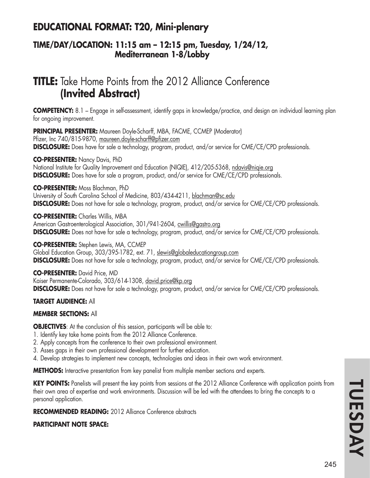# **EDUCATIONAL FORMAT: T20, Mini-plenary**

### **TIME/DAY/LOCATION: 11:15 am – 12:15 pm, Tuesday, 1/24/12, Mediterranean 1-8/Lobby**

# **TITLE:** Take Home Points from the 2012 Alliance Conference **(Invited Abstract)**

**COMPETENCY:** 8.1 – Engage in self-assessment, identify gaps in knowledge/practice, and design an individual learning plan for ongoing improvement.

**PRINCIPAL PRESENTER:** Maureen Doyle-Scharff, MBA, FACME, CCMEP (Moderator) Pfizer, Inc 740/815-9870, maureen.doyle-scharff@pfizer.com **DISCLOSURE:** Does have for sale a technology, program, product, and/or service for CME/CE/CPD professionals.

**CO-PRESENTER:** Nancy Davis, PhD National Institute for Quality Improvement and Education (NIQIE), 412/205-5368, ndavis@niqie.org **DISCLOSURE:** Does have for sale a program, product, and/or service for CME/CE/CPD professionals.

**CO-PRESENTER:** Moss Blachman, PhD

University of South Carolina School of Medicine, 803/434-4211, blachman@sc.edu **DISCLOSURE:** Does not have for sale a technology, program, product, and/or service for CME/CE/CPD professionals.

**CO-PRESENTER:** Charles Willis, MBA American Gastroenterological Association, 301/941-2604, cwillis@gastro.org **DISCLOSURE:** Does not have for sale a technology, program, product, and/or service for CME/CE/CPD professionals.

**CO-PRESENTER:** Stephen Lewis, MA, CCMEP Global Education Group, 303/395-1782, ext. 71, slewis@globaleducationgroup.com **DISCLOSURE:** Does not have for sale a technology, program, product, and/or service for CME/CE/CPD professionals.

**CO-PRESENTER:** David Price, MD Kaiser Permanente-Colorado, 303/614-1308, david.price@kp.org **DISCLOSURE:** Does not have for sale a technology, program, product, and/or service for CME/CE/CPD professionals.

#### **TARGET AUDIENCE:** All

#### **MEMBER SECTIONS:** All

**OBJECTIVES:** At the conclusion of this session, participants will be able to:

- 1. Identify key take home points from the 2012 Alliance Conference.
- 2. Apply concepts from the conference to their own professional environment.
- 3. Asses gaps in their own professional development for further education.
- 4. Develop strategies to implement new concepts, technologies and ideas in their own work environment.

**METHODS:** Interactive presentation from key panelist from multiple member sections and experts.

**KEY POINTS:** Panelists will present the key points from sessions at the 2012 Alliance Conference with application points from their own area of expertise and work environments. Discussion will be led with the attendees to bring the concepts to a personal application.

**RECOMMENDED READING:** 2012 Alliance Conference abstracts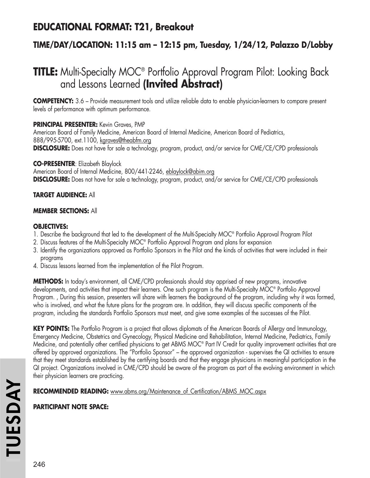# **EDUCATIONAL FORMAT: T21, Breakout**

## **TIME/DAY/LOCATION: 11:15 am – 12:15 pm, Tuesday, 1/24/12, Palazzo D/Lobby**

# **TITLE:** Multi-Specialty MOC® Portfolio Approval Program Pilot: Looking Back and Lessons Learned **(Invited Abstract)**

**COMPETENCY:** 3.6 – Provide measurement tools and utilize reliable data to enable physician-learners to compare present levels of performance with optimum performance.

#### **PRINCIPAL PRESENTER:** Kevin Graves, PMP

American Board of Family Medicine, American Board of Internal Medicine, American Board of Pediatrics, 888/995-5700, ext.1100, kgraves@theabfm.org **DISCLOSURE:** Does not have for sale a technology, program, product, and/or service for CME/CE/CPD professionals

#### **CO-PRESENTER**: Elizabeth Blaylock

American Board of Internal Medicine, 800/441-2246, eblaylock@abim.org **DISCLOSURE:** Does not have for sale a technology, program, product, and/or service for CME/CE/CPD professionals

#### **TARGET AUDIENCE:** All

#### **MEMBER SECTIONS:** All

#### **OBJECTIVES:**

- 1. Describe the background that led to the development of the Multi-Specialty MOC® Portfolio Approval Program Pilot
- 2. Discuss features of the Multi-Specialty MOC® Portfolio Approval Program and plans for expansion
- 3. Identify the organizations approved as Portfolio Sponsors in the Pilot and the kinds of activities that were included in their programs
- 4. Discuss lessons learned from the implementation of the Pilot Program.

**METHODS:** In today's environment, all CME/CPD professionals should stay apprised of new programs, innovative developments, and activities that impact their learners. One such program is the Multi-Specialty MOC® Portfolio Approval Program. , During this session, presenters will share with learners the background of the program, including why it was formed, who is involved, and what the future plans for the program are. In addition, they will discuss specific components of the program, including the standards Portfolio Sponsors must meet, and give some examples of the successes of the Pilot.

**KEY POINTS:** The Portfolio Program is a project that allows diplomats of the American Boards of Allergy and Immunology, Emergency Medicine, Obstetrics and Gynecology, Physical Medicine and Rehabilitation, Internal Medicine, Pediatrics, Family Medicine, and potentially other certified physicians to get ABMS MOC® Part IV Credit for quality improvement activities that are offered by approved organizations. The "Portfolio Sponsor" – the approved organization - supervises the QI activities to ensure that they meet standards established by the certifying boards and that they engage physicians in meaningful participation in the QI project. Organizations involved in CME/CPD should be aware of the program as part of the evolving environment in which their physician learners are practicing.

**RECOMMENDED READING:** www.abms.org/Maintenance\_of\_Certification/ABMS\_MOC.aspx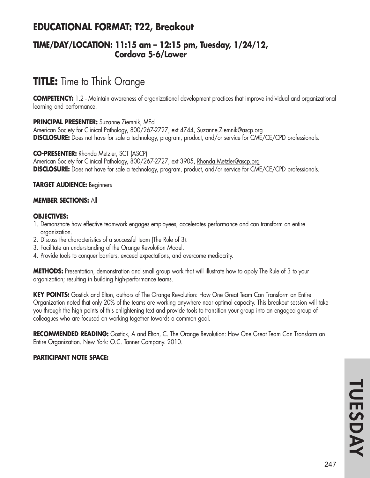# **EDUCATIONAL FORMAT: T22, Breakout**

### **TIME/DAY/LOCATION: 11:15 am – 12:15 pm, Tuesday, 1/24/12, Cordova 5-6/Lower**

# **TITLE:** Time to Think Orange

**COMPETENCY:** 1.2 - Maintain awareness of organizational development practices that improve individual and organizational learning and performance.

#### **PRINCIPAL PRESENTER:** Suzanne Ziemnik, MEd

American Society for Clinical Pathology, 800/267-2727, ext 4744, Suzanne.Ziemnik@ascp.org **DISCLOSURE:** Does not have for sale a technology, program, product, and/or service for CME/CE/CPD professionals.

#### **CO-PRESENTER:** Rhonda Metzler, SCT (ASCP)

American Society for Clinical Pathology, 800/267-2727, ext 3905, Rhonda.Metzler@ascp.org **DISCLOSURE:** Does not have for sale a technology, program, product, and/or service for CME/CE/CPD professionals.

#### **TARGET AUDIENCE:** Beginners

#### **MEMBER SECTIONS:** All

#### **OBJECTIVES:**

- 1. Demonstrate how effective teamwork engages employees, accelerates performance and can transform an entire organization.
- 2. Discuss the characteristics of a successful team (The Rule of 3).
- 3. Facilitate an understanding of the Orange Revolution Model.
- 4. Provide tools to conquer barriers, exceed expectations, and overcome mediocrity.

**METHODS:** Presentation, demonstration and small group work that will illustrate how to apply The Rule of 3 to your organization; resulting in building high-performance teams.

**KEY POINTS:** Gostick and Elton, authors of The Orange Revolution: How One Great Team Can Transform an Entire Organization noted that only 20% of the teams are working anywhere near optimal capacity. This breakout session will take you through the high points of this enlightening text and provide tools to transition your group into an engaged group of colleagues who are focused on working together towards a common goal.

RECOMMENDED READING: Gostick, A and Elton, C. The Orange Revolution: How One Great Team Can Transform an Entire Organization. New York: O.C. Tanner Company. 2010.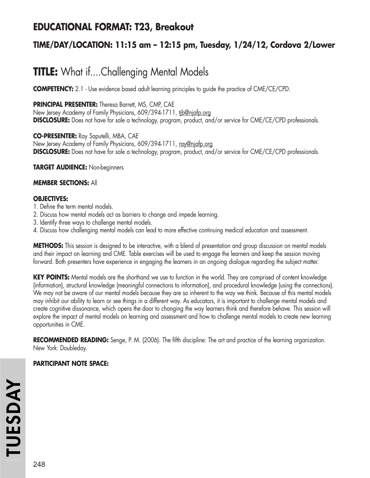# **EDUCATIONAL FORMAT: T23, Breakout**

## **TIME/DAY/LOCATION: 11:15 am – 12:15 pm, Tuesday, 1/24/12, Cordova 2/Lower**

# **TITLE:** What if....Challenging Mental Models

**COMPETENCY:** 2.1 - Use evidence based adult learning principles to guide the practice of CME/CE/CPD.

**PRINCIPAL PRESENTER:** Theresa Barrett, MS, CMP, CAE

New Jersey Academy of Family Physicians, 609/394-1711, tjb@njafp.org **DISCLOSURE:** Does not have for sale a technology, program, product, and/or service for CME/CE/CPD professionals.

**CO-PRESENTER:** Ray Saputelli, MBA, CAE New Jersey Academy of Family Physicians, 609/394-1711, ray@njafp.org **DISCLOSURE:** Does not have for sale a technology, program, product, and/or service for CME/CE/CPD professionals.

**TARGET AUDIENCE:** Non-beginners

#### **MEMBER SECTIONS:** All

#### **OBJECTIVES:**

- 1. Define the term mental models.
- 2. Discuss how mental models act as barriers to change and impede learning.
- 3. Identify three ways to challenge mental models.
- 4. Discuss how challenging mental models can lead to more effective continuing medical education and assessment.

**METHODS:** This session is designed to be interactive, with a blend of presentation and group discussion on mental models and their impact on learning and CME. Table exercises will be used to engage the learners and keep the session moving forward. Both presenters have experience in engaging the learners in an ongoing dialogue regarding the subject matter.

**KEY POINTS:** Mental models are the shorthand we use to function in the world. They are comprised of content knowledge (information), structural knowledge (meaningful connections to information), and procedural knowledge (using the connections). We may not be aware of our mental models because they are so inherent to the way we think. Because of this mental models may inhibit our ability to learn or see things in a different way. As educators, it is important to challenge mental models and create cognitive dissonance, which opens the door to changing the way learners think and therefore behave. This session will explore the impact of mental models on learning and assessment and how to challenge mental models to create new learning opportunities in CME.

**RECOMMENDED READING:** Senge, P. M. (2006). The fifth discipline: The art and practice of the learning organization. New York: Doubleday.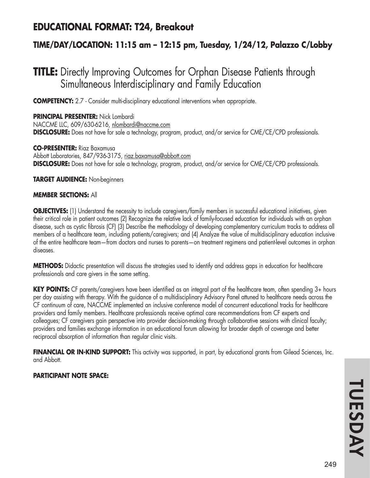# **EDUCATIONAL FORMAT: T24, Breakout**

## **TIME/DAY/LOCATION: 11:15 am – 12:15 pm, Tuesday, 1/24/12, Palazzo C/Lobby**

# **TITLE:** Directly Improving Outcomes for Orphan Disease Patients through Simultaneous Interdisciplinary and Family Education

**COMPETENCY:** 2.7 - Consider multi-disciplinary educational interventions when appropriate.

**PRINCIPAL PRESENTER:** Nick Lombardi NACCME LLC, 609/630-6216, nlombardi@naccme.com **DISCLOSURE:** Does not have for sale a technology, program, product, and/or service for CME/CE/CPD professionals.

**CO-PRESENTER:** Riaz Baxamusa Abbott Laboratories, 847/936-3175, riaz.baxamusa@abbott.com **DISCLOSURE:** Does not have for sale a technology, program, product, and/or service for CME/CE/CPD professionals.

**TARGET AUDIENCE:** Non-beginners

#### **MEMBER SECTIONS:** All

**OBJECTIVES:** (1) Understand the necessity to include caregivers/family members in successful educational initiatives, given their critical role in patient outcomes (2) Recognize the relative lack of family-focused education for individuals with an orphan disease, such as cystic fibrosis (CF) (3) Describe the methodology of developing complementary curriculum tracks to address all members of a healthcare team, including patients/caregivers; and (4) Analyze the value of multidisciplinary education inclusive of the entire healthcare team—from doctors and nurses to parents—on treatment regimens and patient-level outcomes in orphan diseases.

**METHODS:** Didactic presentation will discuss the strategies used to identify and address gaps in education for healthcare professionals and care givers in the same setting.

**KEY POINTS:** CF parents/caregivers have been identified as an integral part of the healthcare team, often spending 3+ hours per day assisting with therapy. With the guidance of a multidisciplinary Advisory Panel attuned to healthcare needs across the CF continuum of care, NACCME implemented an inclusive conference model of concurrent educational tracks for healthcare providers and family members. Healthcare professionals receive optimal care recommendations from CF experts and colleagues; CF caregivers gain perspective into provider decision-making through collaborative sessions with clinical faculty; providers and families exchange information in an educational forum allowing for broader depth of coverage and better reciprocal absorption of information than regular clinic visits.

**FINANCIAL OR IN-KIND SUPPORT:** This activity was supported, in part, by educational grants from Gilead Sciences, Inc. and Abbott.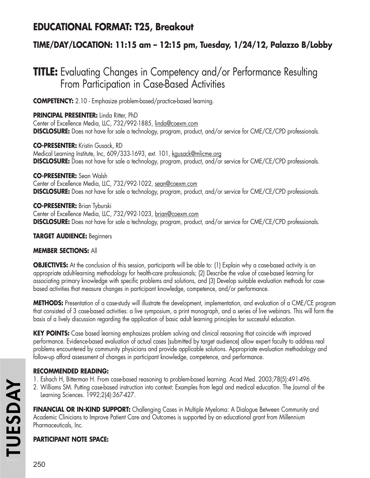# **EDUCATIONAL FORMAT: T25, Breakout**

## **TIME/DAY/LOCATION: 11:15 am – 12:15 pm, Tuesday, 1/24/12, Palazzo B/Lobby**

# **TITLE:** Evaluating Changes in Competency and/or Performance Resulting From Participation in Case-Based Activities

**COMPETENCY:** 2.10 - Emphasize problem-based/practice-based learning.

**PRINCIPAL PRESENTER:** Linda Ritter, PhD Center of Excellence Media, LLC, 732/992-1885, linda@coexm.com **DISCLOSURE:** Does not have for sale a technology, program, product, and/or service for CME/CE/CPD professionals.

**CO-PRESENTER:** Kristin Gusack, RD Medical Learning Institute, Inc, 609/333-1693, ext. 101, kgusack@mlicme.org **DISCLOSURE:** Does not have for sale a technology, program, product, and/or service for CME/CE/CPD professionals.

**CO-PRESENTER:** Sean Walsh Center of Excellence Media, LLC, 732/992-1022, sean@coexm.com **DISCLOSURE:** Does not have for sale a technology, program, product, and/or service for CME/CE/CPD professionals.

**CO-PRESENTER:** Brian Tyburski Center of Excellence Media, LLC, 732/992-1023, brian@coexm.com **DISCLOSURE:** Does not have for sale a technology, program, product, and/or service for CME/CE/CPD professionals.

#### **TARGET AUDIENCE:** Beginners

#### **MEMBER SECTIONS:** All

**OBJECTIVES:** At the conclusion of this session, participants will be able to: (1) Explain why a case-based activity is an appropriate adult-learning methodology for health-care professionals; (2) Describe the value of case-based learning for associating primary knowledge with specific problems and solutions, and (3) Develop suitable evaluation methods for casebased activities that measure changes in participant knowledge, competence, and/or performance.

**METHODS:** Presentation of a case-study will illustrate the development, implementation, and evaluation of a CME/CE program that consisted of 3 case-based activities: a live symposium, a print monograph, and a series of live webinars. This will form the basis of a lively discussion regarding the application of basic adult learning principles for successful education.

**KEY POINTS:** Case based learning emphasizes problem solving and clinical reasoning that coincide with improved performance. Evidence-based evaluation of actual cases (submitted by target audience) allow expert faculty to address real problems encountered by community physicians and provide applicable solutions. Appropriate evaluation methodology and follow-up afford assessment of changes in participant knowledge, competence, and performance.

#### **RECOMMENDED READING:**

- 1. Eshach H, Bitterman H. From case-based reasoning to problem-based learning. Acad Med. 2003;78(5):491-496.
- 2. Williams SM. Putting case-based instruction into context: Examples from legal and medical education. The Journal of the Learning Sciences. 1992;2(4):367-427.

**FINANCIAL OR IN-KIND SUPPORT:** Challenging Cases in Multiple Myeloma: A Dialogue Between Community and Academic Clinicians to Improve Patient Care and Outcomes is supported by an educational grant from Millennium Pharmaceuticals, Inc.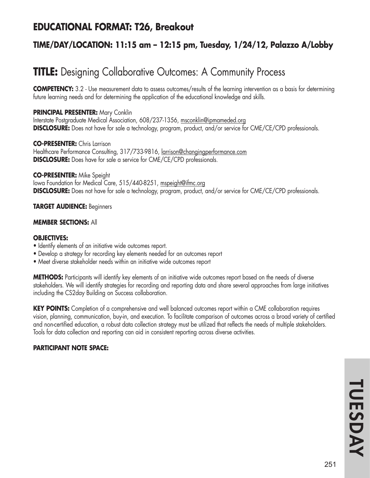# **EDUCATIONAL FORMAT: T26, Breakout**

## **TIME/DAY/LOCATION: 11:15 am – 12:15 pm, Tuesday, 1/24/12, Palazzo A/Lobby**

# **TITLE:** Designing Collaborative Outcomes: A Community Process

**COMPETENCY:** 3.2 - Use measurement data to assess outcomes/results of the learning intervention as a basis for determining future learning needs and for determining the application of the educational knowledge and skills.

#### **PRINCIPAL PRESENTER:** Mary Conklin

Interstate Postgraduate Medical Association, 608/237-1356, msconklin@ipmameded.org **DISCLOSURE:** Does not have for sale a technology, program, product, and/or service for CME/CE/CPD professionals.

**CO-PRESENTER:** Chris Larrison Healthcare Performance Consulting, 317/733-9816, larrison@changingperformance.com **DISCLOSURE:** Does have for sale a service for CME/CE/CPD professionals.

#### **CO-PRESENTER:** Mike Speight

Iowa Foundation for Medical Care, 515/440-8251, mspeight@ifmc.org **DISCLOSURE:** Does not have for sale a technology, program, product, and/or service for CME/CE/CPD professionals.

#### **TARGET AUDIENCE:** Beginners

#### **MEMBER SECTIONS:** All

#### **OBJECTIVES:**

- Identify elements of an initiative wide outcomes report.
- Develop a strategy for recording key elements needed for an outcomes report
- Meet diverse stakeholder needs within an initiative wide outcomes report

**METHODS:** Participants will identify key elements of an initiative wide outcomes report based on the needs of diverse stakeholders. We will identify strategies for recording and reporting data and share several approaches from large initiatives including the CS2day Building on Success collaboration.

**KEY POINTS:** Completion of a comprehensive and well balanced outcomes report within a CME collaboration requires vision, planning, communication, buy-in, and execution. To facilitate comparison of outcomes across a broad variety of certified and non-certified education, a robust data collection strategy must be utilized that reflects the needs of multiple stakeholders. Tools for data collection and reporting can aid in consistent reporting across diverse activities.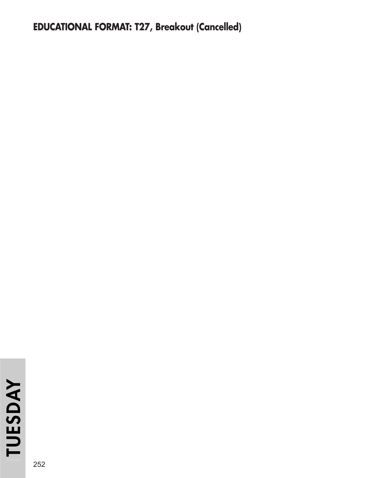# **EDUCATIONAL FORMAT: T27, Breakout (Cancelled)**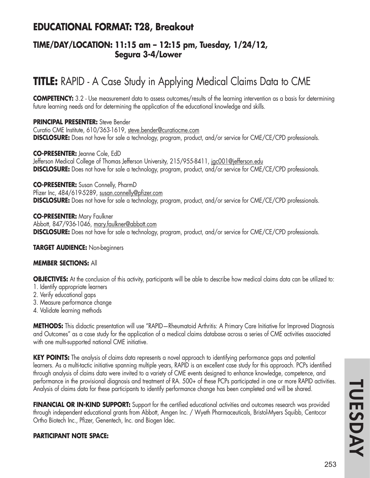## **EDUCATIONAL FORMAT: T28, Breakout**

### **TIME/DAY/LOCATION: 11:15 am – 12:15 pm, Tuesday, 1/24/12, Segura 3-4/Lower**

# **TITLE:** RAPID - A Case Study in Applying Medical Claims Data to CME

**COMPETENCY:** 3.2 - Use measurement data to assess outcomes/results of the learning intervention as a basis for determining future learning needs and for determining the application of the educational knowledge and skills.

#### **PRINCIPAL PRESENTER:** Steve Bender

Curatio CME Institute, 610/363-1619, steve.bender@curatiocme.com **DISCLOSURE:** Does not have for sale a technology, program, product, and/or service for CME/CE/CPD professionals.

#### **CO-PRESENTER:** Jeanne Cole, EdD

Jefferson Medical College of Thomas Jefferson University, 215/955-8411, <u>jgc001@jefferson.edu</u> **DISCLOSURE:** Does not have for sale a technology, program, product, and/or service for CME/CE/CPD professionals.

**CO-PRESENTER:** Susan Connelly, PharmD

Pfizer Inc, 484/619-5289, susan.connelly@pfizer.com **DISCLOSURE:** Does not have for sale a technology, program, product, and/or service for CME/CE/CPD professionals.

**CO-PRESENTER:** Mary Faulkner Abbott, 847/936-1046, mary.faulkner@abbott.com **DISCLOSURE:** Does not have for sale a technology, program, product, and/or service for CME/CE/CPD professionals.

**TARGET AUDIENCE:** Non-beginners

### **MEMBER SECTIONS:** All

**OBJECTIVES:** At the conclusion of this activity, participants will be able to describe how medical claims data can be utilized to:

- 1. Identify appropriate learners
- 2. Verify educational gaps
- 3. Measure performance change
- 4. Validate learning methods

**METHODS:** This didactic presentation will use "RAPID—Rheumatoid Arthritis: A Primary Care Initiative for Improved Diagnosis and Outcomes" as a case study for the application of a medical claims database across a series of CME activities associated with one multi-supported national CME initiative.

**KEY POINTS:** The analysis of claims data represents a novel approach to identifying performance gaps and potential learners. As a multi-tactic initiative spanning multiple years, RAPID is an excellent case study for this approach. PCPs identified through analysis of claims data were invited to a variety of CME events designed to enhance knowledge, competence, and performance in the provisional diagnosis and treatment of RA. 500+ of these PCPs participated in one or more RAPID activities. Analysis of claims data for these participants to identify performance change has been completed and will be shared.

FINANCIAL OR IN-KIND SUPPORT: Support for the certified educational activities and outcomes research was provided through independent educational grants from Abbott, Amgen Inc. / Wyeth Pharmaceuticals, Bristol-Myers Squibb, Centocor Ortho Biotech Inc., Pfizer, Genentech, Inc. and Biogen Idec.

### **PARTICIPANT NOTE SPACE:**

TUESDAY **TUESDAYI**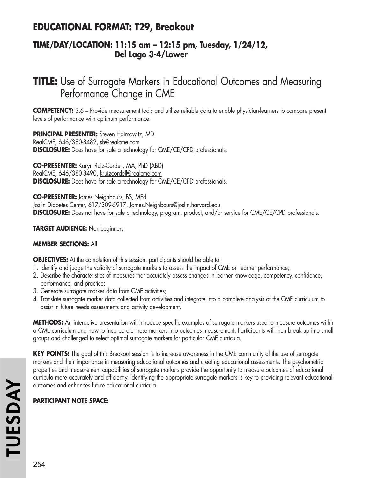# **EDUCATIONAL FORMAT: T29, Breakout**

### **TIME/DAY/LOCATION: 11:15 am – 12:15 pm, Tuesday, 1/24/12, Del Lago 3-4/Lower**

# **TITLE:** Use of Surrogate Markers in Educational Outcomes and Measuring Performance Change in CME

**COMPETENCY:** 3.6 – Provide measurement tools and utilize reliable data to enable physician-learners to compare present levels of performance with optimum performance.

**PRINCIPAL PRESENTER:** Steven Haimowitz, MD RealCME, 646/380-8482, sh@realcme.com **DISCLOSURE:** Does have for sale a technology for CME/CE/CPD professionals.

**CO-PRESENTER:** Karyn Ruiz-Cordell, MA, PhD (ABD) RealCME, 646/380-8490, kruizcordell@realcme.com **DISCLOSURE:** Does have for sale a technology for CME/CE/CPD professionals.

**CO-PRESENTER:** James Neighbours, BS, MEd Joslin Diabetes Center, 617/309-5917, James.Neighbours@joslin.harvard.edu **DISCLOSURE:** Does not have for sale a technology, program, product, and/or service for CME/CE/CPD professionals.

**TARGET AUDIENCE:** Non-beginners

### **MEMBER SECTIONS:** All

**OBJECTIVES:** At the completion of this session, participants should be able to:

- 1. Identify and judge the validity of surrogate markers to assess the impact of CME on learner performance;
- 2. Describe the characteristics of measures that accurately assess changes in learner knowledge, competency, confidence, performance, and practice;
- 3. Generate surrogate marker data from CME activities;
- 4. Translate surrogate marker data collected from activities and integrate into a complete analysis of the CME curriculum to assist in future needs assessments and activity development.

**METHODS:** An interactive presentation will introduce specific examples of surrogate markers used to measure outcomes within a CME curriculum and how to incorporate these markers into outcomes measurement. Participants will then break up into small groups and challenged to select optimal surrogate markers for particular CME curricula.

**KEY POINTS:** The goal of this Breakout session is to increase awareness in the CME community of the use of surrogate markers and their importance in measuring educational outcomes and creating educational assessments. The psychometric properties and measurement capabilities of surrogate markers provide the opportunity to measure outcomes of educational curricula more accurately and efficiently. Identifying the appropriate surrogate markers is key to providing relevant educational outcomes and enhances future educational curricula.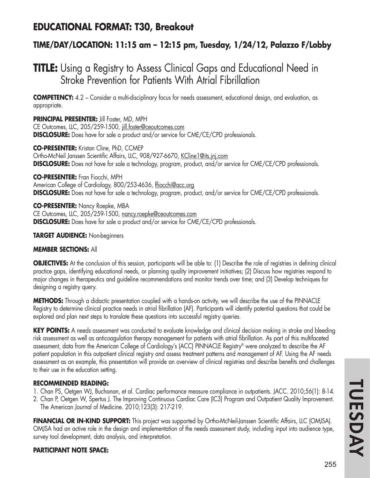# **EDUCATIONAL FORMAT: T30, Breakout**

## **TIME/DAY/LOCATION: 11:15 am – 12:15 pm, Tuesday, 1/24/12, Palazzo F/Lobby**

# **TITLE:** Using a Registry to Assess Clinical Gaps and Educational Need in Stroke Prevention for Patients With Atrial Fibrillation

**COMPETENCY:** 4.2 – Consider a multi-disciplinary focus for needs assessment, educational design, and evaluation, as appropriate.

**PRINCIPAL PRESENTER:** Jill Foster, MD, MPH CE Outcomes, LLC, 205/259-1500, jill.foster@ceoutcomes.com **DISCLOSURE:** Does have for sale a product and/or service for CME/CE/CPD professionals.

**CO-PRESENTER:** Kristan Cline, PhD, CCMEP Ortho-McNeil Janssen Scientific Affairs, LLC, 908/927-6670, KCline1@its.jnj.com **DISCLOSURE:** Does not have for sale a technology, program, product, and/or service for CME/CE/CPD professionals.

**CO-PRESENTER:** Fran Fiocchi, MPH American College of Cardiology, 800/253-4636, ffiocchi@acc.org **DISCLOSURE:** Does not have for sale a technology, program, product, and/or service for CME/CE/CPD professionals.

**CO-PRESENTER:** Nancy Roepke, MBA CE Outcomes, LLC, 205/259-1500, nancy.roepke@ceoutcomes.com **DISCLOSURE:** Does have for sale a product and/or service for CME/CE/CPD professionals.

**TARGET AUDIENCE:** Non-beginners

#### **MEMBER SECTIONS:** All

**OBJECTIVES:** At the conclusion of this session, participants will be able to: (1) Describe the role of registries in defining clinical practice gaps, identifying educational needs, or planning quality improvement initiatives; (2) Discuss how registries respond to major changes in therapeutics and guideline recommendations and monitor trends over time; and (3) Develop techniques for designing a registry query.

**METHODS:** Through a didactic presentation coupled with a hands-on activity, we will describe the use of the PINNACLE Registry to determine clinical practice needs in atrial fibrillation (AF). Participants will identify potential questions that could be explored and plan next steps to translate these questions into successful registry queries.

**KEY POINTS:** A needs assessment was conducted to evaluate knowledge and clinical decision making in stroke and bleeding risk assessment as well as anticoagulation therapy management for patients with atrial fibrillation. As part of this multifaceted assessment, data from the American College of Cardiology's (ACC) PINNACLE Registry® were analyzed to describe the AF patient population in this outpatient clinical registry and assess treatment patterns and management of AF. Using the AF needs assessment as an example, this presentation will provide an overview of clinical registries and describe benefits and challenges to their use in the education setting.

#### **RECOMMENDED READING:**

- 1. Chan PS, Oetgen WJ, Buchanan, et al. Cardiac performance measure compliance in outpatients. JACC. 2010;56(1): 8-14.
- 2. Chan P, Oetgen W, Spertus J. The Improving Continuous Cardiac Care (IC3) Program and Outpatient Quality Improvement. The American Journal of Medicine. 2010;123(3): 217-219.

**FINANCIAL OR IN-KIND SUPPORT:** This project was supported by Ortho-McNeil-Janssen Scientific Affairs, LLC (OMJSA). OMJSA had an active role in the design and implementation of the needs assessment study, including input into audience type, survey tool development, data analysis, and interpretation.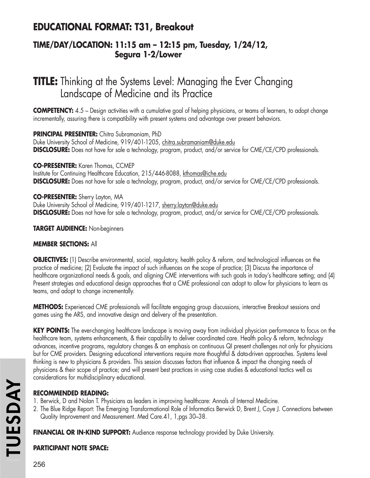# **EDUCATIONAL FORMAT: T31, Breakout**

### **TIME/DAY/LOCATION: 11:15 am – 12:15 pm, Tuesday, 1/24/12, Segura 1-2/Lower**

# **TITLE:** Thinking at the Systems Level: Managing the Ever Changing Landscape of Medicine and its Practice

**COMPETENCY:** 4.5 – Design activities with a cumulative goal of helping physicians, or teams of learners, to adopt change incrementally, assuring there is compatibility with present systems and advantage over present behaviors.

**PRINCIPAL PRESENTER:** Chitra Subramaniam, PhD Duke University School of Medicine, 919/401-1205, chitra.subramaniam@duke.edu **DISCLOSURE:** Does not have for sale a technology, program, product, and/or service for CME/CE/CPD professionals.

**CO-PRESENTER:** Karen Thomas, CCMEP Institute for Continuing Healthcare Education, 215/446-8088, kthomas@iche.edu **DISCLOSURE:** Does not have for sale a technology, program, product, and/or service for CME/CE/CPD professionals.

**CO-PRESENTER:** Sherry Layton, MA Duke University School of Medicine, 919/401-1217, sherry.layton@duke.edu **DISCLOSURE:** Does not have for sale a technology, program, product, and/or service for CME/CE/CPD professionals.

**TARGET AUDIENCE:** Non-beginners

### **MEMBER SECTIONS:** All

**OBJECTIVES:** (1) Describe environmental, social, regulatory, health policy & reform, and technological influences on the practice of medicine; (2) Evaluate the impact of such influences on the scope of practice; (3) Discuss the importance of healthcare organizational needs & goals, and aligning CME interventions with such goals in today's healthcare setting; and (4) Present strategies and educational design approaches that a CME professional can adopt to allow for physicians to learn as teams, and adopt to change incrementally.

**METHODS:** Experienced CME professionals will facilitate engaging group discussions, interactive Breakout sessions and games using the ARS, and innovative design and delivery of the presentation.

**KEY POINTS:** The ever-changing healthcare landscape is moving away from individual physician performance to focus on the healthcare team, systems enhancements, & their capability to deliver coordinated care. Health policy & reform, technology advances, incentive programs, regulatory changes & an emphasis on continuous QI present challenges not only for physicians but for CME providers. Designing educational interventions require more thoughtful & data-driven approaches. Systems level thinking is new to physicians & providers. This session discusses factors that influence & impact the changing needs of physicians & their scope of practice; and will present best practices in using case studies & educational tactics well as considerations for multidisciplinary educational.

### **RECOMMENDED READING:**

- 1. Berwick, D and Nolan T. Physicians as leaders in improving healthcare: Annals of Internal Medicine.
- 2. The Blue Ridge Report: The Emerging Transformational Role of Informatics Berwick D, Brent J, Coye J. Connections between Quality Improvement and Measurement. Med Care.41, 1,pgs 30–38.

**FINANCIAL OR IN-KIND SUPPORT:** Audience response technology provided by Duke University.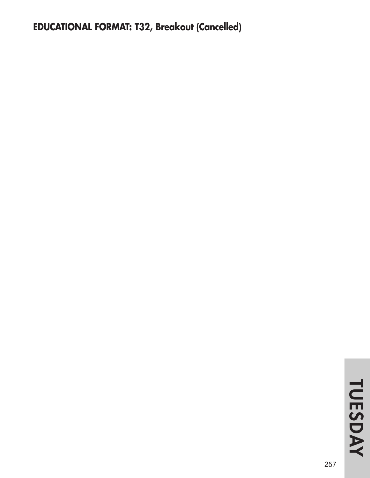# **EDUCATIONAL FORMAT: T32, Breakout (Cancelled)**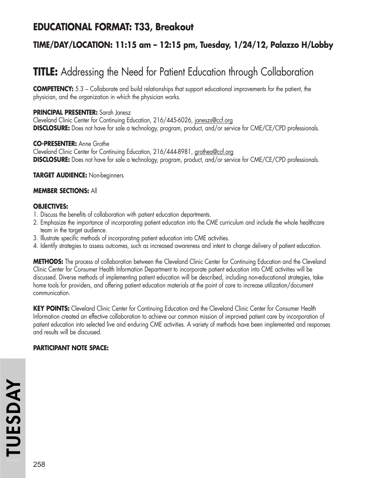# **EDUCATIONAL FORMAT: T33, Breakout**

## **TIME/DAY/LOCATION: 11:15 am – 12:15 pm, Tuesday, 1/24/12, Palazzo H/Lobby**

# **TITLE:** Addressing the Need for Patient Education through Collaboration

**COMPETENCY:** 5.3 – Collaborate and build relationships that support educational improvements for the patient, the physician, and the organization in which the physician works.

#### **PRINCIPAL PRESENTER:** Sarah Janesz

Cleveland Clinic Center for Continuing Education, 216/445-6026, janeszs@ccf.org **DISCLOSURE:** Does not have for sale a technology, program, product, and/or service for CME/CE/CPD professionals.

#### **CO-PRESENTER:** Anne Grothe

Cleveland Clinic Center for Continuing Education, 216/444-8981, grothea@ccf.org **DISCLOSURE:** Does not have for sale a technology, program, product, and/or service for CME/CE/CPD professionals.

**TARGET AUDIENCE:** Non-beginners

#### **MEMBER SECTIONS:** All

#### **OBJECTIVES:**

- 1. Discuss the benefits of collaboration with patient education departments.
- 2. Emphasize the importance of incorporating patient education into the CME curriculum and include the whole healthcare team in the target audience.
- 3. Illustrate specific methods of incorporating patient education into CME activities.
- 4. Identify strategies to assess outcomes, such as increased awareness and intent to change delivery of patient education.

**METHODS:** The process of collaboration between the Cleveland Clinic Center for Continuing Education and the Cleveland Clinic Center for Consumer Health Information Department to incorporate patient education into CME activities will be discussed. Diverse methods of implementing patient education will be described, including non-educational strategies, takehome tools for providers, and offering patient education materials at the point of care to increase utilization/document communication.

KEY POINTS: Cleveland Clinic Center for Continuing Education and the Cleveland Clinic Center for Consumer Health Information created an effective collaboration to achieve our common mission of improved patient care by incorporation of patient education into selected live and enduring CME activities. A variety of methods have been implemented and responses and results will be discussed.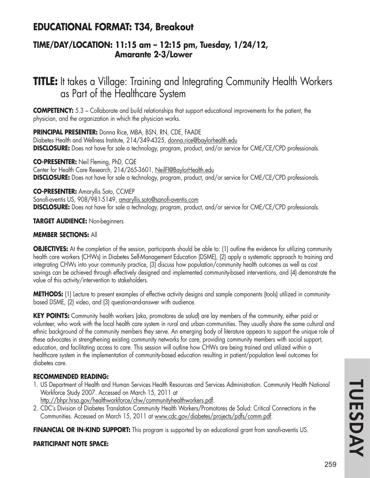## **EDUCATIONAL FORMAT: T34, Breakout**

### **TIME/DAY/LOCATION: 11:15 am – 12:15 pm, Tuesday, 1/24/12, Amarante 2-3/Lower**

# **TITLE:** It takes a Village: Training and Integrating Community Health Workers as Part of the Healthcare System

**COMPETENCY:** 5.3 – Collaborate and build relationships that support educational improvements for the patient, the physician, and the organization in which the physician works.

**PRINCIPAL PRESENTER:** Donna Rice, MBA, BSN, RN, CDE, FAADE Diabetes Health and Wellness Institute, 214/349-4325, donna.rice@baylorhealth.edu **DISCLOSURE:** Does not have for sale a technology, program, product, and/or service for CME/CE/CPD professionals.

**CO-PRESENTER:** Neil Fleming, PhD, CQE Center for Health Care Research, 214/265-3601, NeilFl@BaylorHealth.edu **DISCLOSURE:** Does not have for sale a technology, program, product, and/or service for CME/CE/CPD professionals.

**CO-PRESENTER:** Amaryllis Soto, CCMEP Sanofi-aventis US, 908/981-5149, amaryllis.soto@sanofi-aventis.com **DISCLOSURE:** Does not have for sale a technology, program, product, and/or service for CME/CE/CPD professionals.

#### **TARGET AUDIENCE:** Non-beginners

### **MEMBER SECTIONS:** All

**OBJECTIVES:** At the completion of the session, participants should be able to: (1) outline the evidence for utilizing community health care workers (CHWs) in Diabetes Self-Management Education (DSME), (2) apply a systematic approach to training and integrating CHWs into your community practice, (3) discuss how population/community health outcomes as well as cost savings can be achieved through effectively designed and implemented community-based interventions, and (4) demonstrate the value of this activity/intervention to stakeholders.

**METHODS:** (1) Lecture to present examples of effective activity designs and sample components (tools) utilized in communitybased DSME, (2) video, and (3) question-and-answer with audience.

**KEY POINTS:** Community health workers (aka, promotores de salud) are lay members of the community, either paid or volunteer, who work with the local health care system in rural and urban communities. They usually share the same cultural and ethnic background of the community members they serve. An emerging body of literature appears to support the unique role of these advocates in strengthening existing community networks for care, providing community members with social support, education, and facilitating access to care. This session will outline how CHWs are being trained and utilized within a healthcare system in the implementation of community-based education resulting in patient/population level outcomes for diabetes care.

#### **RECOMMENDED READING:**

- 1. US Department of Health and Human Services Health Resources and Services Administration. Community Health National Workforce Study 2007. Accessed on March 15, 2011 at
	- http://bhpr.hrsa.gov/healthworkforce/chw/communityhealthworkers.pdf.
- 2. CDC's Division of Diabetes Translation Community Health Workers/Promotores de Salud: Critical Connections in the Communities. Accessed on March 15, 2011 at www.cdc.gov/diabetes/projects/pdfs/comm.pdf.

**FINANCIAL OR IN-KIND SUPPORT:** This program is supported by an educational grant from sanofi-aventis US.

### **PARTICIPANT NOTE SPACE:**

TUESDAY **TUESDAYI**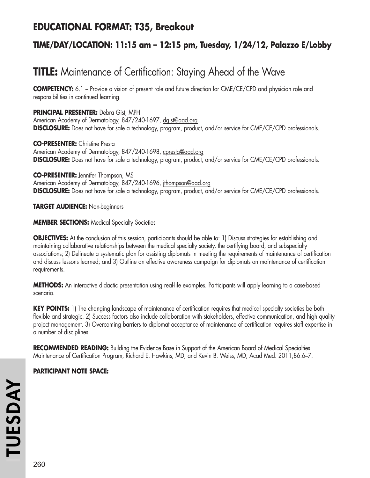# **EDUCATIONAL FORMAT: T35, Breakout**

## **TIME/DAY/LOCATION: 11:15 am – 12:15 pm, Tuesday, 1/24/12, Palazzo E/Lobby**

# **TITLE:** Maintenance of Certification: Staying Ahead of the Wave

**COMPETENCY:** 6.1 – Provide a vision of present role and future direction for CME/CE/CPD and physician role and responsibilities in continued learning.

**PRINCIPAL PRESENTER:** Debra Gist, MPH American Academy of Dermatology, 847/240-1697, dgist@aad.org **DISCLOSURE:** Does not have for sale a technology, program, product, and/or service for CME/CE/CPD professionals.

**CO-PRESENTER:** Christine Presta American Academy of Dermatology, 847/240-1698, cpresta@aad.org **DISCLOSURE:** Does not have for sale a technology, program, product, and/or service for CME/CE/CPD professionals.

**CO-PRESENTER:** Jennifer Thompson, MS American Academy of Dermatology, 847/240-1696, jthompson@aad.org **DISCLOSURE:** Does not have for sale a technology, program, product, and/or service for CME/CE/CPD professionals.

**TARGET AUDIENCE:** Non-beginners

**MEMBER SECTIONS:** Medical Specialty Societies

**OBJECTIVES:** At the conclusion of this session, participants should be able to: 1) Discuss strategies for establishing and maintaining collaborative relationships between the medical specialty society, the certifying board, and subspecialty associations; 2) Delineate a systematic plan for assisting diplomats in meeting the requirements of maintenance of certification and discuss lessons learned; and 3) Outline an effective awareness campaign for diplomats on maintenance of certification requirements.

**METHODS:** An interactive didactic presentation using real-life examples. Participants will apply learning to a case-based scenario.

**KEY POINTS:** 1) The changing landscape of maintenance of certification requires that medical specialty societies be both flexible and strategic. 2) Success factors also include collaboration with stakeholders, effective communication, and high quality project management. 3) Overcoming barriers to diplomat acceptance of maintenance of certification requires staff expertise in a number of disciplines.

**RECOMMENDED READING:** Building the Evidence Base in Support of the American Board of Medical Specialties Maintenance of Certification Program, Richard E. Hawkins, MD, and Kevin B. Weiss, MD, Acad Med. 2011;86:6–7.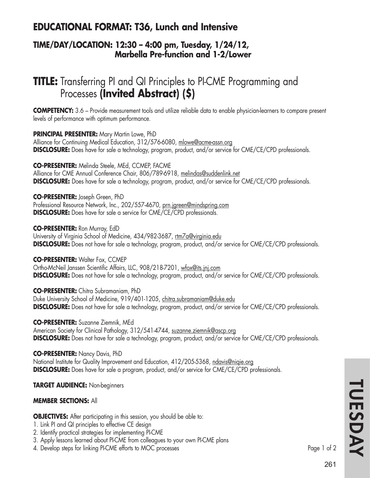# **EDUCATIONAL FORMAT: T36, Lunch and Intensive**

### **TIME/DAY/LOCATION: 12:30 – 4:00 pm, Tuesday, 1/24/12, Marbella Pre-function and 1-2/Lower**

# **TITLE:** Transferring PI and QI Principles to PI-CME Programming and Processes **(Invited Abstract) (\$)**

**COMPETENCY:** 3.6 – Provide measurement tools and utilize reliable data to enable physician-learners to compare present levels of performance with optimum performance.

**PRINCIPAL PRESENTER:** Mary Martin Lowe, PhD Alliance for Continuing Medical Education, 312/576-6080, mlowe@acme-assn.org **DISCLOSURE:** Does have for sale a technology, program, product, and/or service for CME/CE/CPD professionals.

**CO-PRESENTER:** Melinda Steele, MEd, CCMEP, FACME Alliance for CME Annual Conference Chair, 806/789-6918, melindas@suddenlink.net

**DISCLOSURE:** Does have for sale a technology, program, product, and/or service for CME/CE/CPD professionals.

**CO-PRESENTER:** Joseph Green, PhD Professional Resource Network, Inc., 202/557-4670, prn.jgreen@mindspring.com **DISCLOSURE:** Does have for sale a service for CME/CE/CPD professionals.

**CO-PRESENTER:** Ron Murray, EdD University of Virginia School of Medicine, 434/982-3687, rtm7a@virginia.edu **DISCLOSURE:** Does not have for sale a technology, program, product, and/or service for CME/CE/CPD professionals.

**CO-PRESENTER: Walter Fox, CCMEP** Ortho-McNeil Janssen Scientific Affairs, LLC, 908/218-7201, wfox@its.jnj.com **DISCLOSURE:** Does not have for sale a technology, program, product, and/or service for CME/CE/CPD professionals.

**CO-PRESENTER:** Chitra Subramaniam, PhD Duke University School of Medicine, 919/401-1205, chitra.subramaniam@duke.edu **DISCLOSURE:** Does not have for sale a technology, program, product, and/or service for CME/CE/CPD professionals.

**CO-PRESENTER:** Suzanne Ziemnik, MEd American Society for Clinical Pathology, 312/541-4744, suzanne.ziemnik@ascp.org **DISCLOSURE:** Does not have for sale a technology, program, product, and/or service for CME/CE/CPD professionals.

**CO-PRESENTER:** Nancy Davis, PhD National Institute for Quality Improvement and Education, 412/205-5368, ndavis@niqie.org **DISCLOSURE:** Does have for sale a program, product, and/or service for CME/CE/CPD professionals.

**TARGET AUDIENCE:** Non-beginners

#### **MEMBER SECTIONS:** All

**OBJECTIVES:** After participating in this session, you should be able to:

- 1. Link PI and QI principles to effective CE design
- 2. Identify practical strategies for implementing PI-CME
- 3. Apply lessons learned about PI-CME from colleagues to your own PI-CME plans
- 4. Develop steps for linking PI-CME efforts to MOC processes examples that the control of 2

TUESDAY **TUESDAYI**